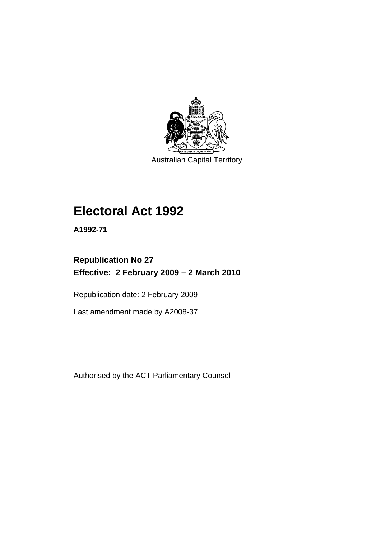

Australian Capital Territory

# **[Electoral Act 1992](#page-18-0)**

**A1992-71** 

# **Republication No 27 Effective: 2 February 2009 – 2 March 2010**

Republication date: 2 February 2009

Last amendment made by A2008-37

Authorised by the ACT Parliamentary Counsel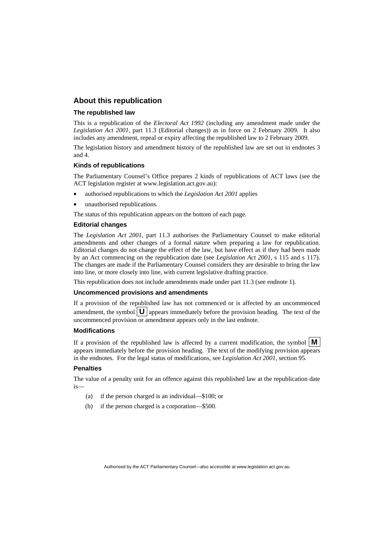#### **About this republication**

#### **The republished law**

This is a republication of the *Electoral Act 1992* (including any amendment made under the *Legislation Act 2001*, part 11.3 (Editorial changes)) as in force on 2 February 2009*.* It also includes any amendment, repeal or expiry affecting the republished law to 2 February 2009.

The legislation history and amendment history of the republished law are set out in endnotes 3 and 4.

#### **Kinds of republications**

The Parliamentary Counsel's Office prepares 2 kinds of republications of ACT laws (see the ACT legislation register at www.legislation.act.gov.au):

- authorised republications to which the *Legislation Act 2001* applies
- unauthorised republications.

The status of this republication appears on the bottom of each page.

#### **Editorial changes**

The *Legislation Act 2001*, part 11.3 authorises the Parliamentary Counsel to make editorial amendments and other changes of a formal nature when preparing a law for republication. Editorial changes do not change the effect of the law, but have effect as if they had been made by an Act commencing on the republication date (see *Legislation Act 2001*, s 115 and s 117). The changes are made if the Parliamentary Counsel considers they are desirable to bring the law into line, or more closely into line, with current legislative drafting practice.

This republication does not include amendments made under part 11.3 (see endnote 1).

#### **Uncommenced provisions and amendments**

If a provision of the republished law has not commenced or is affected by an uncommenced amendment, the symbol  $\mathbf{U}$  appears immediately before the provision heading. The text of the uncommenced provision or amendment appears only in the last endnote.

#### **Modifications**

If a provision of the republished law is affected by a current modification, the symbol  $\mathbf{M}$ appears immediately before the provision heading. The text of the modifying provision appears in the endnotes. For the legal status of modifications, see *Legislation Act 2001*, section 95.

#### **Penalties**

The value of a penalty unit for an offence against this republished law at the republication date is—

- (a) if the person charged is an individual—\$100; or
- (b) if the person charged is a corporation—\$500.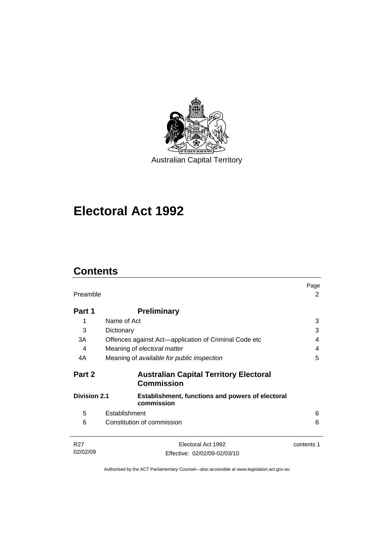

# **[Electoral Act 1992](#page-18-0)**

# **Contents**

| Preamble                    |                                                                    | Page<br>2  |
|-----------------------------|--------------------------------------------------------------------|------------|
| Part 1                      | <b>Preliminary</b>                                                 |            |
| 1                           | Name of Act                                                        | 3          |
| 3                           | Dictionary                                                         | 3          |
| 3A                          | Offences against Act—application of Criminal Code etc              | 4          |
| 4                           | Meaning of electoral matter                                        | 4          |
| 4A                          | Meaning of available for public inspection                         | 5          |
| Part 2                      | <b>Australian Capital Territory Electoral</b><br><b>Commission</b> |            |
| <b>Division 2.1</b>         | Establishment, functions and powers of electoral<br>commission     |            |
| 5                           | Establishment                                                      | 6          |
| 6                           | Constitution of commission                                         | 6          |
| R <sub>27</sub><br>02/02/09 | Electoral Act 1992                                                 | contents 1 |
|                             | Effective: 02/02/09-02/03/10                                       |            |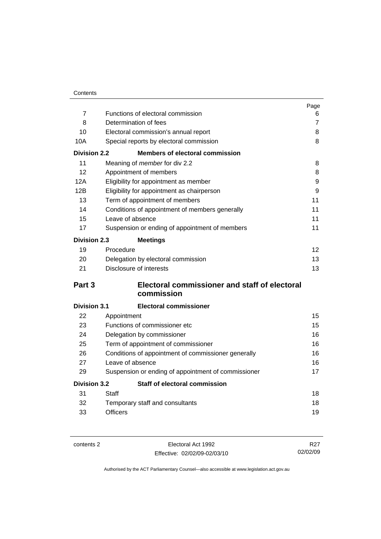| Contents |
|----------|
|          |

|                     |                                                     | Page           |
|---------------------|-----------------------------------------------------|----------------|
| $\overline{7}$      | Functions of electoral commission                   | 6              |
| 8                   | Determination of fees                               | $\overline{7}$ |
| 10                  | Electoral commission's annual report                | 8              |
| 10A                 | Special reports by electoral commission             | 8              |
| <b>Division 2.2</b> | <b>Members of electoral commission</b>              |                |
| 11                  | Meaning of member for div 2.2                       | 8              |
| 12                  | Appointment of members                              | 8              |
| 12A                 | Eligibility for appointment as member               |                |
| 12B                 | Eligibility for appointment as chairperson          | 9              |
| 13                  | Term of appointment of members                      | 11             |
| 14                  | Conditions of appointment of members generally      | 11             |
| 15                  | Leave of absence                                    | 11             |
| 17                  | Suspension or ending of appointment of members      | 11             |
| <b>Division 2.3</b> | <b>Meetings</b>                                     |                |
| 19                  | Procedure                                           | 12             |
| 20                  | Delegation by electoral commission                  | 13             |
| 21                  | Disclosure of interests                             | 13             |
| Part 3              | Electoral commissioner and staff of electoral       |                |
|                     | commission                                          |                |
| <b>Division 3.1</b> | <b>Electoral commissioner</b>                       |                |
| 22                  | Appointment                                         | 15             |
| 23                  | Functions of commissioner etc                       | 15             |
| 24                  | Delegation by commissioner                          | 16             |
| 25                  | Term of appointment of commissioner                 | 16             |
| 26                  | Conditions of appointment of commissioner generally | 16             |
| 27                  | Leave of absence                                    |                |
| 29                  | Suspension or ending of appointment of commissioner | 17             |
| <b>Division 3.2</b> | Staff of electoral commission                       |                |
| 31                  | Staff                                               | 18             |
| 32                  | Temporary staff and consultants                     | 18             |
| 33                  | <b>Officers</b>                                     | 19             |

| contents 2 |  |
|------------|--|
|------------|--|

Electoral Act 1992 Effective: 02/02/09-02/03/10

R27 02/02/09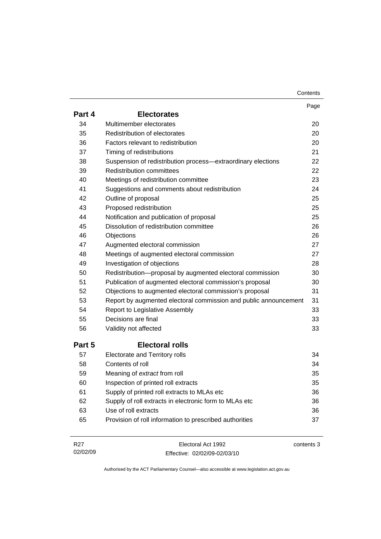| Contents |
|----------|
|----------|

|        |                                                                  | Page |
|--------|------------------------------------------------------------------|------|
| Part 4 | <b>Electorates</b>                                               |      |
| 34     | Multimember electorates                                          | 20   |
| 35     | <b>Redistribution of electorates</b>                             | 20   |
| 36     | Factors relevant to redistribution                               | 20   |
| 37     | Timing of redistributions                                        | 21   |
| 38     | Suspension of redistribution process-extraordinary elections     | 22   |
| 39     | <b>Redistribution committees</b>                                 | 22   |
| 40     | Meetings of redistribution committee                             | 23   |
| 41     | Suggestions and comments about redistribution                    | 24   |
| 42     | Outline of proposal                                              | 25   |
| 43     | Proposed redistribution                                          | 25   |
| 44     | Notification and publication of proposal                         | 25   |
| 45     | Dissolution of redistribution committee                          | 26   |
| 46     | Objections                                                       | 26   |
| 47     | Augmented electoral commission                                   | 27   |
| 48     | Meetings of augmented electoral commission                       | 27   |
| 49     | Investigation of objections                                      | 28   |
| 50     | Redistribution-proposal by augmented electoral commission        | 30   |
| 51     | Publication of augmented electoral commission's proposal         | 30   |
| 52     | Objections to augmented electoral commission's proposal          | 31   |
| 53     | Report by augmented electoral commission and public announcement | 31   |
| 54     | Report to Legislative Assembly                                   | 33   |
| 55     | Decisions are final                                              | 33   |
| 56     | Validity not affected                                            | 33   |
| Part 5 | <b>Electoral rolls</b>                                           |      |
| 57     | <b>Electorate and Territory rolls</b>                            | 34   |
| 58     | Contents of roll                                                 | 34   |
| 59     | Meaning of extract from roll                                     | 35   |
| 60     | Inspection of printed roll extracts                              | 35   |
| 61     | Supply of printed roll extracts to MLAs etc                      | 36   |
| 62     | Supply of roll extracts in electronic form to MLAs etc           | 36   |
| 63     | Use of roll extracts                                             | 36   |
| 65     | Provision of roll information to prescribed authorities          | 37   |
|        |                                                                  |      |

| R27      | Electoral Act 1992           | contents 3 |
|----------|------------------------------|------------|
| 02/02/09 | Effective: 02/02/09-02/03/10 |            |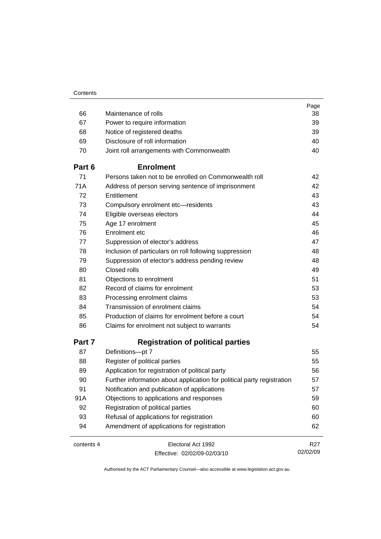|            |                                                                        | Page            |
|------------|------------------------------------------------------------------------|-----------------|
| 66         | Maintenance of rolls                                                   | 38              |
| 67         | Power to require information                                           | 39              |
| 68         | Notice of registered deaths                                            | 39              |
| 69         | Disclosure of roll information                                         | 40              |
| 70         | Joint roll arrangements with Commonwealth                              | 40              |
| Part 6     | <b>Enrolment</b>                                                       |                 |
| 71         | Persons taken not to be enrolled on Commonwealth roll                  | 42              |
| 71A        | Address of person serving sentence of imprisonment                     | 42              |
| 72         | Entitlement                                                            | 43              |
| 73         | Compulsory enrolment etc-residents                                     | 43              |
| 74         | Eligible overseas electors                                             | 44              |
| 75         | Age 17 enrolment                                                       | 45              |
| 76         | Enrolment etc                                                          | 46              |
| 77         | Suppression of elector's address                                       | 47              |
| 78         | Inclusion of particulars on roll following suppression                 | 48              |
| 79         | Suppression of elector's address pending review                        | 48              |
| 80         | Closed rolls                                                           | 49              |
| 81         | Objections to enrolment                                                | 51              |
| 82         | Record of claims for enrolment                                         | 53              |
| 83         | Processing enrolment claims                                            | 53              |
| 84         | Transmission of enrolment claims                                       | 54              |
| 85         | Production of claims for enrolment before a court                      | 54              |
| 86         | Claims for enrolment not subject to warrants                           | 54              |
| Part 7     | <b>Registration of political parties</b>                               |                 |
| 87         | Definitions-pt 7                                                       | 55              |
| 88         | Register of political parties                                          | 55              |
| 89         | Application for registration of political party                        | 56              |
| 90         | Further information about application for political party registration | 57              |
| 91         | Notification and publication of applications                           | 57              |
| 91A        | Objections to applications and responses                               | 59              |
| 92         | Registration of political parties                                      | 60              |
| 93         | Refusal of applications for registration                               | 60              |
| 94         | Amendment of applications for registration                             | 62              |
| contents 4 | Electoral Act 1992                                                     | R <sub>27</sub> |
|            | Effective: 02/02/09-02/03/10                                           | 02/02/09        |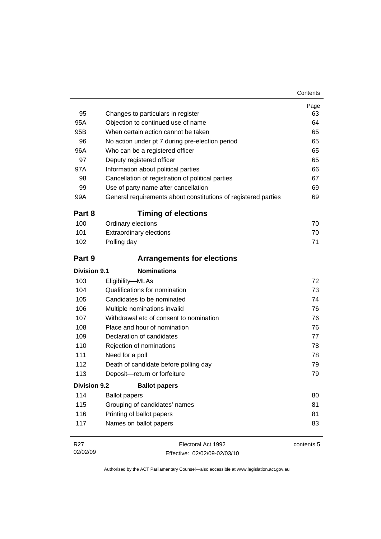| 95                  | Changes to particulars in register                             | Page<br>63 |
|---------------------|----------------------------------------------------------------|------------|
| 95A                 | Objection to continued use of name                             | 64         |
| 95B                 | When certain action cannot be taken                            | 65         |
| 96                  | No action under pt 7 during pre-election period                | 65         |
| 96A                 | Who can be a registered officer                                | 65         |
| 97                  | Deputy registered officer                                      | 65         |
| 97A                 | Information about political parties                            | 66         |
| 98                  | Cancellation of registration of political parties              | 67         |
| 99                  | Use of party name after cancellation                           | 69         |
| 99A                 | General requirements about constitutions of registered parties | 69         |
| Part 8              | <b>Timing of elections</b>                                     |            |
| 100                 | Ordinary elections                                             | 70         |
| 101                 | <b>Extraordinary elections</b>                                 | 70         |
| 102                 | Polling day                                                    | 71         |
| Part 9              | <b>Arrangements for elections</b>                              |            |
| <b>Division 9.1</b> | <b>Nominations</b>                                             |            |
| 103                 | Eligibility-MLAs                                               | 72         |
| 104                 | Qualifications for nomination                                  | 73         |
| 105                 | Candidates to be nominated                                     | 74         |
| 106                 | Multiple nominations invalid                                   | 76         |
| 107                 | Withdrawal etc of consent to nomination                        | 76         |
| 108                 | Place and hour of nomination                                   | 76         |
| 109                 | Declaration of candidates                                      | 77         |
| 110                 | Rejection of nominations                                       | 78         |
| 111                 | Need for a poll                                                | 78         |
| 112                 | Death of candidate before polling day                          | 79         |
| 113                 | Deposit-return or forfeiture                                   | 79         |
| <b>Division 9.2</b> | <b>Ballot papers</b>                                           |            |
| 114                 | <b>Ballot papers</b>                                           | 80         |
| 115                 | Grouping of candidates' names                                  | 81         |
| 116                 | Printing of ballot papers                                      | 81         |
| 117                 | Names on ballot papers                                         | 83         |
| R <sub>27</sub>     | Electoral Act 1992                                             | contents 5 |

Effective: 02/02/09-02/03/10

02/02/09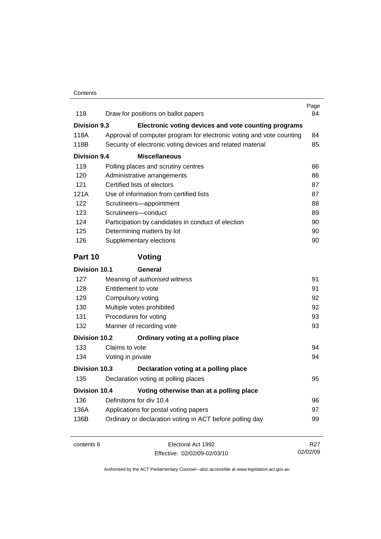| 118                  | Draw for positions on ballot papers                                  | Page<br>84      |
|----------------------|----------------------------------------------------------------------|-----------------|
| <b>Division 9.3</b>  | Electronic voting devices and vote counting programs                 |                 |
| 118A                 | Approval of computer program for electronic voting and vote counting | 84              |
| 118B                 | Security of electronic voting devices and related material           | 85              |
| <b>Division 9.4</b>  | <b>Miscellaneous</b>                                                 |                 |
| 119                  | Polling places and scrutiny centres                                  | 86              |
| 120                  | Administrative arrangements                                          | 86              |
| 121                  | Certified lists of electors                                          | 87              |
| 121A                 | Use of information from certified lists                              | 87              |
| 122                  | Scrutineers-appointment                                              | 88              |
| 123                  | Scrutineers-conduct                                                  | 89              |
| 124                  | Participation by candidates in conduct of election                   | 90              |
| 125                  | Determining matters by lot                                           | 90              |
| 126                  | Supplementary elections                                              | 90              |
| Part 10              | Voting                                                               |                 |
| <b>Division 10.1</b> | General                                                              |                 |
| 127                  | Meaning of authorised witness                                        | 91              |
| 128                  | Entitlement to vote                                                  | 91              |
| 129                  | Compulsory voting                                                    | 92              |
| 130                  | Multiple votes prohibited                                            | 92              |
| 131                  | Procedures for voting                                                | 93              |
| 132                  | Manner of recording vote                                             | 93              |
| <b>Division 10.2</b> | Ordinary voting at a polling place                                   |                 |
| 133                  | Claims to vote                                                       | 94              |
| 134                  | Voting in private                                                    | 94              |
| Division 10.3        | Declaration voting at a polling place                                |                 |
| 135                  | Declaration voting at polling places                                 | 95              |
| <b>Division 10.4</b> | Voting otherwise than at a polling place                             |                 |
| 136                  | Definitions for div 10.4                                             | 96              |
| 136A                 | Applications for postal voting papers                                | 97              |
| 136B                 | Ordinary or declaration voting in ACT before polling day             | 99              |
| contents 6           | Electoral Act 1992                                                   | R <sub>27</sub> |
|                      | Effective: 02/02/09-02/03/10                                         | 02/02/09        |

Effective: 02/02/09-02/03/10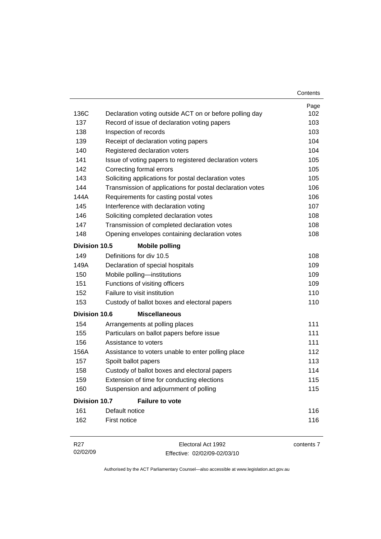|                      |                                                           | Contents   |
|----------------------|-----------------------------------------------------------|------------|
|                      |                                                           | Page       |
| 136C                 | Declaration voting outside ACT on or before polling day   | 102        |
| 137                  | Record of issue of declaration voting papers              | 103        |
| 138                  | Inspection of records                                     | 103        |
| 139                  | Receipt of declaration voting papers                      | 104        |
| 140                  | Registered declaration voters                             | 104        |
| 141                  | Issue of voting papers to registered declaration voters   | 105        |
| 142                  | Correcting formal errors                                  | 105        |
| 143                  | Soliciting applications for postal declaration votes      | 105        |
| 144                  | Transmission of applications for postal declaration votes | 106        |
| 144A                 | Requirements for casting postal votes                     | 106        |
| 145                  | Interference with declaration voting                      | 107        |
| 146                  | Soliciting completed declaration votes                    | 108        |
| 147                  | Transmission of completed declaration votes               | 108        |
| 148                  | Opening envelopes containing declaration votes            | 108        |
| <b>Division 10.5</b> | <b>Mobile polling</b>                                     |            |
| 149                  | Definitions for div 10.5                                  | 108        |
| 149A                 | Declaration of special hospitals                          | 109        |
| 150                  | Mobile polling-institutions                               | 109        |
| 151                  | Functions of visiting officers                            | 109        |
| 152                  | Failure to visit institution                              | 110        |
| 153                  | Custody of ballot boxes and electoral papers              | 110        |
| <b>Division 10.6</b> | <b>Miscellaneous</b>                                      |            |
| 154                  | Arrangements at polling places                            | 111        |
| 155                  | Particulars on ballot papers before issue                 | 111        |
| 156                  | Assistance to voters                                      | 111        |
| 156A                 | Assistance to voters unable to enter polling place        | 112        |
| 157                  | Spoilt ballot papers                                      | 113        |
| 158                  | Custody of ballot boxes and electoral papers              | 114        |
| 159                  | Extension of time for conducting elections                | 115        |
| 160                  | Suspension and adjournment of polling                     | 115        |
| <b>Division 10.7</b> | <b>Failure to vote</b>                                    |            |
| 161                  | Default notice                                            | 116        |
| 162                  | First notice                                              | 116        |
| R <sub>27</sub>      | Electoral Act 1992                                        | contents 7 |

Effective: 02/02/09-02/03/10

02/02/09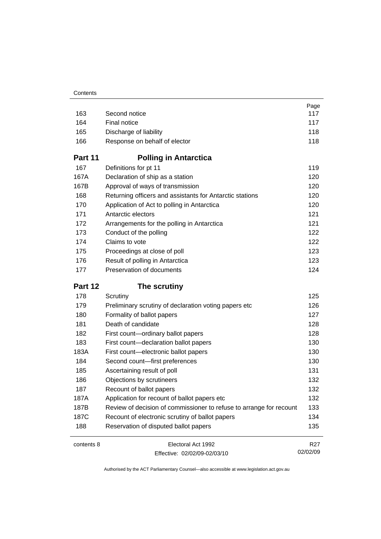|            |                                                                     | Page                        |
|------------|---------------------------------------------------------------------|-----------------------------|
| 163        | Second notice                                                       | 117                         |
| 164        | Final notice                                                        | 117                         |
| 165        | Discharge of liability                                              | 118                         |
| 166        | Response on behalf of elector                                       | 118                         |
| Part 11    | <b>Polling in Antarctica</b>                                        |                             |
| 167        | Definitions for pt 11                                               | 119                         |
| 167A       | Declaration of ship as a station                                    | 120                         |
| 167B       | Approval of ways of transmission                                    | 120                         |
| 168        | Returning officers and assistants for Antarctic stations            | 120                         |
| 170        | Application of Act to polling in Antarctica                         | 120                         |
| 171        | Antarctic electors                                                  | 121                         |
| 172        | Arrangements for the polling in Antarctica                          | 121                         |
| 173        | Conduct of the polling                                              | 122                         |
| 174        | Claims to vote                                                      | 122                         |
| 175        | Proceedings at close of poll                                        | 123                         |
| 176        | Result of polling in Antarctica                                     | 123                         |
| 177        | Preservation of documents                                           | 124                         |
| Part 12    | The scrutiny                                                        |                             |
| 178        | Scrutiny                                                            | 125                         |
| 179        | Preliminary scrutiny of declaration voting papers etc               | 126                         |
| 180        | Formality of ballot papers                                          | 127                         |
|            |                                                                     |                             |
| 181        | Death of candidate                                                  | 128                         |
| 182        | First count-ordinary ballot papers                                  | 128                         |
| 183        | First count-declaration ballot papers                               | 130                         |
| 183A       | First count-electronic ballot papers                                | 130                         |
| 184        | Second count-first preferences                                      | 130                         |
| 185        | Ascertaining result of poll                                         | 131                         |
| 186        | Objections by scrutineers                                           | 132                         |
| 187        | Recount of ballot papers                                            | 132                         |
| 187A       | Application for recount of ballot papers etc                        | 132                         |
| 187B       | Review of decision of commissioner to refuse to arrange for recount | 133                         |
| 187C       | Recount of electronic scrutiny of ballot papers                     | 134                         |
| 188        | Reservation of disputed ballot papers                               | 135                         |
| contents 8 | Electoral Act 1992                                                  | R <sub>27</sub><br>02/02/09 |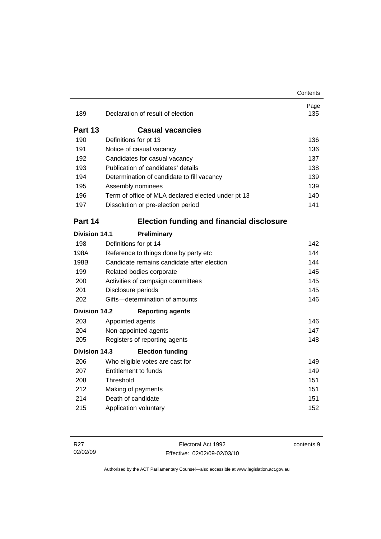|                      |                                                    | Contents    |
|----------------------|----------------------------------------------------|-------------|
| 189                  | Declaration of result of election                  | Page<br>135 |
| Part 13              | <b>Casual vacancies</b>                            |             |
| 190                  | Definitions for pt 13                              | 136         |
| 191                  | Notice of casual vacancy                           | 136         |
| 192                  | Candidates for casual vacancy                      | 137         |
| 193                  | Publication of candidates' details                 | 138         |
| 194                  | Determination of candidate to fill vacancy         | 139         |
| 195                  | Assembly nominees                                  | 139         |
| 196                  | Term of office of MLA declared elected under pt 13 | 140         |
| 197                  | Dissolution or pre-election period                 | 141         |
| Part 14              | <b>Election funding and financial disclosure</b>   |             |
| <b>Division 14.1</b> | Preliminary                                        |             |
| 198                  | Definitions for pt 14                              | 142         |
| 198A                 | Reference to things done by party etc              | 144         |
| 198B                 | Candidate remains candidate after election         | 144         |
| 199                  | Related bodies corporate                           | 145         |
| 200                  | Activities of campaign committees                  | 145         |
| 201                  | Disclosure periods                                 | 145         |
| 202                  | Gifts-determination of amounts                     | 146         |
| <b>Division 14.2</b> | <b>Reporting agents</b>                            |             |
| 203                  | Appointed agents                                   | 146         |
| 204                  | Non-appointed agents                               | 147         |
| 205                  | Registers of reporting agents                      | 148         |
| <b>Division 14.3</b> | <b>Election funding</b>                            |             |
| 206                  | Who eligible votes are cast for                    | 149         |
| 207                  | <b>Entitlement to funds</b>                        | 149         |
| 208                  | Threshold                                          | 151         |
| 212                  | Making of payments                                 | 151         |
| 214                  | Death of candidate                                 | 151         |
| 215                  | Application voluntary                              | 152         |

Electoral Act 1992 Effective: 02/02/09-02/03/10 contents 9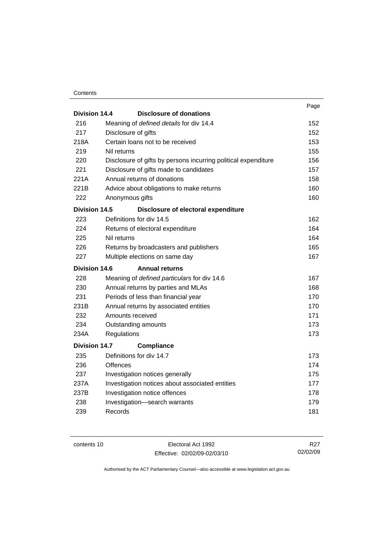#### **Contents**

|                      |                                                                | Page |
|----------------------|----------------------------------------------------------------|------|
| Division 14.4        | <b>Disclosure of donations</b>                                 |      |
| 216                  | Meaning of defined details for div 14.4                        | 152  |
| 217                  | Disclosure of gifts                                            | 152  |
| 218A                 | Certain loans not to be received                               | 153  |
| 219                  | Nil returns                                                    | 155  |
| 220                  | Disclosure of gifts by persons incurring political expenditure | 156  |
| 221                  | Disclosure of gifts made to candidates                         | 157  |
| 221A                 | Annual returns of donations                                    | 158  |
| 221B                 | Advice about obligations to make returns                       | 160  |
| 222                  | Anonymous gifts                                                | 160  |
| Division 14.5        | Disclosure of electoral expenditure                            |      |
| 223                  | Definitions for div 14.5                                       | 162  |
| 224                  | Returns of electoral expenditure                               | 164  |
| 225                  | Nil returns                                                    | 164  |
| 226                  | Returns by broadcasters and publishers                         | 165  |
| 227                  | Multiple elections on same day                                 | 167  |
| Division 14.6        | <b>Annual returns</b>                                          |      |
| 228                  | Meaning of defined particulars for div 14.6                    | 167  |
| 230                  | Annual returns by parties and MLAs                             | 168  |
| 231                  | Periods of less than financial year                            | 170  |
| 231B                 | Annual returns by associated entities                          | 170  |
| 232                  | Amounts received                                               | 171  |
| 234                  | Outstanding amounts                                            | 173  |
| 234A                 | Regulations                                                    | 173  |
| <b>Division 14.7</b> | <b>Compliance</b>                                              |      |
| 235                  | Definitions for div 14.7                                       | 173  |
| 236                  | Offences                                                       | 174  |
| 237                  | Investigation notices generally                                | 175  |
| 237A                 | Investigation notices about associated entities                | 177  |
| 237B                 | Investigation notice offences                                  | 178  |
| 238                  | Investigation-search warrants                                  | 179  |
| 239                  | Records                                                        | 181  |
|                      |                                                                |      |

contents 10 Electoral Act 1992 Effective: 02/02/09-02/03/10

R27 02/02/09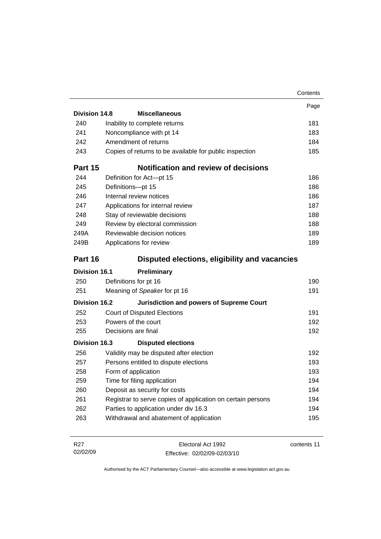|                      |                                                             | Contents    |
|----------------------|-------------------------------------------------------------|-------------|
|                      |                                                             | Page        |
| <b>Division 14.8</b> | <b>Miscellaneous</b>                                        |             |
| 240                  | Inability to complete returns                               | 181         |
| 241                  | Noncompliance with pt 14                                    | 183         |
| 242                  | Amendment of returns                                        | 184         |
| 243                  | Copies of returns to be available for public inspection     | 185         |
| Part 15              | Notification and review of decisions                        |             |
| 244                  | Definition for Act-pt 15                                    | 186         |
| 245                  | Definitions-pt 15                                           | 186         |
| 246                  | Internal review notices                                     | 186         |
| 247                  | Applications for internal review                            | 187         |
| 248                  | Stay of reviewable decisions                                | 188         |
| 249                  | Review by electoral commission                              | 188         |
| 249A                 | Reviewable decision notices                                 | 189         |
| 249B                 | Applications for review                                     | 189         |
| Part 16              | Disputed elections, eligibility and vacancies               |             |
| <b>Division 16.1</b> | <b>Preliminary</b>                                          |             |
| 250                  | Definitions for pt 16                                       | 190         |
| 251                  | Meaning of Speaker for pt 16                                | 191         |
| <b>Division 16.2</b> | <b>Jurisdiction and powers of Supreme Court</b>             |             |
| 252                  | <b>Court of Disputed Elections</b>                          | 191         |
| 253                  | Powers of the court                                         | 192         |
| 255                  | Decisions are final                                         | 192         |
| <b>Division 16.3</b> | <b>Disputed elections</b>                                   |             |
| 256                  | Validity may be disputed after election                     | 192         |
| 257                  | Persons entitled to dispute elections                       | 193         |
| 258                  | Form of application                                         | 193         |
| 259                  | Time for filing application                                 | 194         |
| 260                  | Deposit as security for costs                               | 194         |
| 261                  | Registrar to serve copies of application on certain persons | 194         |
| 262                  | Parties to application under div 16.3                       | 194         |
| 263                  | Withdrawal and abatement of application                     | 195         |
|                      |                                                             |             |
| R <sub>27</sub>      | Electoral Act 1992                                          | contents 11 |

| R27      | Electoral Act 1992           | contents 11 |
|----------|------------------------------|-------------|
| 02/02/09 | Effective: 02/02/09-02/03/10 |             |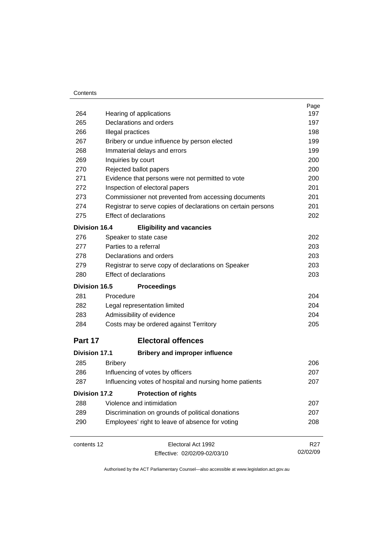#### **Contents**

|                                                     |                                                                                                            | Page<br>197     |  |  |
|-----------------------------------------------------|------------------------------------------------------------------------------------------------------------|-----------------|--|--|
| 264                                                 | Hearing of applications                                                                                    |                 |  |  |
| 265                                                 | Declarations and orders                                                                                    | 197             |  |  |
| 266                                                 | Illegal practices                                                                                          | 198             |  |  |
| 267<br>Bribery or undue influence by person elected |                                                                                                            |                 |  |  |
| 268                                                 | Immaterial delays and errors                                                                               | 199             |  |  |
| 269                                                 | Inquiries by court                                                                                         | 200             |  |  |
| 270                                                 | Rejected ballot papers                                                                                     | 200             |  |  |
| 271                                                 | Evidence that persons were not permitted to vote                                                           | 200             |  |  |
| 272                                                 | Inspection of electoral papers                                                                             | 201             |  |  |
| 273                                                 | Commissioner not prevented from accessing documents                                                        | 201             |  |  |
| 274                                                 | Registrar to serve copies of declarations on certain persons                                               | 201             |  |  |
| 275                                                 | <b>Effect of declarations</b>                                                                              | 202             |  |  |
| <b>Division 16.4</b>                                | <b>Eligibility and vacancies</b>                                                                           |                 |  |  |
| 276                                                 | Speaker to state case                                                                                      | 202             |  |  |
| 277                                                 | Parties to a referral                                                                                      | 203             |  |  |
| 278                                                 | Declarations and orders                                                                                    | 203             |  |  |
| 279                                                 | Registrar to serve copy of declarations on Speaker                                                         | 203             |  |  |
| 280                                                 | Effect of declarations                                                                                     | 203             |  |  |
| <b>Division 16.5</b>                                | <b>Proceedings</b>                                                                                         |                 |  |  |
| 281                                                 | Procedure                                                                                                  | 204             |  |  |
| 282                                                 | Legal representation limited                                                                               | 204             |  |  |
| 283                                                 | Admissibility of evidence                                                                                  | 204             |  |  |
| 284                                                 | Costs may be ordered against Territory                                                                     | 205             |  |  |
| Part 17                                             | <b>Electoral offences</b>                                                                                  |                 |  |  |
| <b>Division 17.1</b>                                | <b>Bribery and improper influence</b>                                                                      |                 |  |  |
| 285                                                 | <b>Bribery</b>                                                                                             | 206             |  |  |
| 286                                                 | Influencing of votes by officers                                                                           | 207             |  |  |
| 287                                                 | Influencing votes of hospital and nursing home patients                                                    | 207             |  |  |
| <b>Division 17.2</b>                                | <b>Protection of rights</b>                                                                                |                 |  |  |
| 288                                                 | Violence and intimidation                                                                                  | 207             |  |  |
| 289                                                 | Discrimination on grounds of political donations<br>290<br>Employees' right to leave of absence for voting |                 |  |  |
|                                                     |                                                                                                            |                 |  |  |
| contents 12                                         | Electoral Act 1992                                                                                         | R <sub>27</sub> |  |  |
|                                                     | Effective: 02/02/09-02/03/10                                                                               | 02/02/09        |  |  |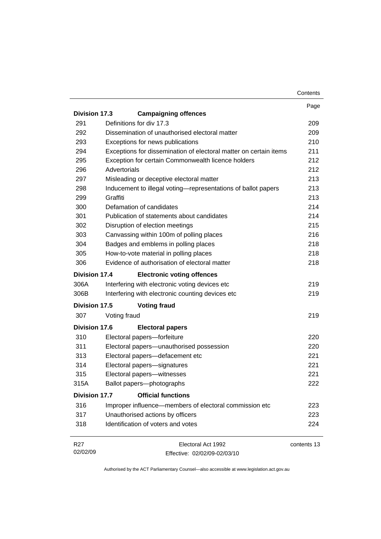|                      |                                                                   | Contents    |
|----------------------|-------------------------------------------------------------------|-------------|
|                      |                                                                   | Page        |
| <b>Division 17.3</b> | <b>Campaigning offences</b>                                       |             |
| 291                  | Definitions for div 17.3                                          | 209         |
| 292                  | Dissemination of unauthorised electoral matter                    | 209         |
| 293                  | Exceptions for news publications                                  | 210         |
| 294                  | Exceptions for dissemination of electoral matter on certain items | 211         |
| 295                  | Exception for certain Commonwealth licence holders                | 212         |
| 296                  | Advertorials                                                      | 212         |
| 297                  | Misleading or deceptive electoral matter                          | 213         |
| 298                  | Inducement to illegal voting-representations of ballot papers     | 213         |
| 299                  | Graffiti                                                          | 213         |
| 300                  | Defamation of candidates                                          | 214         |
| 301                  | Publication of statements about candidates                        | 214         |
| 302                  | Disruption of election meetings                                   | 215         |
| 303                  | Canvassing within 100m of polling places                          | 216         |
| 304                  | Badges and emblems in polling places                              | 218         |
| 305                  | How-to-vote material in polling places                            | 218         |
| 306                  | Evidence of authorisation of electoral matter                     | 218         |
| <b>Division 17.4</b> | <b>Electronic voting offences</b>                                 |             |
| 306A                 | Interfering with electronic voting devices etc                    | 219         |
| 306B                 | Interfering with electronic counting devices etc                  | 219         |
| <b>Division 17.5</b> | <b>Voting fraud</b>                                               |             |
| 307                  | Voting fraud                                                      | 219         |
| <b>Division 17.6</b> | <b>Electoral papers</b>                                           |             |
| 310                  | Electoral papers-forfeiture                                       | 220         |
| 311                  | Electoral papers-unauthorised possession                          | 220         |
| 313                  | Electoral papers-defacement etc                                   | 221         |
| 314                  | Electoral papers-signatures                                       | 221         |
| 315                  | Electoral papers—witnesses                                        | 221         |
| 315A                 | Ballot papers-photographs                                         | 222         |
| Division 17.7        | <b>Official functions</b>                                         |             |
| 316                  | Improper influence—members of electoral commission etc            | 223         |
| 317                  | Unauthorised actions by officers                                  | 223         |
| 318                  | Identification of voters and votes                                | 224         |
| R <sub>27</sub>      | Electoral Act 1992                                                | contents 13 |

Effective: 02/02/09-02/03/10

02/02/09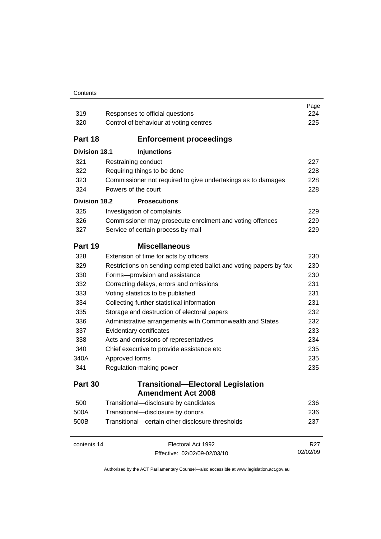#### **Contents**

| 319                  | Responses to official questions                                   | Page<br>224 |
|----------------------|-------------------------------------------------------------------|-------------|
| 320                  | Control of behaviour at voting centres                            | 225         |
| Part 18              | <b>Enforcement proceedings</b>                                    |             |
| <b>Division 18.1</b> | <b>Injunctions</b>                                                |             |
| 321                  | Restraining conduct                                               | 227         |
| 322                  | Requiring things to be done                                       | 228         |
| 323                  | Commissioner not required to give undertakings as to damages      | 228         |
| 324                  | Powers of the court                                               | 228         |
| <b>Division 18.2</b> | <b>Prosecutions</b>                                               |             |
| 325                  | Investigation of complaints                                       | 229         |
| 326                  | Commissioner may prosecute enrolment and voting offences          | 229         |
| 327                  | Service of certain process by mail                                | 229         |
| Part 19              | <b>Miscellaneous</b>                                              |             |
| 328                  | Extension of time for acts by officers                            | 230         |
| 329                  | Restrictions on sending completed ballot and voting papers by fax | 230         |
| 330                  | Forms-provision and assistance                                    | 230         |
| 332                  | Correcting delays, errors and omissions                           | 231         |
| 333                  | Voting statistics to be published                                 | 231         |
| 334                  | Collecting further statistical information                        | 231         |
| 335                  | Storage and destruction of electoral papers                       | 232         |
| 336                  | Administrative arrangements with Commonwealth and States          | 232         |
| 337                  | Evidentiary certificates                                          | 233         |
| 338                  | Acts and omissions of representatives                             | 234         |
| 340                  | Chief executive to provide assistance etc                         | 235         |
| 340A                 | Approved forms                                                    | 235         |
| 341                  | Regulation-making power                                           | 235         |
| Part 30              | <b>Transitional-Electoral Legislation</b>                         |             |
|                      | <b>Amendment Act 2008</b>                                         |             |
| 500                  | Transitional-disclosure by candidates                             | 236         |
| 500A                 | Transitional-disclosure by donors                                 | 236         |
| 500B                 | Transitional-certain other disclosure thresholds                  | 237         |
| contents 14          | Electoral Act 1992                                                | R27         |
|                      | Effective: 02/02/09-02/03/10                                      | 02/02/09    |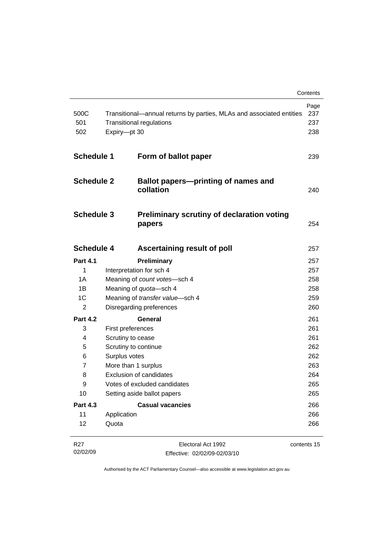|                    |                   |                                                                                                         | Contents                  |
|--------------------|-------------------|---------------------------------------------------------------------------------------------------------|---------------------------|
| 500C<br>501<br>502 | Expiry-pt 30      | Transitional—annual returns by parties, MLAs and associated entities<br><b>Transitional regulations</b> | Page<br>237<br>237<br>238 |
| <b>Schedule 1</b>  |                   | Form of ballot paper                                                                                    | 239                       |
| <b>Schedule 2</b>  |                   | <b>Ballot papers-printing of names and</b><br>collation                                                 | 240                       |
| <b>Schedule 3</b>  |                   | <b>Preliminary scrutiny of declaration voting</b><br>papers                                             | 254                       |
| <b>Schedule 4</b>  |                   | Ascertaining result of poll                                                                             | 257                       |
| <b>Part 4.1</b>    |                   | Preliminary                                                                                             | 257                       |
| 1                  |                   | Interpretation for sch 4                                                                                | 257                       |
| 1A                 |                   | Meaning of count votes-sch 4                                                                            | 258                       |
| 1B                 |                   | Meaning of quota-sch 4                                                                                  | 258                       |
| 1 <sup>C</sup>     |                   | Meaning of transfer value-sch 4                                                                         | 259                       |
| $\overline{2}$     |                   | Disregarding preferences                                                                                | 260                       |
| <b>Part 4.2</b>    |                   | General                                                                                                 | 261                       |
| 3                  | First preferences |                                                                                                         | 261                       |
| 4                  | Scrutiny to cease |                                                                                                         | 261                       |
| 5                  |                   | Scrutiny to continue                                                                                    | 262                       |
| 6                  | Surplus votes     |                                                                                                         | 262                       |
| 7                  |                   | More than 1 surplus                                                                                     | 263                       |
| 8                  |                   | <b>Exclusion of candidates</b>                                                                          | 264                       |
| 9                  |                   | Votes of excluded candidates                                                                            | 265                       |
| 10                 |                   | Setting aside ballot papers                                                                             | 265                       |
| <b>Part 4.3</b>    |                   | <b>Casual vacancies</b>                                                                                 | 266                       |
| 11                 | Application       |                                                                                                         | 266                       |
| 12                 | Quota             |                                                                                                         | 266                       |
| R <sub>27</sub>    |                   | Electoral Act 1992                                                                                      | contents 15               |

Effective: 02/02/09-02/03/10

02/02/09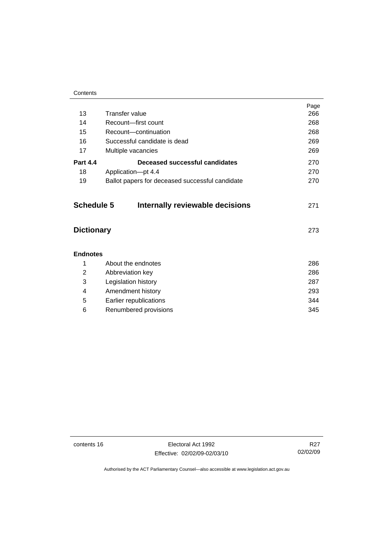#### **Contents**

|                   |                                                 | Page |
|-------------------|-------------------------------------------------|------|
| 13                | Transfer value                                  | 266  |
| 14                | Recount-first count                             | 268  |
| 15                | Recount-continuation                            | 268  |
| 16                | Successful candidate is dead                    | 269  |
| 17                | Multiple vacancies                              | 269  |
| <b>Part 4.4</b>   | Deceased successful candidates                  | 270  |
| 18                | Application-pt 4.4                              | 270  |
| 19                | Ballot papers for deceased successful candidate | 270  |
| <b>Schedule 5</b> | Internally reviewable decisions                 | 271  |
| <b>Dictionary</b> |                                                 | 273  |
| <b>Endnotes</b>   |                                                 |      |
| 1                 | About the endnotes                              | 286  |
| 2                 | Abbreviation key                                | 286  |
| 3                 | Legislation history                             | 287  |
| 4                 | Amendment history                               | 293  |
| 5                 | Earlier republications                          | 344  |
| 6                 | Renumbered provisions                           | 345  |

contents 16 Electoral Act 1992 Effective: 02/02/09-02/03/10

R27 02/02/09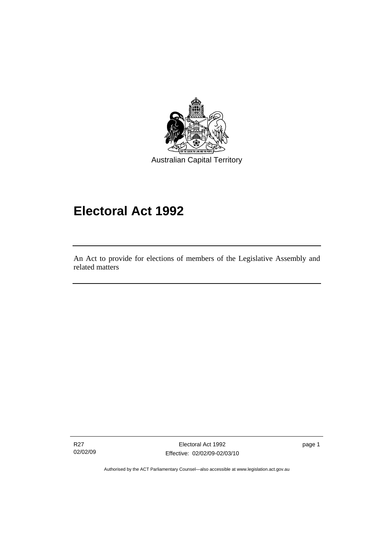<span id="page-18-0"></span>

# **Electoral Act 1992**

An Act to provide for elections of members of the Legislative Assembly and related matters

R27 02/02/09

Ī

Electoral Act 1992 Effective: 02/02/09-02/03/10 page 1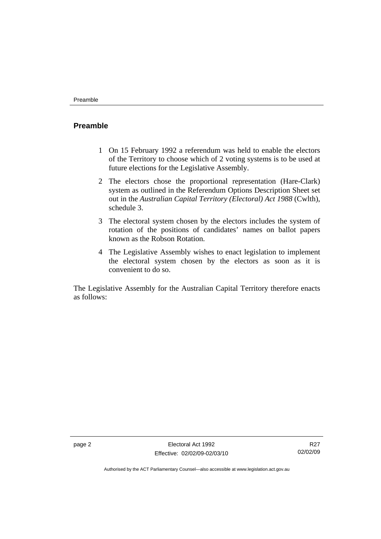#### <span id="page-19-0"></span>**Preamble**

- 1 On 15 February 1992 a referendum was held to enable the electors of the Territory to choose which of 2 voting systems is to be used at future elections for the Legislative Assembly.
- 2 The electors chose the proportional representation (Hare-Clark) system as outlined in the Referendum Options Description Sheet set out in the *Australian Capital Territory (Electoral) Act 1988* (Cwlth), schedule 3.
- 3 The electoral system chosen by the electors includes the system of rotation of the positions of candidates' names on ballot papers known as the Robson Rotation.
- 4 The Legislative Assembly wishes to enact legislation to implement the electoral system chosen by the electors as soon as it is convenient to do so.

The Legislative Assembly for the Australian Capital Territory therefore enacts as follows:

R27 02/02/09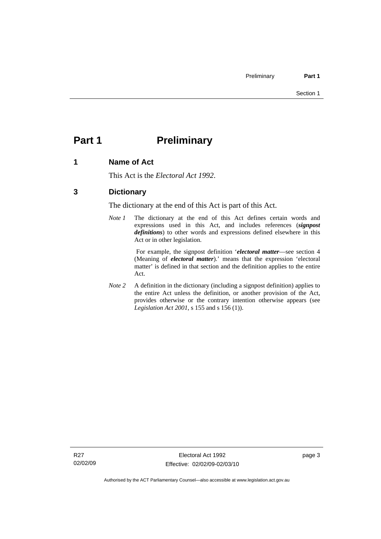# <span id="page-20-0"></span>**Part 1** Preliminary

### **1 Name of Act**

This Act is the *Electoral Act 1992*.

### **3 Dictionary**

The dictionary at the end of this Act is part of this Act.

*Note 1* The dictionary at the end of this Act defines certain words and expressions used in this Act, and includes references (*signpost definitions*) to other words and expressions defined elsewhere in this Act or in other legislation.

> For example, the signpost definition '*electoral matter*—see section 4 (Meaning of *electoral matter*).' means that the expression 'electoral matter' is defined in that section and the definition applies to the entire Act.

*Note 2* A definition in the dictionary (including a signpost definition) applies to the entire Act unless the definition, or another provision of the Act, provides otherwise or the contrary intention otherwise appears (see *Legislation Act 2001*, s 155 and s 156 (1)).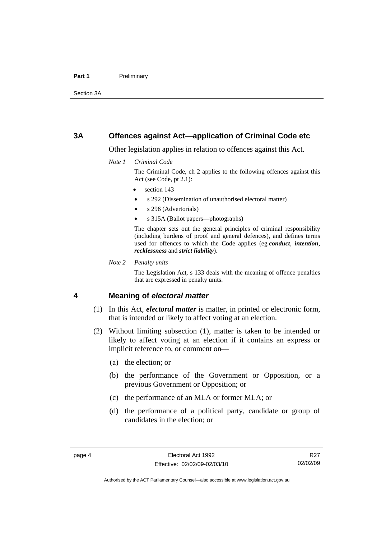#### <span id="page-21-0"></span>Part 1 **Preliminary**

Section 3A

#### **3A Offences against Act—application of Criminal Code etc**

Other legislation applies in relation to offences against this Act.

*Note 1 Criminal Code*

The Criminal Code, ch 2 applies to the following offences against this Act (see Code, pt 2.1):

- section 143
- s 292 (Dissemination of unauthorised electoral matter)
- s 296 (Advertorials)
- s 315A (Ballot papers—photographs)

The chapter sets out the general principles of criminal responsibility (including burdens of proof and general defences), and defines terms used for offences to which the Code applies (eg *conduct*, *intention*, *recklessness* and *strict liability*).

*Note 2 Penalty units* 

The Legislation Act, s 133 deals with the meaning of offence penalties that are expressed in penalty units.

#### **4 Meaning of** *electoral matter*

- (1) In this Act, *electoral matter* is matter, in printed or electronic form, that is intended or likely to affect voting at an election.
- (2) Without limiting subsection (1), matter is taken to be intended or likely to affect voting at an election if it contains an express or implicit reference to, or comment on—
	- (a) the election; or
	- (b) the performance of the Government or Opposition, or a previous Government or Opposition; or
	- (c) the performance of an MLA or former MLA; or
	- (d) the performance of a political party, candidate or group of candidates in the election; or

Authorised by the ACT Parliamentary Counsel—also accessible at www.legislation.act.gov.au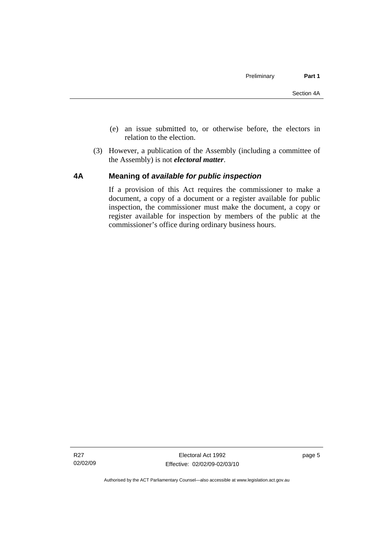- <span id="page-22-0"></span> (e) an issue submitted to, or otherwise before, the electors in relation to the election.
- (3) However, a publication of the Assembly (including a committee of the Assembly) is not *electoral matter*.

#### **4A Meaning of** *available for public inspection*

If a provision of this Act requires the commissioner to make a document, a copy of a document or a register available for public inspection, the commissioner must make the document, a copy or register available for inspection by members of the public at the commissioner's office during ordinary business hours.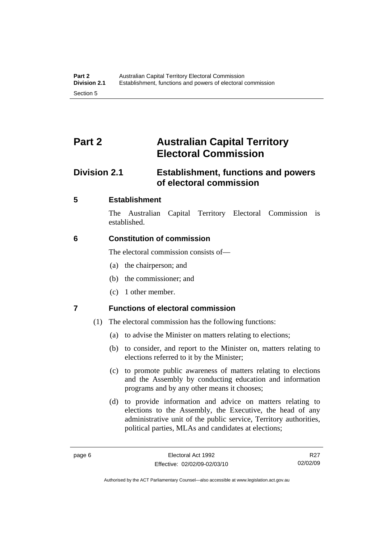# <span id="page-23-0"></span>**Part 2 Australian Capital Territory Electoral Commission**

# **Division 2.1 Establishment, functions and powers of electoral commission**

### **5 Establishment**

The Australian Capital Territory Electoral Commission is established.

### **6 Constitution of commission**

The electoral commission consists of—

- (a) the chairperson; and
- (b) the commissioner; and
- (c) 1 other member.

## **7 Functions of electoral commission**

- (1) The electoral commission has the following functions:
	- (a) to advise the Minister on matters relating to elections;
	- (b) to consider, and report to the Minister on, matters relating to elections referred to it by the Minister;
	- (c) to promote public awareness of matters relating to elections and the Assembly by conducting education and information programs and by any other means it chooses;
	- (d) to provide information and advice on matters relating to elections to the Assembly, the Executive, the head of any administrative unit of the public service, Territory authorities, political parties, MLAs and candidates at elections;

R27 02/02/09

Authorised by the ACT Parliamentary Counsel—also accessible at www.legislation.act.gov.au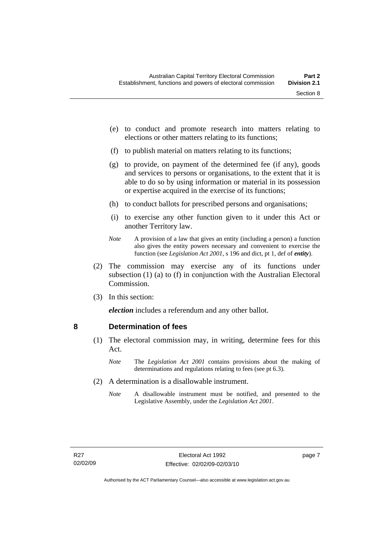- <span id="page-24-0"></span> (e) to conduct and promote research into matters relating to elections or other matters relating to its functions;
- (f) to publish material on matters relating to its functions;
- (g) to provide, on payment of the determined fee (if any), goods and services to persons or organisations, to the extent that it is able to do so by using information or material in its possession or expertise acquired in the exercise of its functions;
- (h) to conduct ballots for prescribed persons and organisations;
- (i) to exercise any other function given to it under this Act or another Territory law.
- *Note* A provision of a law that gives an entity (including a person) a function also gives the entity powers necessary and convenient to exercise the function (see *Legislation Act 2001*, s 196 and dict, pt 1, def of *entity*).
- (2) The commission may exercise any of its functions under subsection (1) (a) to (f) in conjunction with the Australian Electoral Commission.
- (3) In this section:

*election* includes a referendum and any other ballot.

#### **8 Determination of fees**

- (1) The electoral commission may, in writing, determine fees for this Act.
	- *Note* The *Legislation Act 2001* contains provisions about the making of determinations and regulations relating to fees (see pt 6.3).
- (2) A determination is a disallowable instrument.
	- *Note* A disallowable instrument must be notified, and presented to the Legislative Assembly, under the *Legislation Act 2001*.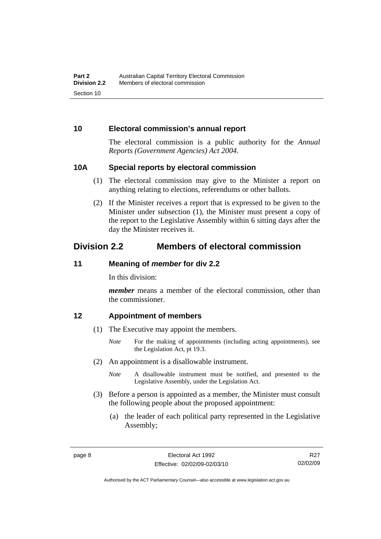#### <span id="page-25-0"></span>**10 Electoral commission's annual report**

The electoral commission is a public authority for the *Annual Reports (Government Agencies) Act 2004*.

#### **10A Special reports by electoral commission**

- (1) The electoral commission may give to the Minister a report on anything relating to elections, referendums or other ballots.
- (2) If the Minister receives a report that is expressed to be given to the Minister under subsection (1), the Minister must present a copy of the report to the Legislative Assembly within 6 sitting days after the day the Minister receives it.

# **Division 2.2 Members of electoral commission**

#### **11 Meaning of** *member* **for div 2.2**

In this division:

*member* means a member of the electoral commission, other than the commissioner.

#### **12 Appointment of members**

- (1) The Executive may appoint the members.
	- *Note* For the making of appointments (including acting appointments), see the Legislation Act, pt 19.3.
- (2) An appointment is a disallowable instrument.
	- *Note* A disallowable instrument must be notified, and presented to the Legislative Assembly, under the Legislation Act.
- (3) Before a person is appointed as a member, the Minister must consult the following people about the proposed appointment:
	- (a) the leader of each political party represented in the Legislative Assembly;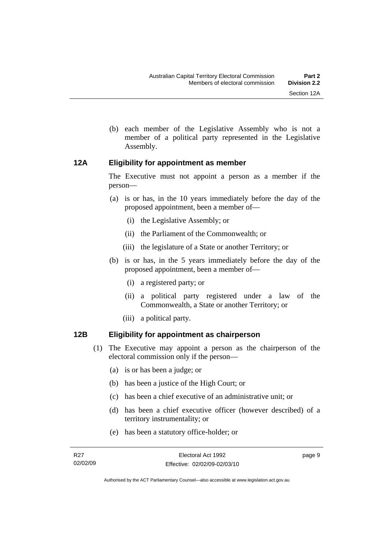- 
- <span id="page-26-0"></span> (b) each member of the Legislative Assembly who is not a member of a political party represented in the Legislative Assembly.

#### **12A Eligibility for appointment as member**

The Executive must not appoint a person as a member if the person—

- (a) is or has, in the 10 years immediately before the day of the proposed appointment, been a member of—
	- (i) the Legislative Assembly; or
	- (ii) the Parliament of the Commonwealth; or
	- (iii) the legislature of a State or another Territory; or
- (b) is or has, in the 5 years immediately before the day of the proposed appointment, been a member of—
	- (i) a registered party; or
	- (ii) a political party registered under a law of the Commonwealth, a State or another Territory; or
	- (iii) a political party.

### **12B Eligibility for appointment as chairperson**

- (1) The Executive may appoint a person as the chairperson of the electoral commission only if the person—
	- (a) is or has been a judge; or
	- (b) has been a justice of the High Court; or
	- (c) has been a chief executive of an administrative unit; or
	- (d) has been a chief executive officer (however described) of a territory instrumentality; or
	- (e) has been a statutory office-holder; or

page 9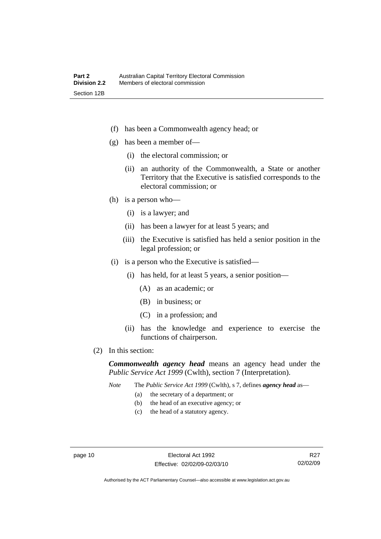- (f) has been a Commonwealth agency head; or
- (g) has been a member of—
	- (i) the electoral commission; or
	- (ii) an authority of the Commonwealth, a State or another Territory that the Executive is satisfied corresponds to the electoral commission; or
- (h) is a person who—
	- (i) is a lawyer; and
	- (ii) has been a lawyer for at least 5 years; and
	- (iii) the Executive is satisfied has held a senior position in the legal profession; or
- (i) is a person who the Executive is satisfied—
	- (i) has held, for at least 5 years, a senior position—
		- (A) as an academic; or
		- (B) in business; or
		- (C) in a profession; and
	- (ii) has the knowledge and experience to exercise the functions of chairperson.
- (2) In this section:

*Commonwealth agency head* means an agency head under the *Public Service Act 1999* (Cwlth), section 7 (Interpretation).

*Note* The *Public Service Act 1999* (Cwlth), s 7, defines *agency head* as—

- (a) the secretary of a department; or
- (b) the head of an executive agency; or
- (c) the head of a statutory agency.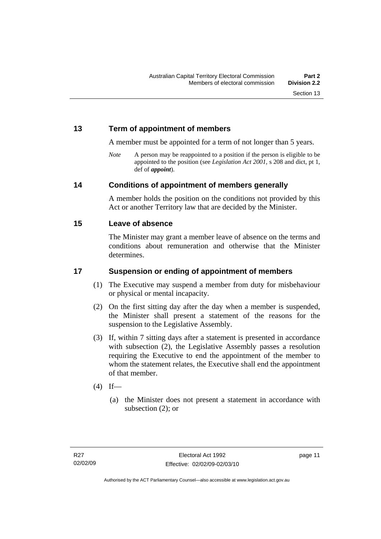### <span id="page-28-0"></span>**13 Term of appointment of members**

A member must be appointed for a term of not longer than 5 years.

*Note* A person may be reappointed to a position if the person is eligible to be appointed to the position (see *Legislation Act 2001*, s 208 and dict, pt 1, def of *appoint*).

### **14 Conditions of appointment of members generally**

A member holds the position on the conditions not provided by this Act or another Territory law that are decided by the Minister.

### **15 Leave of absence**

The Minister may grant a member leave of absence on the terms and conditions about remuneration and otherwise that the Minister determines.

### **17 Suspension or ending of appointment of members**

- (1) The Executive may suspend a member from duty for misbehaviour or physical or mental incapacity.
- (2) On the first sitting day after the day when a member is suspended, the Minister shall present a statement of the reasons for the suspension to the Legislative Assembly.
- (3) If, within 7 sitting days after a statement is presented in accordance with subsection (2), the Legislative Assembly passes a resolution requiring the Executive to end the appointment of the member to whom the statement relates, the Executive shall end the appointment of that member.
- $(4)$  If—
	- (a) the Minister does not present a statement in accordance with subsection (2); or

page 11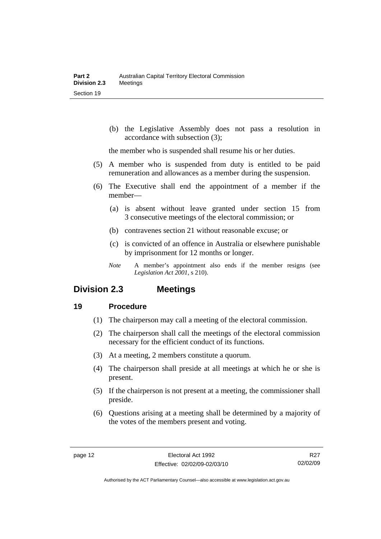<span id="page-29-0"></span> (b) the Legislative Assembly does not pass a resolution in accordance with subsection (3);

the member who is suspended shall resume his or her duties.

- (5) A member who is suspended from duty is entitled to be paid remuneration and allowances as a member during the suspension.
- (6) The Executive shall end the appointment of a member if the member—
	- (a) is absent without leave granted under section 15 from 3 consecutive meetings of the electoral commission; or
	- (b) contravenes section 21 without reasonable excuse; or
	- (c) is convicted of an offence in Australia or elsewhere punishable by imprisonment for 12 months or longer.
	- *Note* A member's appointment also ends if the member resigns (see *Legislation Act 2001*, s 210).

## **Division 2.3 Meetings**

#### **19 Procedure**

- (1) The chairperson may call a meeting of the electoral commission.
- (2) The chairperson shall call the meetings of the electoral commission necessary for the efficient conduct of its functions.
- (3) At a meeting, 2 members constitute a quorum.
- (4) The chairperson shall preside at all meetings at which he or she is present.
- (5) If the chairperson is not present at a meeting, the commissioner shall preside.
- (6) Questions arising at a meeting shall be determined by a majority of the votes of the members present and voting.

Authorised by the ACT Parliamentary Counsel—also accessible at www.legislation.act.gov.au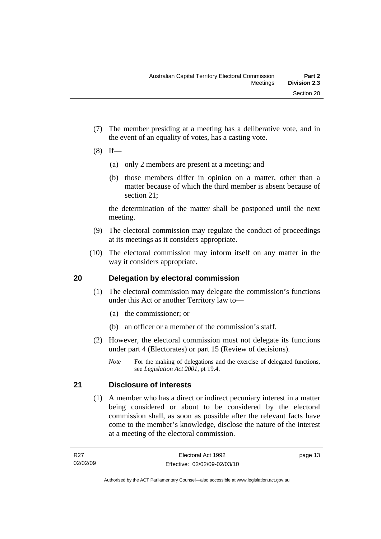- <span id="page-30-0"></span> (7) The member presiding at a meeting has a deliberative vote, and in the event of an equality of votes, has a casting vote.
- $(8)$  If—
	- (a) only 2 members are present at a meeting; and
	- (b) those members differ in opinion on a matter, other than a matter because of which the third member is absent because of section 21;

the determination of the matter shall be postponed until the next meeting.

- (9) The electoral commission may regulate the conduct of proceedings at its meetings as it considers appropriate.
- (10) The electoral commission may inform itself on any matter in the way it considers appropriate.

### **20 Delegation by electoral commission**

- (1) The electoral commission may delegate the commission's functions under this Act or another Territory law to—
	- (a) the commissioner; or
	- (b) an officer or a member of the commission's staff.
- (2) However, the electoral commission must not delegate its functions under part 4 (Electorates) or part 15 (Review of decisions).
	- *Note* For the making of delegations and the exercise of delegated functions, see *Legislation Act 2001*, pt 19.4.

## **21 Disclosure of interests**

 (1) A member who has a direct or indirect pecuniary interest in a matter being considered or about to be considered by the electoral commission shall, as soon as possible after the relevant facts have come to the member's knowledge, disclose the nature of the interest at a meeting of the electoral commission.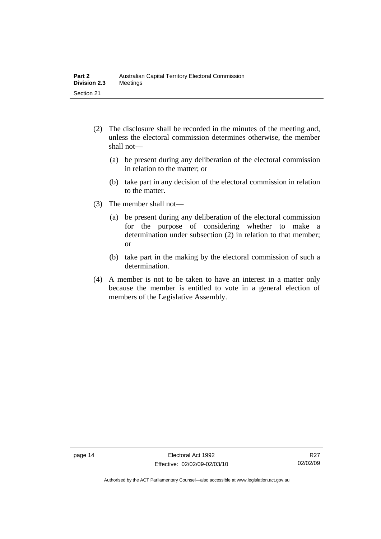- (2) The disclosure shall be recorded in the minutes of the meeting and, unless the electoral commission determines otherwise, the member shall not—
	- (a) be present during any deliberation of the electoral commission in relation to the matter; or
	- (b) take part in any decision of the electoral commission in relation to the matter.
- (3) The member shall not—
	- (a) be present during any deliberation of the electoral commission for the purpose of considering whether to make a determination under subsection (2) in relation to that member; or
	- (b) take part in the making by the electoral commission of such a determination.
- (4) A member is not to be taken to have an interest in a matter only because the member is entitled to vote in a general election of members of the Legislative Assembly.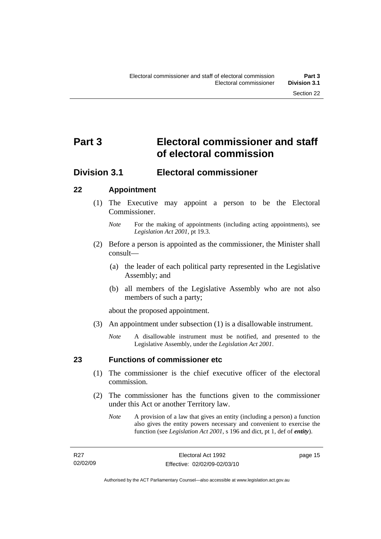# <span id="page-32-0"></span>**Part 3 Electoral commissioner and staff of electoral commission**

# **Division 3.1 Electoral commissioner**

### **22 Appointment**

- (1) The Executive may appoint a person to be the Electoral Commissioner.
	- *Note* For the making of appointments (including acting appointments), see *Legislation Act 2001*, pt 19.3.
- (2) Before a person is appointed as the commissioner, the Minister shall consult—
	- (a) the leader of each political party represented in the Legislative Assembly; and
	- (b) all members of the Legislative Assembly who are not also members of such a party;

about the proposed appointment.

- (3) An appointment under subsection (1) is a disallowable instrument.
	- *Note* A disallowable instrument must be notified, and presented to the Legislative Assembly, under the *Legislation Act 2001*.

### **23 Functions of commissioner etc**

- (1) The commissioner is the chief executive officer of the electoral commission.
- (2) The commissioner has the functions given to the commissioner under this Act or another Territory law.
	- *Note* A provision of a law that gives an entity (including a person) a function also gives the entity powers necessary and convenient to exercise the function (see *Legislation Act 2001*, s 196 and dict, pt 1, def of *entity*).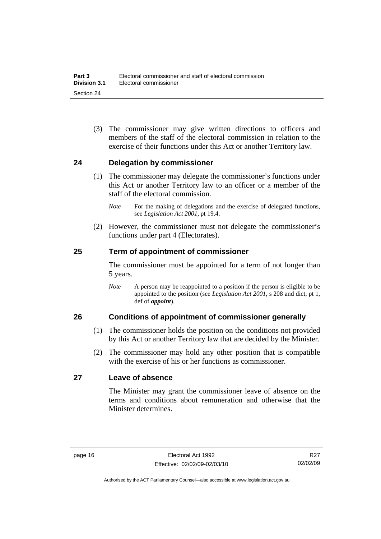<span id="page-33-0"></span> (3) The commissioner may give written directions to officers and members of the staff of the electoral commission in relation to the exercise of their functions under this Act or another Territory law.

#### **24 Delegation by commissioner**

- (1) The commissioner may delegate the commissioner's functions under this Act or another Territory law to an officer or a member of the staff of the electoral commission.
	- *Note* For the making of delegations and the exercise of delegated functions, see *Legislation Act 2001*, pt 19.4.
- (2) However, the commissioner must not delegate the commissioner's functions under part 4 (Electorates).

#### **25 Term of appointment of commissioner**

The commissioner must be appointed for a term of not longer than 5 years.

*Note* A person may be reappointed to a position if the person is eligible to be appointed to the position (see *Legislation Act 2001*, s 208 and dict, pt 1, def of *appoint*).

#### **26 Conditions of appointment of commissioner generally**

- (1) The commissioner holds the position on the conditions not provided by this Act or another Territory law that are decided by the Minister.
- (2) The commissioner may hold any other position that is compatible with the exercise of his or her functions as commissioner.

#### **27 Leave of absence**

The Minister may grant the commissioner leave of absence on the terms and conditions about remuneration and otherwise that the Minister determines.

R27 02/02/09

Authorised by the ACT Parliamentary Counsel—also accessible at www.legislation.act.gov.au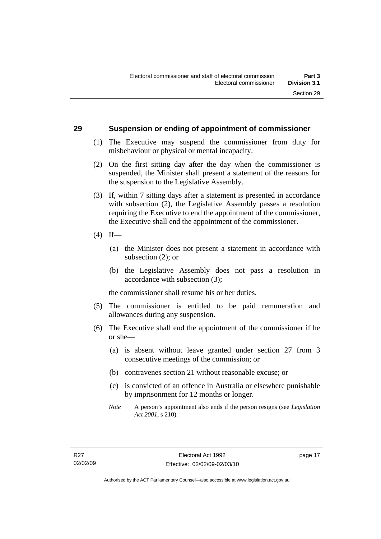#### <span id="page-34-0"></span>**29 Suspension or ending of appointment of commissioner**

- (1) The Executive may suspend the commissioner from duty for misbehaviour or physical or mental incapacity.
- (2) On the first sitting day after the day when the commissioner is suspended, the Minister shall present a statement of the reasons for the suspension to the Legislative Assembly.
- (3) If, within 7 sitting days after a statement is presented in accordance with subsection (2), the Legislative Assembly passes a resolution requiring the Executive to end the appointment of the commissioner, the Executive shall end the appointment of the commissioner.
- $(4)$  If—
	- (a) the Minister does not present a statement in accordance with subsection (2); or
	- (b) the Legislative Assembly does not pass a resolution in accordance with subsection (3);

the commissioner shall resume his or her duties.

- (5) The commissioner is entitled to be paid remuneration and allowances during any suspension.
- (6) The Executive shall end the appointment of the commissioner if he or she—
	- (a) is absent without leave granted under section 27 from 3 consecutive meetings of the commission; or
	- (b) contravenes section 21 without reasonable excuse; or
	- (c) is convicted of an offence in Australia or elsewhere punishable by imprisonment for 12 months or longer.
	- *Note* A person's appointment also ends if the person resigns (see *Legislation Act 2001*, s 210).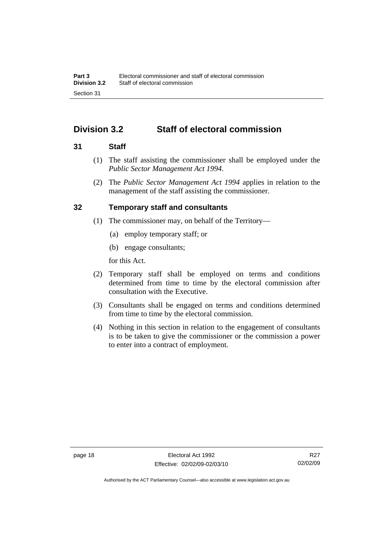# <span id="page-35-0"></span>**Division 3.2 Staff of electoral commission**

#### **31 Staff**

- (1) The staff assisting the commissioner shall be employed under the *Public Sector Management Act 1994*.
- (2) The *Public Sector Management Act 1994* applies in relation to the management of the staff assisting the commissioner.

#### **32 Temporary staff and consultants**

- (1) The commissioner may, on behalf of the Territory—
	- (a) employ temporary staff; or
	- (b) engage consultants;

for this Act.

- (2) Temporary staff shall be employed on terms and conditions determined from time to time by the electoral commission after consultation with the Executive.
- (3) Consultants shall be engaged on terms and conditions determined from time to time by the electoral commission.
- (4) Nothing in this section in relation to the engagement of consultants is to be taken to give the commissioner or the commission a power to enter into a contract of employment.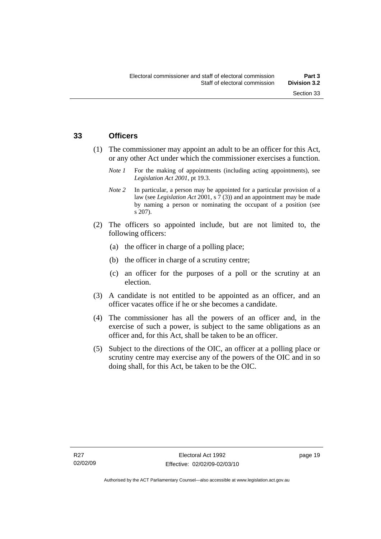#### **33 Officers**

- (1) The commissioner may appoint an adult to be an officer for this Act, or any other Act under which the commissioner exercises a function.
	- *Note 1* For the making of appointments (including acting appointments), see *Legislation Act 2001*, pt 19.3.
	- *Note 2* In particular, a person may be appointed for a particular provision of a law (see *Legislation Act* 2001, s 7 (3)) and an appointment may be made by naming a person or nominating the occupant of a position (see s 207).
- (2) The officers so appointed include, but are not limited to, the following officers:
	- (a) the officer in charge of a polling place;
	- (b) the officer in charge of a scrutiny centre;
	- (c) an officer for the purposes of a poll or the scrutiny at an election.
- (3) A candidate is not entitled to be appointed as an officer, and an officer vacates office if he or she becomes a candidate.
- (4) The commissioner has all the powers of an officer and, in the exercise of such a power, is subject to the same obligations as an officer and, for this Act, shall be taken to be an officer.
- (5) Subject to the directions of the OIC, an officer at a polling place or scrutiny centre may exercise any of the powers of the OIC and in so doing shall, for this Act, be taken to be the OIC.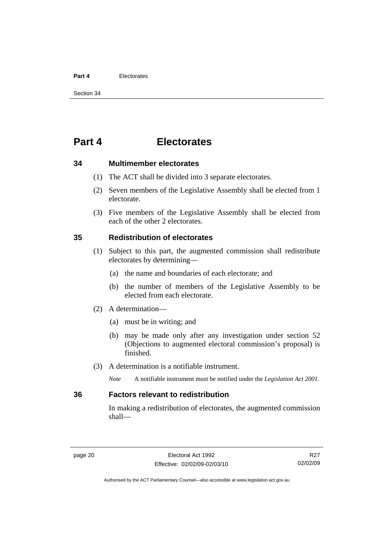#### **Part 4** Electorates

Section 34

# **Part 4 Electorates**

**34 Multimember electorates** 

- (1) The ACT shall be divided into 3 separate electorates.
- (2) Seven members of the Legislative Assembly shall be elected from 1 electorate.
- (3) Five members of the Legislative Assembly shall be elected from each of the other 2 electorates.

#### **35 Redistribution of electorates**

- (1) Subject to this part, the augmented commission shall redistribute electorates by determining—
	- (a) the name and boundaries of each electorate; and
	- (b) the number of members of the Legislative Assembly to be elected from each electorate.
- (2) A determination—
	- (a) must be in writing; and
	- (b) may be made only after any investigation under section 52 (Objections to augmented electoral commission's proposal) is finished.
- (3) A determination is a notifiable instrument.

*Note* A notifiable instrument must be notified under the *Legislation Act 2001*.

#### **36 Factors relevant to redistribution**

In making a redistribution of electorates, the augmented commission shall—

R27 02/02/09

Authorised by the ACT Parliamentary Counsel—also accessible at www.legislation.act.gov.au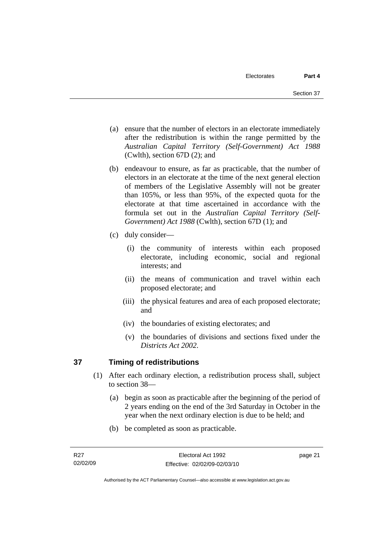- (a) ensure that the number of electors in an electorate immediately after the redistribution is within the range permitted by the *Australian Capital Territory (Self-Government) Act 1988*  (Cwlth), section 67D (2); and
- (b) endeavour to ensure, as far as practicable, that the number of electors in an electorate at the time of the next general election of members of the Legislative Assembly will not be greater than 105%, or less than 95%, of the expected quota for the electorate at that time ascertained in accordance with the formula set out in the *Australian Capital Territory (Self-Government) Act 1988* (Cwlth), section 67D (1); and
- (c) duly consider—
	- (i) the community of interests within each proposed electorate, including economic, social and regional interests; and
	- (ii) the means of communication and travel within each proposed electorate; and
	- (iii) the physical features and area of each proposed electorate; and
	- (iv) the boundaries of existing electorates; and
	- (v) the boundaries of divisions and sections fixed under the *Districts Act 2002*.

## **37 Timing of redistributions**

- (1) After each ordinary election, a redistribution process shall, subject to section 38—
	- (a) begin as soon as practicable after the beginning of the period of 2 years ending on the end of the 3rd Saturday in October in the year when the next ordinary election is due to be held; and
	- (b) be completed as soon as practicable.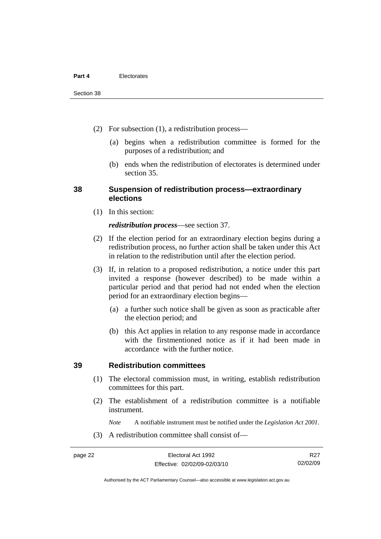- (2) For subsection (1), a redistribution process—
	- (a) begins when a redistribution committee is formed for the purposes of a redistribution; and
	- (b) ends when the redistribution of electorates is determined under section 35.

#### **38 Suspension of redistribution process—extraordinary elections**

(1) In this section:

#### *redistribution process*—see section 37.

- (2) If the election period for an extraordinary election begins during a redistribution process, no further action shall be taken under this Act in relation to the redistribution until after the election period.
- (3) If, in relation to a proposed redistribution, a notice under this part invited a response (however described) to be made within a particular period and that period had not ended when the election period for an extraordinary election begins—
	- (a) a further such notice shall be given as soon as practicable after the election period; and
	- (b) this Act applies in relation to any response made in accordance with the firstmentioned notice as if it had been made in accordance with the further notice.

#### **39 Redistribution committees**

- (1) The electoral commission must, in writing, establish redistribution committees for this part.
- (2) The establishment of a redistribution committee is a notifiable instrument.

*Note* A notifiable instrument must be notified under the *Legislation Act 2001*.

(3) A redistribution committee shall consist of—

Authorised by the ACT Parliamentary Counsel—also accessible at www.legislation.act.gov.au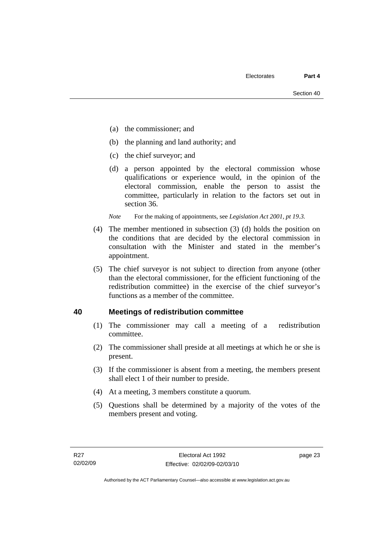- (a) the commissioner; and
- (b) the planning and land authority; and
- (c) the chief surveyor; and
- (d) a person appointed by the electoral commission whose qualifications or experience would, in the opinion of the electoral commission, enable the person to assist the committee, particularly in relation to the factors set out in section 36.

*Note* For the making of appointments, see *Legislation Act 2001, pt 19.3.* 

- (4) The member mentioned in subsection (3) (d) holds the position on the conditions that are decided by the electoral commission in consultation with the Minister and stated in the member's appointment.
- (5) The chief surveyor is not subject to direction from anyone (other than the electoral commissioner, for the efficient functioning of the redistribution committee) in the exercise of the chief surveyor's functions as a member of the committee.

#### **40 Meetings of redistribution committee**

- (1) The commissioner may call a meeting of a redistribution committee.
- (2) The commissioner shall preside at all meetings at which he or she is present.
- (3) If the commissioner is absent from a meeting, the members present shall elect 1 of their number to preside.
- (4) At a meeting, 3 members constitute a quorum.
- (5) Questions shall be determined by a majority of the votes of the members present and voting.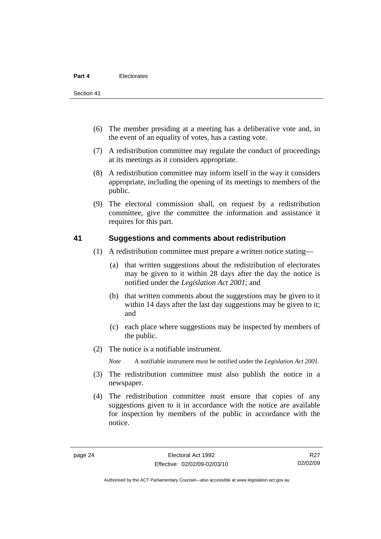Section 41

- (6) The member presiding at a meeting has a deliberative vote and, in the event of an equality of votes, has a casting vote.
- (7) A redistribution committee may regulate the conduct of proceedings at its meetings as it considers appropriate.
- (8) A redistribution committee may inform itself in the way it considers appropriate, including the opening of its meetings to members of the public.
- (9) The electoral commission shall, on request by a redistribution committee, give the committee the information and assistance it requires for this part.

#### **41 Suggestions and comments about redistribution**

- (1) A redistribution committee must prepare a written notice stating—
	- (a) that written suggestions about the redistribution of electorates may be given to it within 28 days after the day the notice is notified under the *Legislation Act 2001*; and
	- (b) that written comments about the suggestions may be given to it within 14 days after the last day suggestions may be given to it; and
	- (c) each place where suggestions may be inspected by members of the public.
- (2) The notice is a notifiable instrument.

*Note* A notifiable instrument must be notified under the *Legislation Act 2001*.

- (3) The redistribution committee must also publish the notice in a newspaper.
- (4) The redistribution committee must ensure that copies of any suggestions given to it in accordance with the notice are available for inspection by members of the public in accordance with the notice.

Authorised by the ACT Parliamentary Counsel—also accessible at www.legislation.act.gov.au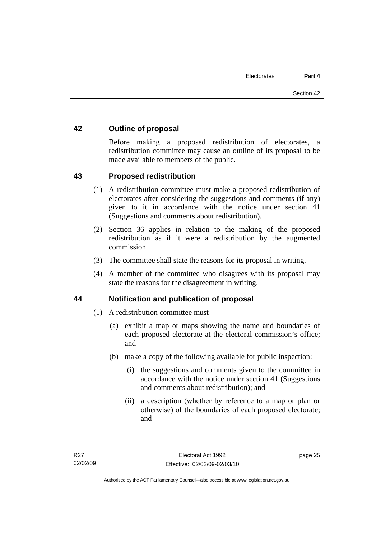## **42 Outline of proposal**

Before making a proposed redistribution of electorates, a redistribution committee may cause an outline of its proposal to be made available to members of the public.

## **43 Proposed redistribution**

- (1) A redistribution committee must make a proposed redistribution of electorates after considering the suggestions and comments (if any) given to it in accordance with the notice under section 41 (Suggestions and comments about redistribution).
- (2) Section 36 applies in relation to the making of the proposed redistribution as if it were a redistribution by the augmented commission.
- (3) The committee shall state the reasons for its proposal in writing.
- (4) A member of the committee who disagrees with its proposal may state the reasons for the disagreement in writing.

## **44 Notification and publication of proposal**

- (1) A redistribution committee must—
	- (a) exhibit a map or maps showing the name and boundaries of each proposed electorate at the electoral commission's office; and
	- (b) make a copy of the following available for public inspection:
		- (i) the suggestions and comments given to the committee in accordance with the notice under section 41 (Suggestions and comments about redistribution); and
		- (ii) a description (whether by reference to a map or plan or otherwise) of the boundaries of each proposed electorate; and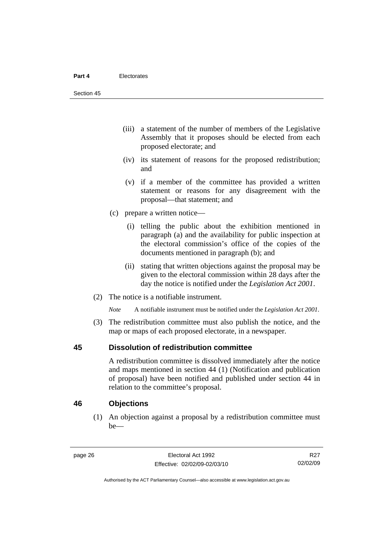- (iii) a statement of the number of members of the Legislative Assembly that it proposes should be elected from each proposed electorate; and
- (iv) its statement of reasons for the proposed redistribution; and
- (v) if a member of the committee has provided a written statement or reasons for any disagreement with the proposal—that statement; and
- (c) prepare a written notice—
	- (i) telling the public about the exhibition mentioned in paragraph (a) and the availability for public inspection at the electoral commission's office of the copies of the documents mentioned in paragraph (b); and
	- (ii) stating that written objections against the proposal may be given to the electoral commission within 28 days after the day the notice is notified under the *Legislation Act 2001*.
- (2) The notice is a notifiable instrument.

*Note* A notifiable instrument must be notified under the *Legislation Act 2001*.

 (3) The redistribution committee must also publish the notice, and the map or maps of each proposed electorate, in a newspaper.

#### **45 Dissolution of redistribution committee**

A redistribution committee is dissolved immediately after the notice and maps mentioned in section 44 (1) (Notification and publication of proposal) have been notified and published under section 44 in relation to the committee's proposal.

#### **46 Objections**

 (1) An objection against a proposal by a redistribution committee must be—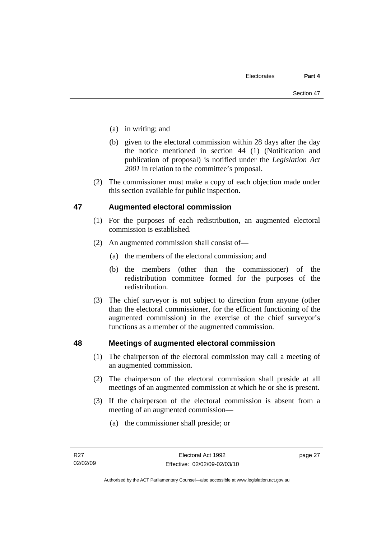- (a) in writing; and
- (b) given to the electoral commission within 28 days after the day the notice mentioned in section 44 (1) (Notification and publication of proposal) is notified under the *Legislation Act 2001* in relation to the committee's proposal.
- (2) The commissioner must make a copy of each objection made under this section available for public inspection.

## **47 Augmented electoral commission**

- (1) For the purposes of each redistribution, an augmented electoral commission is established.
- (2) An augmented commission shall consist of—
	- (a) the members of the electoral commission; and
	- (b) the members (other than the commissioner) of the redistribution committee formed for the purposes of the redistribution.
- (3) The chief surveyor is not subject to direction from anyone (other than the electoral commissioner, for the efficient functioning of the augmented commission) in the exercise of the chief surveyor's functions as a member of the augmented commission.

#### **48 Meetings of augmented electoral commission**

- (1) The chairperson of the electoral commission may call a meeting of an augmented commission.
- (2) The chairperson of the electoral commission shall preside at all meetings of an augmented commission at which he or she is present.
- (3) If the chairperson of the electoral commission is absent from a meeting of an augmented commission—
	- (a) the commissioner shall preside; or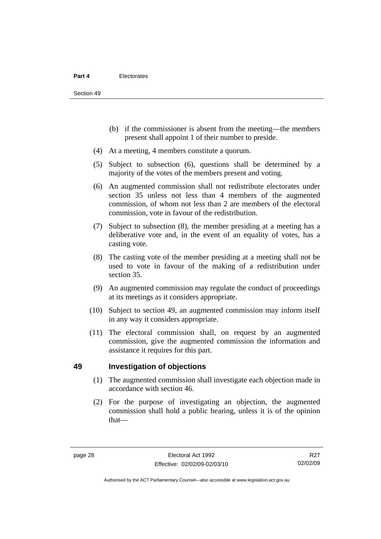- (b) if the commissioner is absent from the meeting—the members present shall appoint 1 of their number to preside.
- (4) At a meeting, 4 members constitute a quorum.
- (5) Subject to subsection (6), questions shall be determined by a majority of the votes of the members present and voting.
- (6) An augmented commission shall not redistribute electorates under section 35 unless not less than 4 members of the augmented commission, of whom not less than 2 are members of the electoral commission, vote in favour of the redistribution.
- (7) Subject to subsection (8), the member presiding at a meeting has a deliberative vote and, in the event of an equality of votes, has a casting vote.
- (8) The casting vote of the member presiding at a meeting shall not be used to vote in favour of the making of a redistribution under section 35.
- (9) An augmented commission may regulate the conduct of proceedings at its meetings as it considers appropriate.
- (10) Subject to section 49, an augmented commission may inform itself in any way it considers appropriate.
- (11) The electoral commission shall, on request by an augmented commission, give the augmented commission the information and assistance it requires for this part.

#### **49 Investigation of objections**

- (1) The augmented commission shall investigate each objection made in accordance with section 46.
- (2) For the purpose of investigating an objection, the augmented commission shall hold a public hearing, unless it is of the opinion that—

R27 02/02/09

Authorised by the ACT Parliamentary Counsel—also accessible at www.legislation.act.gov.au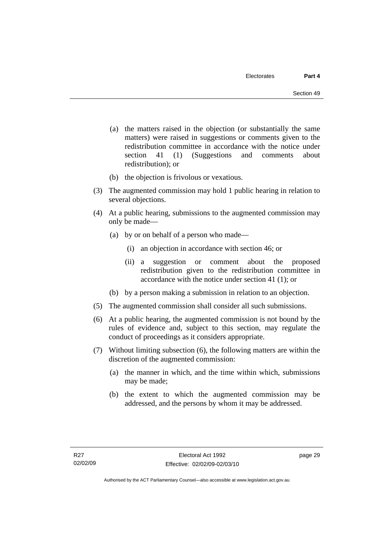- (a) the matters raised in the objection (or substantially the same matters) were raised in suggestions or comments given to the redistribution committee in accordance with the notice under section 41 (1) (Suggestions and comments about redistribution); or
- (b) the objection is frivolous or vexatious.
- (3) The augmented commission may hold 1 public hearing in relation to several objections.
- (4) At a public hearing, submissions to the augmented commission may only be made—
	- (a) by or on behalf of a person who made—
		- (i) an objection in accordance with section 46; or
		- (ii) a suggestion or comment about the proposed redistribution given to the redistribution committee in accordance with the notice under section 41 (1); or
	- (b) by a person making a submission in relation to an objection.
- (5) The augmented commission shall consider all such submissions.
- (6) At a public hearing, the augmented commission is not bound by the rules of evidence and, subject to this section, may regulate the conduct of proceedings as it considers appropriate.
- (7) Without limiting subsection (6), the following matters are within the discretion of the augmented commission:
	- (a) the manner in which, and the time within which, submissions may be made;
	- (b) the extent to which the augmented commission may be addressed, and the persons by whom it may be addressed.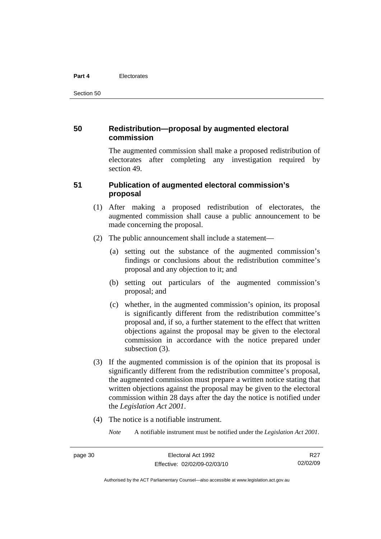#### **Part 4** Electorates

Section 50

#### **50 Redistribution—proposal by augmented electoral commission**

The augmented commission shall make a proposed redistribution of electorates after completing any investigation required by section 49.

#### **51 Publication of augmented electoral commission's proposal**

- (1) After making a proposed redistribution of electorates, the augmented commission shall cause a public announcement to be made concerning the proposal.
- (2) The public announcement shall include a statement—
	- (a) setting out the substance of the augmented commission's findings or conclusions about the redistribution committee's proposal and any objection to it; and
	- (b) setting out particulars of the augmented commission's proposal; and
	- (c) whether, in the augmented commission's opinion, its proposal is significantly different from the redistribution committee's proposal and, if so, a further statement to the effect that written objections against the proposal may be given to the electoral commission in accordance with the notice prepared under subsection  $(3)$ .
- (3) If the augmented commission is of the opinion that its proposal is significantly different from the redistribution committee's proposal, the augmented commission must prepare a written notice stating that written objections against the proposal may be given to the electoral commission within 28 days after the day the notice is notified under the *Legislation Act 2001*.
- (4) The notice is a notifiable instrument.

*Note* A notifiable instrument must be notified under the *Legislation Act 2001*.

Authorised by the ACT Parliamentary Counsel—also accessible at www.legislation.act.gov.au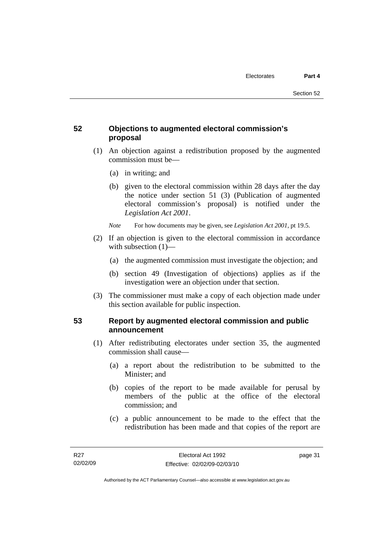## **52 Objections to augmented electoral commission's proposal**

- (1) An objection against a redistribution proposed by the augmented commission must be—
	- (a) in writing; and
	- (b) given to the electoral commission within 28 days after the day the notice under section 51 (3) (Publication of augmented electoral commission's proposal) is notified under the *Legislation Act 2001*.
	- *Note* For how documents may be given, see *Legislation Act 2001*, pt 19.5.
- (2) If an objection is given to the electoral commission in accordance with subsection (1)—
	- (a) the augmented commission must investigate the objection; and
	- (b) section 49 (Investigation of objections) applies as if the investigation were an objection under that section.
- (3) The commissioner must make a copy of each objection made under this section available for public inspection.

## **53 Report by augmented electoral commission and public announcement**

- (1) After redistributing electorates under section 35, the augmented commission shall cause—
	- (a) a report about the redistribution to be submitted to the Minister; and
	- (b) copies of the report to be made available for perusal by members of the public at the office of the electoral commission; and
	- (c) a public announcement to be made to the effect that the redistribution has been made and that copies of the report are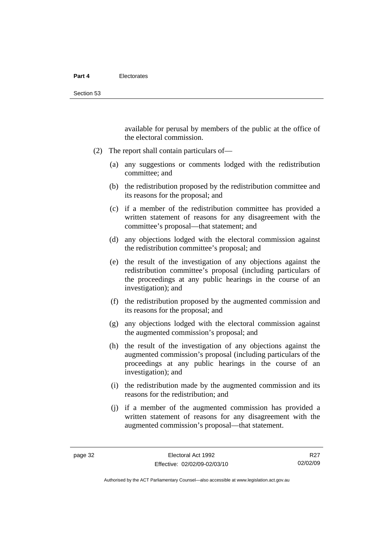available for perusal by members of the public at the office of the electoral commission.

- (2) The report shall contain particulars of—
	- (a) any suggestions or comments lodged with the redistribution committee; and
	- (b) the redistribution proposed by the redistribution committee and its reasons for the proposal; and
	- (c) if a member of the redistribution committee has provided a written statement of reasons for any disagreement with the committee's proposal—that statement; and
	- (d) any objections lodged with the electoral commission against the redistribution committee's proposal; and
	- (e) the result of the investigation of any objections against the redistribution committee's proposal (including particulars of the proceedings at any public hearings in the course of an investigation); and
	- (f) the redistribution proposed by the augmented commission and its reasons for the proposal; and
	- (g) any objections lodged with the electoral commission against the augmented commission's proposal; and
	- (h) the result of the investigation of any objections against the augmented commission's proposal (including particulars of the proceedings at any public hearings in the course of an investigation); and
	- (i) the redistribution made by the augmented commission and its reasons for the redistribution; and
	- (j) if a member of the augmented commission has provided a written statement of reasons for any disagreement with the augmented commission's proposal—that statement.

R<sub>27</sub> 02/02/09

Authorised by the ACT Parliamentary Counsel—also accessible at www.legislation.act.gov.au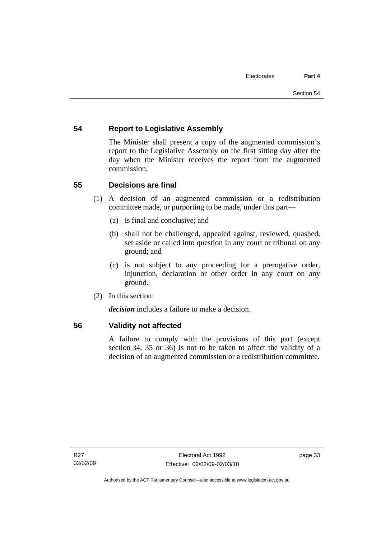## **54 Report to Legislative Assembly**

The Minister shall present a copy of the augmented commission's report to the Legislative Assembly on the first sitting day after the day when the Minister receives the report from the augmented commission.

## **55 Decisions are final**

- (1) A decision of an augmented commission or a redistribution committee made, or purporting to be made, under this part—
	- (a) is final and conclusive; and
	- (b) shall not be challenged, appealed against, reviewed, quashed, set aside or called into question in any court or tribunal on any ground; and
	- (c) is not subject to any proceeding for a prerogative order, injunction, declaration or other order in any court on any ground.
- (2) In this section:

*decision* includes a failure to make a decision.

## **56 Validity not affected**

A failure to comply with the provisions of this part (except section 34, 35 or 36) is not to be taken to affect the validity of a decision of an augmented commission or a redistribution committee.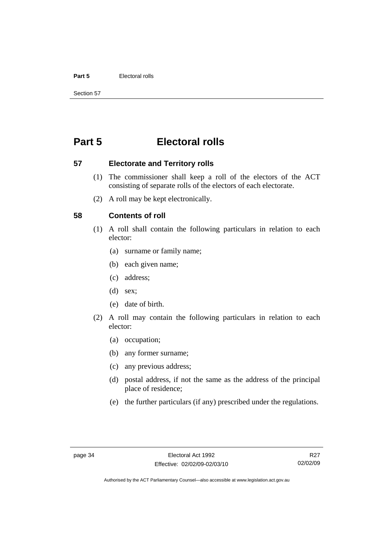#### **Part 5** Electoral rolls

Section 57

# **Part 5 Electoral rolls**

**57 Electorate and Territory rolls** 

- (1) The commissioner shall keep a roll of the electors of the ACT consisting of separate rolls of the electors of each electorate.
- (2) A roll may be kept electronically.

#### **58 Contents of roll**

- (1) A roll shall contain the following particulars in relation to each elector:
	- (a) surname or family name;
	- (b) each given name;
	- (c) address;
	- (d) sex;
	- (e) date of birth.
- (2) A roll may contain the following particulars in relation to each elector:
	- (a) occupation;
	- (b) any former surname;
	- (c) any previous address;
	- (d) postal address, if not the same as the address of the principal place of residence;
	- (e) the further particulars (if any) prescribed under the regulations.

R<sub>27</sub> 02/02/09

Authorised by the ACT Parliamentary Counsel—also accessible at www.legislation.act.gov.au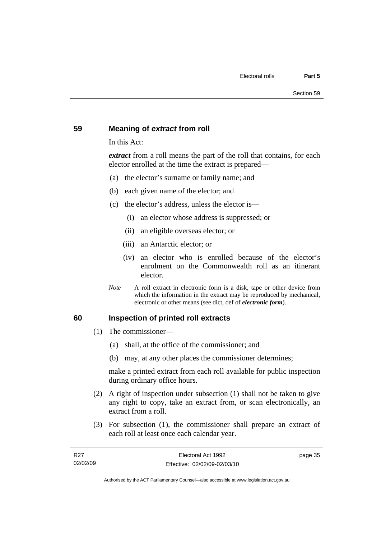#### **59 Meaning of** *extract* **from roll**

In this Act:

*extract* from a roll means the part of the roll that contains, for each elector enrolled at the time the extract is prepared—

- (a) the elector's surname or family name; and
- (b) each given name of the elector; and
- (c) the elector's address, unless the elector is—
	- (i) an elector whose address is suppressed; or
	- (ii) an eligible overseas elector; or
	- (iii) an Antarctic elector; or
	- (iv) an elector who is enrolled because of the elector's enrolment on the Commonwealth roll as an itinerant elector.
- *Note* A roll extract in electronic form is a disk, tape or other device from which the information in the extract may be reproduced by mechanical, electronic or other means (see dict, def of *electronic form*).

#### **60 Inspection of printed roll extracts**

- (1) The commissioner—
	- (a) shall, at the office of the commissioner; and
	- (b) may, at any other places the commissioner determines;

make a printed extract from each roll available for public inspection during ordinary office hours.

- (2) A right of inspection under subsection (1) shall not be taken to give any right to copy, take an extract from, or scan electronically, an extract from a roll.
- (3) For subsection (1), the commissioner shall prepare an extract of each roll at least once each calendar year.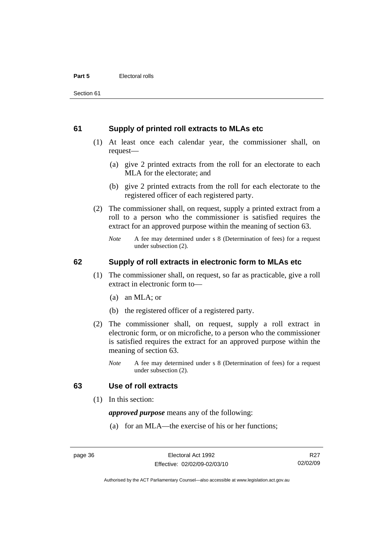#### **61 Supply of printed roll extracts to MLAs etc**

- (1) At least once each calendar year, the commissioner shall, on request—
	- (a) give 2 printed extracts from the roll for an electorate to each MLA for the electorate; and
	- (b) give 2 printed extracts from the roll for each electorate to the registered officer of each registered party.
- (2) The commissioner shall, on request, supply a printed extract from a roll to a person who the commissioner is satisfied requires the extract for an approved purpose within the meaning of section 63.
	- *Note* A fee may determined under s 8 (Determination of fees) for a request under subsection (2).

#### **62 Supply of roll extracts in electronic form to MLAs etc**

- (1) The commissioner shall, on request, so far as practicable, give a roll extract in electronic form to—
	- (a) an MLA; or
	- (b) the registered officer of a registered party.
- (2) The commissioner shall, on request, supply a roll extract in electronic form, or on microfiche, to a person who the commissioner is satisfied requires the extract for an approved purpose within the meaning of section 63.
	- *Note* A fee may determined under s 8 (Determination of fees) for a request under subsection (2).

#### **63 Use of roll extracts**

(1) In this section:

*approved purpose* means any of the following:

(a) for an MLA—the exercise of his or her functions;

R<sub>27</sub> 02/02/09

Authorised by the ACT Parliamentary Counsel—also accessible at www.legislation.act.gov.au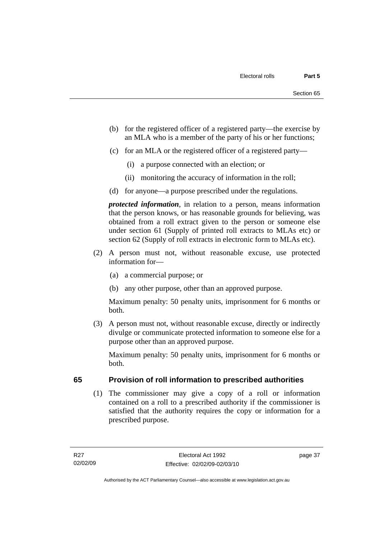- (b) for the registered officer of a registered party—the exercise by an MLA who is a member of the party of his or her functions;
- (c) for an MLA or the registered officer of a registered party—
	- (i) a purpose connected with an election; or
	- (ii) monitoring the accuracy of information in the roll;
- (d) for anyone—a purpose prescribed under the regulations.

*protected information*, in relation to a person, means information that the person knows, or has reasonable grounds for believing, was obtained from a roll extract given to the person or someone else under section 61 (Supply of printed roll extracts to MLAs etc) or section 62 (Supply of roll extracts in electronic form to MLAs etc).

- (2) A person must not, without reasonable excuse, use protected information for—
	- (a) a commercial purpose; or
	- (b) any other purpose, other than an approved purpose.

Maximum penalty: 50 penalty units, imprisonment for 6 months or both.

 (3) A person must not, without reasonable excuse, directly or indirectly divulge or communicate protected information to someone else for a purpose other than an approved purpose.

Maximum penalty: 50 penalty units, imprisonment for 6 months or both.

## **65 Provision of roll information to prescribed authorities**

 (1) The commissioner may give a copy of a roll or information contained on a roll to a prescribed authority if the commissioner is satisfied that the authority requires the copy or information for a prescribed purpose.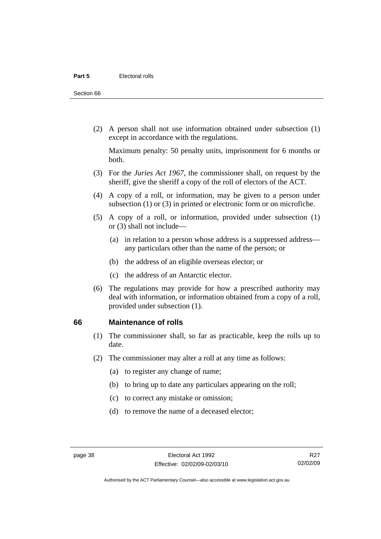Section 66

 (2) A person shall not use information obtained under subsection (1) except in accordance with the regulations.

Maximum penalty: 50 penalty units, imprisonment for 6 months or both.

- (3) For the *Juries Act 1967*, the commissioner shall, on request by the sheriff, give the sheriff a copy of the roll of electors of the ACT.
- (4) A copy of a roll, or information, may be given to a person under subsection (1) or (3) in printed or electronic form or on microfiche.
- (5) A copy of a roll, or information, provided under subsection (1) or (3) shall not include—
	- (a) in relation to a person whose address is a suppressed address any particulars other than the name of the person; or
	- (b) the address of an eligible overseas elector; or
	- (c) the address of an Antarctic elector.
- (6) The regulations may provide for how a prescribed authority may deal with information, or information obtained from a copy of a roll, provided under subsection (1).

#### **66 Maintenance of rolls**

- (1) The commissioner shall, so far as practicable, keep the rolls up to date.
- (2) The commissioner may alter a roll at any time as follows:
	- (a) to register any change of name;
	- (b) to bring up to date any particulars appearing on the roll;
	- (c) to correct any mistake or omission;
	- (d) to remove the name of a deceased elector;

R<sub>27</sub> 02/02/09

Authorised by the ACT Parliamentary Counsel—also accessible at www.legislation.act.gov.au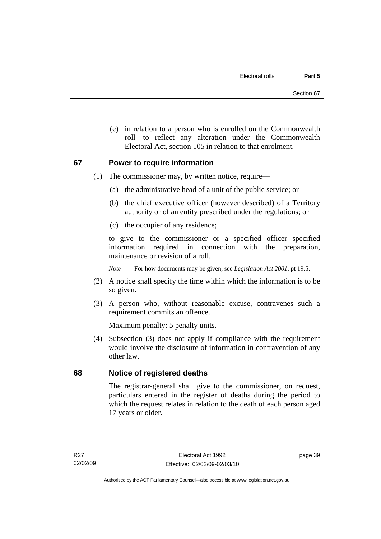(e) in relation to a person who is enrolled on the Commonwealth roll—to reflect any alteration under the Commonwealth Electoral Act, section 105 in relation to that enrolment.

#### **67 Power to require information**

- (1) The commissioner may, by written notice, require—
	- (a) the administrative head of a unit of the public service; or
	- (b) the chief executive officer (however described) of a Territory authority or of an entity prescribed under the regulations; or
	- (c) the occupier of any residence;

to give to the commissioner or a specified officer specified information required in connection with the preparation, maintenance or revision of a roll.

*Note* For how documents may be given, see *Legislation Act 2001*, pt 19.5.

- (2) A notice shall specify the time within which the information is to be so given.
- (3) A person who, without reasonable excuse, contravenes such a requirement commits an offence.

Maximum penalty: 5 penalty units.

 (4) Subsection (3) does not apply if compliance with the requirement would involve the disclosure of information in contravention of any other law.

## **68 Notice of registered deaths**

The registrar-general shall give to the commissioner, on request, particulars entered in the register of deaths during the period to which the request relates in relation to the death of each person aged 17 years or older.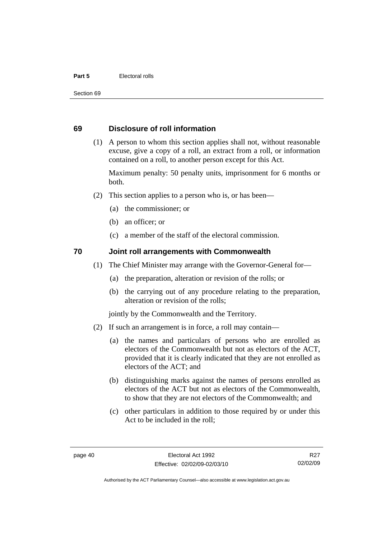#### **Part 5** Electoral rolls

Section 69

#### **69 Disclosure of roll information**

 (1) A person to whom this section applies shall not, without reasonable excuse, give a copy of a roll, an extract from a roll, or information contained on a roll, to another person except for this Act.

Maximum penalty: 50 penalty units, imprisonment for 6 months or both.

- (2) This section applies to a person who is, or has been—
	- (a) the commissioner; or
	- (b) an officer; or
	- (c) a member of the staff of the electoral commission.

#### **70 Joint roll arrangements with Commonwealth**

- (1) The Chief Minister may arrange with the Governor-General for—
	- (a) the preparation, alteration or revision of the rolls; or
	- (b) the carrying out of any procedure relating to the preparation, alteration or revision of the rolls;

jointly by the Commonwealth and the Territory.

- (2) If such an arrangement is in force, a roll may contain—
	- (a) the names and particulars of persons who are enrolled as electors of the Commonwealth but not as electors of the ACT, provided that it is clearly indicated that they are not enrolled as electors of the ACT; and
	- (b) distinguishing marks against the names of persons enrolled as electors of the ACT but not as electors of the Commonwealth, to show that they are not electors of the Commonwealth; and
	- (c) other particulars in addition to those required by or under this Act to be included in the roll;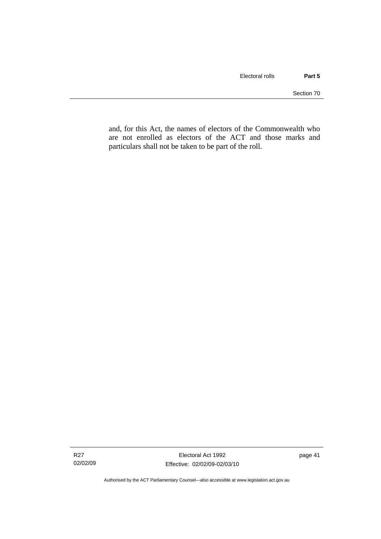and, for this Act, the names of electors of the Commonwealth who are not enrolled as electors of the ACT and those marks and particulars shall not be taken to be part of the roll.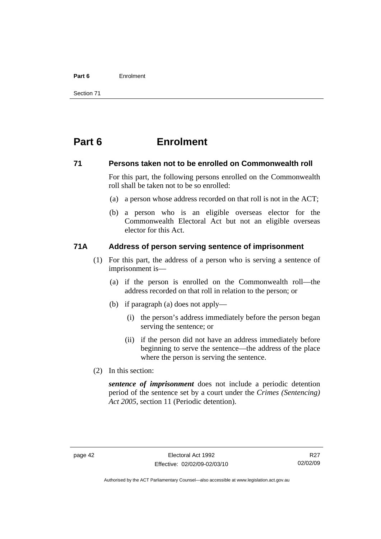#### **Part 6** Enrolment

Section 71

# **Part 6 Enrolment**

#### **71 Persons taken not to be enrolled on Commonwealth roll**

For this part, the following persons enrolled on the Commonwealth roll shall be taken not to be so enrolled:

- (a) a person whose address recorded on that roll is not in the ACT;
- (b) a person who is an eligible overseas elector for the Commonwealth Electoral Act but not an eligible overseas elector for this Act.

#### **71A Address of person serving sentence of imprisonment**

- (1) For this part, the address of a person who is serving a sentence of imprisonment is—
	- (a) if the person is enrolled on the Commonwealth roll—the address recorded on that roll in relation to the person; or
	- (b) if paragraph (a) does not apply—
		- (i) the person's address immediately before the person began serving the sentence; or
		- (ii) if the person did not have an address immediately before beginning to serve the sentence—the address of the place where the person is serving the sentence.
- (2) In this section:

*sentence of imprisonment* does not include a periodic detention period of the sentence set by a court under the *Crimes (Sentencing) Act 2005*, section 11 (Periodic detention).

Authorised by the ACT Parliamentary Counsel—also accessible at www.legislation.act.gov.au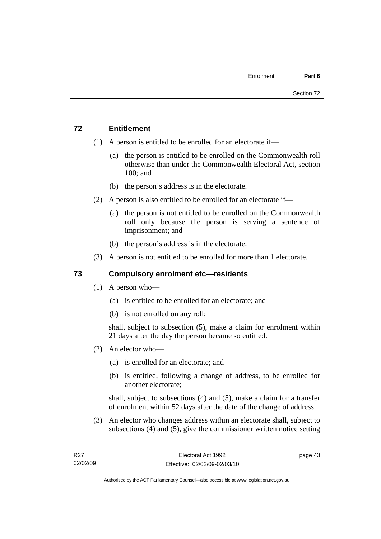## **72 Entitlement**

- (1) A person is entitled to be enrolled for an electorate if—
	- (a) the person is entitled to be enrolled on the Commonwealth roll otherwise than under the Commonwealth Electoral Act, section 100; and
	- (b) the person's address is in the electorate.
- (2) A person is also entitled to be enrolled for an electorate if—
	- (a) the person is not entitled to be enrolled on the Commonwealth roll only because the person is serving a sentence of imprisonment; and
	- (b) the person's address is in the electorate.
- (3) A person is not entitled to be enrolled for more than 1 electorate.

## **73 Compulsory enrolment etc—residents**

- (1) A person who—
	- (a) is entitled to be enrolled for an electorate; and
	- (b) is not enrolled on any roll;

shall, subject to subsection (5), make a claim for enrolment within 21 days after the day the person became so entitled.

- (2) An elector who—
	- (a) is enrolled for an electorate; and
	- (b) is entitled, following a change of address, to be enrolled for another electorate;

shall, subject to subsections (4) and (5), make a claim for a transfer of enrolment within 52 days after the date of the change of address.

 (3) An elector who changes address within an electorate shall, subject to subsections (4) and (5), give the commissioner written notice setting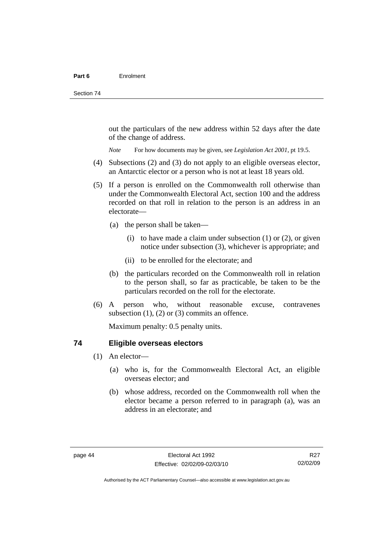out the particulars of the new address within 52 days after the date of the change of address.

*Note* For how documents may be given, see *Legislation Act 2001*, pt 19.5.

- (4) Subsections (2) and (3) do not apply to an eligible overseas elector, an Antarctic elector or a person who is not at least 18 years old.
- (5) If a person is enrolled on the Commonwealth roll otherwise than under the Commonwealth Electoral Act, section 100 and the address recorded on that roll in relation to the person is an address in an electorate—
	- (a) the person shall be taken—
		- (i) to have made a claim under subsection  $(1)$  or  $(2)$ , or given notice under subsection (3), whichever is appropriate; and
		- (ii) to be enrolled for the electorate; and
	- (b) the particulars recorded on the Commonwealth roll in relation to the person shall, so far as practicable, be taken to be the particulars recorded on the roll for the electorate.
- (6) A person who, without reasonable excuse, contravenes subsection  $(1)$ ,  $(2)$  or  $(3)$  commits an offence.

Maximum penalty: 0.5 penalty units.

#### **74 Eligible overseas electors**

- (1) An elector—
	- (a) who is, for the Commonwealth Electoral Act, an eligible overseas elector; and
	- (b) whose address, recorded on the Commonwealth roll when the elector became a person referred to in paragraph (a), was an address in an electorate; and

R<sub>27</sub> 02/02/09

Authorised by the ACT Parliamentary Counsel—also accessible at www.legislation.act.gov.au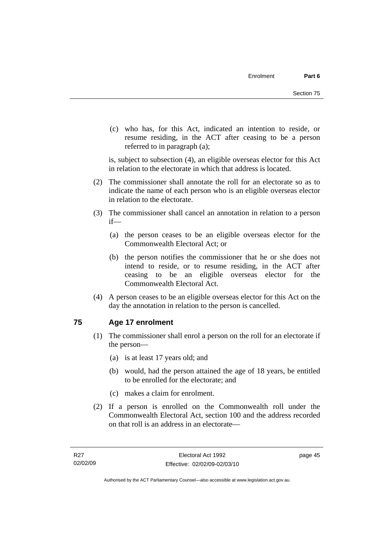(c) who has, for this Act, indicated an intention to reside, or resume residing, in the ACT after ceasing to be a person referred to in paragraph (a);

is, subject to subsection (4), an eligible overseas elector for this Act in relation to the electorate in which that address is located.

- (2) The commissioner shall annotate the roll for an electorate so as to indicate the name of each person who is an eligible overseas elector in relation to the electorate.
- (3) The commissioner shall cancel an annotation in relation to a person if—
	- (a) the person ceases to be an eligible overseas elector for the Commonwealth Electoral Act; or
	- (b) the person notifies the commissioner that he or she does not intend to reside, or to resume residing, in the ACT after ceasing to be an eligible overseas elector for the Commonwealth Electoral Act.
- (4) A person ceases to be an eligible overseas elector for this Act on the day the annotation in relation to the person is cancelled.

## **75 Age 17 enrolment**

- (1) The commissioner shall enrol a person on the roll for an electorate if the person—
	- (a) is at least 17 years old; and
	- (b) would, had the person attained the age of 18 years, be entitled to be enrolled for the electorate; and
	- (c) makes a claim for enrolment.
- (2) If a person is enrolled on the Commonwealth roll under the Commonwealth Electoral Act, section 100 and the address recorded on that roll is an address in an electorate—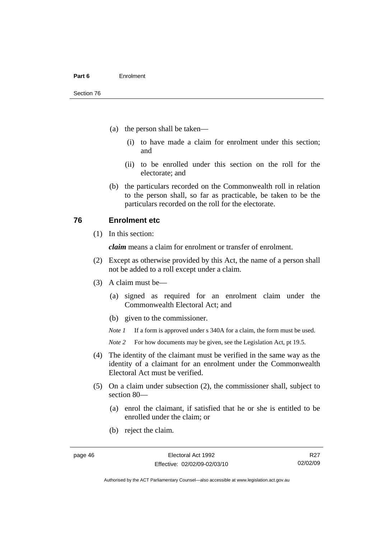- (a) the person shall be taken—
	- (i) to have made a claim for enrolment under this section; and
	- (ii) to be enrolled under this section on the roll for the electorate; and
- (b) the particulars recorded on the Commonwealth roll in relation to the person shall, so far as practicable, be taken to be the particulars recorded on the roll for the electorate.

#### **76 Enrolment etc**

(1) In this section:

*claim* means a claim for enrolment or transfer of enrolment.

- (2) Except as otherwise provided by this Act, the name of a person shall not be added to a roll except under a claim.
- (3) A claim must be—
	- (a) signed as required for an enrolment claim under the Commonwealth Electoral Act; and
	- (b) given to the commissioner.

*Note 1* If a form is approved under s 340A for a claim, the form must be used.

- *Note* 2 For how documents may be given, see the Legislation Act, pt 19.5.
- (4) The identity of the claimant must be verified in the same way as the identity of a claimant for an enrolment under the Commonwealth Electoral Act must be verified.
- (5) On a claim under subsection (2), the commissioner shall, subject to section 80—
	- (a) enrol the claimant, if satisfied that he or she is entitled to be enrolled under the claim; or
	- (b) reject the claim.

Authorised by the ACT Parliamentary Counsel—also accessible at www.legislation.act.gov.au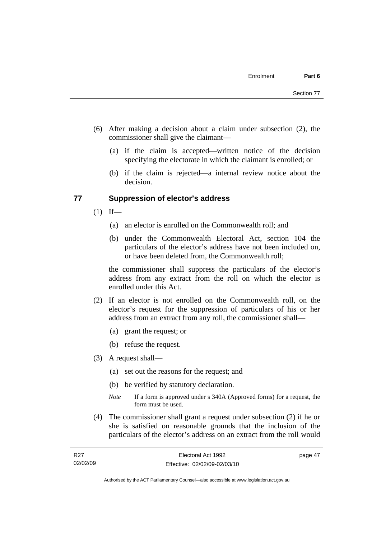- (6) After making a decision about a claim under subsection (2), the commissioner shall give the claimant—
	- (a) if the claim is accepted—written notice of the decision specifying the electorate in which the claimant is enrolled; or
	- (b) if the claim is rejected—a internal review notice about the decision.

#### **77 Suppression of elector's address**

- $(1)$  If—
	- (a) an elector is enrolled on the Commonwealth roll; and
	- (b) under the Commonwealth Electoral Act, section 104 the particulars of the elector's address have not been included on, or have been deleted from, the Commonwealth roll;

the commissioner shall suppress the particulars of the elector's address from any extract from the roll on which the elector is enrolled under this Act.

- (2) If an elector is not enrolled on the Commonwealth roll, on the elector's request for the suppression of particulars of his or her address from an extract from any roll, the commissioner shall—
	- (a) grant the request; or
	- (b) refuse the request.
- (3) A request shall—
	- (a) set out the reasons for the request; and
	- (b) be verified by statutory declaration.
	- *Note* If a form is approved under s 340A (Approved forms) for a request, the form must be used.
- (4) The commissioner shall grant a request under subsection (2) if he or she is satisfied on reasonable grounds that the inclusion of the particulars of the elector's address on an extract from the roll would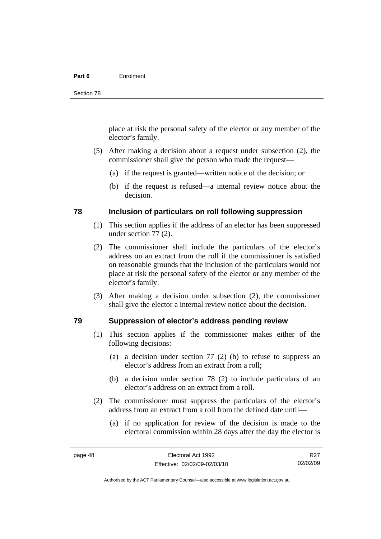#### **Part 6** Enrolment

place at risk the personal safety of the elector or any member of the elector's family.

- (5) After making a decision about a request under subsection (2), the commissioner shall give the person who made the request—
	- (a) if the request is granted—written notice of the decision; or
	- (b) if the request is refused—a internal review notice about the decision.

#### **78 Inclusion of particulars on roll following suppression**

- (1) This section applies if the address of an elector has been suppressed under section 77 (2).
- (2) The commissioner shall include the particulars of the elector's address on an extract from the roll if the commissioner is satisfied on reasonable grounds that the inclusion of the particulars would not place at risk the personal safety of the elector or any member of the elector's family.
- (3) After making a decision under subsection (2), the commissioner shall give the elector a internal review notice about the decision.

#### **79 Suppression of elector's address pending review**

- (1) This section applies if the commissioner makes either of the following decisions:
	- (a) a decision under section 77 (2) (b) to refuse to suppress an elector's address from an extract from a roll;
	- (b) a decision under section 78 (2) to include particulars of an elector's address on an extract from a roll.
- (2) The commissioner must suppress the particulars of the elector's address from an extract from a roll from the defined date until—
	- (a) if no application for review of the decision is made to the electoral commission within 28 days after the day the elector is

R27 02/02/09

Authorised by the ACT Parliamentary Counsel—also accessible at www.legislation.act.gov.au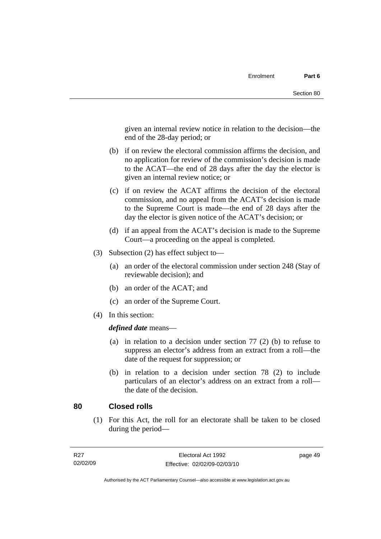given an internal review notice in relation to the decision—the end of the 28-day period; or

- (b) if on review the electoral commission affirms the decision, and no application for review of the commission's decision is made to the ACAT—the end of 28 days after the day the elector is given an internal review notice; or
- (c) if on review the ACAT affirms the decision of the electoral commission, and no appeal from the ACAT's decision is made to the Supreme Court is made—the end of 28 days after the day the elector is given notice of the ACAT's decision; or
- (d) if an appeal from the ACAT's decision is made to the Supreme Court—a proceeding on the appeal is completed.
- (3) Subsection (2) has effect subject to—
	- (a) an order of the electoral commission under section 248 (Stay of reviewable decision); and
	- (b) an order of the ACAT; and
	- (c) an order of the Supreme Court.
- (4) In this section:

*defined date* means—

- (a) in relation to a decision under section 77 (2) (b) to refuse to suppress an elector's address from an extract from a roll—the date of the request for suppression; or
- (b) in relation to a decision under section 78 (2) to include particulars of an elector's address on an extract from a roll the date of the decision.

#### **80 Closed rolls**

 (1) For this Act, the roll for an electorate shall be taken to be closed during the period—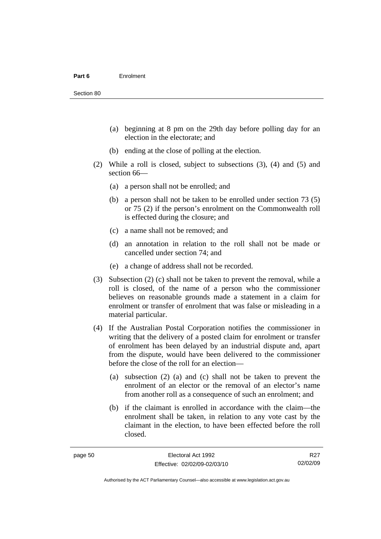- (a) beginning at 8 pm on the 29th day before polling day for an election in the electorate; and
- (b) ending at the close of polling at the election.
- (2) While a roll is closed, subject to subsections (3), (4) and (5) and section 66—
	- (a) a person shall not be enrolled; and
	- (b) a person shall not be taken to be enrolled under section 73 (5) or 75 (2) if the person's enrolment on the Commonwealth roll is effected during the closure; and
	- (c) a name shall not be removed; and
	- (d) an annotation in relation to the roll shall not be made or cancelled under section 74; and
	- (e) a change of address shall not be recorded.
- (3) Subsection (2) (c) shall not be taken to prevent the removal, while a roll is closed, of the name of a person who the commissioner believes on reasonable grounds made a statement in a claim for enrolment or transfer of enrolment that was false or misleading in a material particular.
- (4) If the Australian Postal Corporation notifies the commissioner in writing that the delivery of a posted claim for enrolment or transfer of enrolment has been delayed by an industrial dispute and, apart from the dispute, would have been delivered to the commissioner before the close of the roll for an election—
	- (a) subsection (2) (a) and (c) shall not be taken to prevent the enrolment of an elector or the removal of an elector's name from another roll as a consequence of such an enrolment; and
	- (b) if the claimant is enrolled in accordance with the claim—the enrolment shall be taken, in relation to any vote cast by the claimant in the election, to have been effected before the roll closed.

R<sub>27</sub> 02/02/09

Authorised by the ACT Parliamentary Counsel—also accessible at www.legislation.act.gov.au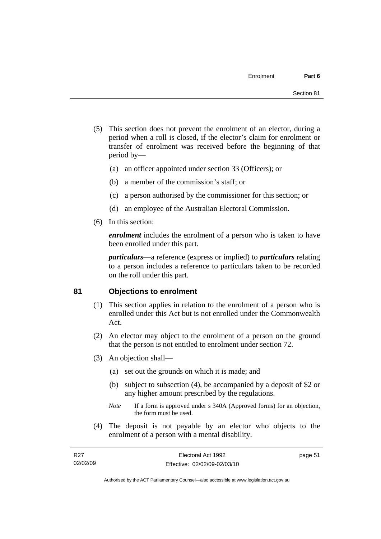- (5) This section does not prevent the enrolment of an elector, during a period when a roll is closed, if the elector's claim for enrolment or transfer of enrolment was received before the beginning of that period by—
	- (a) an officer appointed under section 33 (Officers); or
	- (b) a member of the commission's staff; or
	- (c) a person authorised by the commissioner for this section; or
	- (d) an employee of the Australian Electoral Commission.
- (6) In this section:

*enrolment* includes the enrolment of a person who is taken to have been enrolled under this part.

*particulars*—a reference (express or implied) to *particulars* relating to a person includes a reference to particulars taken to be recorded on the roll under this part.

#### **81 Objections to enrolment**

- (1) This section applies in relation to the enrolment of a person who is enrolled under this Act but is not enrolled under the Commonwealth Act.
- (2) An elector may object to the enrolment of a person on the ground that the person is not entitled to enrolment under section 72.
- (3) An objection shall—
	- (a) set out the grounds on which it is made; and
	- (b) subject to subsection (4), be accompanied by a deposit of \$2 or any higher amount prescribed by the regulations.
	- *Note* If a form is approved under s 340A (Approved forms) for an objection, the form must be used.
- (4) The deposit is not payable by an elector who objects to the enrolment of a person with a mental disability.

| R27      | Electoral Act 1992           | page 51 |
|----------|------------------------------|---------|
| 02/02/09 | Effective: 02/02/09-02/03/10 |         |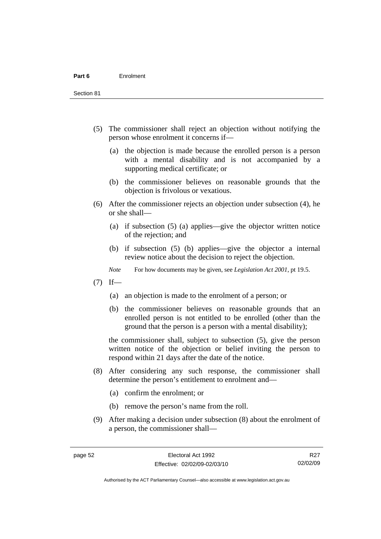Section 81

- (5) The commissioner shall reject an objection without notifying the person whose enrolment it concerns if—
	- (a) the objection is made because the enrolled person is a person with a mental disability and is not accompanied by a supporting medical certificate; or
	- (b) the commissioner believes on reasonable grounds that the objection is frivolous or vexatious.
- (6) After the commissioner rejects an objection under subsection (4), he or she shall—
	- (a) if subsection (5) (a) applies—give the objector written notice of the rejection; and
	- (b) if subsection (5) (b) applies—give the objector a internal review notice about the decision to reject the objection.
	- *Note* For how documents may be given, see *Legislation Act 2001*, pt 19.5.
- $(7)$  If—
	- (a) an objection is made to the enrolment of a person; or
	- (b) the commissioner believes on reasonable grounds that an enrolled person is not entitled to be enrolled (other than the ground that the person is a person with a mental disability);

the commissioner shall, subject to subsection (5), give the person written notice of the objection or belief inviting the person to respond within 21 days after the date of the notice.

- (8) After considering any such response, the commissioner shall determine the person's entitlement to enrolment and—
	- (a) confirm the enrolment; or
	- (b) remove the person's name from the roll.
- (9) After making a decision under subsection (8) about the enrolment of a person, the commissioner shall—

R<sub>27</sub> 02/02/09

Authorised by the ACT Parliamentary Counsel—also accessible at www.legislation.act.gov.au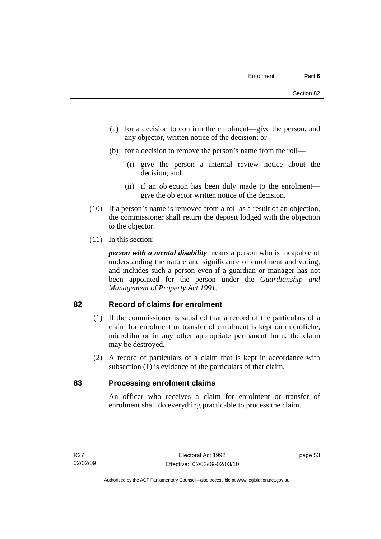- (a) for a decision to confirm the enrolment—give the person, and any objector, written notice of the decision; or
- (b) for a decision to remove the person's name from the roll—
	- (i) give the person a internal review notice about the decision; and
	- (ii) if an objection has been duly made to the enrolment give the objector written notice of the decision.
- (10) If a person's name is removed from a roll as a result of an objection, the commissioner shall return the deposit lodged with the objection to the objector.
- (11) In this section:

*person with a mental disability* means a person who is incapable of understanding the nature and significance of enrolment and voting, and includes such a person even if a guardian or manager has not been appointed for the person under the *Guardianship and Management of Property Act 1991*.

#### **82 Record of claims for enrolment**

- (1) If the commissioner is satisfied that a record of the particulars of a claim for enrolment or transfer of enrolment is kept on microfiche, microfilm or in any other appropriate permanent form, the claim may be destroyed.
- (2) A record of particulars of a claim that is kept in accordance with subsection (1) is evidence of the particulars of that claim.

#### **83 Processing enrolment claims**

An officer who receives a claim for enrolment or transfer of enrolment shall do everything practicable to process the claim.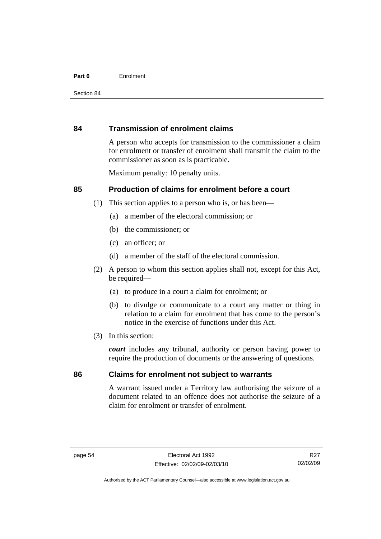#### **Part 6** Enrolment

#### **84 Transmission of enrolment claims**

A person who accepts for transmission to the commissioner a claim for enrolment or transfer of enrolment shall transmit the claim to the commissioner as soon as is practicable.

Maximum penalty: 10 penalty units.

#### **85 Production of claims for enrolment before a court**

- (1) This section applies to a person who is, or has been—
	- (a) a member of the electoral commission; or
	- (b) the commissioner; or
	- (c) an officer; or
	- (d) a member of the staff of the electoral commission.
- (2) A person to whom this section applies shall not, except for this Act, be required-
	- (a) to produce in a court a claim for enrolment; or
	- (b) to divulge or communicate to a court any matter or thing in relation to a claim for enrolment that has come to the person's notice in the exercise of functions under this Act.
- (3) In this section:

*court* includes any tribunal, authority or person having power to require the production of documents or the answering of questions.

#### **86 Claims for enrolment not subject to warrants**

A warrant issued under a Territory law authorising the seizure of a document related to an offence does not authorise the seizure of a claim for enrolment or transfer of enrolment.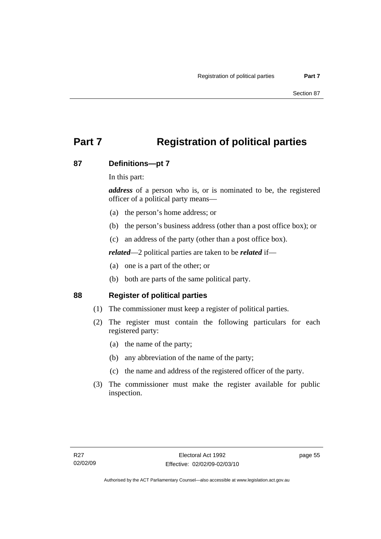# **Part 7 Registration of political parties**

### **87 Definitions—pt 7**

In this part:

*address* of a person who is, or is nominated to be, the registered officer of a political party means—

- (a) the person's home address; or
- (b) the person's business address (other than a post office box); or
- (c) an address of the party (other than a post office box).

*related*—2 political parties are taken to be *related* if—

- (a) one is a part of the other; or
- (b) both are parts of the same political party.

#### **88 Register of political parties**

- (1) The commissioner must keep a register of political parties.
- (2) The register must contain the following particulars for each registered party:
	- (a) the name of the party;
	- (b) any abbreviation of the name of the party;
	- (c) the name and address of the registered officer of the party.
- (3) The commissioner must make the register available for public inspection.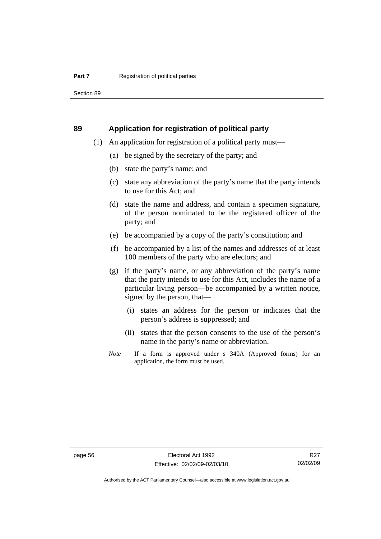Section 89

#### **89 Application for registration of political party**

- (1) An application for registration of a political party must—
	- (a) be signed by the secretary of the party; and
	- (b) state the party's name; and
	- (c) state any abbreviation of the party's name that the party intends to use for this Act; and
	- (d) state the name and address, and contain a specimen signature, of the person nominated to be the registered officer of the party; and
	- (e) be accompanied by a copy of the party's constitution; and
	- (f) be accompanied by a list of the names and addresses of at least 100 members of the party who are electors; and
	- (g) if the party's name, or any abbreviation of the party's name that the party intends to use for this Act, includes the name of a particular living person—be accompanied by a written notice, signed by the person, that—
		- (i) states an address for the person or indicates that the person's address is suppressed; and
		- (ii) states that the person consents to the use of the person's name in the party's name or abbreviation.
	- *Note* If a form is approved under s 340A (Approved forms) for an application, the form must be used.

Authorised by the ACT Parliamentary Counsel—also accessible at www.legislation.act.gov.au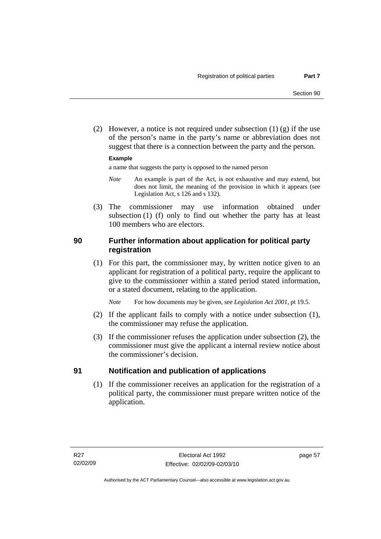(2) However, a notice is not required under subsection  $(1)$   $(g)$  if the use of the person's name in the party's name or abbreviation does not suggest that there is a connection between the party and the person.

#### **Example**

a name that suggests the party is opposed to the named person

- *Note* An example is part of the Act, is not exhaustive and may extend, but does not limit, the meaning of the provision in which it appears (see Legislation Act, s 126 and s 132).
- (3) The commissioner may use information obtained under subsection (1) (f) only to find out whether the party has at least 100 members who are electors.

# **90 Further information about application for political party registration**

 (1) For this part, the commissioner may, by written notice given to an applicant for registration of a political party, require the applicant to give to the commissioner within a stated period stated information, or a stated document, relating to the application.

*Note* For how documents may be given, see *Legislation Act 2001*, pt 19.5.

- (2) If the applicant fails to comply with a notice under subsection (1), the commissioner may refuse the application.
- (3) If the commissioner refuses the application under subsection (2), the commissioner must give the applicant a internal review notice about the commissioner's decision.

#### **91 Notification and publication of applications**

 (1) If the commissioner receives an application for the registration of a political party, the commissioner must prepare written notice of the application.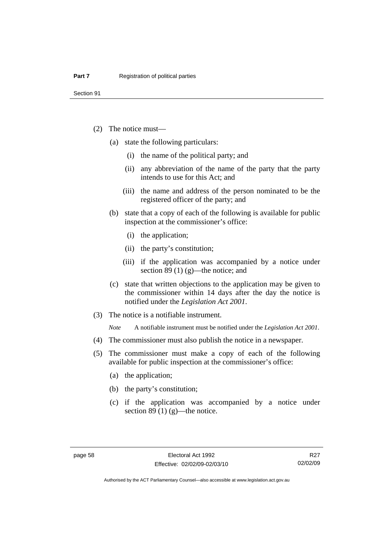- (2) The notice must—
	- (a) state the following particulars:
		- (i) the name of the political party; and
		- (ii) any abbreviation of the name of the party that the party intends to use for this Act; and
		- (iii) the name and address of the person nominated to be the registered officer of the party; and
	- (b) state that a copy of each of the following is available for public inspection at the commissioner's office:
		- (i) the application;
		- (ii) the party's constitution;
		- (iii) if the application was accompanied by a notice under section 89 (1) (g)—the notice; and
	- (c) state that written objections to the application may be given to the commissioner within 14 days after the day the notice is notified under the *Legislation Act 2001*.
- (3) The notice is a notifiable instrument.

*Note* A notifiable instrument must be notified under the *Legislation Act 2001*.

- (4) The commissioner must also publish the notice in a newspaper.
- (5) The commissioner must make a copy of each of the following available for public inspection at the commissioner's office:
	- (a) the application;
	- (b) the party's constitution;
	- (c) if the application was accompanied by a notice under section 89 $(1)$  $(g)$ —the notice.

Authorised by the ACT Parliamentary Counsel—also accessible at www.legislation.act.gov.au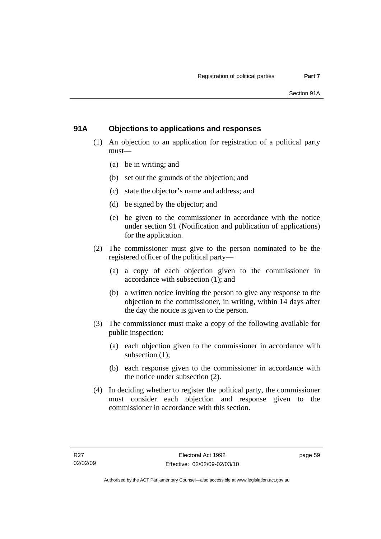# **91A Objections to applications and responses**

- (1) An objection to an application for registration of a political party must—
	- (a) be in writing; and
	- (b) set out the grounds of the objection; and
	- (c) state the objector's name and address; and
	- (d) be signed by the objector; and
	- (e) be given to the commissioner in accordance with the notice under section 91 (Notification and publication of applications) for the application.
- (2) The commissioner must give to the person nominated to be the registered officer of the political party—
	- (a) a copy of each objection given to the commissioner in accordance with subsection (1); and
	- (b) a written notice inviting the person to give any response to the objection to the commissioner, in writing, within 14 days after the day the notice is given to the person.
- (3) The commissioner must make a copy of the following available for public inspection:
	- (a) each objection given to the commissioner in accordance with subsection (1);
	- (b) each response given to the commissioner in accordance with the notice under subsection (2).
- (4) In deciding whether to register the political party, the commissioner must consider each objection and response given to the commissioner in accordance with this section.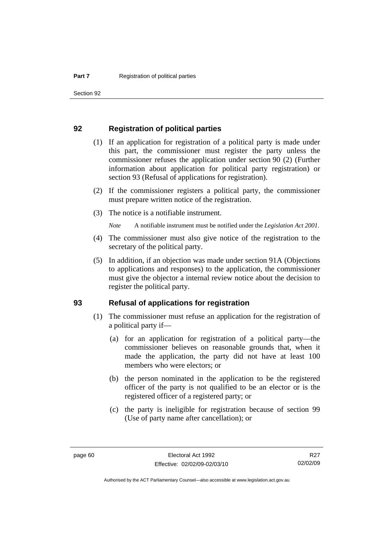Section 92

#### **92 Registration of political parties**

- (1) If an application for registration of a political party is made under this part, the commissioner must register the party unless the commissioner refuses the application under section 90 (2) (Further information about application for political party registration) or section 93 (Refusal of applications for registration).
- (2) If the commissioner registers a political party, the commissioner must prepare written notice of the registration.
- (3) The notice is a notifiable instrument.

*Note* A notifiable instrument must be notified under the *Legislation Act 2001*.

- (4) The commissioner must also give notice of the registration to the secretary of the political party.
- (5) In addition, if an objection was made under section 91A (Objections to applications and responses) to the application, the commissioner must give the objector a internal review notice about the decision to register the political party.

#### **93 Refusal of applications for registration**

- (1) The commissioner must refuse an application for the registration of a political party if—
	- (a) for an application for registration of a political party—the commissioner believes on reasonable grounds that, when it made the application, the party did not have at least 100 members who were electors; or
	- (b) the person nominated in the application to be the registered officer of the party is not qualified to be an elector or is the registered officer of a registered party; or
	- (c) the party is ineligible for registration because of section 99 (Use of party name after cancellation); or

Authorised by the ACT Parliamentary Counsel—also accessible at www.legislation.act.gov.au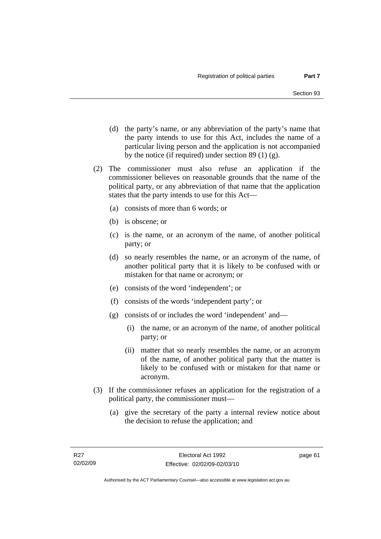- (d) the party's name, or any abbreviation of the party's name that the party intends to use for this Act, includes the name of a particular living person and the application is not accompanied by the notice (if required) under section 89 (1) (g).
- (2) The commissioner must also refuse an application if the commissioner believes on reasonable grounds that the name of the political party, or any abbreviation of that name that the application states that the party intends to use for this Act—
	- (a) consists of more than 6 words; or
	- (b) is obscene; or
	- (c) is the name, or an acronym of the name, of another political party; or
	- (d) so nearly resembles the name, or an acronym of the name, of another political party that it is likely to be confused with or mistaken for that name or acronym; or
	- (e) consists of the word 'independent'; or
	- (f) consists of the words 'independent party'; or
	- (g) consists of or includes the word 'independent' and—
		- (i) the name, or an acronym of the name, of another political party; or
		- (ii) matter that so nearly resembles the name, or an acronym of the name, of another political party that the matter is likely to be confused with or mistaken for that name or acronym.
- (3) If the commissioner refuses an application for the registration of a political party, the commissioner must—
	- (a) give the secretary of the party a internal review notice about the decision to refuse the application; and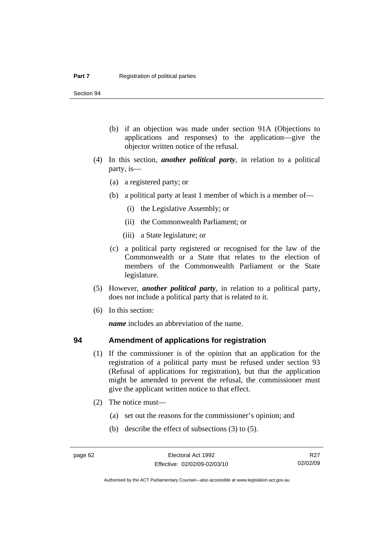Section 94

- (b) if an objection was made under section 91A (Objections to applications and responses) to the application—give the objector written notice of the refusal.
- (4) In this section, *another political party*, in relation to a political party, is—
	- (a) a registered party; or
	- (b) a political party at least 1 member of which is a member of—
		- (i) the Legislative Assembly; or
		- (ii) the Commonwealth Parliament; or
		- (iii) a State legislature; or
	- (c) a political party registered or recognised for the law of the Commonwealth or a State that relates to the election of members of the Commonwealth Parliament or the State legislature.
- (5) However, *another political party*, in relation to a political party, does not include a political party that is related to it.
- (6) In this section:

*name* includes an abbreviation of the name.

#### **94 Amendment of applications for registration**

- (1) If the commissioner is of the opinion that an application for the registration of a political party must be refused under section 93 (Refusal of applications for registration), but that the application might be amended to prevent the refusal, the commissioner must give the applicant written notice to that effect.
- (2) The notice must—
	- (a) set out the reasons for the commissioner's opinion; and
	- (b) describe the effect of subsections (3) to (5).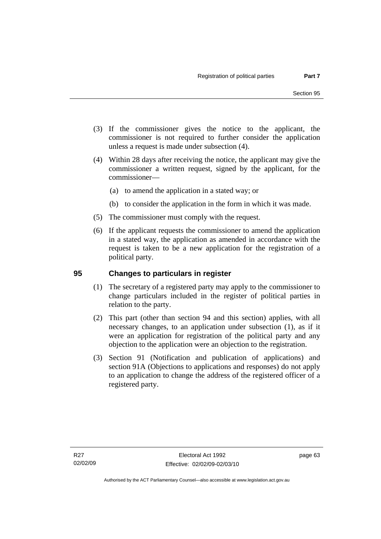- (3) If the commissioner gives the notice to the applicant, the commissioner is not required to further consider the application unless a request is made under subsection (4).
- (4) Within 28 days after receiving the notice, the applicant may give the commissioner a written request, signed by the applicant, for the commissioner—
	- (a) to amend the application in a stated way; or
	- (b) to consider the application in the form in which it was made.
- (5) The commissioner must comply with the request.
- (6) If the applicant requests the commissioner to amend the application in a stated way, the application as amended in accordance with the request is taken to be a new application for the registration of a political party.

# **95 Changes to particulars in register**

- (1) The secretary of a registered party may apply to the commissioner to change particulars included in the register of political parties in relation to the party.
- (2) This part (other than section 94 and this section) applies, with all necessary changes, to an application under subsection (1), as if it were an application for registration of the political party and any objection to the application were an objection to the registration.
- (3) Section 91 (Notification and publication of applications) and section 91A (Objections to applications and responses) do not apply to an application to change the address of the registered officer of a registered party.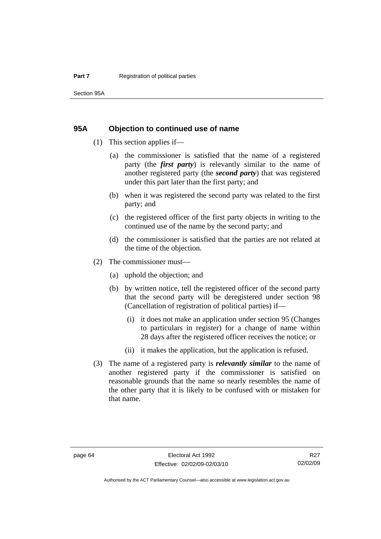#### **95A Objection to continued use of name**

- (1) This section applies if—
	- (a) the commissioner is satisfied that the name of a registered party (the *first party*) is relevantly similar to the name of another registered party (the *second party*) that was registered under this part later than the first party; and
	- (b) when it was registered the second party was related to the first party; and
	- (c) the registered officer of the first party objects in writing to the continued use of the name by the second party; and
	- (d) the commissioner is satisfied that the parties are not related at the time of the objection.
- (2) The commissioner must—
	- (a) uphold the objection; and
	- (b) by written notice, tell the registered officer of the second party that the second party will be deregistered under section 98 (Cancellation of registration of political parties) if—
		- (i) it does not make an application under section 95 (Changes to particulars in register) for a change of name within 28 days after the registered officer receives the notice; or
		- (ii) it makes the application, but the application is refused.
- (3) The name of a registered party is *relevantly similar* to the name of another registered party if the commissioner is satisfied on reasonable grounds that the name so nearly resembles the name of the other party that it is likely to be confused with or mistaken for that name.

Authorised by the ACT Parliamentary Counsel—also accessible at www.legislation.act.gov.au

R<sub>27</sub> 02/02/09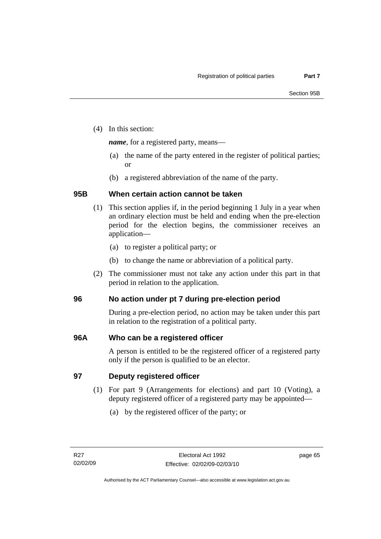(4) In this section:

*name*, for a registered party, means—

- (a) the name of the party entered in the register of political parties; or
- (b) a registered abbreviation of the name of the party.

# **95B When certain action cannot be taken**

- (1) This section applies if, in the period beginning 1 July in a year when an ordinary election must be held and ending when the pre-election period for the election begins, the commissioner receives an application—
	- (a) to register a political party; or
	- (b) to change the name or abbreviation of a political party.
- (2) The commissioner must not take any action under this part in that period in relation to the application.

# **96 No action under pt 7 during pre-election period**

During a pre-election period, no action may be taken under this part in relation to the registration of a political party.

# **96A Who can be a registered officer**

A person is entitled to be the registered officer of a registered party only if the person is qualified to be an elector.

**97 Deputy registered officer** 

- (1) For part 9 (Arrangements for elections) and part 10 (Voting), a deputy registered officer of a registered party may be appointed—
	- (a) by the registered officer of the party; or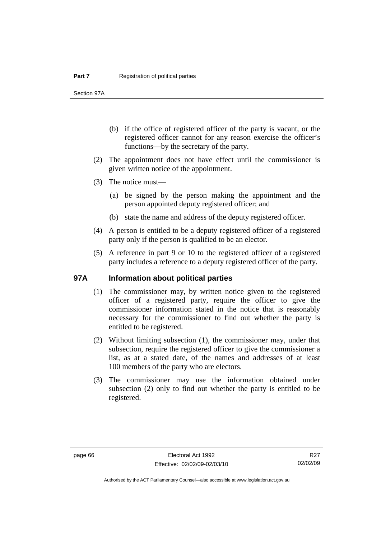Section 97A

- (b) if the office of registered officer of the party is vacant, or the registered officer cannot for any reason exercise the officer's functions—by the secretary of the party.
- (2) The appointment does not have effect until the commissioner is given written notice of the appointment.
- (3) The notice must—
	- (a) be signed by the person making the appointment and the person appointed deputy registered officer; and
	- (b) state the name and address of the deputy registered officer.
- (4) A person is entitled to be a deputy registered officer of a registered party only if the person is qualified to be an elector.
- (5) A reference in part 9 or 10 to the registered officer of a registered party includes a reference to a deputy registered officer of the party.

#### **97A Information about political parties**

- (1) The commissioner may, by written notice given to the registered officer of a registered party, require the officer to give the commissioner information stated in the notice that is reasonably necessary for the commissioner to find out whether the party is entitled to be registered.
- (2) Without limiting subsection (1), the commissioner may, under that subsection, require the registered officer to give the commissioner a list, as at a stated date, of the names and addresses of at least 100 members of the party who are electors.
- (3) The commissioner may use the information obtained under subsection (2) only to find out whether the party is entitled to be registered.

R<sub>27</sub> 02/02/09

Authorised by the ACT Parliamentary Counsel—also accessible at www.legislation.act.gov.au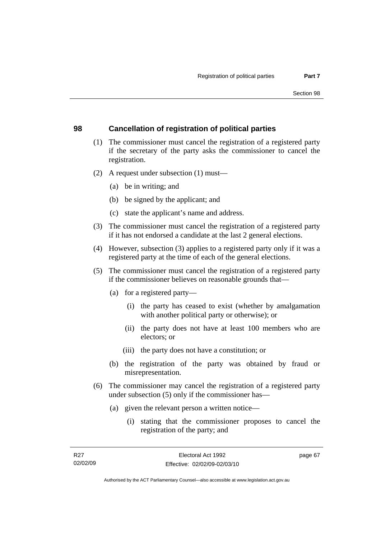# **98 Cancellation of registration of political parties**

- (1) The commissioner must cancel the registration of a registered party if the secretary of the party asks the commissioner to cancel the registration.
- (2) A request under subsection (1) must—
	- (a) be in writing; and
	- (b) be signed by the applicant; and
	- (c) state the applicant's name and address.
- (3) The commissioner must cancel the registration of a registered party if it has not endorsed a candidate at the last 2 general elections.
- (4) However, subsection (3) applies to a registered party only if it was a registered party at the time of each of the general elections.
- (5) The commissioner must cancel the registration of a registered party if the commissioner believes on reasonable grounds that—
	- (a) for a registered party—
		- (i) the party has ceased to exist (whether by amalgamation with another political party or otherwise); or
		- (ii) the party does not have at least 100 members who are electors; or
		- (iii) the party does not have a constitution; or
	- (b) the registration of the party was obtained by fraud or misrepresentation.
- (6) The commissioner may cancel the registration of a registered party under subsection (5) only if the commissioner has—
	- (a) given the relevant person a written notice—
		- (i) stating that the commissioner proposes to cancel the registration of the party; and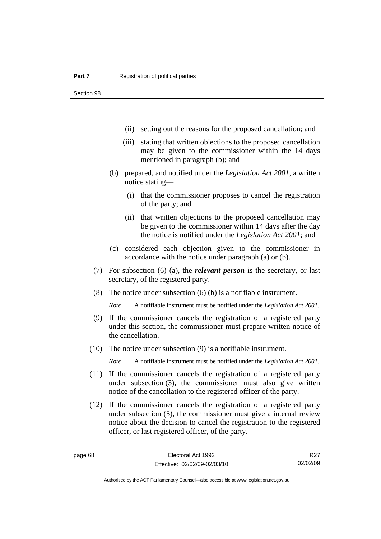- (ii) setting out the reasons for the proposed cancellation; and
- (iii) stating that written objections to the proposed cancellation may be given to the commissioner within the 14 days mentioned in paragraph (b); and
- (b) prepared, and notified under the *Legislation Act 2001*, a written notice stating—
	- (i) that the commissioner proposes to cancel the registration of the party; and
	- (ii) that written objections to the proposed cancellation may be given to the commissioner within 14 days after the day the notice is notified under the *Legislation Act 2001*; and
- (c) considered each objection given to the commissioner in accordance with the notice under paragraph (a) or (b).
- (7) For subsection (6) (a), the *relevant person* is the secretary, or last secretary, of the registered party.
- (8) The notice under subsection (6) (b) is a notifiable instrument.

*Note* A notifiable instrument must be notified under the *Legislation Act 2001*.

- (9) If the commissioner cancels the registration of a registered party under this section, the commissioner must prepare written notice of the cancellation.
- (10) The notice under subsection (9) is a notifiable instrument.

*Note* A notifiable instrument must be notified under the *Legislation Act 2001*.

- (11) If the commissioner cancels the registration of a registered party under subsection (3), the commissioner must also give written notice of the cancellation to the registered officer of the party.
- (12) If the commissioner cancels the registration of a registered party under subsection (5), the commissioner must give a internal review notice about the decision to cancel the registration to the registered officer, or last registered officer, of the party.

R<sub>27</sub> 02/02/09

Authorised by the ACT Parliamentary Counsel—also accessible at www.legislation.act.gov.au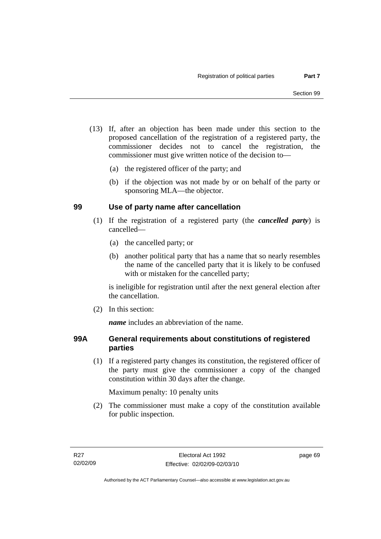- (13) If, after an objection has been made under this section to the proposed cancellation of the registration of a registered party, the commissioner decides not to cancel the registration, the commissioner must give written notice of the decision to—
	- (a) the registered officer of the party; and
	- (b) if the objection was not made by or on behalf of the party or sponsoring MLA—the objector.

# **99 Use of party name after cancellation**

- (1) If the registration of a registered party (the *cancelled party*) is cancelled—
	- (a) the cancelled party; or
	- (b) another political party that has a name that so nearly resembles the name of the cancelled party that it is likely to be confused with or mistaken for the cancelled party;

is ineligible for registration until after the next general election after the cancellation.

(2) In this section:

*name* includes an abbreviation of the name.

### **99A General requirements about constitutions of registered parties**

 (1) If a registered party changes its constitution, the registered officer of the party must give the commissioner a copy of the changed constitution within 30 days after the change.

Maximum penalty: 10 penalty units

 (2) The commissioner must make a copy of the constitution available for public inspection.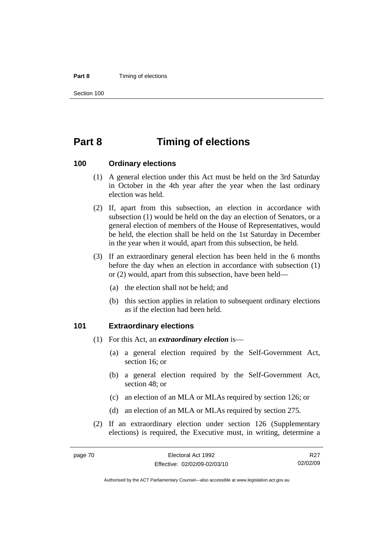#### **Part 8 Timing of elections**

Section 100

# **Part 8 Timing of elections**

#### **100 Ordinary elections**

- (1) A general election under this Act must be held on the 3rd Saturday in October in the 4th year after the year when the last ordinary election was held.
- (2) If, apart from this subsection, an election in accordance with subsection (1) would be held on the day an election of Senators, or a general election of members of the House of Representatives, would be held, the election shall be held on the 1st Saturday in December in the year when it would, apart from this subsection, be held.
- (3) If an extraordinary general election has been held in the 6 months before the day when an election in accordance with subsection (1) or (2) would, apart from this subsection, have been held—
	- (a) the election shall not be held; and
	- (b) this section applies in relation to subsequent ordinary elections as if the election had been held.

#### **101 Extraordinary elections**

- (1) For this Act, an *extraordinary election* is—
	- (a) a general election required by the Self-Government Act, section 16; or
	- (b) a general election required by the Self-Government Act, section 48; or
	- (c) an election of an MLA or MLAs required by section 126; or
	- (d) an election of an MLA or MLAs required by section 275.
- (2) If an extraordinary election under section 126 (Supplementary elections) is required, the Executive must, in writing, determine a

R<sub>27</sub> 02/02/09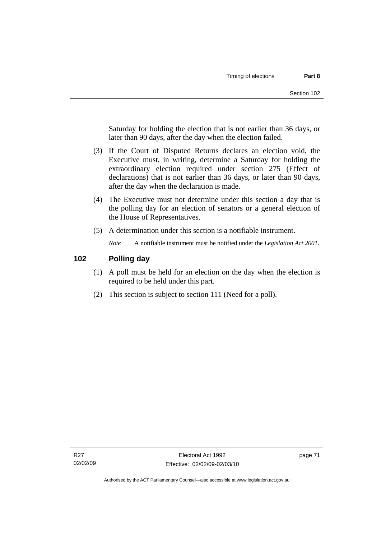Saturday for holding the election that is not earlier than 36 days, or later than 90 days, after the day when the election failed.

- (3) If the Court of Disputed Returns declares an election void, the Executive must, in writing, determine a Saturday for holding the extraordinary election required under section 275 (Effect of declarations) that is not earlier than 36 days, or later than 90 days, after the day when the declaration is made.
- (4) The Executive must not determine under this section a day that is the polling day for an election of senators or a general election of the House of Representatives.
- (5) A determination under this section is a notifiable instrument.

*Note* A notifiable instrument must be notified under the *Legislation Act 2001*.

### **102 Polling day**

- (1) A poll must be held for an election on the day when the election is required to be held under this part.
- (2) This section is subject to section 111 (Need for a poll).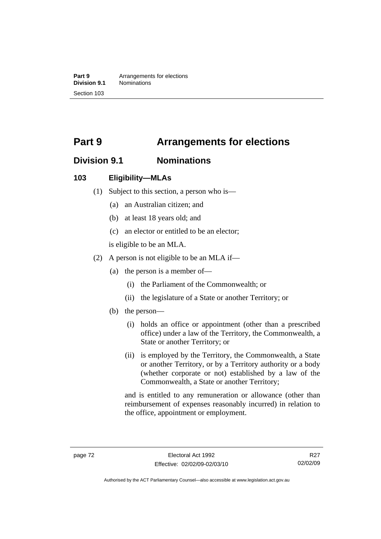**Part 9 Arrangements for elections**<br>**Division 9.1 Nominations Division 9.1** Nominations Section 103

# **Part 9 Arrangements for elections**

# **Division 9.1 Nominations**

### **103 Eligibility—MLAs**

- (1) Subject to this section, a person who is—
	- (a) an Australian citizen; and
	- (b) at least 18 years old; and
	- (c) an elector or entitled to be an elector;

is eligible to be an MLA.

- (2) A person is not eligible to be an MLA if—
	- (a) the person is a member of—
		- (i) the Parliament of the Commonwealth; or
		- (ii) the legislature of a State or another Territory; or
	- (b) the person—
		- (i) holds an office or appointment (other than a prescribed office) under a law of the Territory, the Commonwealth, a State or another Territory; or
		- (ii) is employed by the Territory, the Commonwealth, a State or another Territory, or by a Territory authority or a body (whether corporate or not) established by a law of the Commonwealth, a State or another Territory;

and is entitled to any remuneration or allowance (other than reimbursement of expenses reasonably incurred) in relation to the office, appointment or employment.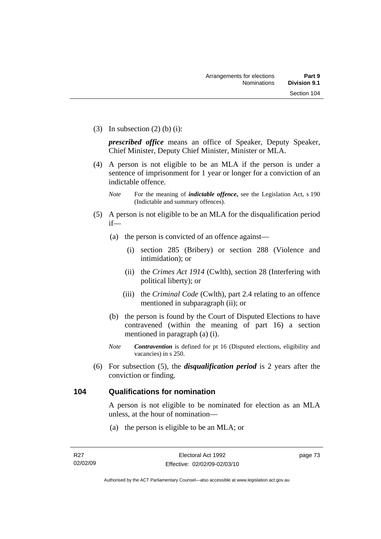(3) In subsection  $(2)$  (b) (i):

*prescribed office* means an office of Speaker, Deputy Speaker, Chief Minister, Deputy Chief Minister, Minister or MLA.

 (4) A person is not eligible to be an MLA if the person is under a sentence of imprisonment for 1 year or longer for a conviction of an indictable offence.

- (5) A person is not eligible to be an MLA for the disqualification period if—
	- (a) the person is convicted of an offence against—
		- (i) section 285 (Bribery) or section 288 (Violence and intimidation); or
		- (ii) the *Crimes Act 1914* (Cwlth), section 28 (Interfering with political liberty); or
		- (iii) the *Criminal Code* (Cwlth), part 2.4 relating to an offence mentioned in subparagraph (ii); or
	- (b) the person is found by the Court of Disputed Elections to have contravened (within the meaning of part 16) a section mentioned in paragraph (a) (i).
	- *Note Contravention* is defined for pt 16 (Disputed elections, eligibility and vacancies) in s 250.
- (6) For subsection (5), the *disqualification period* is 2 years after the conviction or finding.

# **104 Qualifications for nomination**

A person is not eligible to be nominated for election as an MLA unless, at the hour of nomination—

(a) the person is eligible to be an MLA; or

*Note* For the meaning of *indictable offence*, see the Legislation Act, s 190 (Indictable and summary offences).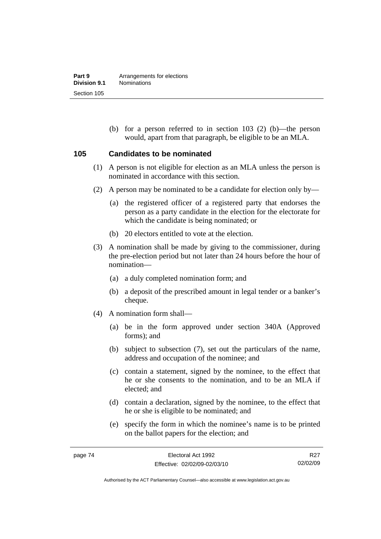(b) for a person referred to in section 103 (2) (b)—the person would, apart from that paragraph, be eligible to be an MLA.

#### **105 Candidates to be nominated**

- (1) A person is not eligible for election as an MLA unless the person is nominated in accordance with this section.
- (2) A person may be nominated to be a candidate for election only by—
	- (a) the registered officer of a registered party that endorses the person as a party candidate in the election for the electorate for which the candidate is being nominated; or
	- (b) 20 electors entitled to vote at the election.
- (3) A nomination shall be made by giving to the commissioner, during the pre-election period but not later than 24 hours before the hour of nomination—
	- (a) a duly completed nomination form; and
	- (b) a deposit of the prescribed amount in legal tender or a banker's cheque.
- (4) A nomination form shall—
	- (a) be in the form approved under section 340A (Approved forms); and
	- (b) subject to subsection (7), set out the particulars of the name, address and occupation of the nominee; and
	- (c) contain a statement, signed by the nominee, to the effect that he or she consents to the nomination, and to be an MLA if elected; and
	- (d) contain a declaration, signed by the nominee, to the effect that he or she is eligible to be nominated; and
	- (e) specify the form in which the nominee's name is to be printed on the ballot papers for the election; and

R<sub>27</sub> 02/02/09

Authorised by the ACT Parliamentary Counsel—also accessible at www.legislation.act.gov.au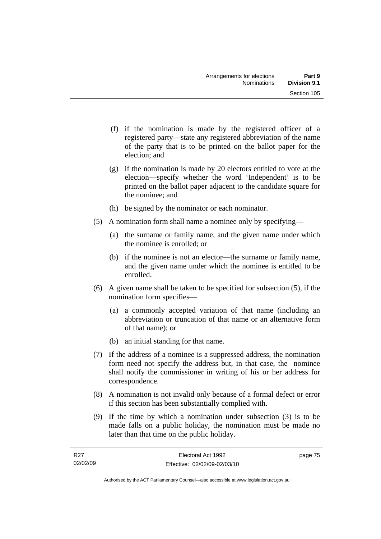- (f) if the nomination is made by the registered officer of a registered party—state any registered abbreviation of the name of the party that is to be printed on the ballot paper for the election; and
- (g) if the nomination is made by 20 electors entitled to vote at the election—specify whether the word 'Independent' is to be printed on the ballot paper adjacent to the candidate square for the nominee; and
- (h) be signed by the nominator or each nominator.
- (5) A nomination form shall name a nominee only by specifying—
	- (a) the surname or family name, and the given name under which the nominee is enrolled; or
	- (b) if the nominee is not an elector—the surname or family name, and the given name under which the nominee is entitled to be enrolled.
- (6) A given name shall be taken to be specified for subsection (5), if the nomination form specifies—
	- (a) a commonly accepted variation of that name (including an abbreviation or truncation of that name or an alternative form of that name); or
	- (b) an initial standing for that name.
- (7) If the address of a nominee is a suppressed address, the nomination form need not specify the address but, in that case, the nominee shall notify the commissioner in writing of his or her address for correspondence.
- (8) A nomination is not invalid only because of a formal defect or error if this section has been substantially complied with.
- (9) If the time by which a nomination under subsection (3) is to be made falls on a public holiday, the nomination must be made no later than that time on the public holiday.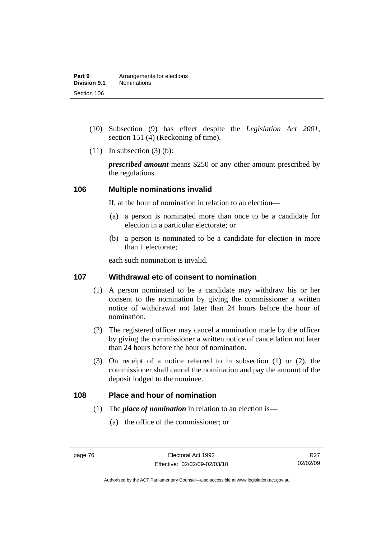- (10) Subsection (9) has effect despite the *Legislation Act 2001*, section 151 (4) (Reckoning of time).
- $(11)$  In subsection  $(3)$  (b):

*prescribed amount* means \$250 or any other amount prescribed by the regulations.

#### **106 Multiple nominations invalid**

If, at the hour of nomination in relation to an election—

- (a) a person is nominated more than once to be a candidate for election in a particular electorate; or
- (b) a person is nominated to be a candidate for election in more than 1 electorate;

each such nomination is invalid.

### **107 Withdrawal etc of consent to nomination**

- (1) A person nominated to be a candidate may withdraw his or her consent to the nomination by giving the commissioner a written notice of withdrawal not later than 24 hours before the hour of nomination.
- (2) The registered officer may cancel a nomination made by the officer by giving the commissioner a written notice of cancellation not later than 24 hours before the hour of nomination.
- (3) On receipt of a notice referred to in subsection (1) or (2), the commissioner shall cancel the nomination and pay the amount of the deposit lodged to the nominee.

#### **108 Place and hour of nomination**

- (1) The *place of nomination* in relation to an election is—
	- (a) the office of the commissioner; or

Authorised by the ACT Parliamentary Counsel—also accessible at www.legislation.act.gov.au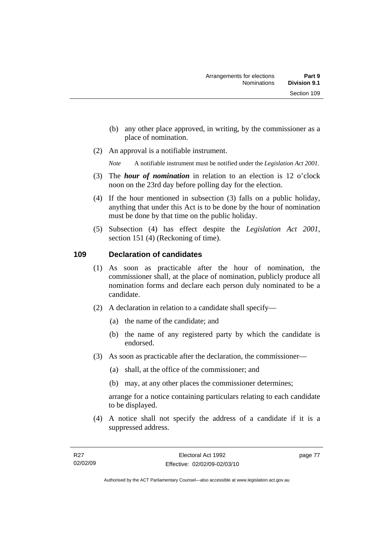- (b) any other place approved, in writing, by the commissioner as a place of nomination.
- (2) An approval is a notifiable instrument.

*Note* A notifiable instrument must be notified under the *Legislation Act 2001*.

- (3) The *hour of nomination* in relation to an election is 12 o'clock noon on the 23rd day before polling day for the election.
- (4) If the hour mentioned in subsection (3) falls on a public holiday, anything that under this Act is to be done by the hour of nomination must be done by that time on the public holiday.
- (5) Subsection (4) has effect despite the *Legislation Act 2001*, section 151 (4) (Reckoning of time).

# **109 Declaration of candidates**

- (1) As soon as practicable after the hour of nomination, the commissioner shall, at the place of nomination, publicly produce all nomination forms and declare each person duly nominated to be a candidate.
- (2) A declaration in relation to a candidate shall specify—
	- (a) the name of the candidate; and
	- (b) the name of any registered party by which the candidate is endorsed.
- (3) As soon as practicable after the declaration, the commissioner—
	- (a) shall, at the office of the commissioner; and
	- (b) may, at any other places the commissioner determines;

arrange for a notice containing particulars relating to each candidate to be displayed.

 (4) A notice shall not specify the address of a candidate if it is a suppressed address.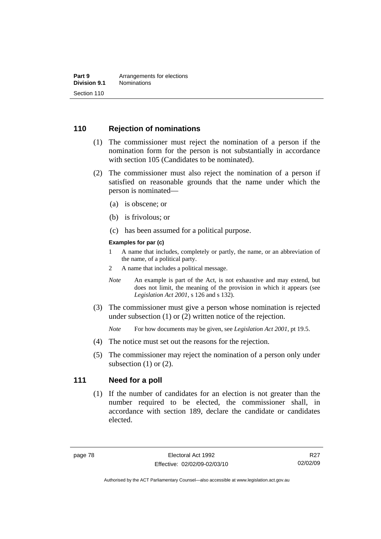## **110 Rejection of nominations**

- (1) The commissioner must reject the nomination of a person if the nomination form for the person is not substantially in accordance with section 105 (Candidates to be nominated).
- (2) The commissioner must also reject the nomination of a person if satisfied on reasonable grounds that the name under which the person is nominated—
	- (a) is obscene; or
	- (b) is frivolous; or
	- (c) has been assumed for a political purpose.

#### **Examples for par (c)**

- 1 A name that includes, completely or partly, the name, or an abbreviation of the name, of a political party.
- 2 A name that includes a political message.
- *Note* An example is part of the Act, is not exhaustive and may extend, but does not limit, the meaning of the provision in which it appears (see *Legislation Act 2001*, s 126 and s 132).
- (3) The commissioner must give a person whose nomination is rejected under subsection (1) or (2) written notice of the rejection.

*Note* For how documents may be given, see *Legislation Act 2001*, pt 19.5.

- (4) The notice must set out the reasons for the rejection.
- (5) The commissioner may reject the nomination of a person only under subsection  $(1)$  or  $(2)$ .

#### **111 Need for a poll**

 (1) If the number of candidates for an election is not greater than the number required to be elected, the commissioner shall, in accordance with section 189, declare the candidate or candidates elected.

R<sub>27</sub> 02/02/09

Authorised by the ACT Parliamentary Counsel—also accessible at www.legislation.act.gov.au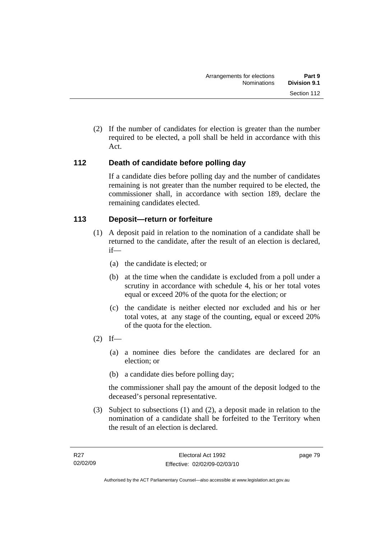(2) If the number of candidates for election is greater than the number required to be elected, a poll shall be held in accordance with this Act.

# **112 Death of candidate before polling day**

If a candidate dies before polling day and the number of candidates remaining is not greater than the number required to be elected, the commissioner shall, in accordance with section 189, declare the remaining candidates elected.

# **113 Deposit—return or forfeiture**

- (1) A deposit paid in relation to the nomination of a candidate shall be returned to the candidate, after the result of an election is declared, if—
	- (a) the candidate is elected; or
	- (b) at the time when the candidate is excluded from a poll under a scrutiny in accordance with schedule 4, his or her total votes equal or exceed 20% of the quota for the election; or
	- (c) the candidate is neither elected nor excluded and his or her total votes, at any stage of the counting, equal or exceed 20% of the quota for the election.
- $(2)$  If—
	- (a) a nominee dies before the candidates are declared for an election; or
	- (b) a candidate dies before polling day;

the commissioner shall pay the amount of the deposit lodged to the deceased's personal representative.

 (3) Subject to subsections (1) and (2), a deposit made in relation to the nomination of a candidate shall be forfeited to the Territory when the result of an election is declared.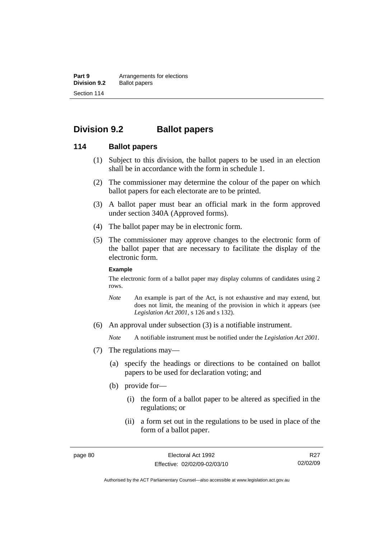**Part 9 Arrangements for elections**<br>**Division 9.2 Ballot papers Ballot papers** Section 114

# **Division 9.2 Ballot papers**

#### **114 Ballot papers**

- (1) Subject to this division, the ballot papers to be used in an election shall be in accordance with the form in schedule 1.
- (2) The commissioner may determine the colour of the paper on which ballot papers for each electorate are to be printed.
- (3) A ballot paper must bear an official mark in the form approved under section 340A (Approved forms).
- (4) The ballot paper may be in electronic form.
- (5) The commissioner may approve changes to the electronic form of the ballot paper that are necessary to facilitate the display of the electronic form.

#### **Example**

The electronic form of a ballot paper may display columns of candidates using 2 rows.

- *Note* An example is part of the Act, is not exhaustive and may extend, but does not limit, the meaning of the provision in which it appears (see *Legislation Act 2001*, s 126 and s 132).
- (6) An approval under subsection (3) is a notifiable instrument.

*Note* A notifiable instrument must be notified under the *Legislation Act 2001*.

- (7) The regulations may—
	- (a) specify the headings or directions to be contained on ballot papers to be used for declaration voting; and
	- (b) provide for—
		- (i) the form of a ballot paper to be altered as specified in the regulations; or
		- (ii) a form set out in the regulations to be used in place of the form of a ballot paper.

Authorised by the ACT Parliamentary Counsel—also accessible at www.legislation.act.gov.au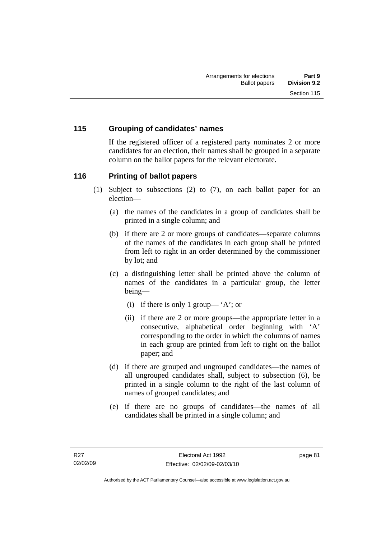# **115 Grouping of candidates' names**

If the registered officer of a registered party nominates 2 or more candidates for an election, their names shall be grouped in a separate column on the ballot papers for the relevant electorate.

# **116 Printing of ballot papers**

- (1) Subject to subsections (2) to (7), on each ballot paper for an election—
	- (a) the names of the candidates in a group of candidates shall be printed in a single column; and
	- (b) if there are 2 or more groups of candidates—separate columns of the names of the candidates in each group shall be printed from left to right in an order determined by the commissioner by lot; and
	- (c) a distinguishing letter shall be printed above the column of names of the candidates in a particular group, the letter being—
		- (i) if there is only 1 group— 'A'; or
		- (ii) if there are 2 or more groups—the appropriate letter in a consecutive, alphabetical order beginning with 'A' corresponding to the order in which the columns of names in each group are printed from left to right on the ballot paper; and
	- (d) if there are grouped and ungrouped candidates—the names of all ungrouped candidates shall, subject to subsection (6), be printed in a single column to the right of the last column of names of grouped candidates; and
	- (e) if there are no groups of candidates—the names of all candidates shall be printed in a single column; and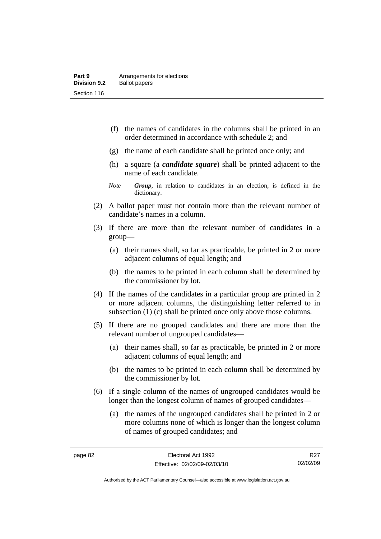- (f) the names of candidates in the columns shall be printed in an order determined in accordance with schedule 2; and
- (g) the name of each candidate shall be printed once only; and
- (h) a square (a *candidate square*) shall be printed adjacent to the name of each candidate.
- *Note Group*, in relation to candidates in an election, is defined in the dictionary.
- (2) A ballot paper must not contain more than the relevant number of candidate's names in a column.
- (3) If there are more than the relevant number of candidates in a group—
	- (a) their names shall, so far as practicable, be printed in 2 or more adjacent columns of equal length; and
	- (b) the names to be printed in each column shall be determined by the commissioner by lot.
- (4) If the names of the candidates in a particular group are printed in 2 or more adjacent columns, the distinguishing letter referred to in subsection (1) (c) shall be printed once only above those columns.
- (5) If there are no grouped candidates and there are more than the relevant number of ungrouped candidates—
	- (a) their names shall, so far as practicable, be printed in 2 or more adjacent columns of equal length; and
	- (b) the names to be printed in each column shall be determined by the commissioner by lot.
- (6) If a single column of the names of ungrouped candidates would be longer than the longest column of names of grouped candidates—
	- (a) the names of the ungrouped candidates shall be printed in 2 or more columns none of which is longer than the longest column of names of grouped candidates; and

R<sub>27</sub> 02/02/09

Authorised by the ACT Parliamentary Counsel—also accessible at www.legislation.act.gov.au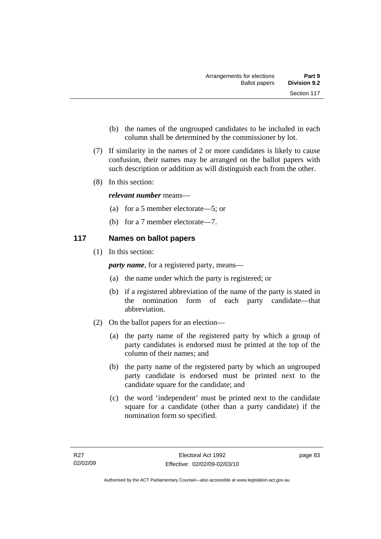- (b) the names of the ungrouped candidates to be included in each column shall be determined by the commissioner by lot.
- (7) If similarity in the names of 2 or more candidates is likely to cause confusion, their names may be arranged on the ballot papers with such description or addition as will distinguish each from the other.
- (8) In this section:

### *relevant number* means—

- (a) for a 5 member electorate—5; or
- (b) for a 7 member electorate—7.

# **117 Names on ballot papers**

(1) In this section:

*party name*, for a registered party, means—

- (a) the name under which the party is registered; or
- (b) if a registered abbreviation of the name of the party is stated in the nomination form of each party candidate—that abbreviation.
- (2) On the ballot papers for an election—
	- (a) the party name of the registered party by which a group of party candidates is endorsed must be printed at the top of the column of their names; and
	- (b) the party name of the registered party by which an ungrouped party candidate is endorsed must be printed next to the candidate square for the candidate; and
	- (c) the word 'independent' must be printed next to the candidate square for a candidate (other than a party candidate) if the nomination form so specified.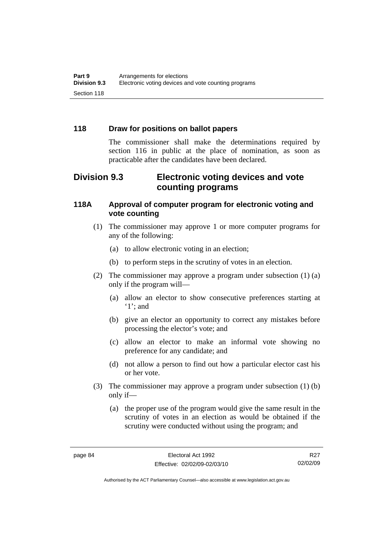# **118 Draw for positions on ballot papers**

The commissioner shall make the determinations required by section 116 in public at the place of nomination, as soon as practicable after the candidates have been declared.

# **Division 9.3 Electronic voting devices and vote counting programs**

### **118A Approval of computer program for electronic voting and vote counting**

- (1) The commissioner may approve 1 or more computer programs for any of the following:
	- (a) to allow electronic voting in an election;
	- (b) to perform steps in the scrutiny of votes in an election.
- (2) The commissioner may approve a program under subsection (1) (a) only if the program will—
	- (a) allow an elector to show consecutive preferences starting at '1'; and
	- (b) give an elector an opportunity to correct any mistakes before processing the elector's vote; and
	- (c) allow an elector to make an informal vote showing no preference for any candidate; and
	- (d) not allow a person to find out how a particular elector cast his or her vote.
- (3) The commissioner may approve a program under subsection (1) (b) only if—
	- (a) the proper use of the program would give the same result in the scrutiny of votes in an election as would be obtained if the scrutiny were conducted without using the program; and

R<sub>27</sub> 02/02/09

Authorised by the ACT Parliamentary Counsel—also accessible at www.legislation.act.gov.au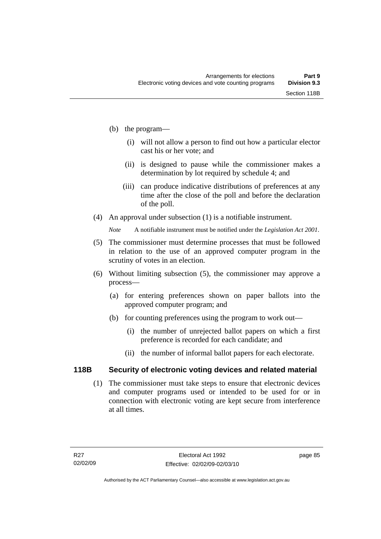- (b) the program—
	- (i) will not allow a person to find out how a particular elector cast his or her vote; and
	- (ii) is designed to pause while the commissioner makes a determination by lot required by schedule 4; and
	- (iii) can produce indicative distributions of preferences at any time after the close of the poll and before the declaration of the poll.
- (4) An approval under subsection (1) is a notifiable instrument.

*Note* A notifiable instrument must be notified under the *Legislation Act 2001*.

- (5) The commissioner must determine processes that must be followed in relation to the use of an approved computer program in the scrutiny of votes in an election.
- (6) Without limiting subsection (5), the commissioner may approve a process—
	- (a) for entering preferences shown on paper ballots into the approved computer program; and
	- (b) for counting preferences using the program to work out—
		- (i) the number of unrejected ballot papers on which a first preference is recorded for each candidate; and
		- (ii) the number of informal ballot papers for each electorate.

# **118B Security of electronic voting devices and related material**

 (1) The commissioner must take steps to ensure that electronic devices and computer programs used or intended to be used for or in connection with electronic voting are kept secure from interference at all times.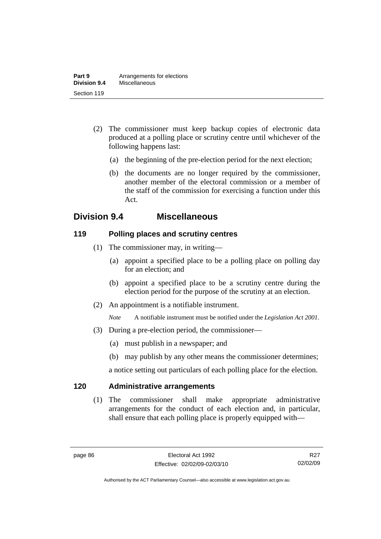- (2) The commissioner must keep backup copies of electronic data produced at a polling place or scrutiny centre until whichever of the following happens last:
	- (a) the beginning of the pre-election period for the next election;
	- (b) the documents are no longer required by the commissioner, another member of the electoral commission or a member of the staff of the commission for exercising a function under this Act.

# **Division 9.4 Miscellaneous**

# **119 Polling places and scrutiny centres**

- (1) The commissioner may, in writing—
	- (a) appoint a specified place to be a polling place on polling day for an election; and
	- (b) appoint a specified place to be a scrutiny centre during the election period for the purpose of the scrutiny at an election.
- (2) An appointment is a notifiable instrument.

*Note* A notifiable instrument must be notified under the *Legislation Act 2001*.

- (3) During a pre-election period, the commissioner—
	- (a) must publish in a newspaper; and
	- (b) may publish by any other means the commissioner determines;

a notice setting out particulars of each polling place for the election.

# **120 Administrative arrangements**

 (1) The commissioner shall make appropriate administrative arrangements for the conduct of each election and, in particular, shall ensure that each polling place is properly equipped with—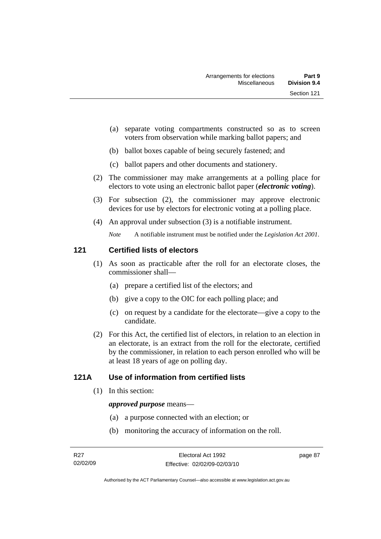- (a) separate voting compartments constructed so as to screen voters from observation while marking ballot papers; and
- (b) ballot boxes capable of being securely fastened; and
- (c) ballot papers and other documents and stationery.
- (2) The commissioner may make arrangements at a polling place for electors to vote using an electronic ballot paper (*electronic voting*).
- (3) For subsection (2), the commissioner may approve electronic devices for use by electors for electronic voting at a polling place.
- (4) An approval under subsection (3) is a notifiable instrument.

*Note* A notifiable instrument must be notified under the *Legislation Act 2001*.

# **121 Certified lists of electors**

- (1) As soon as practicable after the roll for an electorate closes, the commissioner shall—
	- (a) prepare a certified list of the electors; and
	- (b) give a copy to the OIC for each polling place; and
	- (c) on request by a candidate for the electorate—give a copy to the candidate.
- (2) For this Act, the certified list of electors, in relation to an election in an electorate, is an extract from the roll for the electorate, certified by the commissioner, in relation to each person enrolled who will be at least 18 years of age on polling day.

# **121A Use of information from certified lists**

(1) In this section:

#### *approved purpose* means—

- (a) a purpose connected with an election; or
- (b) monitoring the accuracy of information on the roll.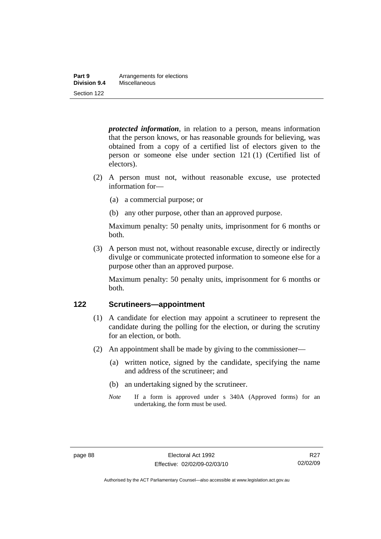| Part 9       | Arrangements for elections |
|--------------|----------------------------|
| Division 9.4 | Miscellaneous              |
| Section 122  |                            |

*protected information*, in relation to a person, means information that the person knows, or has reasonable grounds for believing, was obtained from a copy of a certified list of electors given to the person or someone else under section 121 (1) (Certified list of electors).

- (2) A person must not, without reasonable excuse, use protected information for—
	- (a) a commercial purpose; or
	- (b) any other purpose, other than an approved purpose.

Maximum penalty: 50 penalty units, imprisonment for 6 months or both.

 (3) A person must not, without reasonable excuse, directly or indirectly divulge or communicate protected information to someone else for a purpose other than an approved purpose.

Maximum penalty: 50 penalty units, imprisonment for 6 months or both.

#### **122 Scrutineers—appointment**

- (1) A candidate for election may appoint a scrutineer to represent the candidate during the polling for the election, or during the scrutiny for an election, or both.
- (2) An appointment shall be made by giving to the commissioner—
	- (a) written notice, signed by the candidate, specifying the name and address of the scrutineer; and
	- (b) an undertaking signed by the scrutineer.
	- *Note* If a form is approved under s 340A (Approved forms) for an undertaking, the form must be used.

Authorised by the ACT Parliamentary Counsel—also accessible at www.legislation.act.gov.au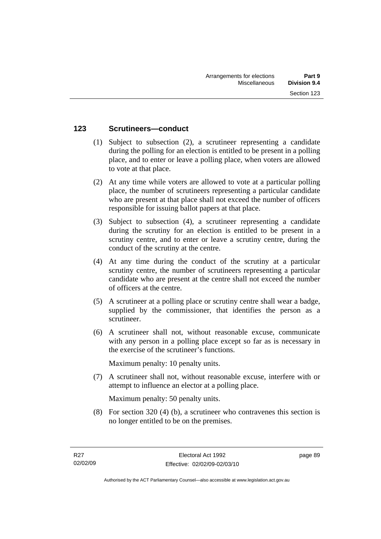## **123 Scrutineers—conduct**

- (1) Subject to subsection (2), a scrutineer representing a candidate during the polling for an election is entitled to be present in a polling place, and to enter or leave a polling place, when voters are allowed to vote at that place.
- (2) At any time while voters are allowed to vote at a particular polling place, the number of scrutineers representing a particular candidate who are present at that place shall not exceed the number of officers responsible for issuing ballot papers at that place.
- (3) Subject to subsection (4), a scrutineer representing a candidate during the scrutiny for an election is entitled to be present in a scrutiny centre, and to enter or leave a scrutiny centre, during the conduct of the scrutiny at the centre.
- (4) At any time during the conduct of the scrutiny at a particular scrutiny centre, the number of scrutineers representing a particular candidate who are present at the centre shall not exceed the number of officers at the centre.
- (5) A scrutineer at a polling place or scrutiny centre shall wear a badge, supplied by the commissioner, that identifies the person as a scrutineer.
- (6) A scrutineer shall not, without reasonable excuse, communicate with any person in a polling place except so far as is necessary in the exercise of the scrutineer's functions.

Maximum penalty: 10 penalty units.

 (7) A scrutineer shall not, without reasonable excuse, interfere with or attempt to influence an elector at a polling place.

Maximum penalty: 50 penalty units.

 (8) For section 320 (4) (b), a scrutineer who contravenes this section is no longer entitled to be on the premises.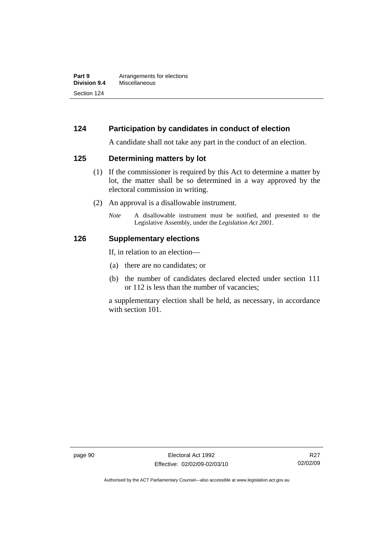# **124 Participation by candidates in conduct of election**

A candidate shall not take any part in the conduct of an election.

#### **125 Determining matters by lot**

- (1) If the commissioner is required by this Act to determine a matter by lot, the matter shall be so determined in a way approved by the electoral commission in writing.
- (2) An approval is a disallowable instrument.
	- *Note* A disallowable instrument must be notified, and presented to the Legislative Assembly, under the *Legislation Act 2001*.

#### **126 Supplementary elections**

If, in relation to an election—

- (a) there are no candidates; or
- (b) the number of candidates declared elected under section 111 or 112 is less than the number of vacancies;

a supplementary election shall be held, as necessary, in accordance with section 101.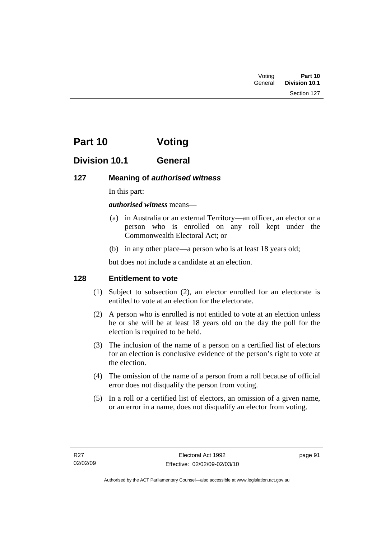| <b>Division 10.1</b> |
|----------------------|
|                      |

# **Part 10 Voting**

# **Division 10.1 General**

### **127 Meaning of** *authorised witness*

In this part:

*authorised witness* means—

- (a) in Australia or an external Territory—an officer, an elector or a person who is enrolled on any roll kept under the Commonwealth Electoral Act; or
- (b) in any other place—a person who is at least 18 years old;

but does not include a candidate at an election.

### **128 Entitlement to vote**

- (1) Subject to subsection (2), an elector enrolled for an electorate is entitled to vote at an election for the electorate.
- (2) A person who is enrolled is not entitled to vote at an election unless he or she will be at least 18 years old on the day the poll for the election is required to be held.
- (3) The inclusion of the name of a person on a certified list of electors for an election is conclusive evidence of the person's right to vote at the election.
- (4) The omission of the name of a person from a roll because of official error does not disqualify the person from voting.
- (5) In a roll or a certified list of electors, an omission of a given name, or an error in a name, does not disqualify an elector from voting.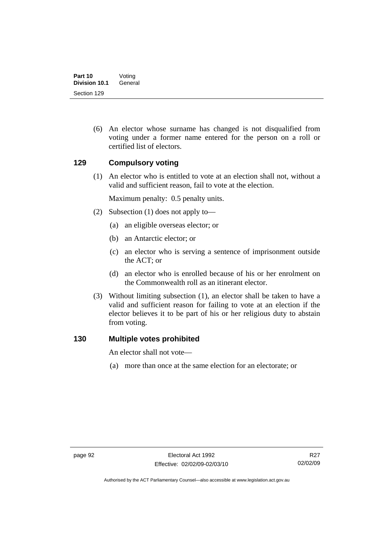(6) An elector whose surname has changed is not disqualified from voting under a former name entered for the person on a roll or certified list of electors.

#### **129 Compulsory voting**

 (1) An elector who is entitled to vote at an election shall not, without a valid and sufficient reason, fail to vote at the election.

Maximum penalty: 0.5 penalty units.

- (2) Subsection (1) does not apply to—
	- (a) an eligible overseas elector; or
	- (b) an Antarctic elector; or
	- (c) an elector who is serving a sentence of imprisonment outside the ACT; or
	- (d) an elector who is enrolled because of his or her enrolment on the Commonwealth roll as an itinerant elector.
- (3) Without limiting subsection (1), an elector shall be taken to have a valid and sufficient reason for failing to vote at an election if the elector believes it to be part of his or her religious duty to abstain from voting.

#### **130 Multiple votes prohibited**

An elector shall not vote—

(a) more than once at the same election for an electorate; or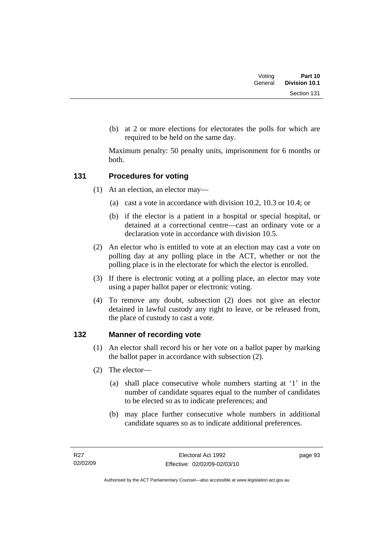| Voting  | Part 10       |
|---------|---------------|
| General | Division 10.1 |
|         | Section 131   |

 (b) at 2 or more elections for electorates the polls for which are required to be held on the same day.

Maximum penalty: 50 penalty units, imprisonment for 6 months or both.

### **131 Procedures for voting**

- (1) At an election, an elector may—
	- (a) cast a vote in accordance with division 10.2, 10.3 or 10.4; or
	- (b) if the elector is a patient in a hospital or special hospital, or detained at a correctional centre—cast an ordinary vote or a declaration vote in accordance with division 10.5.
- (2) An elector who is entitled to vote at an election may cast a vote on polling day at any polling place in the ACT, whether or not the polling place is in the electorate for which the elector is enrolled.
- (3) If there is electronic voting at a polling place, an elector may vote using a paper ballot paper or electronic voting.
- (4) To remove any doubt, subsection (2) does not give an elector detained in lawful custody any right to leave, or be released from, the place of custody to cast a vote.

### **132 Manner of recording vote**

- (1) An elector shall record his or her vote on a ballot paper by marking the ballot paper in accordance with subsection (2).
- (2) The elector—
	- (a) shall place consecutive whole numbers starting at '1' in the number of candidate squares equal to the number of candidates to be elected so as to indicate preferences; and
	- (b) may place further consecutive whole numbers in additional candidate squares so as to indicate additional preferences.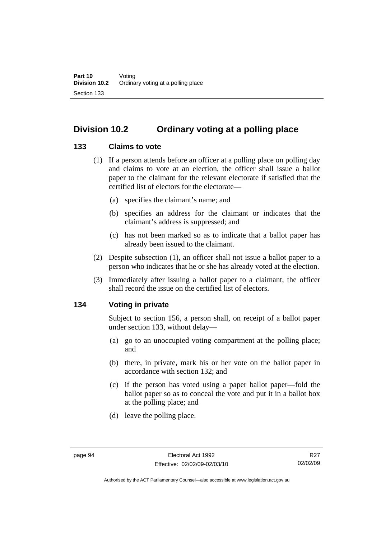# **Division 10.2 Ordinary voting at a polling place**

#### **133 Claims to vote**

- (1) If a person attends before an officer at a polling place on polling day and claims to vote at an election, the officer shall issue a ballot paper to the claimant for the relevant electorate if satisfied that the certified list of electors for the electorate—
	- (a) specifies the claimant's name; and
	- (b) specifies an address for the claimant or indicates that the claimant's address is suppressed; and
	- (c) has not been marked so as to indicate that a ballot paper has already been issued to the claimant.
- (2) Despite subsection (1), an officer shall not issue a ballot paper to a person who indicates that he or she has already voted at the election.
- (3) Immediately after issuing a ballot paper to a claimant, the officer shall record the issue on the certified list of electors.

### **134 Voting in private**

Subject to section 156, a person shall, on receipt of a ballot paper under section 133, without delay—

- (a) go to an unoccupied voting compartment at the polling place; and
- (b) there, in private, mark his or her vote on the ballot paper in accordance with section 132; and
- (c) if the person has voted using a paper ballot paper—fold the ballot paper so as to conceal the vote and put it in a ballot box at the polling place; and
- (d) leave the polling place.

Authorised by the ACT Parliamentary Counsel—also accessible at www.legislation.act.gov.au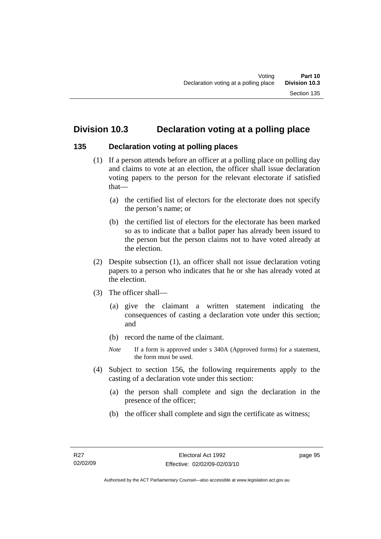### **Division 10.3 Declaration voting at a polling place**

#### **135 Declaration voting at polling places**

- (1) If a person attends before an officer at a polling place on polling day and claims to vote at an election, the officer shall issue declaration voting papers to the person for the relevant electorate if satisfied that—
	- (a) the certified list of electors for the electorate does not specify the person's name; or
	- (b) the certified list of electors for the electorate has been marked so as to indicate that a ballot paper has already been issued to the person but the person claims not to have voted already at the election.
- (2) Despite subsection (1), an officer shall not issue declaration voting papers to a person who indicates that he or she has already voted at the election.
- (3) The officer shall—
	- (a) give the claimant a written statement indicating the consequences of casting a declaration vote under this section; and
	- (b) record the name of the claimant.
	- *Note* If a form is approved under s 340A (Approved forms) for a statement, the form must be used.
- (4) Subject to section 156, the following requirements apply to the casting of a declaration vote under this section:
	- (a) the person shall complete and sign the declaration in the presence of the officer;
	- (b) the officer shall complete and sign the certificate as witness;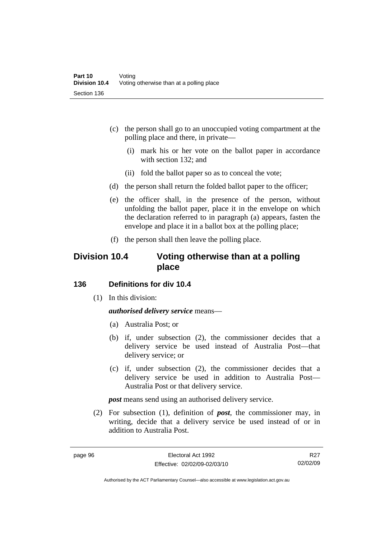- (c) the person shall go to an unoccupied voting compartment at the polling place and there, in private—
	- (i) mark his or her vote on the ballot paper in accordance with section 132; and
	- (ii) fold the ballot paper so as to conceal the vote;
- (d) the person shall return the folded ballot paper to the officer;
- (e) the officer shall, in the presence of the person, without unfolding the ballot paper, place it in the envelope on which the declaration referred to in paragraph (a) appears, fasten the envelope and place it in a ballot box at the polling place;
- (f) the person shall then leave the polling place.

## **Division 10.4 Voting otherwise than at a polling place**

#### **136 Definitions for div 10.4**

(1) In this division:

#### *authorised delivery service* means—

- (a) Australia Post; or
- (b) if, under subsection (2), the commissioner decides that a delivery service be used instead of Australia Post—that delivery service; or
- (c) if, under subsection (2), the commissioner decides that a delivery service be used in addition to Australia Post— Australia Post or that delivery service.

*post* means send using an authorised delivery service.

 (2) For subsection (1), definition of *post*, the commissioner may, in writing, decide that a delivery service be used instead of or in addition to Australia Post.

R<sub>27</sub> 02/02/09

Authorised by the ACT Parliamentary Counsel—also accessible at www.legislation.act.gov.au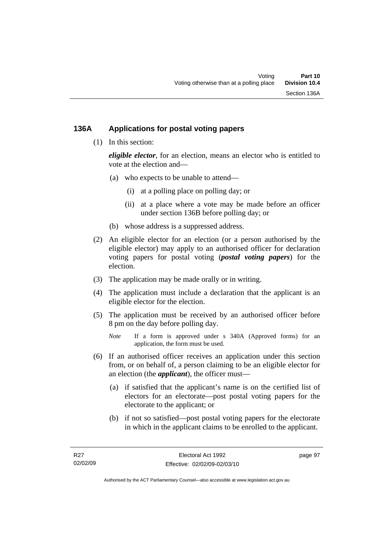#### **136A Applications for postal voting papers**

(1) In this section:

*eligible elector*, for an election, means an elector who is entitled to vote at the election and—

- (a) who expects to be unable to attend—
	- (i) at a polling place on polling day; or
	- (ii) at a place where a vote may be made before an officer under section 136B before polling day; or
- (b) whose address is a suppressed address.
- (2) An eligible elector for an election (or a person authorised by the eligible elector) may apply to an authorised officer for declaration voting papers for postal voting (*postal voting papers*) for the election.
- (3) The application may be made orally or in writing.
- (4) The application must include a declaration that the applicant is an eligible elector for the election.
- (5) The application must be received by an authorised officer before 8 pm on the day before polling day.
	- *Note* If a form is approved under s 340A (Approved forms) for an application, the form must be used.
- (6) If an authorised officer receives an application under this section from, or on behalf of, a person claiming to be an eligible elector for an election (the *applicant*), the officer must—
	- (a) if satisfied that the applicant's name is on the certified list of electors for an electorate—post postal voting papers for the electorate to the applicant; or
	- (b) if not so satisfied—post postal voting papers for the electorate in which in the applicant claims to be enrolled to the applicant.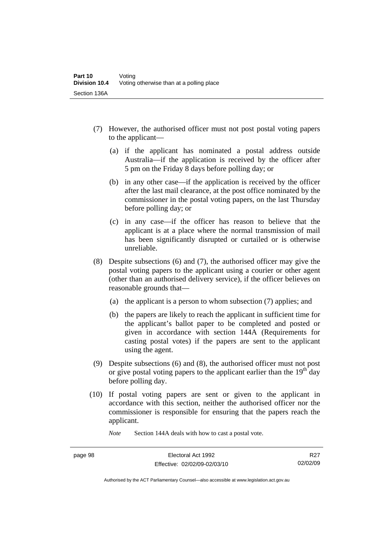- (7) However, the authorised officer must not post postal voting papers to the applicant—
	- (a) if the applicant has nominated a postal address outside Australia—if the application is received by the officer after 5 pm on the Friday 8 days before polling day; or
	- (b) in any other case—if the application is received by the officer after the last mail clearance, at the post office nominated by the commissioner in the postal voting papers, on the last Thursday before polling day; or
	- (c) in any case—if the officer has reason to believe that the applicant is at a place where the normal transmission of mail has been significantly disrupted or curtailed or is otherwise unreliable.
- (8) Despite subsections (6) and (7), the authorised officer may give the postal voting papers to the applicant using a courier or other agent (other than an authorised delivery service), if the officer believes on reasonable grounds that—
	- (a) the applicant is a person to whom subsection (7) applies; and
	- (b) the papers are likely to reach the applicant in sufficient time for the applicant's ballot paper to be completed and posted or given in accordance with section 144A (Requirements for casting postal votes) if the papers are sent to the applicant using the agent.
- (9) Despite subsections (6) and (8), the authorised officer must not post or give postal voting papers to the applicant earlier than the  $19<sup>th</sup>$  day before polling day.
- (10) If postal voting papers are sent or given to the applicant in accordance with this section, neither the authorised officer nor the commissioner is responsible for ensuring that the papers reach the applicant.

*Note* Section 144A deals with how to cast a postal vote.

Authorised by the ACT Parliamentary Counsel—also accessible at www.legislation.act.gov.au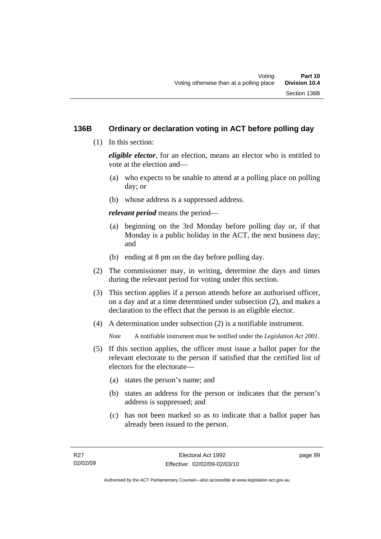### **136B Ordinary or declaration voting in ACT before polling day**

(1) In this section:

*eligible elector*, for an election, means an elector who is entitled to vote at the election and—

- (a) who expects to be unable to attend at a polling place on polling day; or
- (b) whose address is a suppressed address.

*relevant period* means the period—

- (a) beginning on the 3rd Monday before polling day or, if that Monday is a public holiday in the ACT, the next business day; and
- (b) ending at 8 pm on the day before polling day.
- (2) The commissioner may, in writing, determine the days and times during the relevant period for voting under this section.
- (3) This section applies if a person attends before an authorised officer, on a day and at a time determined under subsection (2), and makes a declaration to the effect that the person is an eligible elector.
- (4) A determination under subsection (2) is a notifiable instrument.

*Note* A notifiable instrument must be notified under the *Legislation Act 2001*.

- (5) If this section applies, the officer must issue a ballot paper for the relevant electorate to the person if satisfied that the certified list of electors for the electorate—
	- (a) states the person's name; and
	- (b) states an address for the person or indicates that the person's address is suppressed; and
	- (c) has not been marked so as to indicate that a ballot paper has already been issued to the person.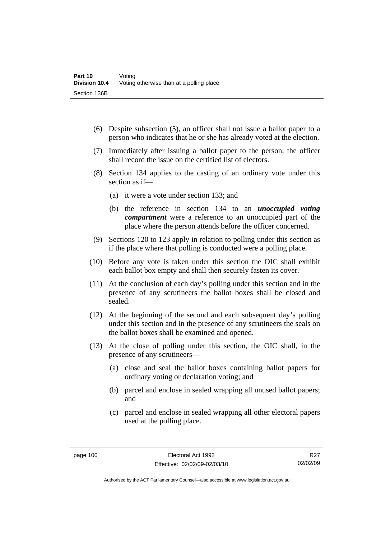- (6) Despite subsection (5), an officer shall not issue a ballot paper to a person who indicates that he or she has already voted at the election.
- (7) Immediately after issuing a ballot paper to the person, the officer shall record the issue on the certified list of electors.
- (8) Section 134 applies to the casting of an ordinary vote under this section as if—
	- (a) it were a vote under section 133; and
	- (b) the reference in section 134 to an *unoccupied voting compartment* were a reference to an unoccupied part of the place where the person attends before the officer concerned.
- (9) Sections 120 to 123 apply in relation to polling under this section as if the place where that polling is conducted were a polling place.
- (10) Before any vote is taken under this section the OIC shall exhibit each ballot box empty and shall then securely fasten its cover.
- (11) At the conclusion of each day's polling under this section and in the presence of any scrutineers the ballot boxes shall be closed and sealed.
- (12) At the beginning of the second and each subsequent day's polling under this section and in the presence of any scrutineers the seals on the ballot boxes shall be examined and opened.
- (13) At the close of polling under this section, the OIC shall, in the presence of any scrutineers—
	- (a) close and seal the ballot boxes containing ballot papers for ordinary voting or declaration voting; and
	- (b) parcel and enclose in sealed wrapping all unused ballot papers; and
	- (c) parcel and enclose in sealed wrapping all other electoral papers used at the polling place.

R<sub>27</sub> 02/02/09

Authorised by the ACT Parliamentary Counsel—also accessible at www.legislation.act.gov.au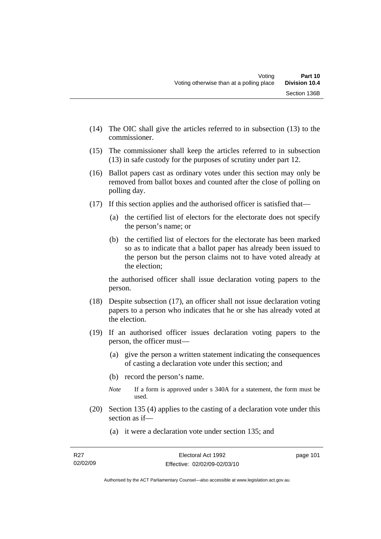- (14) The OIC shall give the articles referred to in subsection (13) to the commissioner.
- (15) The commissioner shall keep the articles referred to in subsection (13) in safe custody for the purposes of scrutiny under part 12.
- (16) Ballot papers cast as ordinary votes under this section may only be removed from ballot boxes and counted after the close of polling on polling day.
- (17) If this section applies and the authorised officer is satisfied that—
	- (a) the certified list of electors for the electorate does not specify the person's name; or
	- (b) the certified list of electors for the electorate has been marked so as to indicate that a ballot paper has already been issued to the person but the person claims not to have voted already at the election;

the authorised officer shall issue declaration voting papers to the person.

- (18) Despite subsection (17), an officer shall not issue declaration voting papers to a person who indicates that he or she has already voted at the election.
- (19) If an authorised officer issues declaration voting papers to the person, the officer must—
	- (a) give the person a written statement indicating the consequences of casting a declaration vote under this section; and
	- (b) record the person's name.
	- *Note* If a form is approved under s 340A for a statement, the form must be used.
- (20) Section 135 (4) applies to the casting of a declaration vote under this section as if—
	- (a) it were a declaration vote under section 135; and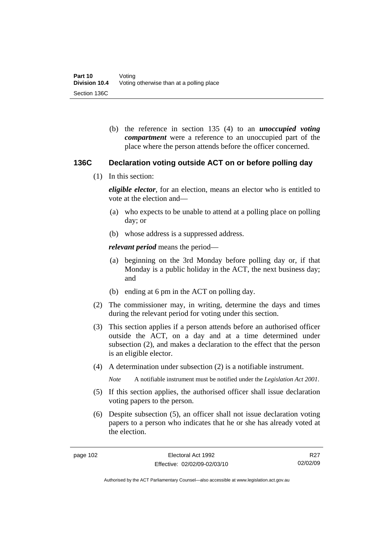(b) the reference in section 135 (4) to an *unoccupied voting compartment* were a reference to an unoccupied part of the place where the person attends before the officer concerned.

#### **136C Declaration voting outside ACT on or before polling day**

(1) In this section:

*eligible elector*, for an election, means an elector who is entitled to vote at the election and—

- (a) who expects to be unable to attend at a polling place on polling day; or
- (b) whose address is a suppressed address.

*relevant period* means the period—

- (a) beginning on the 3rd Monday before polling day or, if that Monday is a public holiday in the ACT, the next business day; and
- (b) ending at 6 pm in the ACT on polling day.
- (2) The commissioner may, in writing, determine the days and times during the relevant period for voting under this section.
- (3) This section applies if a person attends before an authorised officer outside the ACT, on a day and at a time determined under subsection (2), and makes a declaration to the effect that the person is an eligible elector.
- (4) A determination under subsection (2) is a notifiable instrument.

*Note* A notifiable instrument must be notified under the *Legislation Act 2001*.

- (5) If this section applies, the authorised officer shall issue declaration voting papers to the person.
- (6) Despite subsection (5), an officer shall not issue declaration voting papers to a person who indicates that he or she has already voted at the election.

R<sub>27</sub> 02/02/09

Authorised by the ACT Parliamentary Counsel—also accessible at www.legislation.act.gov.au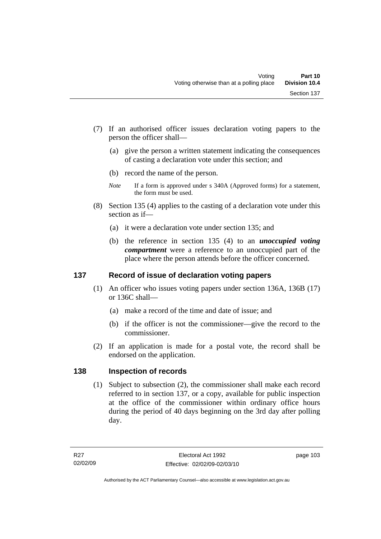- (7) If an authorised officer issues declaration voting papers to the person the officer shall—
	- (a) give the person a written statement indicating the consequences of casting a declaration vote under this section; and
	- (b) record the name of the person.
	- *Note* If a form is approved under s 340A (Approved forms) for a statement, the form must be used.
- (8) Section 135 (4) applies to the casting of a declaration vote under this section as if—
	- (a) it were a declaration vote under section 135; and
	- (b) the reference in section 135 (4) to an *unoccupied voting compartment* were a reference to an unoccupied part of the place where the person attends before the officer concerned.

### **137 Record of issue of declaration voting papers**

- (1) An officer who issues voting papers under section 136A, 136B (17) or 136C shall—
	- (a) make a record of the time and date of issue; and
	- (b) if the officer is not the commissioner—give the record to the commissioner.
- (2) If an application is made for a postal vote, the record shall be endorsed on the application.

### **138 Inspection of records**

 (1) Subject to subsection (2), the commissioner shall make each record referred to in section 137, or a copy, available for public inspection at the office of the commissioner within ordinary office hours during the period of 40 days beginning on the 3rd day after polling day.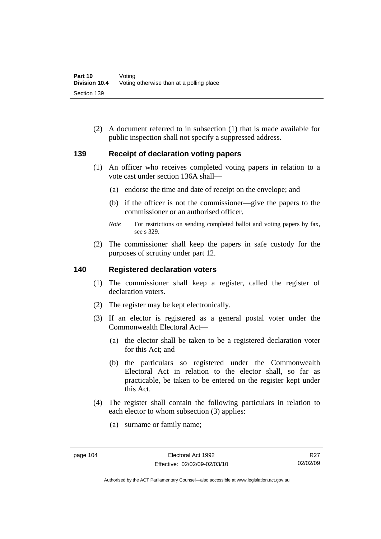(2) A document referred to in subsection (1) that is made available for public inspection shall not specify a suppressed address.

#### **139 Receipt of declaration voting papers**

- (1) An officer who receives completed voting papers in relation to a vote cast under section 136A shall—
	- (a) endorse the time and date of receipt on the envelope; and
	- (b) if the officer is not the commissioner—give the papers to the commissioner or an authorised officer.
	- *Note* For restrictions on sending completed ballot and voting papers by fax, see s 329.
- (2) The commissioner shall keep the papers in safe custody for the purposes of scrutiny under part 12.

#### **140 Registered declaration voters**

- (1) The commissioner shall keep a register, called the register of declaration voters.
- (2) The register may be kept electronically.
- (3) If an elector is registered as a general postal voter under the Commonwealth Electoral Act—
	- (a) the elector shall be taken to be a registered declaration voter for this Act; and
	- (b) the particulars so registered under the Commonwealth Electoral Act in relation to the elector shall, so far as practicable, be taken to be entered on the register kept under this Act.
- (4) The register shall contain the following particulars in relation to each elector to whom subsection (3) applies:
	- (a) surname or family name;

Authorised by the ACT Parliamentary Counsel—also accessible at www.legislation.act.gov.au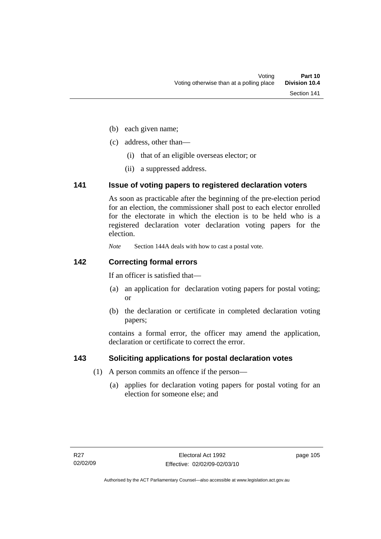- (b) each given name;
- (c) address, other than—
	- (i) that of an eligible overseas elector; or
	- (ii) a suppressed address.

#### **141 Issue of voting papers to registered declaration voters**

As soon as practicable after the beginning of the pre-election period for an election, the commissioner shall post to each elector enrolled for the electorate in which the election is to be held who is a registered declaration voter declaration voting papers for the election.

*Note* Section 144A deals with how to cast a postal vote.

#### **142 Correcting formal errors**

If an officer is satisfied that—

- (a) an application for declaration voting papers for postal voting; or
- (b) the declaration or certificate in completed declaration voting papers;

contains a formal error, the officer may amend the application, declaration or certificate to correct the error.

### **143 Soliciting applications for postal declaration votes**

- (1) A person commits an offence if the person—
	- (a) applies for declaration voting papers for postal voting for an election for someone else; and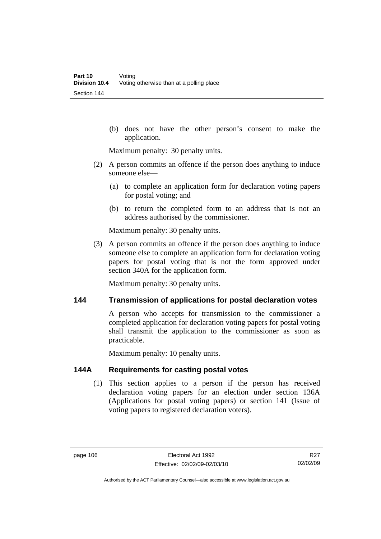(b) does not have the other person's consent to make the application.

Maximum penalty: 30 penalty units.

- (2) A person commits an offence if the person does anything to induce someone else—
	- (a) to complete an application form for declaration voting papers for postal voting; and
	- (b) to return the completed form to an address that is not an address authorised by the commissioner.

Maximum penalty: 30 penalty units.

 (3) A person commits an offence if the person does anything to induce someone else to complete an application form for declaration voting papers for postal voting that is not the form approved under section 340A for the application form.

Maximum penalty: 30 penalty units.

#### **144 Transmission of applications for postal declaration votes**

A person who accepts for transmission to the commissioner a completed application for declaration voting papers for postal voting shall transmit the application to the commissioner as soon as practicable.

Maximum penalty: 10 penalty units.

#### **144A Requirements for casting postal votes**

 (1) This section applies to a person if the person has received declaration voting papers for an election under section 136A (Applications for postal voting papers) or section 141 (Issue of voting papers to registered declaration voters).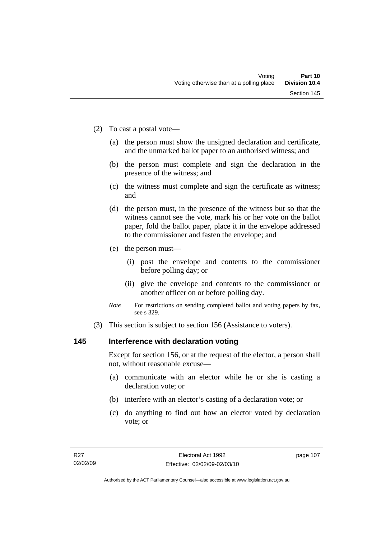- (2) To cast a postal vote—
	- (a) the person must show the unsigned declaration and certificate, and the unmarked ballot paper to an authorised witness; and
	- (b) the person must complete and sign the declaration in the presence of the witness; and
	- (c) the witness must complete and sign the certificate as witness; and
	- (d) the person must, in the presence of the witness but so that the witness cannot see the vote, mark his or her vote on the ballot paper, fold the ballot paper, place it in the envelope addressed to the commissioner and fasten the envelope; and
	- (e) the person must—
		- (i) post the envelope and contents to the commissioner before polling day; or
		- (ii) give the envelope and contents to the commissioner or another officer on or before polling day.
	- *Note* For restrictions on sending completed ballot and voting papers by fax, see s 329.
- (3) This section is subject to section 156 (Assistance to voters).

### **145 Interference with declaration voting**

Except for section 156, or at the request of the elector, a person shall not, without reasonable excuse—

- (a) communicate with an elector while he or she is casting a declaration vote; or
- (b) interfere with an elector's casting of a declaration vote; or
- (c) do anything to find out how an elector voted by declaration vote; or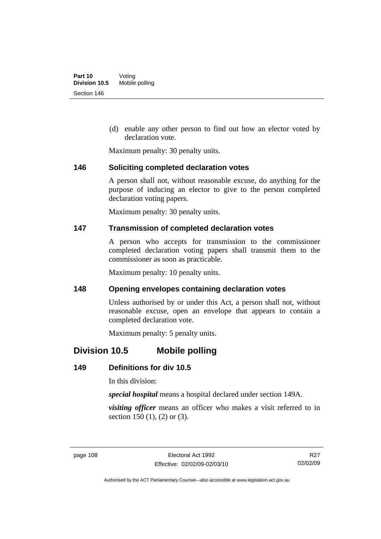(d) enable any other person to find out how an elector voted by declaration vote.

Maximum penalty: 30 penalty units.

#### **146 Soliciting completed declaration votes**

A person shall not, without reasonable excuse, do anything for the purpose of inducing an elector to give to the person completed declaration voting papers.

Maximum penalty: 30 penalty units.

#### **147 Transmission of completed declaration votes**

A person who accepts for transmission to the commissioner completed declaration voting papers shall transmit them to the commissioner as soon as practicable.

Maximum penalty: 10 penalty units.

#### **148 Opening envelopes containing declaration votes**

Unless authorised by or under this Act, a person shall not, without reasonable excuse, open an envelope that appears to contain a completed declaration vote.

Maximum penalty: 5 penalty units.

# **Division 10.5 Mobile polling**

### **149 Definitions for div 10.5**

In this division:

*special hospital* means a hospital declared under section 149A.

*visiting officer* means an officer who makes a visit referred to in section 150 (1), (2) or (3).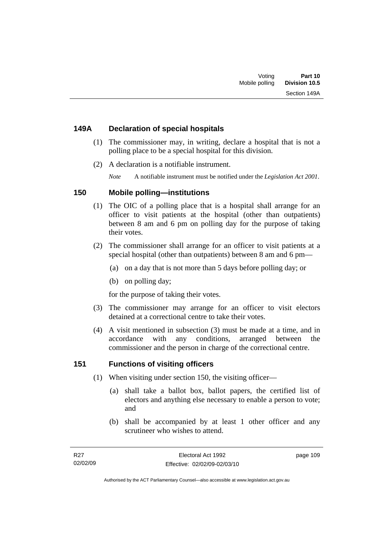### **149A Declaration of special hospitals**

- (1) The commissioner may, in writing, declare a hospital that is not a polling place to be a special hospital for this division.
- (2) A declaration is a notifiable instrument.

*Note* A notifiable instrument must be notified under the *Legislation Act 2001*.

### **150 Mobile polling—institutions**

- (1) The OIC of a polling place that is a hospital shall arrange for an officer to visit patients at the hospital (other than outpatients) between 8 am and 6 pm on polling day for the purpose of taking their votes.
- (2) The commissioner shall arrange for an officer to visit patients at a special hospital (other than outpatients) between 8 am and 6 pm—
	- (a) on a day that is not more than 5 days before polling day; or
	- (b) on polling day;

for the purpose of taking their votes.

- (3) The commissioner may arrange for an officer to visit electors detained at a correctional centre to take their votes.
- (4) A visit mentioned in subsection (3) must be made at a time, and in accordance with any conditions, arranged between the commissioner and the person in charge of the correctional centre.

### **151 Functions of visiting officers**

- (1) When visiting under section 150, the visiting officer—
	- (a) shall take a ballot box, ballot papers, the certified list of electors and anything else necessary to enable a person to vote; and
	- (b) shall be accompanied by at least 1 other officer and any scrutineer who wishes to attend.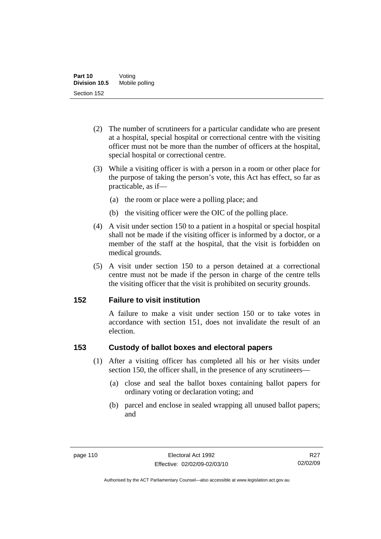- (2) The number of scrutineers for a particular candidate who are present at a hospital, special hospital or correctional centre with the visiting officer must not be more than the number of officers at the hospital, special hospital or correctional centre.
- (3) While a visiting officer is with a person in a room or other place for the purpose of taking the person's vote, this Act has effect, so far as practicable, as if—
	- (a) the room or place were a polling place; and
	- (b) the visiting officer were the OIC of the polling place.
- (4) A visit under section 150 to a patient in a hospital or special hospital shall not be made if the visiting officer is informed by a doctor, or a member of the staff at the hospital, that the visit is forbidden on medical grounds.
- (5) A visit under section 150 to a person detained at a correctional centre must not be made if the person in charge of the centre tells the visiting officer that the visit is prohibited on security grounds.

### **152 Failure to visit institution**

A failure to make a visit under section 150 or to take votes in accordance with section 151, does not invalidate the result of an election.

### **153 Custody of ballot boxes and electoral papers**

- (1) After a visiting officer has completed all his or her visits under section 150, the officer shall, in the presence of any scrutineers—
	- (a) close and seal the ballot boxes containing ballot papers for ordinary voting or declaration voting; and
	- (b) parcel and enclose in sealed wrapping all unused ballot papers; and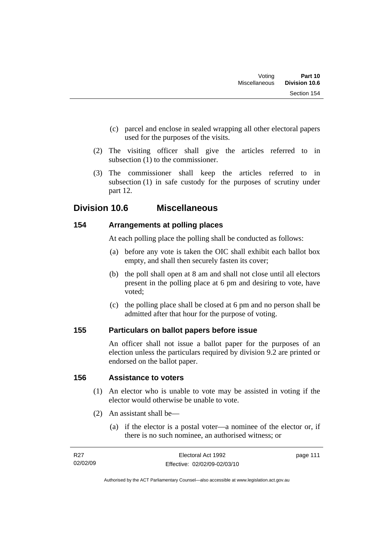- (c) parcel and enclose in sealed wrapping all other electoral papers used for the purposes of the visits.
- (2) The visiting officer shall give the articles referred to in subsection (1) to the commissioner.
- (3) The commissioner shall keep the articles referred to in subsection (1) in safe custody for the purposes of scrutiny under part 12.

# **Division 10.6 Miscellaneous**

### **154 Arrangements at polling places**

At each polling place the polling shall be conducted as follows:

- (a) before any vote is taken the OIC shall exhibit each ballot box empty, and shall then securely fasten its cover;
- (b) the poll shall open at 8 am and shall not close until all electors present in the polling place at 6 pm and desiring to vote, have voted;
- (c) the polling place shall be closed at 6 pm and no person shall be admitted after that hour for the purpose of voting.

### **155 Particulars on ballot papers before issue**

An officer shall not issue a ballot paper for the purposes of an election unless the particulars required by division 9.2 are printed or endorsed on the ballot paper.

### **156 Assistance to voters**

- (1) An elector who is unable to vote may be assisted in voting if the elector would otherwise be unable to vote.
- (2) An assistant shall be—
	- (a) if the elector is a postal voter—a nominee of the elector or, if there is no such nominee, an authorised witness; or

| R27      | Electoral Act 1992           | page 111 |
|----------|------------------------------|----------|
| 02/02/09 | Effective: 02/02/09-02/03/10 |          |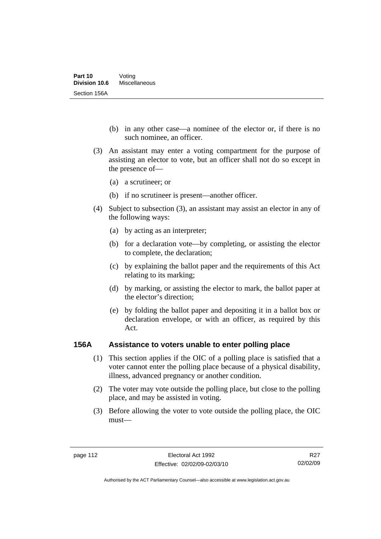- (b) in any other case—a nominee of the elector or, if there is no such nominee, an officer.
- (3) An assistant may enter a voting compartment for the purpose of assisting an elector to vote, but an officer shall not do so except in the presence of—
	- (a) a scrutineer; or
	- (b) if no scrutineer is present—another officer.
- (4) Subject to subsection (3), an assistant may assist an elector in any of the following ways:
	- (a) by acting as an interpreter;
	- (b) for a declaration vote—by completing, or assisting the elector to complete, the declaration;
	- (c) by explaining the ballot paper and the requirements of this Act relating to its marking;
	- (d) by marking, or assisting the elector to mark, the ballot paper at the elector's direction;
	- (e) by folding the ballot paper and depositing it in a ballot box or declaration envelope, or with an officer, as required by this Act.

#### **156A Assistance to voters unable to enter polling place**

- (1) This section applies if the OIC of a polling place is satisfied that a voter cannot enter the polling place because of a physical disability, illness, advanced pregnancy or another condition.
- (2) The voter may vote outside the polling place, but close to the polling place, and may be assisted in voting.
- (3) Before allowing the voter to vote outside the polling place, the OIC must—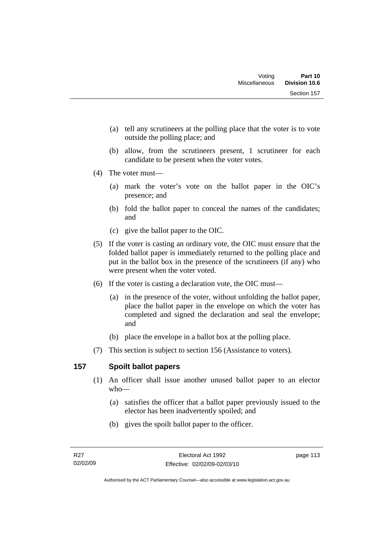- (a) tell any scrutineers at the polling place that the voter is to vote outside the polling place; and
- (b) allow, from the scrutineers present, 1 scrutineer for each candidate to be present when the voter votes.
- (4) The voter must—
	- (a) mark the voter's vote on the ballot paper in the OIC's presence; and
	- (b) fold the ballot paper to conceal the names of the candidates; and
	- (c) give the ballot paper to the OIC.
- (5) If the voter is casting an ordinary vote, the OIC must ensure that the folded ballot paper is immediately returned to the polling place and put in the ballot box in the presence of the scrutineers (if any) who were present when the voter voted.
- (6) If the voter is casting a declaration vote, the OIC must—
	- (a) in the presence of the voter, without unfolding the ballot paper, place the ballot paper in the envelope on which the voter has completed and signed the declaration and seal the envelope; and
	- (b) place the envelope in a ballot box at the polling place.
- (7) This section is subject to section 156 (Assistance to voters).

### **157 Spoilt ballot papers**

- (1) An officer shall issue another unused ballot paper to an elector who—
	- (a) satisfies the officer that a ballot paper previously issued to the elector has been inadvertently spoiled; and
	- (b) gives the spoilt ballot paper to the officer.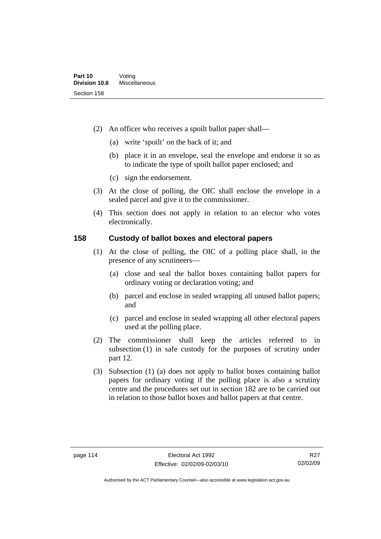- (2) An officer who receives a spoilt ballot paper shall—
	- (a) write 'spoilt' on the back of it; and
	- (b) place it in an envelope, seal the envelope and endorse it so as to indicate the type of spoilt ballot paper enclosed; and
	- (c) sign the endorsement.
- (3) At the close of polling, the OIC shall enclose the envelope in a sealed parcel and give it to the commissioner.
- (4) This section does not apply in relation to an elector who votes electronically.

#### **158 Custody of ballot boxes and electoral papers**

- (1) At the close of polling, the OIC of a polling place shall, in the presence of any scrutineers—
	- (a) close and seal the ballot boxes containing ballot papers for ordinary voting or declaration voting; and
	- (b) parcel and enclose in sealed wrapping all unused ballot papers; and
	- (c) parcel and enclose in sealed wrapping all other electoral papers used at the polling place.
- (2) The commissioner shall keep the articles referred to in subsection (1) in safe custody for the purposes of scrutiny under part 12.
- (3) Subsection (1) (a) does not apply to ballot boxes containing ballot papers for ordinary voting if the polling place is also a scrutiny centre and the procedures set out in section 182 are to be carried out in relation to those ballot boxes and ballot papers at that centre.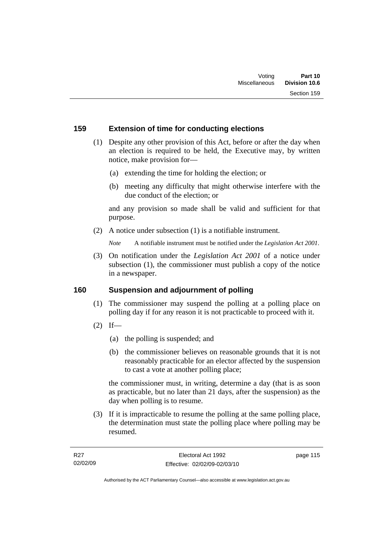### **159 Extension of time for conducting elections**

- (1) Despite any other provision of this Act, before or after the day when an election is required to be held, the Executive may, by written notice, make provision for—
	- (a) extending the time for holding the election; or
	- (b) meeting any difficulty that might otherwise interfere with the due conduct of the election; or

and any provision so made shall be valid and sufficient for that purpose.

(2) A notice under subsection (1) is a notifiable instrument.

*Note* A notifiable instrument must be notified under the *Legislation Act 2001*.

 (3) On notification under the *Legislation Act 2001* of a notice under subsection (1), the commissioner must publish a copy of the notice in a newspaper.

#### **160 Suspension and adjournment of polling**

- (1) The commissioner may suspend the polling at a polling place on polling day if for any reason it is not practicable to proceed with it.
- $(2)$  If—
	- (a) the polling is suspended; and
	- (b) the commissioner believes on reasonable grounds that it is not reasonably practicable for an elector affected by the suspension to cast a vote at another polling place;

the commissioner must, in writing, determine a day (that is as soon as practicable, but no later than 21 days, after the suspension) as the day when polling is to resume.

 (3) If it is impracticable to resume the polling at the same polling place, the determination must state the polling place where polling may be resumed.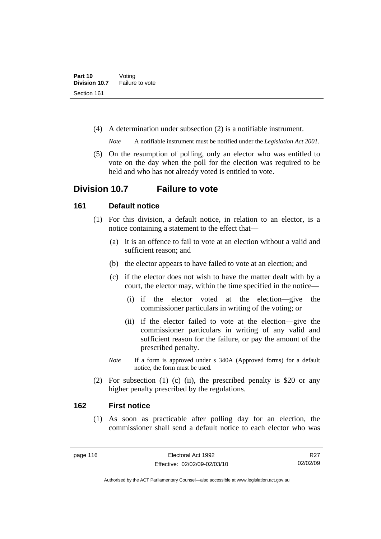(4) A determination under subsection (2) is a notifiable instrument.

*Note* A notifiable instrument must be notified under the *Legislation Act 2001*.

 (5) On the resumption of polling, only an elector who was entitled to vote on the day when the poll for the election was required to be held and who has not already voted is entitled to vote.

## **Division 10.7 Failure to vote**

#### **161 Default notice**

- (1) For this division, a default notice, in relation to an elector, is a notice containing a statement to the effect that—
	- (a) it is an offence to fail to vote at an election without a valid and sufficient reason; and
	- (b) the elector appears to have failed to vote at an election; and
	- (c) if the elector does not wish to have the matter dealt with by a court, the elector may, within the time specified in the notice—
		- (i) if the elector voted at the election—give the commissioner particulars in writing of the voting; or
		- (ii) if the elector failed to vote at the election—give the commissioner particulars in writing of any valid and sufficient reason for the failure, or pay the amount of the prescribed penalty.
	- *Note* If a form is approved under s 340A (Approved forms) for a default notice, the form must be used.
- (2) For subsection (1) (c) (ii), the prescribed penalty is \$20 or any higher penalty prescribed by the regulations.

#### **162 First notice**

 (1) As soon as practicable after polling day for an election, the commissioner shall send a default notice to each elector who was

R<sub>27</sub> 02/02/09

Authorised by the ACT Parliamentary Counsel—also accessible at www.legislation.act.gov.au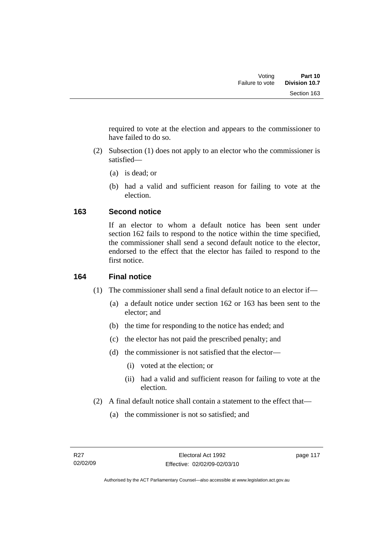required to vote at the election and appears to the commissioner to have failed to do so.

- (2) Subsection (1) does not apply to an elector who the commissioner is satisfied—
	- (a) is dead; or
	- (b) had a valid and sufficient reason for failing to vote at the election.

### **163 Second notice**

If an elector to whom a default notice has been sent under section 162 fails to respond to the notice within the time specified, the commissioner shall send a second default notice to the elector, endorsed to the effect that the elector has failed to respond to the first notice.

### **164 Final notice**

- (1) The commissioner shall send a final default notice to an elector if—
	- (a) a default notice under section 162 or 163 has been sent to the elector; and
	- (b) the time for responding to the notice has ended; and
	- (c) the elector has not paid the prescribed penalty; and
	- (d) the commissioner is not satisfied that the elector—
		- (i) voted at the election; or
		- (ii) had a valid and sufficient reason for failing to vote at the election.
- (2) A final default notice shall contain a statement to the effect that—
	- (a) the commissioner is not so satisfied; and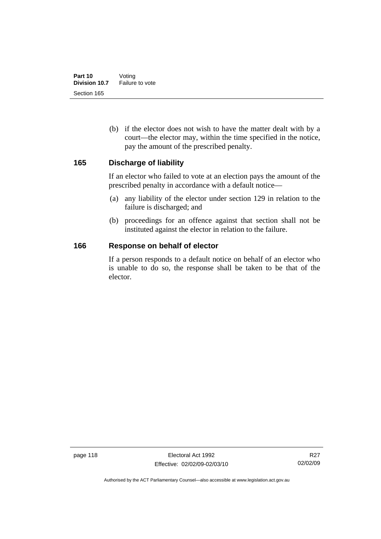(b) if the elector does not wish to have the matter dealt with by a court—the elector may, within the time specified in the notice, pay the amount of the prescribed penalty.

#### **165 Discharge of liability**

If an elector who failed to vote at an election pays the amount of the prescribed penalty in accordance with a default notice—

- (a) any liability of the elector under section 129 in relation to the failure is discharged; and
- (b) proceedings for an offence against that section shall not be instituted against the elector in relation to the failure.

#### **166 Response on behalf of elector**

If a person responds to a default notice on behalf of an elector who is unable to do so, the response shall be taken to be that of the elector.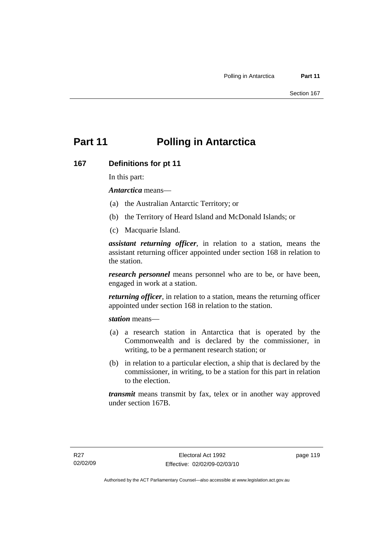# **Part 11 Polling in Antarctica**

#### **167 Definitions for pt 11**

In this part:

*Antarctica* means—

- (a) the Australian Antarctic Territory; or
- (b) the Territory of Heard Island and McDonald Islands; or
- (c) Macquarie Island.

*assistant returning officer*, in relation to a station, means the assistant returning officer appointed under section 168 in relation to the station.

*research personnel* means personnel who are to be, or have been, engaged in work at a station.

*returning officer*, in relation to a station, means the returning officer appointed under section 168 in relation to the station.

*station* means—

- (a) a research station in Antarctica that is operated by the Commonwealth and is declared by the commissioner, in writing, to be a permanent research station; or
- (b) in relation to a particular election, a ship that is declared by the commissioner, in writing, to be a station for this part in relation to the election.

*transmit* means transmit by fax, telex or in another way approved under section 167B.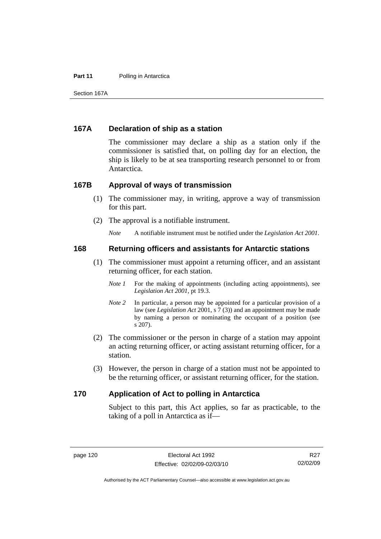#### **Part 11** Polling in Antarctica

Section 167A

#### **167A Declaration of ship as a station**

The commissioner may declare a ship as a station only if the commissioner is satisfied that, on polling day for an election, the ship is likely to be at sea transporting research personnel to or from Antarctica.

#### **167B Approval of ways of transmission**

- (1) The commissioner may, in writing, approve a way of transmission for this part.
- (2) The approval is a notifiable instrument.

*Note* A notifiable instrument must be notified under the *Legislation Act 2001*.

#### **168 Returning officers and assistants for Antarctic stations**

- (1) The commissioner must appoint a returning officer, and an assistant returning officer, for each station.
	- *Note 1* For the making of appointments (including acting appointments), see *Legislation Act 2001*, pt 19.3.
	- *Note 2* In particular, a person may be appointed for a particular provision of a law (see *Legislation Act* 2001, s 7 (3)) and an appointment may be made by naming a person or nominating the occupant of a position (see s 207).
- (2) The commissioner or the person in charge of a station may appoint an acting returning officer, or acting assistant returning officer, for a station.
- (3) However, the person in charge of a station must not be appointed to be the returning officer, or assistant returning officer, for the station.

#### **170 Application of Act to polling in Antarctica**

Subject to this part, this Act applies, so far as practicable, to the taking of a poll in Antarctica as if—

Authorised by the ACT Parliamentary Counsel—also accessible at www.legislation.act.gov.au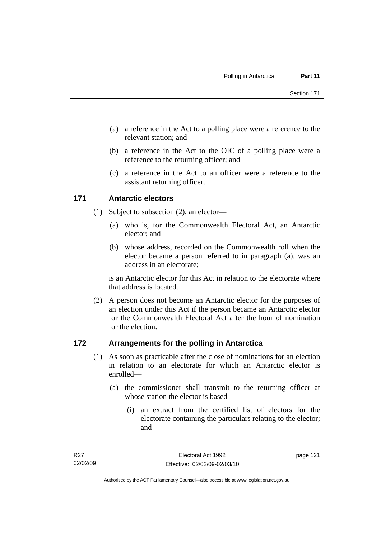- (a) a reference in the Act to a polling place were a reference to the relevant station; and
- (b) a reference in the Act to the OIC of a polling place were a reference to the returning officer; and
- (c) a reference in the Act to an officer were a reference to the assistant returning officer.

### **171 Antarctic electors**

- (1) Subject to subsection (2), an elector—
	- (a) who is, for the Commonwealth Electoral Act, an Antarctic elector; and
	- (b) whose address, recorded on the Commonwealth roll when the elector became a person referred to in paragraph (a), was an address in an electorate;

is an Antarctic elector for this Act in relation to the electorate where that address is located.

 (2) A person does not become an Antarctic elector for the purposes of an election under this Act if the person became an Antarctic elector for the Commonwealth Electoral Act after the hour of nomination for the election.

### **172 Arrangements for the polling in Antarctica**

- (1) As soon as practicable after the close of nominations for an election in relation to an electorate for which an Antarctic elector is enrolled—
	- (a) the commissioner shall transmit to the returning officer at whose station the elector is based—
		- (i) an extract from the certified list of electors for the electorate containing the particulars relating to the elector; and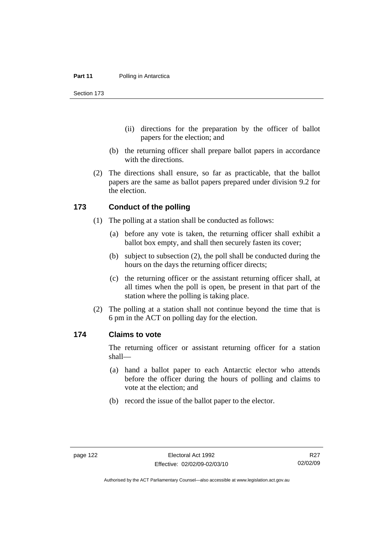Section 173

- (ii) directions for the preparation by the officer of ballot papers for the election; and
- (b) the returning officer shall prepare ballot papers in accordance with the directions.
- (2) The directions shall ensure, so far as practicable, that the ballot papers are the same as ballot papers prepared under division 9.2 for the election.

#### **173 Conduct of the polling**

- (1) The polling at a station shall be conducted as follows:
	- (a) before any vote is taken, the returning officer shall exhibit a ballot box empty, and shall then securely fasten its cover;
	- (b) subject to subsection (2), the poll shall be conducted during the hours on the days the returning officer directs;
	- (c) the returning officer or the assistant returning officer shall, at all times when the poll is open, be present in that part of the station where the polling is taking place.
- (2) The polling at a station shall not continue beyond the time that is 6 pm in the ACT on polling day for the election.

#### **174 Claims to vote**

The returning officer or assistant returning officer for a station shall—

- (a) hand a ballot paper to each Antarctic elector who attends before the officer during the hours of polling and claims to vote at the election; and
- (b) record the issue of the ballot paper to the elector.

Authorised by the ACT Parliamentary Counsel—also accessible at www.legislation.act.gov.au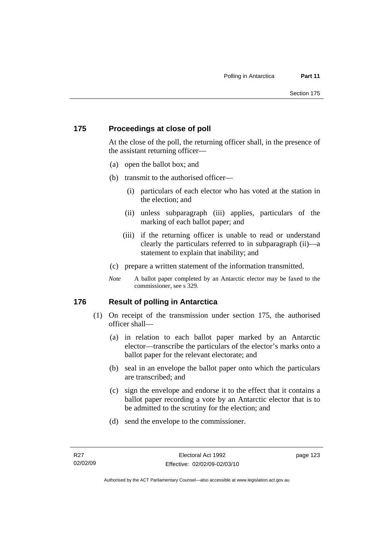### **175 Proceedings at close of poll**

At the close of the poll, the returning officer shall, in the presence of the assistant returning officer—

- (a) open the ballot box; and
- (b) transmit to the authorised officer—
	- (i) particulars of each elector who has voted at the station in the election; and
	- (ii) unless subparagraph (iii) applies, particulars of the marking of each ballot paper; and
	- (iii) if the returning officer is unable to read or understand clearly the particulars referred to in subparagraph (ii)—a statement to explain that inability; and
- (c) prepare a written statement of the information transmitted.
- *Note* A ballot paper completed by an Antarctic elector may be faxed to the commissioner, see s 329.

### **176 Result of polling in Antarctica**

- (1) On receipt of the transmission under section 175, the authorised officer shall—
	- (a) in relation to each ballot paper marked by an Antarctic elector—transcribe the particulars of the elector's marks onto a ballot paper for the relevant electorate; and
	- (b) seal in an envelope the ballot paper onto which the particulars are transcribed; and
	- (c) sign the envelope and endorse it to the effect that it contains a ballot paper recording a vote by an Antarctic elector that is to be admitted to the scrutiny for the election; and
	- (d) send the envelope to the commissioner.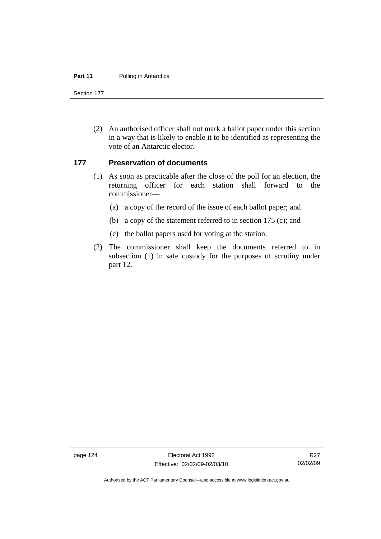#### **Part 11** Polling in Antarctica

Section 177

 (2) An authorised officer shall not mark a ballot paper under this section in a way that is likely to enable it to be identified as representing the vote of an Antarctic elector.

#### **177 Preservation of documents**

- (1) As soon as practicable after the close of the poll for an election, the returning officer for each station shall forward to the commissioner—
	- (a) a copy of the record of the issue of each ballot paper; and
	- (b) a copy of the statement referred to in section 175 (c); and
	- (c) the ballot papers used for voting at the station.
- (2) The commissioner shall keep the documents referred to in subsection (1) in safe custody for the purposes of scrutiny under part 12.

page 124 Electoral Act 1992 Effective: 02/02/09-02/03/10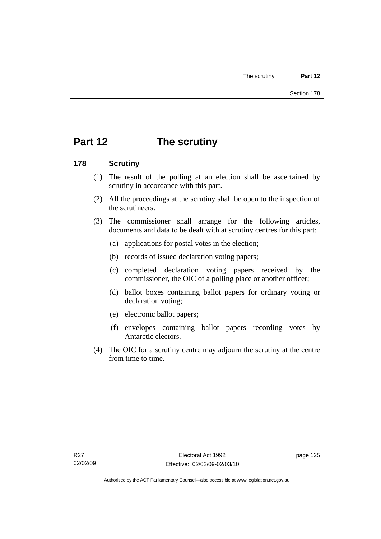# **Part 12 The scrutiny**

#### **178 Scrutiny**

- (1) The result of the polling at an election shall be ascertained by scrutiny in accordance with this part.
- (2) All the proceedings at the scrutiny shall be open to the inspection of the scrutineers.
- (3) The commissioner shall arrange for the following articles, documents and data to be dealt with at scrutiny centres for this part:
	- (a) applications for postal votes in the election;
	- (b) records of issued declaration voting papers;
	- (c) completed declaration voting papers received by the commissioner, the OIC of a polling place or another officer;
	- (d) ballot boxes containing ballot papers for ordinary voting or declaration voting;
	- (e) electronic ballot papers;
	- (f) envelopes containing ballot papers recording votes by Antarctic electors.
- (4) The OIC for a scrutiny centre may adjourn the scrutiny at the centre from time to time.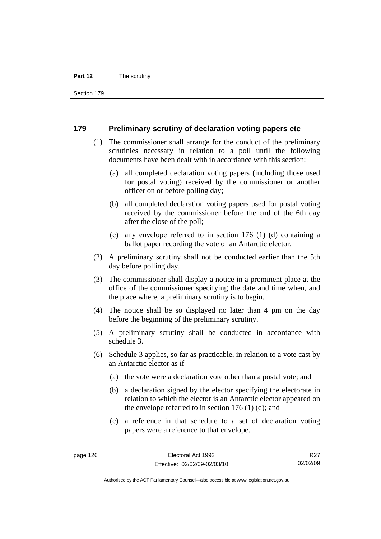#### **Part 12** The scrutiny

Section 179

#### **179 Preliminary scrutiny of declaration voting papers etc**

- (1) The commissioner shall arrange for the conduct of the preliminary scrutinies necessary in relation to a poll until the following documents have been dealt with in accordance with this section:
	- (a) all completed declaration voting papers (including those used for postal voting) received by the commissioner or another officer on or before polling day;
	- (b) all completed declaration voting papers used for postal voting received by the commissioner before the end of the 6th day after the close of the poll;
	- (c) any envelope referred to in section 176 (1) (d) containing a ballot paper recording the vote of an Antarctic elector.
- (2) A preliminary scrutiny shall not be conducted earlier than the 5th day before polling day.
- (3) The commissioner shall display a notice in a prominent place at the office of the commissioner specifying the date and time when, and the place where, a preliminary scrutiny is to begin.
- (4) The notice shall be so displayed no later than 4 pm on the day before the beginning of the preliminary scrutiny.
- (5) A preliminary scrutiny shall be conducted in accordance with schedule 3.
- (6) Schedule 3 applies, so far as practicable, in relation to a vote cast by an Antarctic elector as if—
	- (a) the vote were a declaration vote other than a postal vote; and
	- (b) a declaration signed by the elector specifying the electorate in relation to which the elector is an Antarctic elector appeared on the envelope referred to in section 176 (1) (d); and
	- (c) a reference in that schedule to a set of declaration voting papers were a reference to that envelope.

R<sub>27</sub> 02/02/09

Authorised by the ACT Parliamentary Counsel—also accessible at www.legislation.act.gov.au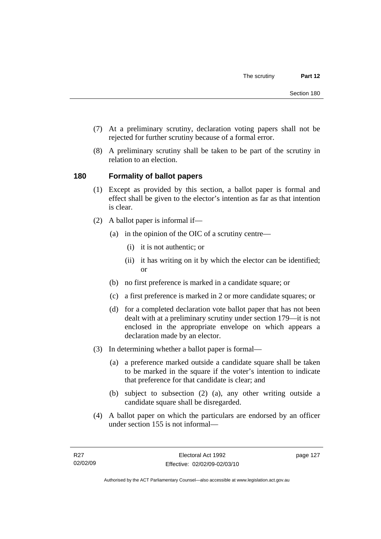- (7) At a preliminary scrutiny, declaration voting papers shall not be rejected for further scrutiny because of a formal error.
- (8) A preliminary scrutiny shall be taken to be part of the scrutiny in relation to an election.

## **180 Formality of ballot papers**

- (1) Except as provided by this section, a ballot paper is formal and effect shall be given to the elector's intention as far as that intention is clear.
- (2) A ballot paper is informal if—
	- (a) in the opinion of the OIC of a scrutiny centre—
		- (i) it is not authentic; or
		- (ii) it has writing on it by which the elector can be identified; or
	- (b) no first preference is marked in a candidate square; or
	- (c) a first preference is marked in 2 or more candidate squares; or
	- (d) for a completed declaration vote ballot paper that has not been dealt with at a preliminary scrutiny under section 179—it is not enclosed in the appropriate envelope on which appears a declaration made by an elector.
- (3) In determining whether a ballot paper is formal—
	- (a) a preference marked outside a candidate square shall be taken to be marked in the square if the voter's intention to indicate that preference for that candidate is clear; and
	- (b) subject to subsection (2) (a), any other writing outside a candidate square shall be disregarded.
- (4) A ballot paper on which the particulars are endorsed by an officer under section 155 is not informal—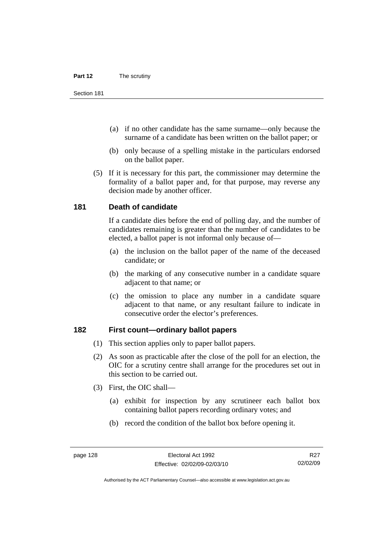- (a) if no other candidate has the same surname—only because the surname of a candidate has been written on the ballot paper; or
- (b) only because of a spelling mistake in the particulars endorsed on the ballot paper.
- (5) If it is necessary for this part, the commissioner may determine the formality of a ballot paper and, for that purpose, may reverse any decision made by another officer.

### **181 Death of candidate**

If a candidate dies before the end of polling day, and the number of candidates remaining is greater than the number of candidates to be elected, a ballot paper is not informal only because of—

- (a) the inclusion on the ballot paper of the name of the deceased candidate; or
- (b) the marking of any consecutive number in a candidate square adjacent to that name; or
- (c) the omission to place any number in a candidate square adjacent to that name, or any resultant failure to indicate in consecutive order the elector's preferences.

## **182 First count—ordinary ballot papers**

- (1) This section applies only to paper ballot papers.
- (2) As soon as practicable after the close of the poll for an election, the OIC for a scrutiny centre shall arrange for the procedures set out in this section to be carried out.
- (3) First, the OIC shall—
	- (a) exhibit for inspection by any scrutineer each ballot box containing ballot papers recording ordinary votes; and
	- (b) record the condition of the ballot box before opening it.

R<sub>27</sub> 02/02/09

Authorised by the ACT Parliamentary Counsel—also accessible at www.legislation.act.gov.au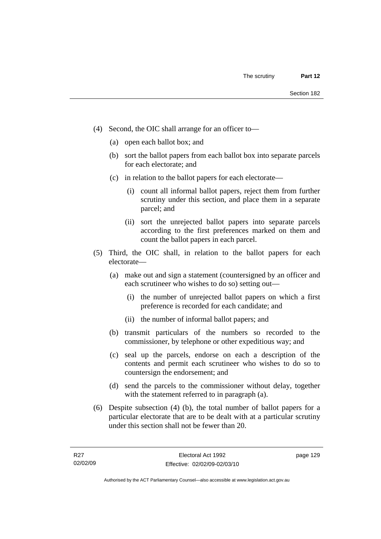- (4) Second, the OIC shall arrange for an officer to—
	- (a) open each ballot box; and
	- (b) sort the ballot papers from each ballot box into separate parcels for each electorate; and
	- (c) in relation to the ballot papers for each electorate—
		- (i) count all informal ballot papers, reject them from further scrutiny under this section, and place them in a separate parcel; and
		- (ii) sort the unrejected ballot papers into separate parcels according to the first preferences marked on them and count the ballot papers in each parcel.
- (5) Third, the OIC shall, in relation to the ballot papers for each electorate—
	- (a) make out and sign a statement (countersigned by an officer and each scrutineer who wishes to do so) setting out—
		- (i) the number of unrejected ballot papers on which a first preference is recorded for each candidate; and
		- (ii) the number of informal ballot papers; and
	- (b) transmit particulars of the numbers so recorded to the commissioner, by telephone or other expeditious way; and
	- (c) seal up the parcels, endorse on each a description of the contents and permit each scrutineer who wishes to do so to countersign the endorsement; and
	- (d) send the parcels to the commissioner without delay, together with the statement referred to in paragraph (a).
- (6) Despite subsection (4) (b), the total number of ballot papers for a particular electorate that are to be dealt with at a particular scrutiny under this section shall not be fewer than 20.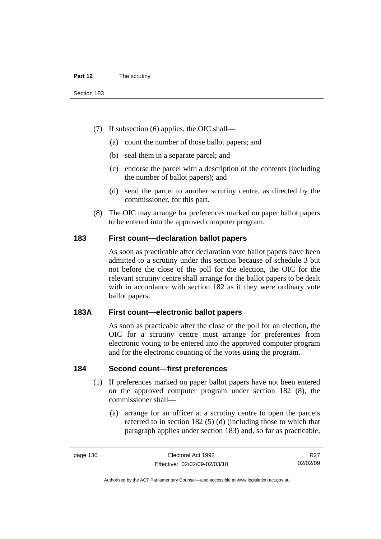- (7) If subsection (6) applies, the OIC shall—
	- (a) count the number of those ballot papers; and
	- (b) seal them in a separate parcel; and
	- (c) endorse the parcel with a description of the contents (including the number of ballot papers); and
	- (d) send the parcel to another scrutiny centre, as directed by the commissioner, for this part.
- (8) The OIC may arrange for preferences marked on paper ballot papers to be entered into the approved computer program.

### **183 First count—declaration ballot papers**

As soon as practicable after declaration vote ballot papers have been admitted to a scrutiny under this section because of schedule 3 but not before the close of the poll for the election, the OIC for the relevant scrutiny centre shall arrange for the ballot papers to be dealt with in accordance with section 182 as if they were ordinary vote ballot papers.

## **183A First count—electronic ballot papers**

As soon as practicable after the close of the poll for an election, the OIC for a scrutiny centre must arrange for preferences from electronic voting to be entered into the approved computer program and for the electronic counting of the votes using the program.

#### **184 Second count—first preferences**

- (1) If preferences marked on paper ballot papers have not been entered on the approved computer program under section 182 (8), the commissioner shall—
	- (a) arrange for an officer at a scrutiny centre to open the parcels referred to in section 182 (5) (d) (including those to which that paragraph applies under section 183) and, so far as practicable,

Authorised by the ACT Parliamentary Counsel—also accessible at www.legislation.act.gov.au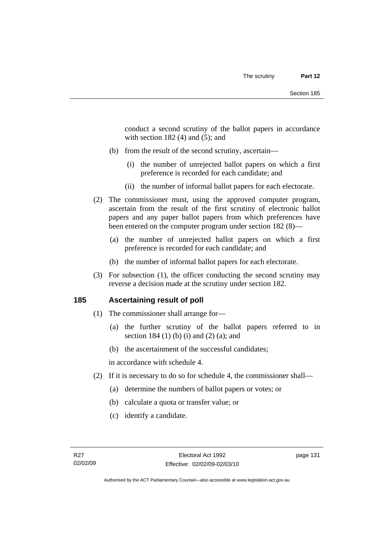conduct a second scrutiny of the ballot papers in accordance with section  $182(4)$  and  $(5)$ ; and

- (b) from the result of the second scrutiny, ascertain—
	- (i) the number of unrejected ballot papers on which a first preference is recorded for each candidate; and
	- (ii) the number of informal ballot papers for each electorate.
- (2) The commissioner must, using the approved computer program, ascertain from the result of the first scrutiny of electronic ballot papers and any paper ballot papers from which preferences have been entered on the computer program under section 182 (8)—
	- (a) the number of unrejected ballot papers on which a first preference is recorded for each candidate; and
	- (b) the number of informal ballot papers for each electorate.
- (3) For subsection (1), the officer conducting the second scrutiny may reverse a decision made at the scrutiny under section 182.

## **185 Ascertaining result of poll**

- (1) The commissioner shall arrange for—
	- (a) the further scrutiny of the ballot papers referred to in section 184 (1) (b) (i) and (2) (a); and
	- (b) the ascertainment of the successful candidates;

in accordance with schedule 4.

- (2) If it is necessary to do so for schedule 4, the commissioner shall—
	- (a) determine the numbers of ballot papers or votes; or
	- (b) calculate a quota or transfer value; or
	- (c) identify a candidate.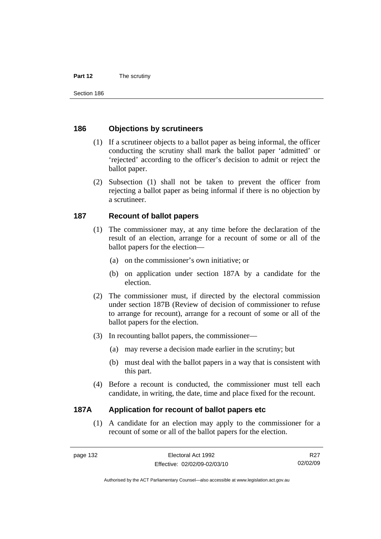#### **Part 12** The scrutiny

Section 186

### **186 Objections by scrutineers**

- (1) If a scrutineer objects to a ballot paper as being informal, the officer conducting the scrutiny shall mark the ballot paper 'admitted' or 'rejected' according to the officer's decision to admit or reject the ballot paper.
- (2) Subsection (1) shall not be taken to prevent the officer from rejecting a ballot paper as being informal if there is no objection by a scrutineer.

## **187 Recount of ballot papers**

- (1) The commissioner may, at any time before the declaration of the result of an election, arrange for a recount of some or all of the ballot papers for the election—
	- (a) on the commissioner's own initiative; or
	- (b) on application under section 187A by a candidate for the election.
- (2) The commissioner must, if directed by the electoral commission under section 187B (Review of decision of commissioner to refuse to arrange for recount), arrange for a recount of some or all of the ballot papers for the election.
- (3) In recounting ballot papers, the commissioner—
	- (a) may reverse a decision made earlier in the scrutiny; but
	- (b) must deal with the ballot papers in a way that is consistent with this part.
- (4) Before a recount is conducted, the commissioner must tell each candidate, in writing, the date, time and place fixed for the recount.

## **187A Application for recount of ballot papers etc**

 (1) A candidate for an election may apply to the commissioner for a recount of some or all of the ballot papers for the election.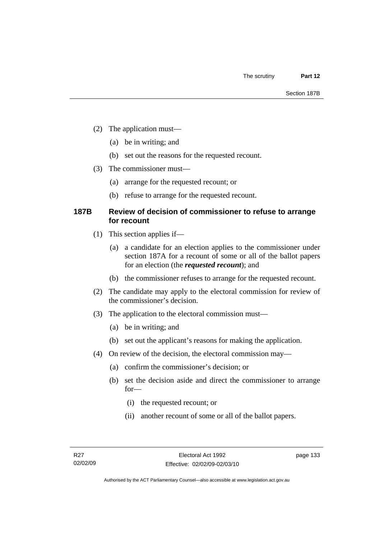- (2) The application must—
	- (a) be in writing; and
	- (b) set out the reasons for the requested recount.
- (3) The commissioner must—
	- (a) arrange for the requested recount; or
	- (b) refuse to arrange for the requested recount.

## **187B Review of decision of commissioner to refuse to arrange for recount**

- (1) This section applies if—
	- (a) a candidate for an election applies to the commissioner under section 187A for a recount of some or all of the ballot papers for an election (the *requested recount*); and
	- (b) the commissioner refuses to arrange for the requested recount.
- (2) The candidate may apply to the electoral commission for review of the commissioner's decision.
- (3) The application to the electoral commission must—
	- (a) be in writing; and
	- (b) set out the applicant's reasons for making the application.
- (4) On review of the decision, the electoral commission may—
	- (a) confirm the commissioner's decision; or
	- (b) set the decision aside and direct the commissioner to arrange for—
		- (i) the requested recount; or
		- (ii) another recount of some or all of the ballot papers.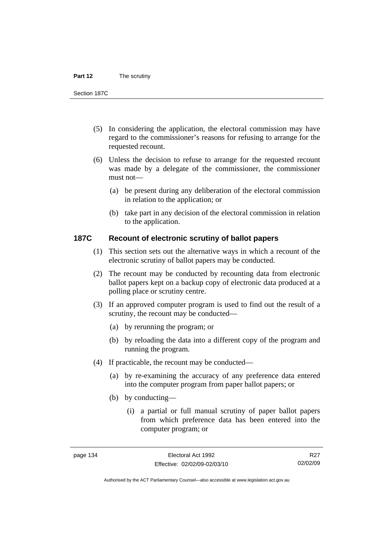#### **Part 12** The scrutiny

Section 187C

- (5) In considering the application, the electoral commission may have regard to the commissioner's reasons for refusing to arrange for the requested recount.
- (6) Unless the decision to refuse to arrange for the requested recount was made by a delegate of the commissioner, the commissioner must not—
	- (a) be present during any deliberation of the electoral commission in relation to the application; or
	- (b) take part in any decision of the electoral commission in relation to the application.

#### **187C Recount of electronic scrutiny of ballot papers**

- (1) This section sets out the alternative ways in which a recount of the electronic scrutiny of ballot papers may be conducted.
- (2) The recount may be conducted by recounting data from electronic ballot papers kept on a backup copy of electronic data produced at a polling place or scrutiny centre.
- (3) If an approved computer program is used to find out the result of a scrutiny, the recount may be conducted—
	- (a) by rerunning the program; or
	- (b) by reloading the data into a different copy of the program and running the program.
- (4) If practicable, the recount may be conducted—
	- (a) by re-examining the accuracy of any preference data entered into the computer program from paper ballot papers; or
	- (b) by conducting—
		- (i) a partial or full manual scrutiny of paper ballot papers from which preference data has been entered into the computer program; or

R<sub>27</sub> 02/02/09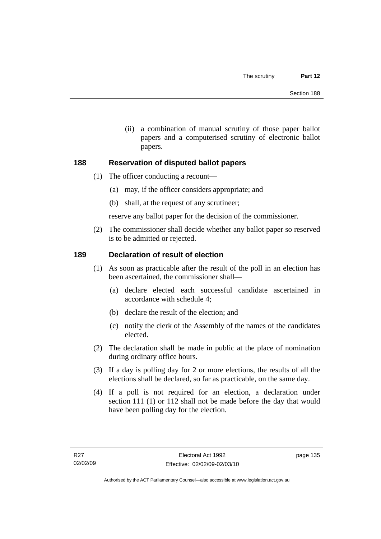(ii) a combination of manual scrutiny of those paper ballot papers and a computerised scrutiny of electronic ballot papers.

## **188 Reservation of disputed ballot papers**

- (1) The officer conducting a recount—
	- (a) may, if the officer considers appropriate; and
	- (b) shall, at the request of any scrutineer;

reserve any ballot paper for the decision of the commissioner.

 (2) The commissioner shall decide whether any ballot paper so reserved is to be admitted or rejected.

## **189 Declaration of result of election**

- (1) As soon as practicable after the result of the poll in an election has been ascertained, the commissioner shall—
	- (a) declare elected each successful candidate ascertained in accordance with schedule 4;
	- (b) declare the result of the election; and
	- (c) notify the clerk of the Assembly of the names of the candidates elected.
- (2) The declaration shall be made in public at the place of nomination during ordinary office hours.
- (3) If a day is polling day for 2 or more elections, the results of all the elections shall be declared, so far as practicable, on the same day.
- (4) If a poll is not required for an election, a declaration under section 111 (1) or 112 shall not be made before the day that would have been polling day for the election.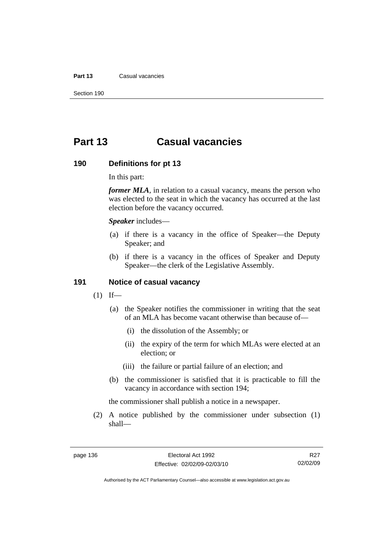#### **Part 13** Casual vacancies

Section 190

## **Part 13 Casual vacancies**

#### **190 Definitions for pt 13**

In this part:

*former MLA*, in relation to a casual vacancy, means the person who was elected to the seat in which the vacancy has occurred at the last election before the vacancy occurred.

*Speaker* includes—

- (a) if there is a vacancy in the office of Speaker—the Deputy Speaker; and
- (b) if there is a vacancy in the offices of Speaker and Deputy Speaker—the clerk of the Legislative Assembly.

#### **191 Notice of casual vacancy**

- $(1)$  If—
	- (a) the Speaker notifies the commissioner in writing that the seat of an MLA has become vacant otherwise than because of—
		- (i) the dissolution of the Assembly; or
		- (ii) the expiry of the term for which MLAs were elected at an election; or
		- (iii) the failure or partial failure of an election; and
	- (b) the commissioner is satisfied that it is practicable to fill the vacancy in accordance with section 194;

the commissioner shall publish a notice in a newspaper.

 (2) A notice published by the commissioner under subsection (1) shall—

R<sub>27</sub> 02/02/09

Authorised by the ACT Parliamentary Counsel—also accessible at www.legislation.act.gov.au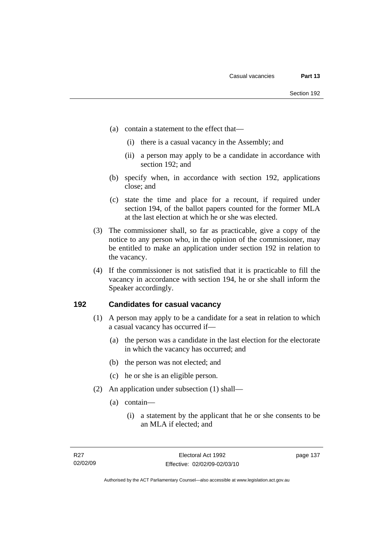- (a) contain a statement to the effect that—
	- (i) there is a casual vacancy in the Assembly; and
	- (ii) a person may apply to be a candidate in accordance with section 192; and
- (b) specify when, in accordance with section 192, applications close; and
- (c) state the time and place for a recount, if required under section 194, of the ballot papers counted for the former MLA at the last election at which he or she was elected.
- (3) The commissioner shall, so far as practicable, give a copy of the notice to any person who, in the opinion of the commissioner, may be entitled to make an application under section 192 in relation to the vacancy.
- (4) If the commissioner is not satisfied that it is practicable to fill the vacancy in accordance with section 194, he or she shall inform the Speaker accordingly.

### **192 Candidates for casual vacancy**

- (1) A person may apply to be a candidate for a seat in relation to which a casual vacancy has occurred if—
	- (a) the person was a candidate in the last election for the electorate in which the vacancy has occurred; and
	- (b) the person was not elected; and
	- (c) he or she is an eligible person.
- (2) An application under subsection (1) shall—
	- (a) contain—
		- (i) a statement by the applicant that he or she consents to be an MLA if elected; and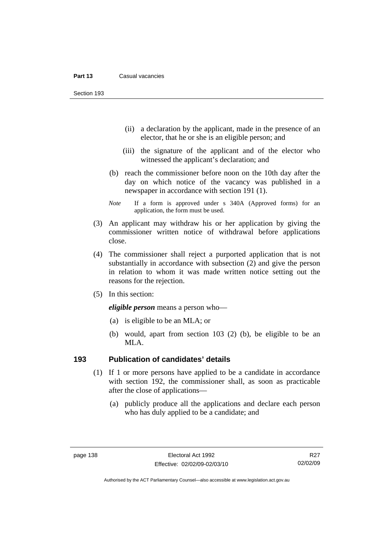Section 193

- (ii) a declaration by the applicant, made in the presence of an elector, that he or she is an eligible person; and
- (iii) the signature of the applicant and of the elector who witnessed the applicant's declaration; and
- (b) reach the commissioner before noon on the 10th day after the day on which notice of the vacancy was published in a newspaper in accordance with section 191 (1).
- *Note* If a form is approved under s 340A (Approved forms) for an application, the form must be used.
- (3) An applicant may withdraw his or her application by giving the commissioner written notice of withdrawal before applications close.
- (4) The commissioner shall reject a purported application that is not substantially in accordance with subsection (2) and give the person in relation to whom it was made written notice setting out the reasons for the rejection.
- (5) In this section:

*eligible person* means a person who—

- (a) is eligible to be an MLA; or
- (b) would, apart from section 103 (2) (b), be eligible to be an MLA.

#### **193 Publication of candidates' details**

- (1) If 1 or more persons have applied to be a candidate in accordance with section 192, the commissioner shall, as soon as practicable after the close of applications—
	- (a) publicly produce all the applications and declare each person who has duly applied to be a candidate; and

Authorised by the ACT Parliamentary Counsel—also accessible at www.legislation.act.gov.au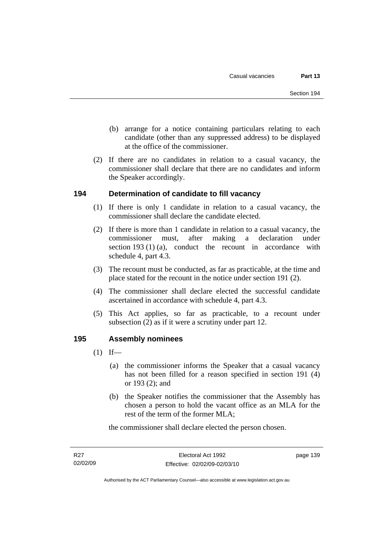- (b) arrange for a notice containing particulars relating to each candidate (other than any suppressed address) to be displayed at the office of the commissioner.
- (2) If there are no candidates in relation to a casual vacancy, the commissioner shall declare that there are no candidates and inform the Speaker accordingly.

## **194 Determination of candidate to fill vacancy**

- (1) If there is only 1 candidate in relation to a casual vacancy, the commissioner shall declare the candidate elected.
- (2) If there is more than 1 candidate in relation to a casual vacancy, the commissioner must, after making a declaration under section 193 (1) (a), conduct the recount in accordance with schedule 4, part 4.3.
- (3) The recount must be conducted, as far as practicable, at the time and place stated for the recount in the notice under section 191 (2).
- (4) The commissioner shall declare elected the successful candidate ascertained in accordance with schedule 4, part 4.3.
- (5) This Act applies, so far as practicable, to a recount under subsection (2) as if it were a scrutiny under part 12.

## **195 Assembly nominees**

- $(1)$  If—
	- (a) the commissioner informs the Speaker that a casual vacancy has not been filled for a reason specified in section 191 (4) or 193 (2); and
	- (b) the Speaker notifies the commissioner that the Assembly has chosen a person to hold the vacant office as an MLA for the rest of the term of the former MLA;

the commissioner shall declare elected the person chosen.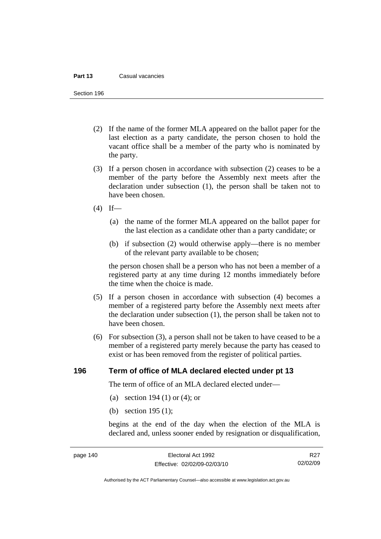#### **Part 13** Casual vacancies

Section 196

- (2) If the name of the former MLA appeared on the ballot paper for the last election as a party candidate, the person chosen to hold the vacant office shall be a member of the party who is nominated by the party.
- (3) If a person chosen in accordance with subsection (2) ceases to be a member of the party before the Assembly next meets after the declaration under subsection (1), the person shall be taken not to have been chosen.
- $(4)$  If—
	- (a) the name of the former MLA appeared on the ballot paper for the last election as a candidate other than a party candidate; or
	- (b) if subsection (2) would otherwise apply—there is no member of the relevant party available to be chosen;

the person chosen shall be a person who has not been a member of a registered party at any time during 12 months immediately before the time when the choice is made.

- (5) If a person chosen in accordance with subsection (4) becomes a member of a registered party before the Assembly next meets after the declaration under subsection (1), the person shall be taken not to have been chosen.
- (6) For subsection (3), a person shall not be taken to have ceased to be a member of a registered party merely because the party has ceased to exist or has been removed from the register of political parties.

## **196 Term of office of MLA declared elected under pt 13**

The term of office of an MLA declared elected under—

- (a) section 194 (1) or (4); or
- (b) section 195 (1);

begins at the end of the day when the election of the MLA is declared and, unless sooner ended by resignation or disqualification,

R<sub>27</sub> 02/02/09

Authorised by the ACT Parliamentary Counsel—also accessible at www.legislation.act.gov.au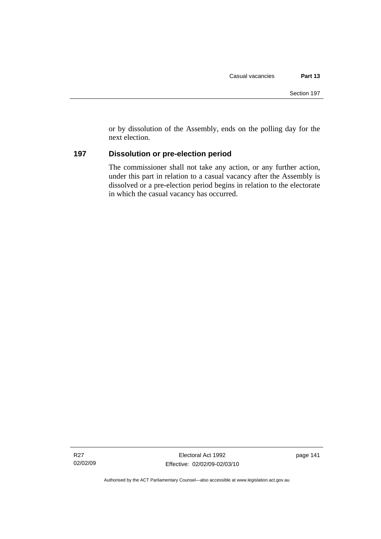or by dissolution of the Assembly, ends on the polling day for the next election.

## **197 Dissolution or pre-election period**

The commissioner shall not take any action, or any further action, under this part in relation to a casual vacancy after the Assembly is dissolved or a pre-election period begins in relation to the electorate in which the casual vacancy has occurred.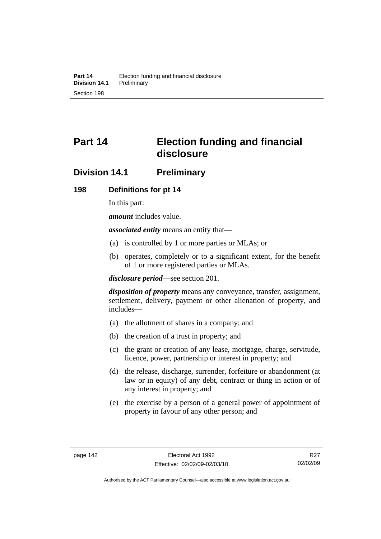# **Part 14 Election funding and financial disclosure**

## **Division 14.1 Preliminary**

## **198 Definitions for pt 14**

In this part:

*amount* includes value.

*associated entity* means an entity that—

- (a) is controlled by 1 or more parties or MLAs; or
- (b) operates, completely or to a significant extent, for the benefit of 1 or more registered parties or MLAs.

*disclosure period*—see section 201.

*disposition of property* means any conveyance, transfer, assignment, settlement, delivery, payment or other alienation of property, and includes—

- (a) the allotment of shares in a company; and
- (b) the creation of a trust in property; and
- (c) the grant or creation of any lease, mortgage, charge, servitude, licence, power, partnership or interest in property; and
- (d) the release, discharge, surrender, forfeiture or abandonment (at law or in equity) of any debt, contract or thing in action or of any interest in property; and
- (e) the exercise by a person of a general power of appointment of property in favour of any other person; and

R<sub>27</sub> 02/02/09

Authorised by the ACT Parliamentary Counsel—also accessible at www.legislation.act.gov.au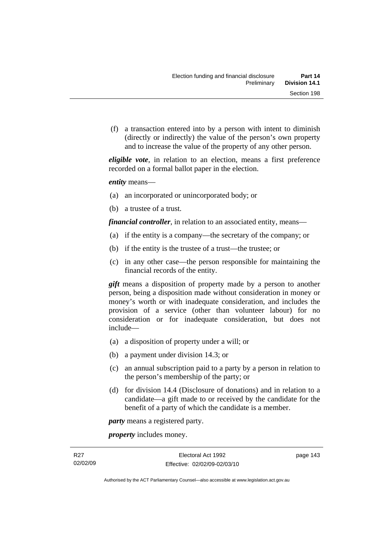(f) a transaction entered into by a person with intent to diminish (directly or indirectly) the value of the person's own property and to increase the value of the property of any other person.

*eligible vote*, in relation to an election, means a first preference recorded on a formal ballot paper in the election.

*entity* means—

- (a) an incorporated or unincorporated body; or
- (b) a trustee of a trust.

*financial controller*, in relation to an associated entity, means—

- (a) if the entity is a company—the secretary of the company; or
- (b) if the entity is the trustee of a trust—the trustee; or
- (c) in any other case—the person responsible for maintaining the financial records of the entity.

*gift* means a disposition of property made by a person to another person, being a disposition made without consideration in money or money's worth or with inadequate consideration, and includes the provision of a service (other than volunteer labour) for no consideration or for inadequate consideration, but does not include—

- (a) a disposition of property under a will; or
- (b) a payment under division 14.3; or
- (c) an annual subscription paid to a party by a person in relation to the person's membership of the party; or
- (d) for division 14.4 (Disclosure of donations) and in relation to a candidate—a gift made to or received by the candidate for the benefit of a party of which the candidate is a member.

*party* means a registered party.

*property* includes money.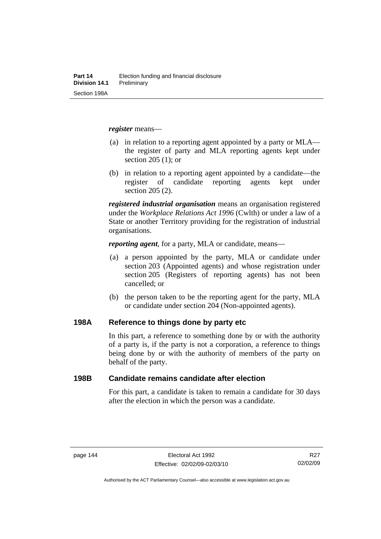*register* means—

- (a) in relation to a reporting agent appointed by a party or MLA the register of party and MLA reporting agents kept under section 205 (1); or
- (b) in relation to a reporting agent appointed by a candidate—the register of candidate reporting agents kept under section 205 (2).

*registered industrial organisation* means an organisation registered under the *Workplace Relations Act 1996* (Cwlth) or under a law of a State or another Territory providing for the registration of industrial organisations.

*reporting agent*, for a party, MLA or candidate, means—

- (a) a person appointed by the party, MLA or candidate under section 203 (Appointed agents) and whose registration under section 205 (Registers of reporting agents) has not been cancelled; or
- (b) the person taken to be the reporting agent for the party, MLA or candidate under section 204 (Non-appointed agents).

#### **198A Reference to things done by party etc**

In this part, a reference to something done by or with the authority of a party is, if the party is not a corporation, a reference to things being done by or with the authority of members of the party on behalf of the party.

### **198B Candidate remains candidate after election**

For this part, a candidate is taken to remain a candidate for 30 days after the election in which the person was a candidate.

R27 02/02/09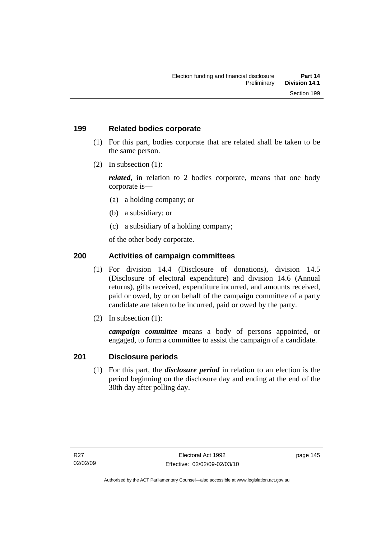## **199 Related bodies corporate**

- (1) For this part, bodies corporate that are related shall be taken to be the same person.
- (2) In subsection (1):

*related*, in relation to 2 bodies corporate, means that one body corporate is—

- (a) a holding company; or
- (b) a subsidiary; or
- (c) a subsidiary of a holding company;

of the other body corporate.

## **200 Activities of campaign committees**

- (1) For division 14.4 (Disclosure of donations), division 14.5 (Disclosure of electoral expenditure) and division 14.6 (Annual returns), gifts received, expenditure incurred, and amounts received, paid or owed, by or on behalf of the campaign committee of a party candidate are taken to be incurred, paid or owed by the party.
- (2) In subsection (1):

*campaign committee* means a body of persons appointed, or engaged, to form a committee to assist the campaign of a candidate.

## **201 Disclosure periods**

 (1) For this part, the *disclosure period* in relation to an election is the period beginning on the disclosure day and ending at the end of the 30th day after polling day.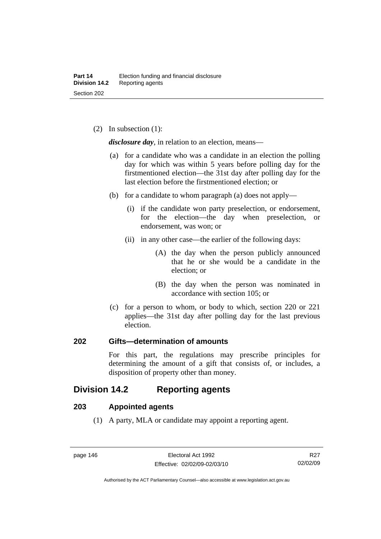(2) In subsection (1):

*disclosure day*, in relation to an election, means—

- (a) for a candidate who was a candidate in an election the polling day for which was within 5 years before polling day for the firstmentioned election—the 31st day after polling day for the last election before the firstmentioned election; or
- (b) for a candidate to whom paragraph (a) does not apply—
	- (i) if the candidate won party preselection, or endorsement, for the election—the day when preselection, or endorsement, was won; or
	- (ii) in any other case—the earlier of the following days:
		- (A) the day when the person publicly announced that he or she would be a candidate in the election; or
		- (B) the day when the person was nominated in accordance with section 105; or
- (c) for a person to whom, or body to which, section 220 or 221 applies—the 31st day after polling day for the last previous election.

## **202 Gifts—determination of amounts**

For this part, the regulations may prescribe principles for determining the amount of a gift that consists of, or includes, a disposition of property other than money.

## **Division 14.2 Reporting agents**

## **203 Appointed agents**

(1) A party, MLA or candidate may appoint a reporting agent.

Authorised by the ACT Parliamentary Counsel—also accessible at www.legislation.act.gov.au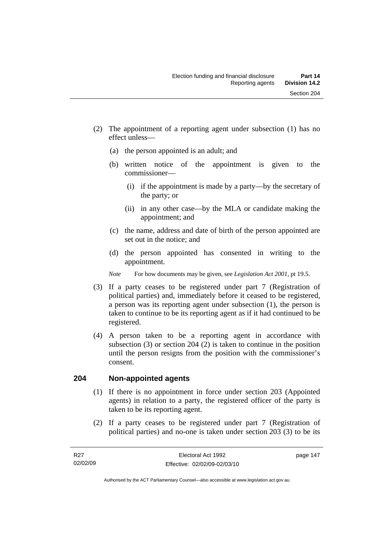- (2) The appointment of a reporting agent under subsection (1) has no effect unless—
	- (a) the person appointed is an adult; and
	- (b) written notice of the appointment is given to the commissioner—
		- (i) if the appointment is made by a party—by the secretary of the party; or
		- (ii) in any other case—by the MLA or candidate making the appointment; and
	- (c) the name, address and date of birth of the person appointed are set out in the notice; and
	- (d) the person appointed has consented in writing to the appointment.
	- *Note* For how documents may be given, see *Legislation Act 2001*, pt 19.5.
- (3) If a party ceases to be registered under part 7 (Registration of political parties) and, immediately before it ceased to be registered, a person was its reporting agent under subsection (1), the person is taken to continue to be its reporting agent as if it had continued to be registered.
- (4) A person taken to be a reporting agent in accordance with subsection (3) or section 204 (2) is taken to continue in the position until the person resigns from the position with the commissioner's consent.

## **204 Non-appointed agents**

- (1) If there is no appointment in force under section 203 (Appointed agents) in relation to a party, the registered officer of the party is taken to be its reporting agent.
- (2) If a party ceases to be registered under part 7 (Registration of political parties) and no-one is taken under section 203 (3) to be its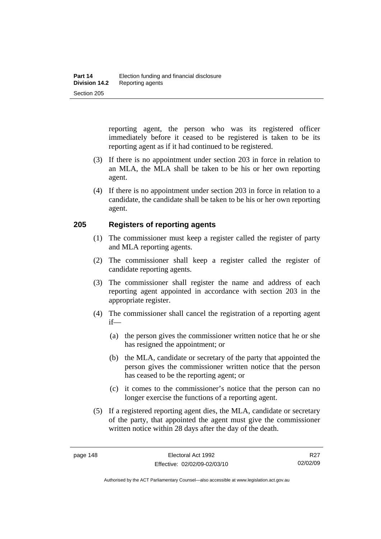reporting agent, the person who was its registered officer immediately before it ceased to be registered is taken to be its reporting agent as if it had continued to be registered.

- (3) If there is no appointment under section 203 in force in relation to an MLA, the MLA shall be taken to be his or her own reporting agent.
- (4) If there is no appointment under section 203 in force in relation to a candidate, the candidate shall be taken to be his or her own reporting agent.

## **205 Registers of reporting agents**

- (1) The commissioner must keep a register called the register of party and MLA reporting agents.
- (2) The commissioner shall keep a register called the register of candidate reporting agents.
- (3) The commissioner shall register the name and address of each reporting agent appointed in accordance with section 203 in the appropriate register.
- (4) The commissioner shall cancel the registration of a reporting agent if—
	- (a) the person gives the commissioner written notice that he or she has resigned the appointment; or
	- (b) the MLA, candidate or secretary of the party that appointed the person gives the commissioner written notice that the person has ceased to be the reporting agent; or
	- (c) it comes to the commissioner's notice that the person can no longer exercise the functions of a reporting agent.
- (5) If a registered reporting agent dies, the MLA, candidate or secretary of the party, that appointed the agent must give the commissioner written notice within 28 days after the day of the death.

R<sub>27</sub> 02/02/09

Authorised by the ACT Parliamentary Counsel—also accessible at www.legislation.act.gov.au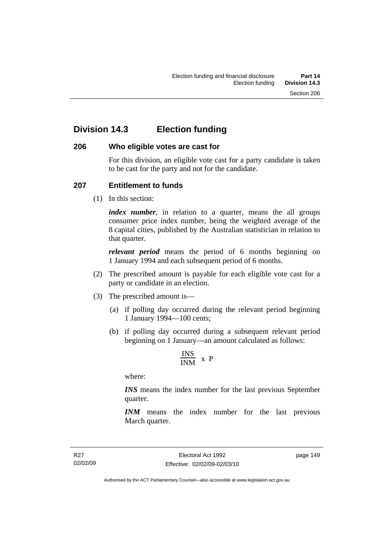## **Division 14.3 Election funding**

## **206 Who eligible votes are cast for**

For this division, an eligible vote cast for a party candidate is taken to be cast for the party and not for the candidate.

## **207 Entitlement to funds**

(1) In this section:

*index number*, in relation to a quarter, means the all groups consumer price index number, being the weighted average of the 8 capital cities, published by the Australian statistician in relation to that quarter.

*relevant period* means the period of 6 months beginning on 1 January 1994 and each subsequent period of 6 months.

- (2) The prescribed amount is payable for each eligible vote cast for a party or candidate in an election.
- (3) The prescribed amount is—
	- (a) if polling day occurred during the relevant period beginning 1 January 1994—100 cents;
	- (b) if polling day occurred during a subsequent relevant period beginning on 1 January—an amount calculated as follows:

$$
\frac{INS}{INM} \times P
$$

where:

*INS* means the index number for the last previous September quarter.

*INM* means the index number for the last previous March quarter.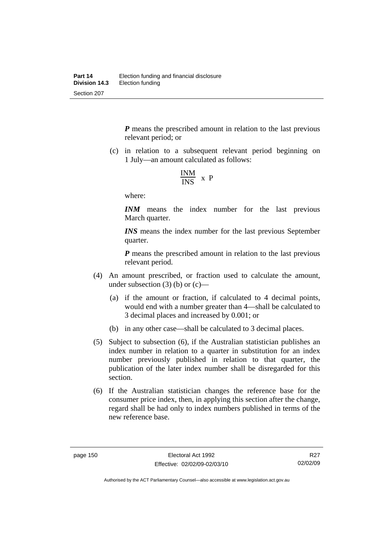*P* means the prescribed amount in relation to the last previous relevant period; or

 (c) in relation to a subsequent relevant period beginning on 1 July—an amount calculated as follows:

$$
\frac{INM}{INS} \times P
$$

where:

*INM* means the index number for the last previous March quarter.

*INS* means the index number for the last previous September quarter.

*P* means the prescribed amount in relation to the last previous relevant period.

- (4) An amount prescribed, or fraction used to calculate the amount, under subsection  $(3)$  (b) or  $(c)$ —
	- (a) if the amount or fraction, if calculated to 4 decimal points, would end with a number greater than 4—shall be calculated to 3 decimal places and increased by 0.001; or
	- (b) in any other case—shall be calculated to 3 decimal places.
- (5) Subject to subsection (6), if the Australian statistician publishes an index number in relation to a quarter in substitution for an index number previously published in relation to that quarter, the publication of the later index number shall be disregarded for this section.
- (6) If the Australian statistician changes the reference base for the consumer price index, then, in applying this section after the change, regard shall be had only to index numbers published in terms of the new reference base.

R<sub>27</sub> 02/02/09

Authorised by the ACT Parliamentary Counsel—also accessible at www.legislation.act.gov.au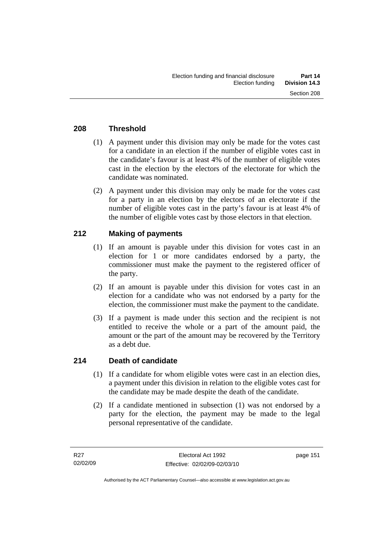## **208 Threshold**

- (1) A payment under this division may only be made for the votes cast for a candidate in an election if the number of eligible votes cast in the candidate's favour is at least 4% of the number of eligible votes cast in the election by the electors of the electorate for which the candidate was nominated.
- (2) A payment under this division may only be made for the votes cast for a party in an election by the electors of an electorate if the number of eligible votes cast in the party's favour is at least 4% of the number of eligible votes cast by those electors in that election.

## **212 Making of payments**

- (1) If an amount is payable under this division for votes cast in an election for 1 or more candidates endorsed by a party, the commissioner must make the payment to the registered officer of the party.
- (2) If an amount is payable under this division for votes cast in an election for a candidate who was not endorsed by a party for the election, the commissioner must make the payment to the candidate.
- (3) If a payment is made under this section and the recipient is not entitled to receive the whole or a part of the amount paid, the amount or the part of the amount may be recovered by the Territory as a debt due.

## **214 Death of candidate**

- (1) If a candidate for whom eligible votes were cast in an election dies, a payment under this division in relation to the eligible votes cast for the candidate may be made despite the death of the candidate.
- (2) If a candidate mentioned in subsection (1) was not endorsed by a party for the election, the payment may be made to the legal personal representative of the candidate.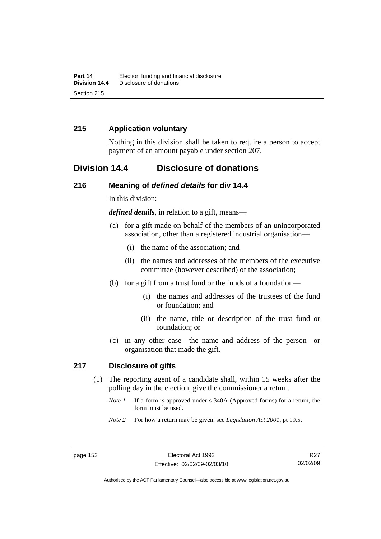## **215 Application voluntary**

Nothing in this division shall be taken to require a person to accept payment of an amount payable under section 207.

## **Division 14.4 Disclosure of donations**

#### **216 Meaning of** *defined details* **for div 14.4**

In this division:

*defined details*, in relation to a gift, means—

- (a) for a gift made on behalf of the members of an unincorporated association, other than a registered industrial organisation—
	- (i) the name of the association; and
	- (ii) the names and addresses of the members of the executive committee (however described) of the association;
- (b) for a gift from a trust fund or the funds of a foundation—
	- (i) the names and addresses of the trustees of the fund or foundation; and
	- (ii) the name, title or description of the trust fund or foundation; or
- (c) in any other case—the name and address of the person or organisation that made the gift.

## **217 Disclosure of gifts**

- (1) The reporting agent of a candidate shall, within 15 weeks after the polling day in the election, give the commissioner a return.
	- *Note 1* If a form is approved under s 340A (Approved forms) for a return, the form must be used.
	- *Note 2* For how a return may be given, see *Legislation Act 2001*, pt 19.5.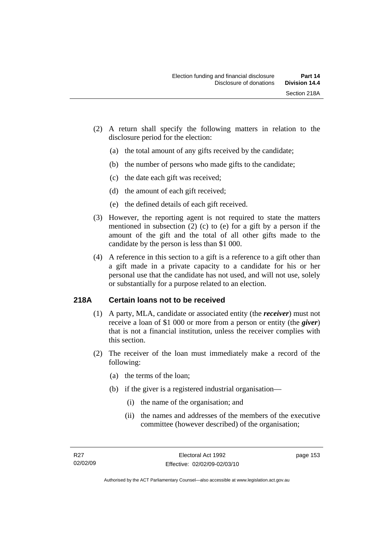- (2) A return shall specify the following matters in relation to the disclosure period for the election:
	- (a) the total amount of any gifts received by the candidate;
	- (b) the number of persons who made gifts to the candidate;
	- (c) the date each gift was received;
	- (d) the amount of each gift received;
	- (e) the defined details of each gift received.
- (3) However, the reporting agent is not required to state the matters mentioned in subsection (2) (c) to (e) for a gift by a person if the amount of the gift and the total of all other gifts made to the candidate by the person is less than \$1 000.
- (4) A reference in this section to a gift is a reference to a gift other than a gift made in a private capacity to a candidate for his or her personal use that the candidate has not used, and will not use, solely or substantially for a purpose related to an election.

## **218A Certain loans not to be received**

- (1) A party, MLA, candidate or associated entity (the *receiver*) must not receive a loan of \$1 000 or more from a person or entity (the *giver*) that is not a financial institution, unless the receiver complies with this section.
- (2) The receiver of the loan must immediately make a record of the following:
	- (a) the terms of the loan;
	- (b) if the giver is a registered industrial organisation—
		- (i) the name of the organisation; and
		- (ii) the names and addresses of the members of the executive committee (however described) of the organisation;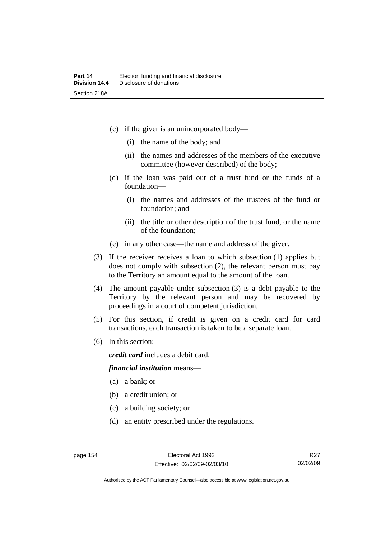- (c) if the giver is an unincorporated body—
	- (i) the name of the body; and
	- (ii) the names and addresses of the members of the executive committee (however described) of the body;
- (d) if the loan was paid out of a trust fund or the funds of a foundation—
	- (i) the names and addresses of the trustees of the fund or foundation; and
	- (ii) the title or other description of the trust fund, or the name of the foundation;
- (e) in any other case—the name and address of the giver.
- (3) If the receiver receives a loan to which subsection (1) applies but does not comply with subsection (2), the relevant person must pay to the Territory an amount equal to the amount of the loan.
- (4) The amount payable under subsection (3) is a debt payable to the Territory by the relevant person and may be recovered by proceedings in a court of competent jurisdiction.
- (5) For this section, if credit is given on a credit card for card transactions, each transaction is taken to be a separate loan.
- (6) In this section:

*credit card* includes a debit card.

#### *financial institution* means—

- (a) a bank; or
- (b) a credit union; or
- (c) a building society; or
- (d) an entity prescribed under the regulations.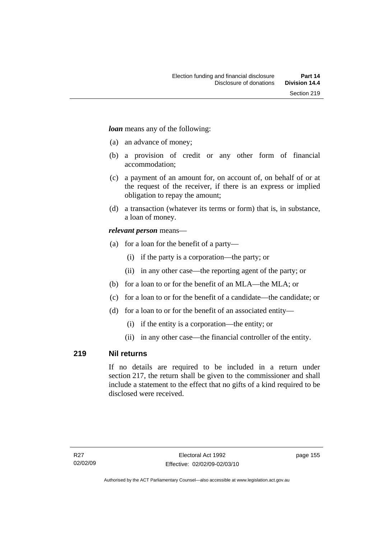*loan* means any of the following:

- (a) an advance of money;
- (b) a provision of credit or any other form of financial accommodation;
- (c) a payment of an amount for, on account of, on behalf of or at the request of the receiver, if there is an express or implied obligation to repay the amount;
- (d) a transaction (whatever its terms or form) that is, in substance, a loan of money.

## *relevant person* means—

- (a) for a loan for the benefit of a party—
	- (i) if the party is a corporation—the party; or
	- (ii) in any other case—the reporting agent of the party; or
- (b) for a loan to or for the benefit of an MLA—the MLA; or
- (c) for a loan to or for the benefit of a candidate—the candidate; or
- (d) for a loan to or for the benefit of an associated entity—
	- (i) if the entity is a corporation—the entity; or
	- (ii) in any other case—the financial controller of the entity.

## **219 Nil returns**

If no details are required to be included in a return under section 217, the return shall be given to the commissioner and shall include a statement to the effect that no gifts of a kind required to be disclosed were received.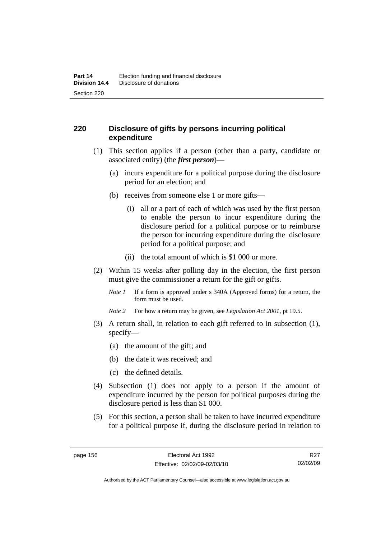## **220 Disclosure of gifts by persons incurring political expenditure**

- (1) This section applies if a person (other than a party, candidate or associated entity) (the *first person*)—
	- (a) incurs expenditure for a political purpose during the disclosure period for an election; and
	- (b) receives from someone else 1 or more gifts—
		- (i) all or a part of each of which was used by the first person to enable the person to incur expenditure during the disclosure period for a political purpose or to reimburse the person for incurring expenditure during the disclosure period for a political purpose; and
		- (ii) the total amount of which is \$1 000 or more.
- (2) Within 15 weeks after polling day in the election, the first person must give the commissioner a return for the gift or gifts.
	- *Note 1* If a form is approved under s 340A (Approved forms) for a return, the form must be used.
	- *Note 2* For how a return may be given, see *Legislation Act 2001*, pt 19.5.
- (3) A return shall, in relation to each gift referred to in subsection (1), specify—
	- (a) the amount of the gift; and
	- (b) the date it was received; and
	- (c) the defined details.
- (4) Subsection (1) does not apply to a person if the amount of expenditure incurred by the person for political purposes during the disclosure period is less than \$1 000.
- (5) For this section, a person shall be taken to have incurred expenditure for a political purpose if, during the disclosure period in relation to

R<sub>27</sub> 02/02/09

Authorised by the ACT Parliamentary Counsel—also accessible at www.legislation.act.gov.au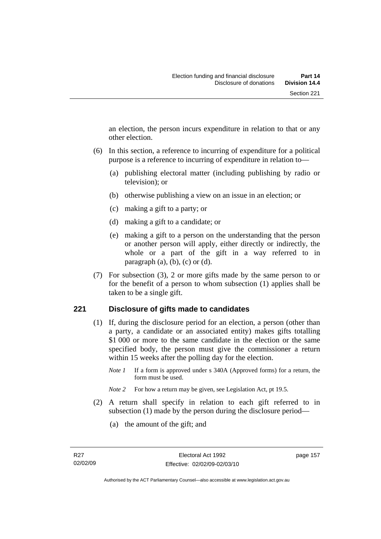an election, the person incurs expenditure in relation to that or any other election.

- (6) In this section, a reference to incurring of expenditure for a political purpose is a reference to incurring of expenditure in relation to—
	- (a) publishing electoral matter (including publishing by radio or television); or
	- (b) otherwise publishing a view on an issue in an election; or
	- (c) making a gift to a party; or
	- (d) making a gift to a candidate; or
	- (e) making a gift to a person on the understanding that the person or another person will apply, either directly or indirectly, the whole or a part of the gift in a way referred to in paragraph  $(a)$ ,  $(b)$ ,  $(c)$  or  $(d)$ .
- (7) For subsection (3), 2 or more gifts made by the same person to or for the benefit of a person to whom subsection (1) applies shall be taken to be a single gift.

## **221 Disclosure of gifts made to candidates**

- (1) If, during the disclosure period for an election, a person (other than a party, a candidate or an associated entity) makes gifts totalling \$1 000 or more to the same candidate in the election or the same specified body, the person must give the commissioner a return within 15 weeks after the polling day for the election.
	- *Note 1* If a form is approved under s 340A (Approved forms) for a return, the form must be used.
	- *Note* 2 For how a return may be given, see Legislation Act, pt 19.5.
- (2) A return shall specify in relation to each gift referred to in subsection (1) made by the person during the disclosure period—
	- (a) the amount of the gift; and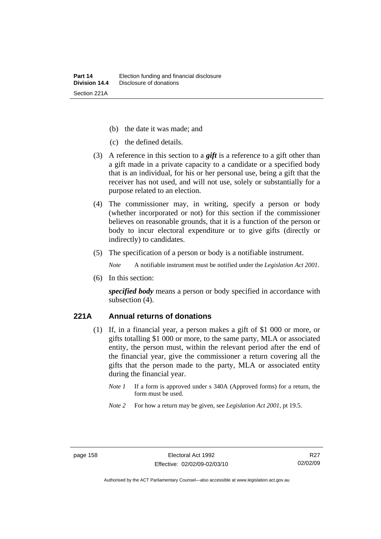- (b) the date it was made; and
- (c) the defined details.
- (3) A reference in this section to a *gift* is a reference to a gift other than a gift made in a private capacity to a candidate or a specified body that is an individual, for his or her personal use, being a gift that the receiver has not used, and will not use, solely or substantially for a purpose related to an election.
- (4) The commissioner may, in writing, specify a person or body (whether incorporated or not) for this section if the commissioner believes on reasonable grounds, that it is a function of the person or body to incur electoral expenditure or to give gifts (directly or indirectly) to candidates.
- (5) The specification of a person or body is a notifiable instrument.

*Note* A notifiable instrument must be notified under the *Legislation Act 2001*.

(6) In this section:

*specified body* means a person or body specified in accordance with subsection (4).

#### **221A Annual returns of donations**

- (1) If, in a financial year, a person makes a gift of \$1 000 or more, or gifts totalling \$1 000 or more, to the same party, MLA or associated entity, the person must, within the relevant period after the end of the financial year, give the commissioner a return covering all the gifts that the person made to the party, MLA or associated entity during the financial year.
	- *Note 1* If a form is approved under s 340A (Approved forms) for a return, the form must be used.
	- *Note 2* For how a return may be given, see *Legislation Act 2001*, pt 19.5.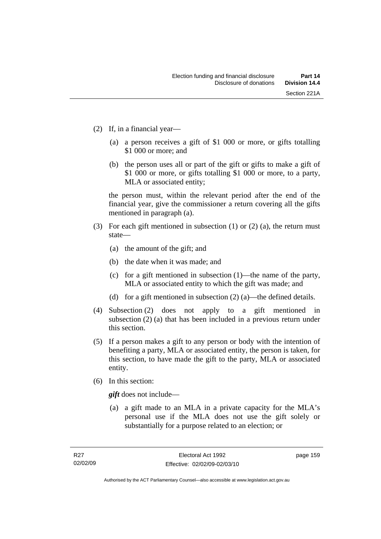- (2) If, in a financial year—
	- (a) a person receives a gift of \$1 000 or more, or gifts totalling \$1 000 or more; and
	- (b) the person uses all or part of the gift or gifts to make a gift of \$1 000 or more, or gifts totalling \$1 000 or more, to a party, MLA or associated entity;

the person must, within the relevant period after the end of the financial year, give the commissioner a return covering all the gifts mentioned in paragraph (a).

- (3) For each gift mentioned in subsection (1) or (2) (a), the return must state—
	- (a) the amount of the gift; and
	- (b) the date when it was made; and
	- (c) for a gift mentioned in subsection (1)—the name of the party, MLA or associated entity to which the gift was made; and
	- (d) for a gift mentioned in subsection (2) (a)—the defined details.
- (4) Subsection (2) does not apply to a gift mentioned in subsection (2) (a) that has been included in a previous return under this section.
- (5) If a person makes a gift to any person or body with the intention of benefiting a party, MLA or associated entity, the person is taken, for this section, to have made the gift to the party, MLA or associated entity.
- (6) In this section:

*gift* does not include—

 (a) a gift made to an MLA in a private capacity for the MLA's personal use if the MLA does not use the gift solely or substantially for a purpose related to an election; or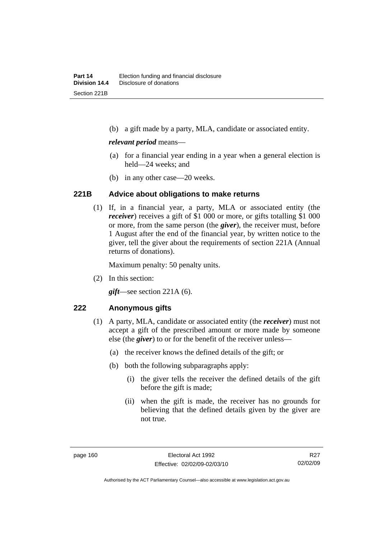(b) a gift made by a party, MLA, candidate or associated entity.

#### *relevant period* means—

- (a) for a financial year ending in a year when a general election is held—24 weeks; and
- (b) in any other case—20 weeks.

#### **221B Advice about obligations to make returns**

 (1) If, in a financial year, a party, MLA or associated entity (the *receiver*) receives a gift of \$1 000 or more, or gifts totalling \$1 000 or more, from the same person (the *giver*), the receiver must, before 1 August after the end of the financial year, by written notice to the giver, tell the giver about the requirements of section 221A (Annual returns of donations).

Maximum penalty: 50 penalty units.

(2) In this section:

*gift*—see section 221A (6).

## **222 Anonymous gifts**

- (1) A party, MLA, candidate or associated entity (the *receiver*) must not accept a gift of the prescribed amount or more made by someone else (the *giver*) to or for the benefit of the receiver unless—
	- (a) the receiver knows the defined details of the gift; or
	- (b) both the following subparagraphs apply:
		- (i) the giver tells the receiver the defined details of the gift before the gift is made;
		- (ii) when the gift is made, the receiver has no grounds for believing that the defined details given by the giver are not true.

Authorised by the ACT Parliamentary Counsel—also accessible at www.legislation.act.gov.au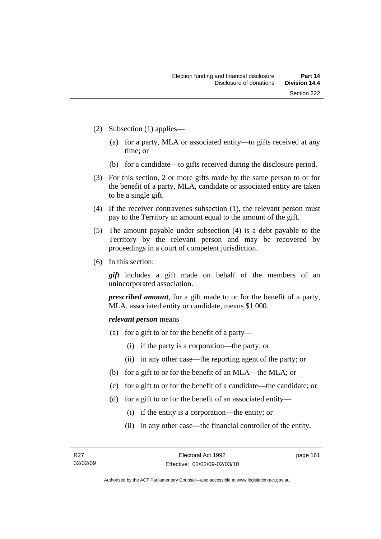- (2) Subsection (1) applies—
	- (a) for a party, MLA or associated entity—to gifts received at any time; or
	- (b) for a candidate—to gifts received during the disclosure period.
- (3) For this section, 2 or more gifts made by the same person to or for the benefit of a party, MLA, candidate or associated entity are taken to be a single gift.
- (4) If the receiver contravenes subsection (1), the relevant person must pay to the Territory an amount equal to the amount of the gift.
- (5) The amount payable under subsection (4) is a debt payable to the Territory by the relevant person and may be recovered by proceedings in a court of competent jurisdiction.
- (6) In this section:

*gift* includes a gift made on behalf of the members of an unincorporated association.

*prescribed amount*, for a gift made to or for the benefit of a party, MLA, associated entity or candidate, means \$1 000.

#### *relevant person* means

- (a) for a gift to or for the benefit of a party—
	- (i) if the party is a corporation—the party; or
	- (ii) in any other case—the reporting agent of the party; or
- (b) for a gift to or for the benefit of an MLA—the MLA; or
- (c) for a gift to or for the benefit of a candidate—the candidate; or
- (d) for a gift to or for the benefit of an associated entity—
	- (i) if the entity is a corporation—the entity; or
	- (ii) in any other case—the financial controller of the entity.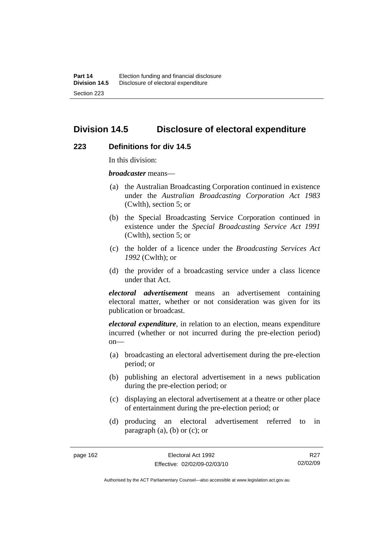## **Division 14.5 Disclosure of electoral expenditure**

#### **223 Definitions for div 14.5**

In this division:

*broadcaster* means—

- (a) the Australian Broadcasting Corporation continued in existence under the *Australian Broadcasting Corporation Act 1983* (Cwlth), section 5; or
- (b) the Special Broadcasting Service Corporation continued in existence under the *Special Broadcasting Service Act 1991*  (Cwlth), section 5; or
- (c) the holder of a licence under the *Broadcasting Services Act 1992* (Cwlth); or
- (d) the provider of a broadcasting service under a class licence under that Act.

*electoral advertisement* means an advertisement containing electoral matter, whether or not consideration was given for its publication or broadcast.

*electoral expenditure*, in relation to an election, means expenditure incurred (whether or not incurred during the pre-election period)  $on$ —

- (a) broadcasting an electoral advertisement during the pre-election period; or
- (b) publishing an electoral advertisement in a news publication during the pre-election period; or
- (c) displaying an electoral advertisement at a theatre or other place of entertainment during the pre-election period; or
- (d) producing an electoral advertisement referred to in paragraph  $(a)$ ,  $(b)$  or  $(c)$ ; or

R27 02/02/09

Authorised by the ACT Parliamentary Counsel—also accessible at www.legislation.act.gov.au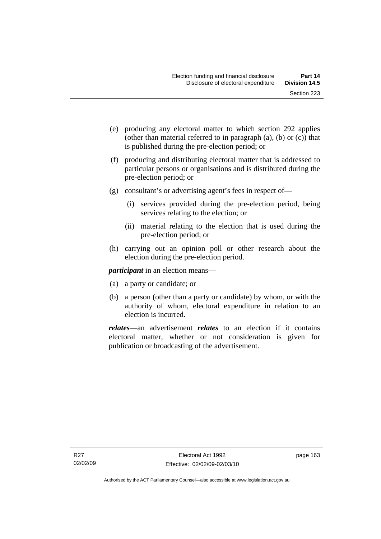- (e) producing any electoral matter to which section 292 applies (other than material referred to in paragraph (a), (b) or (c)) that is published during the pre-election period; or
- (f) producing and distributing electoral matter that is addressed to particular persons or organisations and is distributed during the pre-election period; or
- (g) consultant's or advertising agent's fees in respect of—
	- (i) services provided during the pre-election period, being services relating to the election; or
	- (ii) material relating to the election that is used during the pre-election period; or
- (h) carrying out an opinion poll or other research about the election during the pre-election period.

*participant* in an election means—

- (a) a party or candidate; or
- (b) a person (other than a party or candidate) by whom, or with the authority of whom, electoral expenditure in relation to an election is incurred.

*relates*—an advertisement *relates* to an election if it contains electoral matter, whether or not consideration is given for publication or broadcasting of the advertisement.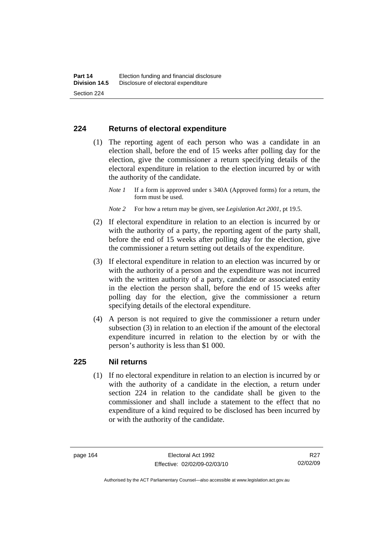#### **224 Returns of electoral expenditure**

 (1) The reporting agent of each person who was a candidate in an election shall, before the end of 15 weeks after polling day for the election, give the commissioner a return specifying details of the electoral expenditure in relation to the election incurred by or with the authority of the candidate.

- *Note 2* For how a return may be given, see *Legislation Act 2001*, pt 19.5.
- (2) If electoral expenditure in relation to an election is incurred by or with the authority of a party, the reporting agent of the party shall, before the end of 15 weeks after polling day for the election, give the commissioner a return setting out details of the expenditure.
- (3) If electoral expenditure in relation to an election was incurred by or with the authority of a person and the expenditure was not incurred with the written authority of a party, candidate or associated entity in the election the person shall, before the end of 15 weeks after polling day for the election, give the commissioner a return specifying details of the electoral expenditure.
- (4) A person is not required to give the commissioner a return under subsection (3) in relation to an election if the amount of the electoral expenditure incurred in relation to the election by or with the person's authority is less than \$1 000.

#### **225 Nil returns**

 (1) If no electoral expenditure in relation to an election is incurred by or with the authority of a candidate in the election, a return under section 224 in relation to the candidate shall be given to the commissioner and shall include a statement to the effect that no expenditure of a kind required to be disclosed has been incurred by or with the authority of the candidate.

*Note 1* If a form is approved under s 340A (Approved forms) for a return, the form must be used.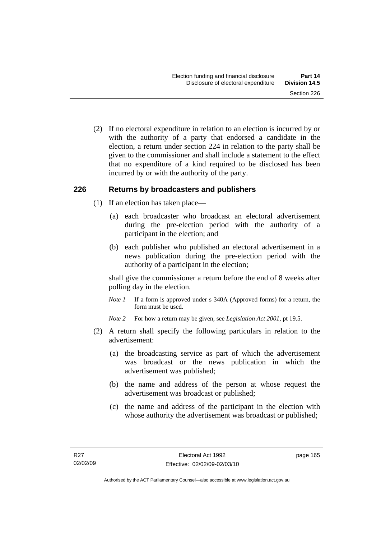(2) If no electoral expenditure in relation to an election is incurred by or with the authority of a party that endorsed a candidate in the election, a return under section 224 in relation to the party shall be given to the commissioner and shall include a statement to the effect that no expenditure of a kind required to be disclosed has been incurred by or with the authority of the party.

#### **226 Returns by broadcasters and publishers**

- (1) If an election has taken place—
	- (a) each broadcaster who broadcast an electoral advertisement during the pre-election period with the authority of a participant in the election; and
	- (b) each publisher who published an electoral advertisement in a news publication during the pre-election period with the authority of a participant in the election;

shall give the commissioner a return before the end of 8 weeks after polling day in the election.

*Note 1* If a form is approved under s 340A (Approved forms) for a return, the form must be used.

*Note 2* For how a return may be given, see *Legislation Act 2001*, pt 19.5.

- (2) A return shall specify the following particulars in relation to the advertisement:
	- (a) the broadcasting service as part of which the advertisement was broadcast or the news publication in which the advertisement was published;
	- (b) the name and address of the person at whose request the advertisement was broadcast or published;
	- (c) the name and address of the participant in the election with whose authority the advertisement was broadcast or published;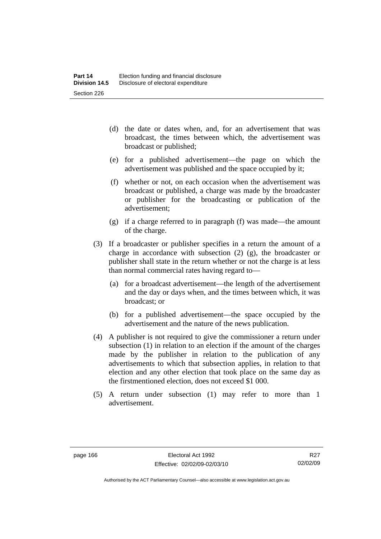- (d) the date or dates when, and, for an advertisement that was broadcast, the times between which, the advertisement was broadcast or published;
- (e) for a published advertisement—the page on which the advertisement was published and the space occupied by it;
- (f) whether or not, on each occasion when the advertisement was broadcast or published, a charge was made by the broadcaster or publisher for the broadcasting or publication of the advertisement;
- (g) if a charge referred to in paragraph (f) was made—the amount of the charge.
- (3) If a broadcaster or publisher specifies in a return the amount of a charge in accordance with subsection (2) (g), the broadcaster or publisher shall state in the return whether or not the charge is at less than normal commercial rates having regard to—
	- (a) for a broadcast advertisement—the length of the advertisement and the day or days when, and the times between which, it was broadcast; or
	- (b) for a published advertisement—the space occupied by the advertisement and the nature of the news publication.
- (4) A publisher is not required to give the commissioner a return under subsection (1) in relation to an election if the amount of the charges made by the publisher in relation to the publication of any advertisements to which that subsection applies, in relation to that election and any other election that took place on the same day as the firstmentioned election, does not exceed \$1 000.
- (5) A return under subsection (1) may refer to more than 1 advertisement.

Authorised by the ACT Parliamentary Counsel—also accessible at www.legislation.act.gov.au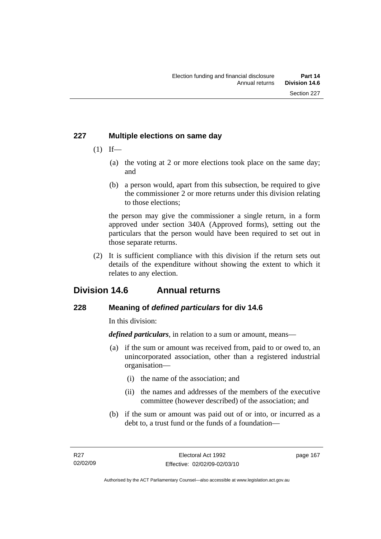## **227 Multiple elections on same day**

- $(1)$  If—
	- (a) the voting at 2 or more elections took place on the same day; and
	- (b) a person would, apart from this subsection, be required to give the commissioner 2 or more returns under this division relating to those elections;

the person may give the commissioner a single return, in a form approved under section 340A (Approved forms), setting out the particulars that the person would have been required to set out in those separate returns.

 (2) It is sufficient compliance with this division if the return sets out details of the expenditure without showing the extent to which it relates to any election.

# **Division 14.6 Annual returns**

## **228 Meaning of** *defined particulars* **for div 14.6**

In this division:

*defined particulars*, in relation to a sum or amount, means—

- (a) if the sum or amount was received from, paid to or owed to, an unincorporated association, other than a registered industrial organisation—
	- (i) the name of the association; and
	- (ii) the names and addresses of the members of the executive committee (however described) of the association; and
- (b) if the sum or amount was paid out of or into, or incurred as a debt to, a trust fund or the funds of a foundation—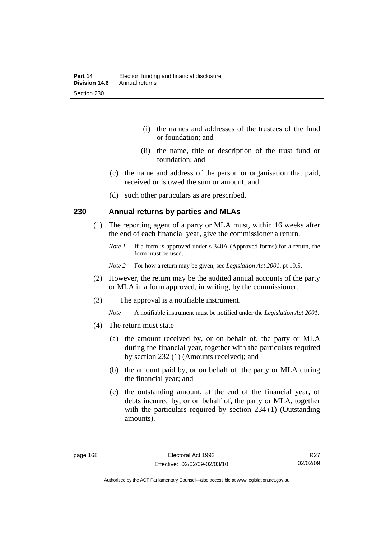- (i) the names and addresses of the trustees of the fund or foundation; and
- (ii) the name, title or description of the trust fund or foundation; and
- (c) the name and address of the person or organisation that paid, received or is owed the sum or amount; and
- (d) such other particulars as are prescribed.

#### **230 Annual returns by parties and MLAs**

- (1) The reporting agent of a party or MLA must, within 16 weeks after the end of each financial year, give the commissioner a return.
	- *Note 1* If a form is approved under s 340A (Approved forms) for a return, the form must be used.
	- *Note 2* For how a return may be given, see *Legislation Act 2001*, pt 19.5.
- (2) However, the return may be the audited annual accounts of the party or MLA in a form approved, in writing, by the commissioner.
- (3) The approval is a notifiable instrument.
	- *Note* A notifiable instrument must be notified under the *Legislation Act 2001*.
- (4) The return must state—
	- (a) the amount received by, or on behalf of, the party or MLA during the financial year, together with the particulars required by section 232 (1) (Amounts received); and
	- (b) the amount paid by, or on behalf of, the party or MLA during the financial year; and
	- (c) the outstanding amount, at the end of the financial year, of debts incurred by, or on behalf of, the party or MLA, together with the particulars required by section 234 (1) (Outstanding amounts).

Authorised by the ACT Parliamentary Counsel—also accessible at www.legislation.act.gov.au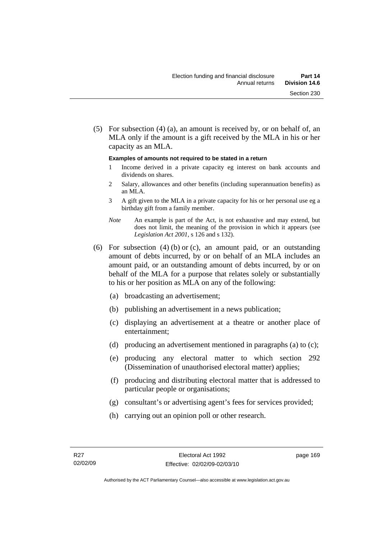(5) For subsection (4) (a), an amount is received by, or on behalf of, an MLA only if the amount is a gift received by the MLA in his or her capacity as an MLA.

#### **Examples of amounts not required to be stated in a return**

- 1 Income derived in a private capacity eg interest on bank accounts and dividends on shares.
- 2 Salary, allowances and other benefits (including superannuation benefits) as an MLA.
- 3 A gift given to the MLA in a private capacity for his or her personal use eg a birthday gift from a family member.
- *Note* An example is part of the Act, is not exhaustive and may extend, but does not limit, the meaning of the provision in which it appears (see *Legislation Act 2001*, s 126 and s 132).
- (6) For subsection (4) (b) or (c), an amount paid, or an outstanding amount of debts incurred, by or on behalf of an MLA includes an amount paid, or an outstanding amount of debts incurred, by or on behalf of the MLA for a purpose that relates solely or substantially to his or her position as MLA on any of the following:
	- (a) broadcasting an advertisement;
	- (b) publishing an advertisement in a news publication;
	- (c) displaying an advertisement at a theatre or another place of entertainment;
	- (d) producing an advertisement mentioned in paragraphs (a) to (c);
	- (e) producing any electoral matter to which section 292 (Dissemination of unauthorised electoral matter) applies;
	- (f) producing and distributing electoral matter that is addressed to particular people or organisations;
	- (g) consultant's or advertising agent's fees for services provided;
	- (h) carrying out an opinion poll or other research.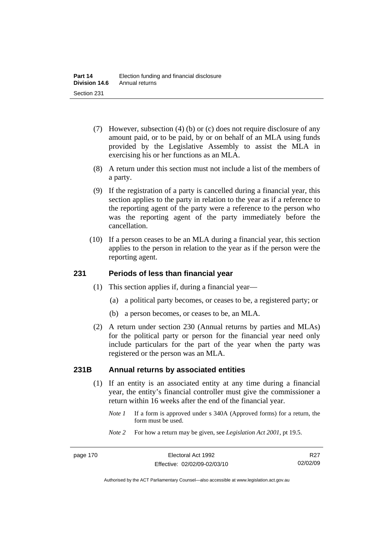- (7) However, subsection (4) (b) or (c) does not require disclosure of any amount paid, or to be paid, by or on behalf of an MLA using funds provided by the Legislative Assembly to assist the MLA in exercising his or her functions as an MLA.
- (8) A return under this section must not include a list of the members of a party.
- (9) If the registration of a party is cancelled during a financial year, this section applies to the party in relation to the year as if a reference to the reporting agent of the party were a reference to the person who was the reporting agent of the party immediately before the cancellation.
- (10) If a person ceases to be an MLA during a financial year, this section applies to the person in relation to the year as if the person were the reporting agent.

#### **231 Periods of less than financial year**

- (1) This section applies if, during a financial year—
	- (a) a political party becomes, or ceases to be, a registered party; or
	- (b) a person becomes, or ceases to be, an MLA.
- (2) A return under section 230 (Annual returns by parties and MLAs) for the political party or person for the financial year need only include particulars for the part of the year when the party was registered or the person was an MLA.

#### **231B Annual returns by associated entities**

- (1) If an entity is an associated entity at any time during a financial year, the entity's financial controller must give the commissioner a return within 16 weeks after the end of the financial year.
	- *Note 1* If a form is approved under s 340A (Approved forms) for a return, the form must be used.
	- *Note 2* For how a return may be given, see *Legislation Act 2001*, pt 19.5.

Authorised by the ACT Parliamentary Counsel—also accessible at www.legislation.act.gov.au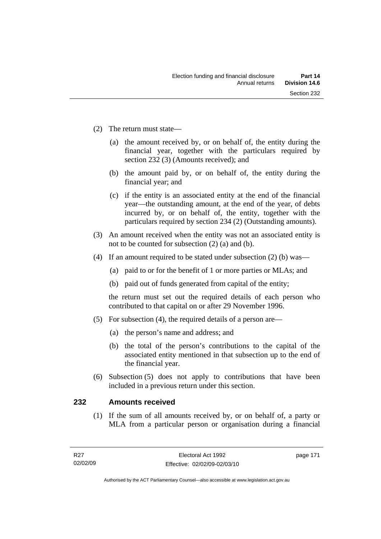- (2) The return must state—
	- (a) the amount received by, or on behalf of, the entity during the financial year, together with the particulars required by section 232 (3) (Amounts received); and
	- (b) the amount paid by, or on behalf of, the entity during the financial year; and
	- (c) if the entity is an associated entity at the end of the financial year—the outstanding amount, at the end of the year, of debts incurred by, or on behalf of, the entity, together with the particulars required by section 234 (2) (Outstanding amounts).
- (3) An amount received when the entity was not an associated entity is not to be counted for subsection (2) (a) and (b).
- (4) If an amount required to be stated under subsection (2) (b) was—
	- (a) paid to or for the benefit of 1 or more parties or MLAs; and
	- (b) paid out of funds generated from capital of the entity;

the return must set out the required details of each person who contributed to that capital on or after 29 November 1996.

- (5) For subsection (4), the required details of a person are—
	- (a) the person's name and address; and
	- (b) the total of the person's contributions to the capital of the associated entity mentioned in that subsection up to the end of the financial year.
- (6) Subsection (5) does not apply to contributions that have been included in a previous return under this section.

#### **232 Amounts received**

 (1) If the sum of all amounts received by, or on behalf of, a party or MLA from a particular person or organisation during a financial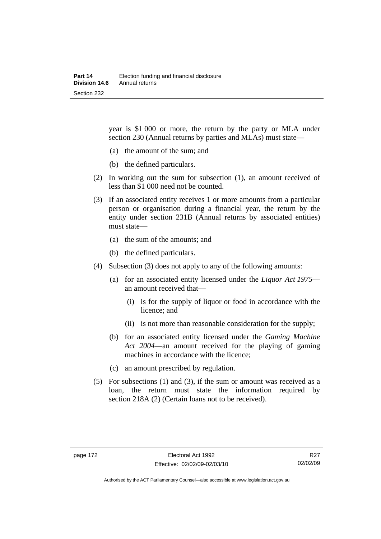year is \$1 000 or more, the return by the party or MLA under section 230 (Annual returns by parties and MLAs) must state—

- (a) the amount of the sum; and
- (b) the defined particulars.
- (2) In working out the sum for subsection (1), an amount received of less than \$1 000 need not be counted.
- (3) If an associated entity receives 1 or more amounts from a particular person or organisation during a financial year, the return by the entity under section 231B (Annual returns by associated entities) must state—
	- (a) the sum of the amounts; and
	- (b) the defined particulars.
- (4) Subsection (3) does not apply to any of the following amounts:
	- (a) for an associated entity licensed under the *Liquor Act 1975* an amount received that—
		- (i) is for the supply of liquor or food in accordance with the licence; and
		- (ii) is not more than reasonable consideration for the supply;
	- (b) for an associated entity licensed under the *Gaming Machine Act 2004*—an amount received for the playing of gaming machines in accordance with the licence;
	- (c) an amount prescribed by regulation.
- (5) For subsections (1) and (3), if the sum or amount was received as a loan, the return must state the information required by section 218A (2) (Certain loans not to be received).

R<sub>27</sub> 02/02/09

Authorised by the ACT Parliamentary Counsel—also accessible at www.legislation.act.gov.au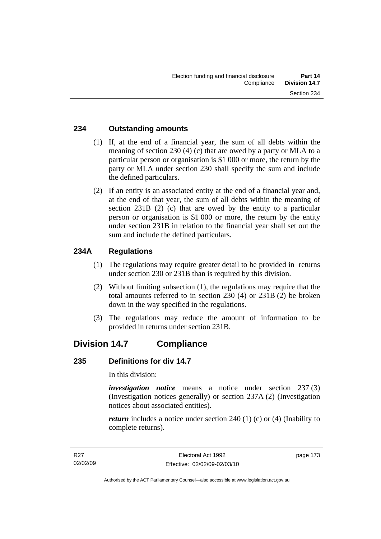#### **234 Outstanding amounts**

- (1) If, at the end of a financial year, the sum of all debts within the meaning of section 230 (4) (c) that are owed by a party or MLA to a particular person or organisation is \$1 000 or more, the return by the party or MLA under section 230 shall specify the sum and include the defined particulars.
- (2) If an entity is an associated entity at the end of a financial year and, at the end of that year, the sum of all debts within the meaning of section 231B (2) (c) that are owed by the entity to a particular person or organisation is \$1 000 or more, the return by the entity under section 231B in relation to the financial year shall set out the sum and include the defined particulars.

## **234A Regulations**

- (1) The regulations may require greater detail to be provided in returns under section 230 or 231B than is required by this division.
- (2) Without limiting subsection (1), the regulations may require that the total amounts referred to in section 230 (4) or 231B (2) be broken down in the way specified in the regulations.
- (3) The regulations may reduce the amount of information to be provided in returns under section 231B.

# **Division 14.7 Compliance**

#### **235 Definitions for div 14.7**

In this division:

*investigation notice* means a notice under section 237 (3) (Investigation notices generally) or section 237A (2) (Investigation notices about associated entities).

*return* includes a notice under section 240 (1) (c) or (4) (Inability to complete returns).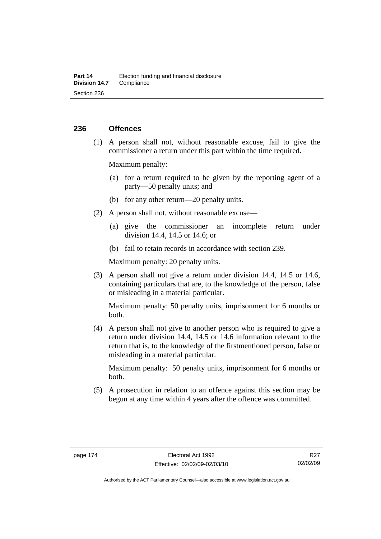#### **236 Offences**

 (1) A person shall not, without reasonable excuse, fail to give the commissioner a return under this part within the time required.

Maximum penalty:

- (a) for a return required to be given by the reporting agent of a party—50 penalty units; and
- (b) for any other return—20 penalty units.
- (2) A person shall not, without reasonable excuse—
	- (a) give the commissioner an incomplete return under division 14.4, 14.5 or 14.6; or
	- (b) fail to retain records in accordance with section 239.

Maximum penalty: 20 penalty units.

 (3) A person shall not give a return under division 14.4, 14.5 or 14.6, containing particulars that are, to the knowledge of the person, false or misleading in a material particular.

Maximum penalty: 50 penalty units, imprisonment for 6 months or both.

 (4) A person shall not give to another person who is required to give a return under division 14.4, 14.5 or 14.6 information relevant to the return that is, to the knowledge of the firstmentioned person, false or misleading in a material particular.

Maximum penalty: 50 penalty units, imprisonment for 6 months or both.

 (5) A prosecution in relation to an offence against this section may be begun at any time within 4 years after the offence was committed.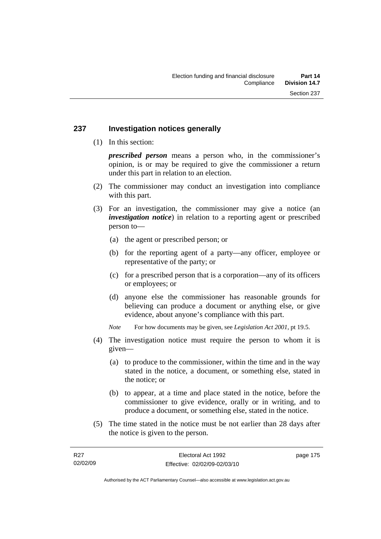#### **237 Investigation notices generally**

(1) In this section:

*prescribed person* means a person who, in the commissioner's opinion, is or may be required to give the commissioner a return under this part in relation to an election.

- (2) The commissioner may conduct an investigation into compliance with this part.
- (3) For an investigation, the commissioner may give a notice (an *investigation notice*) in relation to a reporting agent or prescribed person to—
	- (a) the agent or prescribed person; or
	- (b) for the reporting agent of a party—any officer, employee or representative of the party; or
	- (c) for a prescribed person that is a corporation—any of its officers or employees; or
	- (d) anyone else the commissioner has reasonable grounds for believing can produce a document or anything else, or give evidence, about anyone's compliance with this part.
	- *Note* For how documents may be given, see *Legislation Act 2001*, pt 19.5.
- (4) The investigation notice must require the person to whom it is given—
	- (a) to produce to the commissioner, within the time and in the way stated in the notice, a document, or something else, stated in the notice; or
	- (b) to appear, at a time and place stated in the notice, before the commissioner to give evidence, orally or in writing, and to produce a document, or something else, stated in the notice.
- (5) The time stated in the notice must be not earlier than 28 days after the notice is given to the person.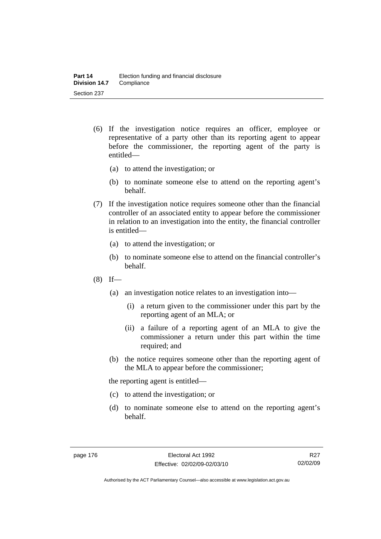- (6) If the investigation notice requires an officer, employee or representative of a party other than its reporting agent to appear before the commissioner, the reporting agent of the party is entitled—
	- (a) to attend the investigation; or
	- (b) to nominate someone else to attend on the reporting agent's behalf.
- (7) If the investigation notice requires someone other than the financial controller of an associated entity to appear before the commissioner in relation to an investigation into the entity, the financial controller is entitled—
	- (a) to attend the investigation; or
	- (b) to nominate someone else to attend on the financial controller's behalf.
- $(8)$  If—
	- (a) an investigation notice relates to an investigation into—
		- (i) a return given to the commissioner under this part by the reporting agent of an MLA; or
		- (ii) a failure of a reporting agent of an MLA to give the commissioner a return under this part within the time required; and
	- (b) the notice requires someone other than the reporting agent of the MLA to appear before the commissioner;

the reporting agent is entitled—

- (c) to attend the investigation; or
- (d) to nominate someone else to attend on the reporting agent's behalf.

Authorised by the ACT Parliamentary Counsel—also accessible at www.legislation.act.gov.au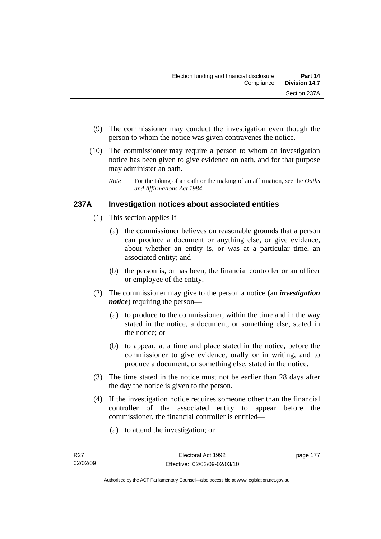- (9) The commissioner may conduct the investigation even though the person to whom the notice was given contravenes the notice.
- (10) The commissioner may require a person to whom an investigation notice has been given to give evidence on oath, and for that purpose may administer an oath.
	- *Note* For the taking of an oath or the making of an affirmation, see the *Oaths and Affirmations Act 1984.*

## **237A Investigation notices about associated entities**

- (1) This section applies if—
	- (a) the commissioner believes on reasonable grounds that a person can produce a document or anything else, or give evidence, about whether an entity is, or was at a particular time, an associated entity; and
	- (b) the person is, or has been, the financial controller or an officer or employee of the entity.
- (2) The commissioner may give to the person a notice (an *investigation notice*) requiring the person—
	- (a) to produce to the commissioner, within the time and in the way stated in the notice, a document, or something else, stated in the notice; or
	- (b) to appear, at a time and place stated in the notice, before the commissioner to give evidence, orally or in writing, and to produce a document, or something else, stated in the notice.
- (3) The time stated in the notice must not be earlier than 28 days after the day the notice is given to the person.
- (4) If the investigation notice requires someone other than the financial controller of the associated entity to appear before the commissioner, the financial controller is entitled—
	- (a) to attend the investigation; or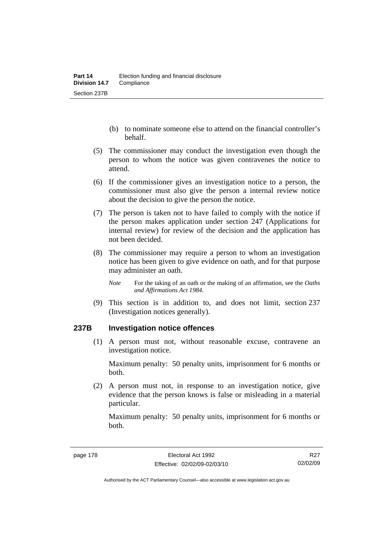- (b) to nominate someone else to attend on the financial controller's behalf.
- (5) The commissioner may conduct the investigation even though the person to whom the notice was given contravenes the notice to attend.
- (6) If the commissioner gives an investigation notice to a person, the commissioner must also give the person a internal review notice about the decision to give the person the notice.
- (7) The person is taken not to have failed to comply with the notice if the person makes application under section 247 (Applications for internal review) for review of the decision and the application has not been decided.
- (8) The commissioner may require a person to whom an investigation notice has been given to give evidence on oath, and for that purpose may administer an oath.
	- *Note* For the taking of an oath or the making of an affirmation, see the *Oaths and Affirmations Act 1984.*
- (9) This section is in addition to, and does not limit, section 237 (Investigation notices generally).

#### **237B Investigation notice offences**

 (1) A person must not, without reasonable excuse, contravene an investigation notice.

Maximum penalty: 50 penalty units, imprisonment for 6 months or both.

 (2) A person must not, in response to an investigation notice, give evidence that the person knows is false or misleading in a material particular.

Maximum penalty: 50 penalty units, imprisonment for 6 months or both.

R27 02/02/09

Authorised by the ACT Parliamentary Counsel—also accessible at www.legislation.act.gov.au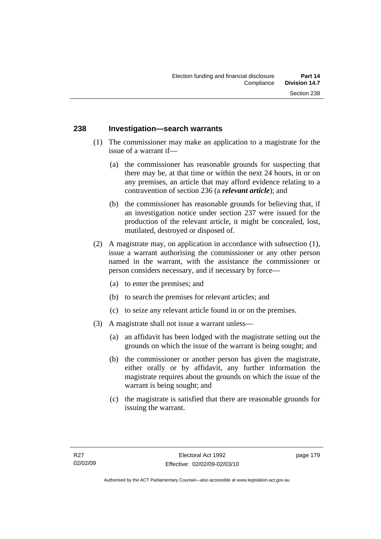#### **238 Investigation—search warrants**

- (1) The commissioner may make an application to a magistrate for the issue of a warrant if—
	- (a) the commissioner has reasonable grounds for suspecting that there may be, at that time or within the next 24 hours, in or on any premises, an article that may afford evidence relating to a contravention of section 236 (a *relevant article*); and
	- (b) the commissioner has reasonable grounds for believing that, if an investigation notice under section 237 were issued for the production of the relevant article, it might be concealed, lost, mutilated, destroyed or disposed of.
- (2) A magistrate may, on application in accordance with subsection (1), issue a warrant authorising the commissioner or any other person named in the warrant, with the assistance the commissioner or person considers necessary, and if necessary by force—
	- (a) to enter the premises; and
	- (b) to search the premises for relevant articles; and
	- (c) to seize any relevant article found in or on the premises.
- (3) A magistrate shall not issue a warrant unless—
	- (a) an affidavit has been lodged with the magistrate setting out the grounds on which the issue of the warrant is being sought; and
	- (b) the commissioner or another person has given the magistrate, either orally or by affidavit, any further information the magistrate requires about the grounds on which the issue of the warrant is being sought; and
	- (c) the magistrate is satisfied that there are reasonable grounds for issuing the warrant.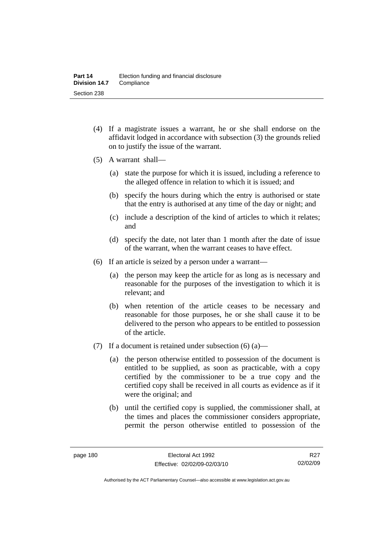- (4) If a magistrate issues a warrant, he or she shall endorse on the affidavit lodged in accordance with subsection (3) the grounds relied on to justify the issue of the warrant.
- (5) A warrant shall—
	- (a) state the purpose for which it is issued, including a reference to the alleged offence in relation to which it is issued; and
	- (b) specify the hours during which the entry is authorised or state that the entry is authorised at any time of the day or night; and
	- (c) include a description of the kind of articles to which it relates; and
	- (d) specify the date, not later than 1 month after the date of issue of the warrant, when the warrant ceases to have effect.
- (6) If an article is seized by a person under a warrant—
	- (a) the person may keep the article for as long as is necessary and reasonable for the purposes of the investigation to which it is relevant; and
	- (b) when retention of the article ceases to be necessary and reasonable for those purposes, he or she shall cause it to be delivered to the person who appears to be entitled to possession of the article.
- (7) If a document is retained under subsection  $(6)$  (a)—
	- (a) the person otherwise entitled to possession of the document is entitled to be supplied, as soon as practicable, with a copy certified by the commissioner to be a true copy and the certified copy shall be received in all courts as evidence as if it were the original; and
	- (b) until the certified copy is supplied, the commissioner shall, at the times and places the commissioner considers appropriate, permit the person otherwise entitled to possession of the

R<sub>27</sub> 02/02/09

Authorised by the ACT Parliamentary Counsel—also accessible at www.legislation.act.gov.au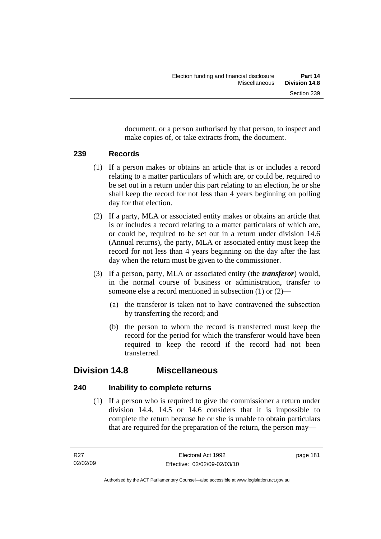document, or a person authorised by that person, to inspect and make copies of, or take extracts from, the document.

## **239 Records**

- (1) If a person makes or obtains an article that is or includes a record relating to a matter particulars of which are, or could be, required to be set out in a return under this part relating to an election, he or she shall keep the record for not less than 4 years beginning on polling day for that election.
- (2) If a party, MLA or associated entity makes or obtains an article that is or includes a record relating to a matter particulars of which are, or could be, required to be set out in a return under division 14.6 (Annual returns), the party, MLA or associated entity must keep the record for not less than 4 years beginning on the day after the last day when the return must be given to the commissioner.
- (3) If a person, party, MLA or associated entity (the *transferor*) would, in the normal course of business or administration, transfer to someone else a record mentioned in subsection (1) or (2)—
	- (a) the transferor is taken not to have contravened the subsection by transferring the record; and
	- (b) the person to whom the record is transferred must keep the record for the period for which the transferor would have been required to keep the record if the record had not been transferred.

# **Division 14.8 Miscellaneous**

## **240 Inability to complete returns**

 (1) If a person who is required to give the commissioner a return under division 14.4, 14.5 or 14.6 considers that it is impossible to complete the return because he or she is unable to obtain particulars that are required for the preparation of the return, the person may—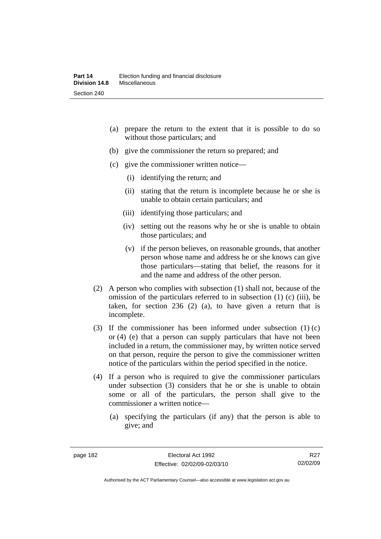- (a) prepare the return to the extent that it is possible to do so without those particulars; and
- (b) give the commissioner the return so prepared; and
- (c) give the commissioner written notice—
	- (i) identifying the return; and
	- (ii) stating that the return is incomplete because he or she is unable to obtain certain particulars; and
	- (iii) identifying those particulars; and
	- (iv) setting out the reasons why he or she is unable to obtain those particulars; and
	- (v) if the person believes, on reasonable grounds, that another person whose name and address he or she knows can give those particulars—stating that belief, the reasons for it and the name and address of the other person.
- (2) A person who complies with subsection (1) shall not, because of the omission of the particulars referred to in subsection (1) (c) (iii), be taken, for section 236 (2) (a), to have given a return that is incomplete.
- (3) If the commissioner has been informed under subsection (1) (c) or (4) (e) that a person can supply particulars that have not been included in a return, the commissioner may, by written notice served on that person, require the person to give the commissioner written notice of the particulars within the period specified in the notice.
- (4) If a person who is required to give the commissioner particulars under subsection (3) considers that he or she is unable to obtain some or all of the particulars, the person shall give to the commissioner a written notice—
	- (a) specifying the particulars (if any) that the person is able to give; and

R<sub>27</sub> 02/02/09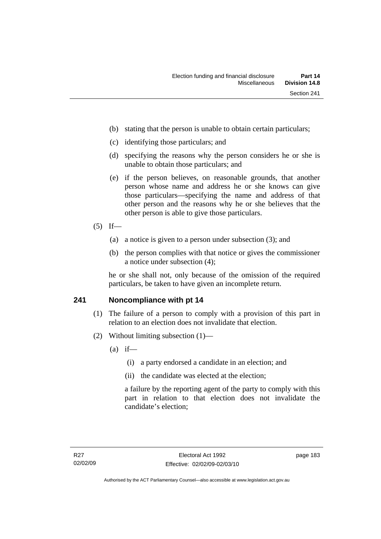- (b) stating that the person is unable to obtain certain particulars;
- (c) identifying those particulars; and
- (d) specifying the reasons why the person considers he or she is unable to obtain those particulars; and
- (e) if the person believes, on reasonable grounds, that another person whose name and address he or she knows can give those particulars—specifying the name and address of that other person and the reasons why he or she believes that the other person is able to give those particulars.
- $(5)$  If—
	- (a) a notice is given to a person under subsection (3); and
	- (b) the person complies with that notice or gives the commissioner a notice under subsection (4);

he or she shall not, only because of the omission of the required particulars, be taken to have given an incomplete return.

#### **241 Noncompliance with pt 14**

- (1) The failure of a person to comply with a provision of this part in relation to an election does not invalidate that election.
- (2) Without limiting subsection (1)—
	- $(a)$  if—
		- (i) a party endorsed a candidate in an election; and
		- (ii) the candidate was elected at the election;

a failure by the reporting agent of the party to comply with this part in relation to that election does not invalidate the candidate's election;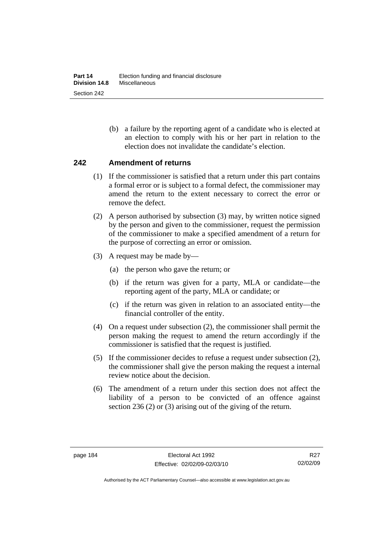(b) a failure by the reporting agent of a candidate who is elected at an election to comply with his or her part in relation to the election does not invalidate the candidate's election.

#### **242 Amendment of returns**

- (1) If the commissioner is satisfied that a return under this part contains a formal error or is subject to a formal defect, the commissioner may amend the return to the extent necessary to correct the error or remove the defect.
- (2) A person authorised by subsection (3) may, by written notice signed by the person and given to the commissioner, request the permission of the commissioner to make a specified amendment of a return for the purpose of correcting an error or omission.
- (3) A request may be made by—
	- (a) the person who gave the return; or
	- (b) if the return was given for a party, MLA or candidate—the reporting agent of the party, MLA or candidate; or
	- (c) if the return was given in relation to an associated entity—the financial controller of the entity.
- (4) On a request under subsection (2), the commissioner shall permit the person making the request to amend the return accordingly if the commissioner is satisfied that the request is justified.
- (5) If the commissioner decides to refuse a request under subsection (2), the commissioner shall give the person making the request a internal review notice about the decision.
- (6) The amendment of a return under this section does not affect the liability of a person to be convicted of an offence against section 236 (2) or (3) arising out of the giving of the return.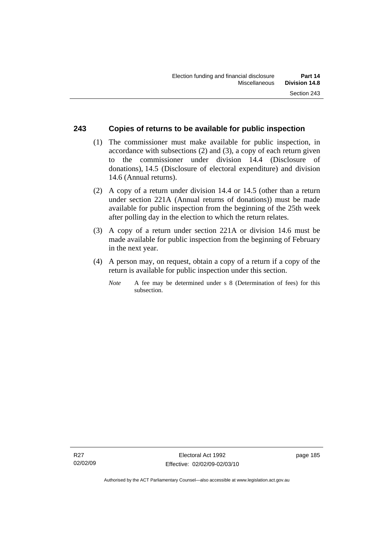#### **243 Copies of returns to be available for public inspection**

- (1) The commissioner must make available for public inspection, in accordance with subsections (2) and (3), a copy of each return given to the commissioner under division 14.4 (Disclosure of donations), 14.5 (Disclosure of electoral expenditure) and division 14.6 (Annual returns).
- (2) A copy of a return under division 14.4 or 14.5 (other than a return under section 221A (Annual returns of donations)) must be made available for public inspection from the beginning of the 25th week after polling day in the election to which the return relates.
- (3) A copy of a return under section 221A or division 14.6 must be made available for public inspection from the beginning of February in the next year.
- (4) A person may, on request, obtain a copy of a return if a copy of the return is available for public inspection under this section.
	- *Note* A fee may be determined under s 8 (Determination of fees) for this subsection.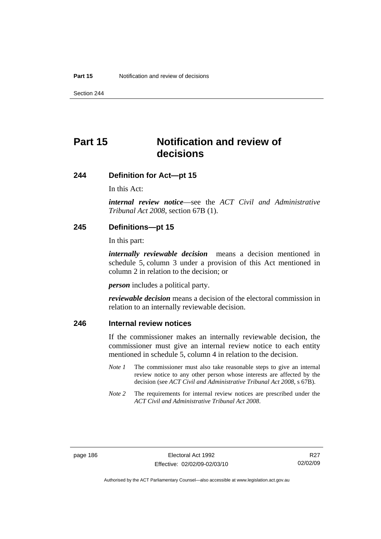Section 244

# **Part 15 Notification and review of decisions**

#### **244 Definition for Act—pt 15**

In this Act:

*internal review notice*—see the *ACT Civil and Administrative Tribunal Act 2008*, section 67B (1).

#### **245 Definitions—pt 15**

In this part:

*internally reviewable decision* means a decision mentioned in schedule 5, column 3 under a provision of this Act mentioned in column 2 in relation to the decision; or

*person* includes a political party.

*reviewable decision* means a decision of the electoral commission in relation to an internally reviewable decision.

#### **246 Internal review notices**

If the commissioner makes an internally reviewable decision, the commissioner must give an internal review notice to each entity mentioned in schedule 5, column 4 in relation to the decision.

- *Note 1* The commissioner must also take reasonable steps to give an internal review notice to any other person whose interests are affected by the decision (see *ACT Civil and Administrative Tribunal Act 2008*, s 67B).
- *Note* 2 The requirements for internal review notices are prescribed under the *ACT Civil and Administrative Tribunal Act 2008*.

Authorised by the ACT Parliamentary Counsel—also accessible at www.legislation.act.gov.au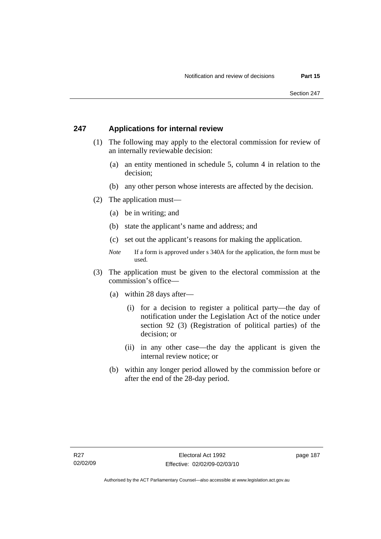#### **247 Applications for internal review**

- (1) The following may apply to the electoral commission for review of an internally reviewable decision:
	- (a) an entity mentioned in schedule 5, column 4 in relation to the decision;
	- (b) any other person whose interests are affected by the decision.
- (2) The application must—
	- (a) be in writing; and
	- (b) state the applicant's name and address; and
	- (c) set out the applicant's reasons for making the application.
	- *Note* If a form is approved under s 340A for the application, the form must be used.
- (3) The application must be given to the electoral commission at the commission's office—
	- (a) within 28 days after—
		- (i) for a decision to register a political party—the day of notification under the Legislation Act of the notice under section 92 (3) (Registration of political parties) of the decision; or
		- (ii) in any other case—the day the applicant is given the internal review notice; or
	- (b) within any longer period allowed by the commission before or after the end of the 28-day period.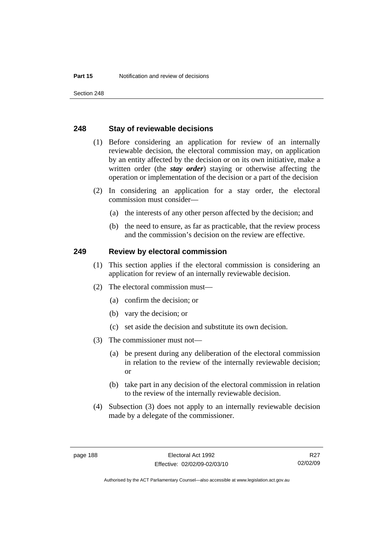Section 248

#### **248 Stay of reviewable decisions**

- (1) Before considering an application for review of an internally reviewable decision, the electoral commission may, on application by an entity affected by the decision or on its own initiative, make a written order (the *stay order*) staying or otherwise affecting the operation or implementation of the decision or a part of the decision
- (2) In considering an application for a stay order, the electoral commission must consider—
	- (a) the interests of any other person affected by the decision; and
	- (b) the need to ensure, as far as practicable, that the review process and the commission's decision on the review are effective.

#### **249 Review by electoral commission**

- (1) This section applies if the electoral commission is considering an application for review of an internally reviewable decision.
- (2) The electoral commission must—
	- (a) confirm the decision; or
	- (b) vary the decision; or
	- (c) set aside the decision and substitute its own decision.
- (3) The commissioner must not—
	- (a) be present during any deliberation of the electoral commission in relation to the review of the internally reviewable decision; or
	- (b) take part in any decision of the electoral commission in relation to the review of the internally reviewable decision.
- (4) Subsection (3) does not apply to an internally reviewable decision made by a delegate of the commissioner.

Authorised by the ACT Parliamentary Counsel—also accessible at www.legislation.act.gov.au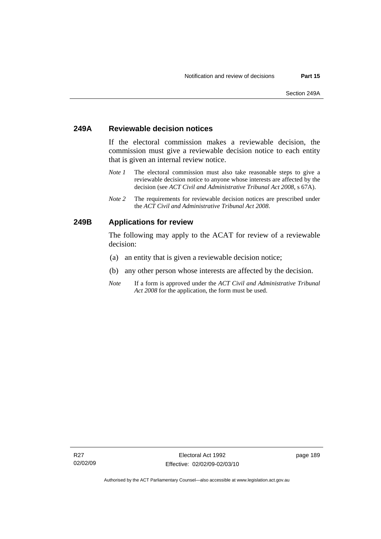#### **249A Reviewable decision notices**

If the electoral commission makes a reviewable decision, the commission must give a reviewable decision notice to each entity that is given an internal review notice.

- *Note 1* The electoral commission must also take reasonable steps to give a reviewable decision notice to anyone whose interests are affected by the decision (see *ACT Civil and Administrative Tribunal Act 2008*, s 67A).
- *Note 2* The requirements for reviewable decision notices are prescribed under the *ACT Civil and Administrative Tribunal Act 2008*.

#### **249B Applications for review**

The following may apply to the ACAT for review of a reviewable decision:

- (a) an entity that is given a reviewable decision notice;
- (b) any other person whose interests are affected by the decision.
- *Note* If a form is approved under the *ACT Civil and Administrative Tribunal Act 2008* for the application, the form must be used.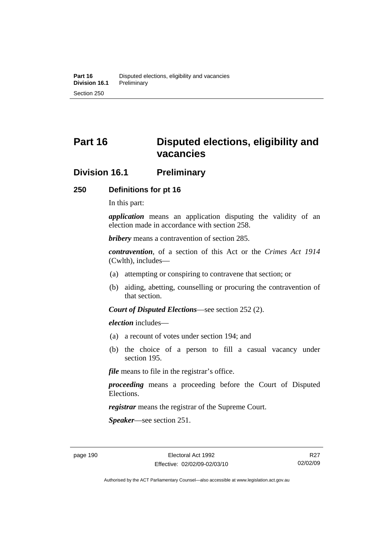# **Part 16 Disputed elections, eligibility and vacancies**

## **Division 16.1 Preliminary**

#### **250 Definitions for pt 16**

In this part:

*application* means an application disputing the validity of an election made in accordance with section 258.

*bribery* means a contravention of section 285.

*contravention*, of a section of this Act or the *Crimes Act 1914* (Cwlth), includes—

- (a) attempting or conspiring to contravene that section; or
- (b) aiding, abetting, counselling or procuring the contravention of that section.

*Court of Disputed Elections*—see section 252 (2).

*election* includes—

- (a) a recount of votes under section 194; and
- (b) the choice of a person to fill a casual vacancy under section 195.

*file* means to file in the registrar's office.

*proceeding* means a proceeding before the Court of Disputed Elections.

*registrar* means the registrar of the Supreme Court.

*Speaker*—see section 251.

R27 02/02/09

Authorised by the ACT Parliamentary Counsel—also accessible at www.legislation.act.gov.au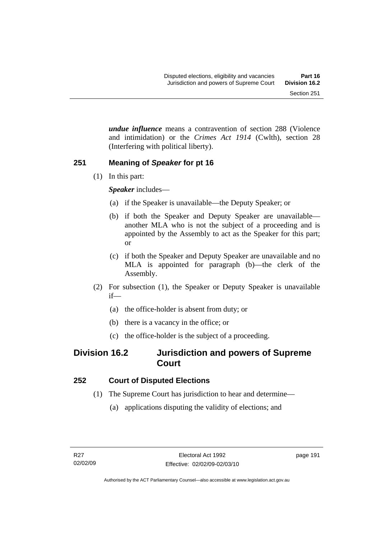*undue influence* means a contravention of section 288 (Violence and intimidation) or the *Crimes Act 1914* (Cwlth), section 28 (Interfering with political liberty).

# **251 Meaning of** *Speaker* **for pt 16**

(1) In this part:

*Speaker* includes—

- (a) if the Speaker is unavailable—the Deputy Speaker; or
- (b) if both the Speaker and Deputy Speaker are unavailable another MLA who is not the subject of a proceeding and is appointed by the Assembly to act as the Speaker for this part; or
- (c) if both the Speaker and Deputy Speaker are unavailable and no MLA is appointed for paragraph (b)—the clerk of the Assembly.
- (2) For subsection (1), the Speaker or Deputy Speaker is unavailable if—
	- (a) the office-holder is absent from duty; or
	- (b) there is a vacancy in the office; or
	- (c) the office-holder is the subject of a proceeding.

# **Division 16.2 Jurisdiction and powers of Supreme Court**

# **252 Court of Disputed Elections**

- (1) The Supreme Court has jurisdiction to hear and determine—
	- (a) applications disputing the validity of elections; and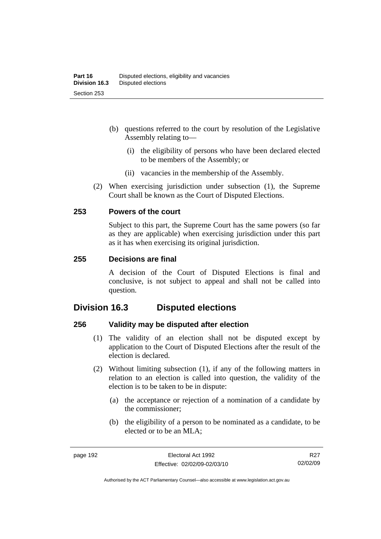- (b) questions referred to the court by resolution of the Legislative Assembly relating to—
	- (i) the eligibility of persons who have been declared elected to be members of the Assembly; or
	- (ii) vacancies in the membership of the Assembly.
- (2) When exercising jurisdiction under subsection (1), the Supreme Court shall be known as the Court of Disputed Elections.

#### **253 Powers of the court**

Subject to this part, the Supreme Court has the same powers (so far as they are applicable) when exercising jurisdiction under this part as it has when exercising its original jurisdiction.

#### **255 Decisions are final**

A decision of the Court of Disputed Elections is final and conclusive, is not subject to appeal and shall not be called into question.

# **Division 16.3 Disputed elections**

#### **256 Validity may be disputed after election**

- (1) The validity of an election shall not be disputed except by application to the Court of Disputed Elections after the result of the election is declared.
- (2) Without limiting subsection (1), if any of the following matters in relation to an election is called into question, the validity of the election is to be taken to be in dispute:
	- (a) the acceptance or rejection of a nomination of a candidate by the commissioner;
	- (b) the eligibility of a person to be nominated as a candidate, to be elected or to be an MLA;

R<sub>27</sub> 02/02/09

Authorised by the ACT Parliamentary Counsel—also accessible at www.legislation.act.gov.au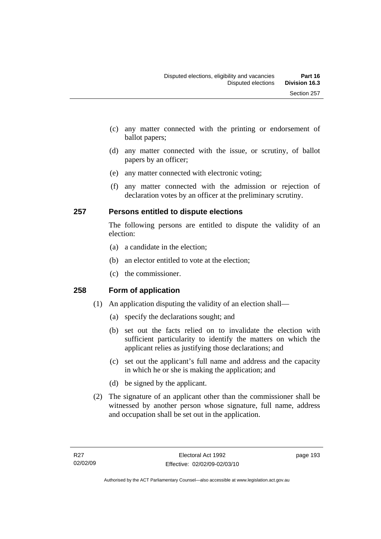- (c) any matter connected with the printing or endorsement of ballot papers;
- (d) any matter connected with the issue, or scrutiny, of ballot papers by an officer;
- (e) any matter connected with electronic voting;
- (f) any matter connected with the admission or rejection of declaration votes by an officer at the preliminary scrutiny.

## **257 Persons entitled to dispute elections**

The following persons are entitled to dispute the validity of an election:

- (a) a candidate in the election;
- (b) an elector entitled to vote at the election;
- (c) the commissioner.

## **258 Form of application**

- (1) An application disputing the validity of an election shall—
	- (a) specify the declarations sought; and
	- (b) set out the facts relied on to invalidate the election with sufficient particularity to identify the matters on which the applicant relies as justifying those declarations; and
	- (c) set out the applicant's full name and address and the capacity in which he or she is making the application; and
	- (d) be signed by the applicant.
- (2) The signature of an applicant other than the commissioner shall be witnessed by another person whose signature, full name, address and occupation shall be set out in the application.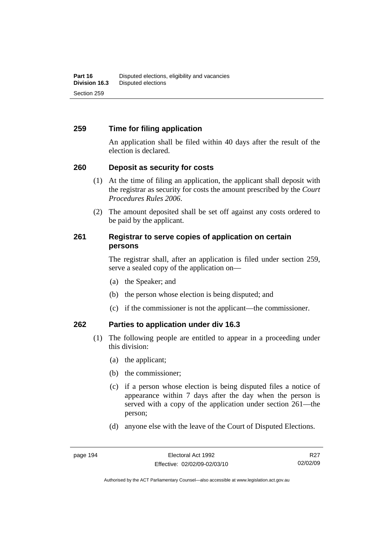#### **259 Time for filing application**

An application shall be filed within 40 days after the result of the election is declared.

#### **260 Deposit as security for costs**

- (1) At the time of filing an application, the applicant shall deposit with the registrar as security for costs the amount prescribed by the *Court Procedures Rules 2006*.
- (2) The amount deposited shall be set off against any costs ordered to be paid by the applicant.

#### **261 Registrar to serve copies of application on certain persons**

The registrar shall, after an application is filed under section 259, serve a sealed copy of the application on—

- (a) the Speaker; and
- (b) the person whose election is being disputed; and
- (c) if the commissioner is not the applicant—the commissioner.

#### **262 Parties to application under div 16.3**

- (1) The following people are entitled to appear in a proceeding under this division:
	- (a) the applicant;
	- (b) the commissioner;
	- (c) if a person whose election is being disputed files a notice of appearance within 7 days after the day when the person is served with a copy of the application under section 261—the person;
	- (d) anyone else with the leave of the Court of Disputed Elections.

Authorised by the ACT Parliamentary Counsel—also accessible at www.legislation.act.gov.au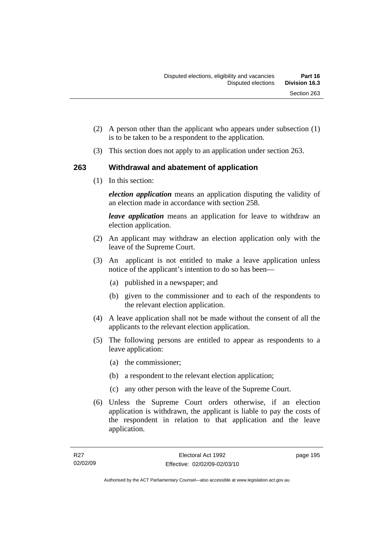- (2) A person other than the applicant who appears under subsection (1) is to be taken to be a respondent to the application.
- (3) This section does not apply to an application under section 263.

## **263 Withdrawal and abatement of application**

(1) In this section:

*election application* means an application disputing the validity of an election made in accordance with section 258.

*leave application* means an application for leave to withdraw an election application.

- (2) An applicant may withdraw an election application only with the leave of the Supreme Court.
- (3) An applicant is not entitled to make a leave application unless notice of the applicant's intention to do so has been—
	- (a) published in a newspaper; and
	- (b) given to the commissioner and to each of the respondents to the relevant election application.
- (4) A leave application shall not be made without the consent of all the applicants to the relevant election application.
- (5) The following persons are entitled to appear as respondents to a leave application:
	- (a) the commissioner;
	- (b) a respondent to the relevant election application;
	- (c) any other person with the leave of the Supreme Court.
- (6) Unless the Supreme Court orders otherwise, if an election application is withdrawn, the applicant is liable to pay the costs of the respondent in relation to that application and the leave application.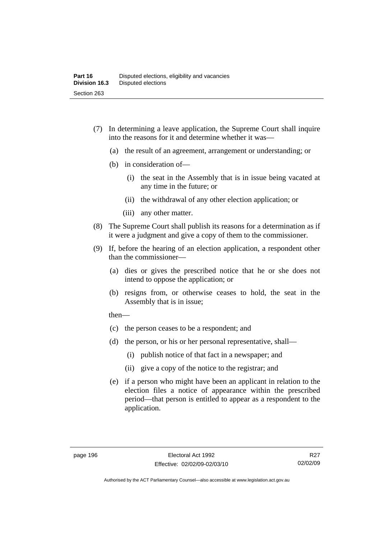- (7) In determining a leave application, the Supreme Court shall inquire into the reasons for it and determine whether it was—
	- (a) the result of an agreement, arrangement or understanding; or
	- (b) in consideration of—
		- (i) the seat in the Assembly that is in issue being vacated at any time in the future; or
		- (ii) the withdrawal of any other election application; or
		- (iii) any other matter.
- (8) The Supreme Court shall publish its reasons for a determination as if it were a judgment and give a copy of them to the commissioner.
- (9) If, before the hearing of an election application, a respondent other than the commissioner—
	- (a) dies or gives the prescribed notice that he or she does not intend to oppose the application; or
	- (b) resigns from, or otherwise ceases to hold, the seat in the Assembly that is in issue;

then—

- (c) the person ceases to be a respondent; and
- (d) the person, or his or her personal representative, shall—
	- (i) publish notice of that fact in a newspaper; and
	- (ii) give a copy of the notice to the registrar; and
- (e) if a person who might have been an applicant in relation to the election files a notice of appearance within the prescribed period—that person is entitled to appear as a respondent to the application.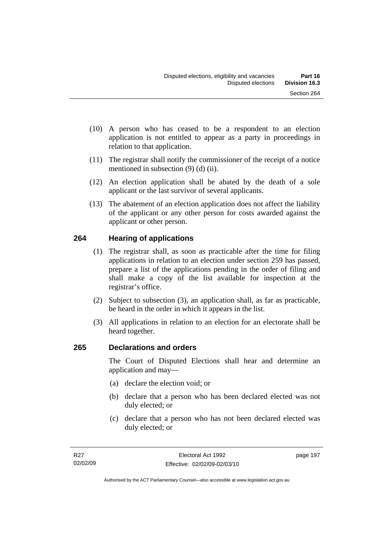- (10) A person who has ceased to be a respondent to an election application is not entitled to appear as a party in proceedings in relation to that application.
- (11) The registrar shall notify the commissioner of the receipt of a notice mentioned in subsection (9) (d) (ii).
- (12) An election application shall be abated by the death of a sole applicant or the last survivor of several applicants.
- (13) The abatement of an election application does not affect the liability of the applicant or any other person for costs awarded against the applicant or other person.

## **264 Hearing of applications**

- (1) The registrar shall, as soon as practicable after the time for filing applications in relation to an election under section 259 has passed, prepare a list of the applications pending in the order of filing and shall make a copy of the list available for inspection at the registrar's office.
- (2) Subject to subsection (3), an application shall, as far as practicable, be heard in the order in which it appears in the list.
- (3) All applications in relation to an election for an electorate shall be heard together.

## **265 Declarations and orders**

The Court of Disputed Elections shall hear and determine an application and may—

- (a) declare the election void; or
- (b) declare that a person who has been declared elected was not duly elected; or
- (c) declare that a person who has not been declared elected was duly elected; or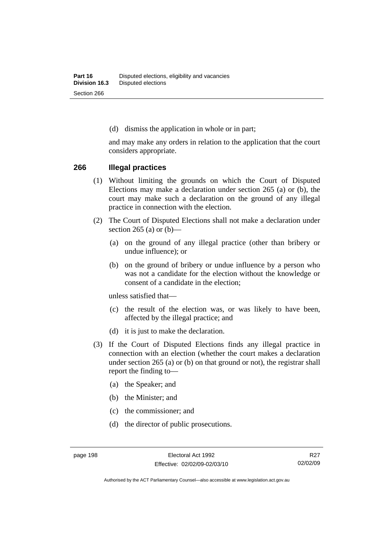(d) dismiss the application in whole or in part;

and may make any orders in relation to the application that the court considers appropriate.

#### **266 Illegal practices**

- (1) Without limiting the grounds on which the Court of Disputed Elections may make a declaration under section 265 (a) or (b), the court may make such a declaration on the ground of any illegal practice in connection with the election.
- (2) The Court of Disputed Elections shall not make a declaration under section 265 (a) or  $(b)$ —
	- (a) on the ground of any illegal practice (other than bribery or undue influence); or
	- (b) on the ground of bribery or undue influence by a person who was not a candidate for the election without the knowledge or consent of a candidate in the election;

unless satisfied that—

- (c) the result of the election was, or was likely to have been, affected by the illegal practice; and
- (d) it is just to make the declaration.
- (3) If the Court of Disputed Elections finds any illegal practice in connection with an election (whether the court makes a declaration under section 265 (a) or (b) on that ground or not), the registrar shall report the finding to—
	- (a) the Speaker; and
	- (b) the Minister; and
	- (c) the commissioner; and
	- (d) the director of public prosecutions.

R<sub>27</sub> 02/02/09

Authorised by the ACT Parliamentary Counsel—also accessible at www.legislation.act.gov.au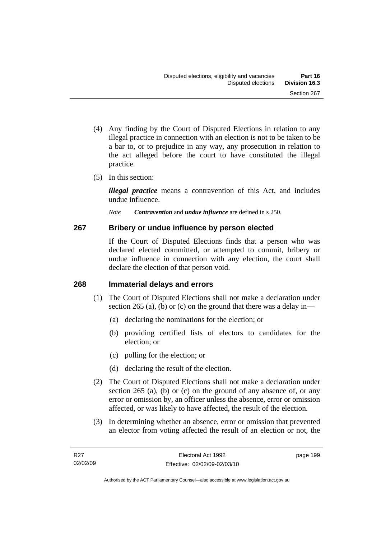- (4) Any finding by the Court of Disputed Elections in relation to any illegal practice in connection with an election is not to be taken to be a bar to, or to prejudice in any way, any prosecution in relation to the act alleged before the court to have constituted the illegal practice.
- (5) In this section:

*illegal practice* means a contravention of this Act, and includes undue influence.

*Note Contravention* and *undue influence* are defined in s 250.

### **267 Bribery or undue influence by person elected**

If the Court of Disputed Elections finds that a person who was declared elected committed, or attempted to commit, bribery or undue influence in connection with any election, the court shall declare the election of that person void.

### **268 Immaterial delays and errors**

- (1) The Court of Disputed Elections shall not make a declaration under section 265 (a), (b) or (c) on the ground that there was a delay in—
	- (a) declaring the nominations for the election; or
	- (b) providing certified lists of electors to candidates for the election; or
	- (c) polling for the election; or
	- (d) declaring the result of the election.
- (2) The Court of Disputed Elections shall not make a declaration under section 265 (a), (b) or (c) on the ground of any absence of, or any error or omission by, an officer unless the absence, error or omission affected, or was likely to have affected, the result of the election.
- (3) In determining whether an absence, error or omission that prevented an elector from voting affected the result of an election or not, the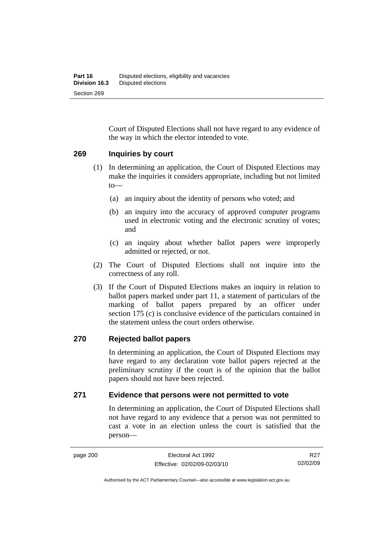Court of Disputed Elections shall not have regard to any evidence of the way in which the elector intended to vote.

#### **269 Inquiries by court**

- (1) In determining an application, the Court of Disputed Elections may make the inquiries it considers appropriate, including but not limited to—
	- (a) an inquiry about the identity of persons who voted; and
	- (b) an inquiry into the accuracy of approved computer programs used in electronic voting and the electronic scrutiny of votes; and
	- (c) an inquiry about whether ballot papers were improperly admitted or rejected, or not.
- (2) The Court of Disputed Elections shall not inquire into the correctness of any roll.
- (3) If the Court of Disputed Elections makes an inquiry in relation to ballot papers marked under part 11, a statement of particulars of the marking of ballot papers prepared by an officer under section 175 (c) is conclusive evidence of the particulars contained in the statement unless the court orders otherwise.

#### **270 Rejected ballot papers**

In determining an application, the Court of Disputed Elections may have regard to any declaration vote ballot papers rejected at the preliminary scrutiny if the court is of the opinion that the ballot papers should not have been rejected.

#### **271 Evidence that persons were not permitted to vote**

In determining an application, the Court of Disputed Elections shall not have regard to any evidence that a person was not permitted to cast a vote in an election unless the court is satisfied that the person—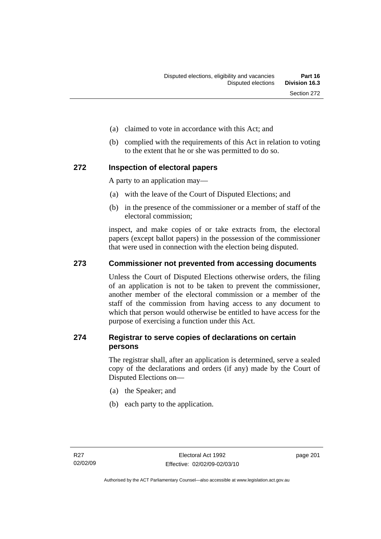- (a) claimed to vote in accordance with this Act; and
- (b) complied with the requirements of this Act in relation to voting to the extent that he or she was permitted to do so.

### **272 Inspection of electoral papers**

A party to an application may—

- (a) with the leave of the Court of Disputed Elections; and
- (b) in the presence of the commissioner or a member of staff of the electoral commission;

inspect, and make copies of or take extracts from, the electoral papers (except ballot papers) in the possession of the commissioner that were used in connection with the election being disputed.

### **273 Commissioner not prevented from accessing documents**

Unless the Court of Disputed Elections otherwise orders, the filing of an application is not to be taken to prevent the commissioner, another member of the electoral commission or a member of the staff of the commission from having access to any document to which that person would otherwise be entitled to have access for the purpose of exercising a function under this Act.

### **274 Registrar to serve copies of declarations on certain persons**

The registrar shall, after an application is determined, serve a sealed copy of the declarations and orders (if any) made by the Court of Disputed Elections on—

- (a) the Speaker; and
- (b) each party to the application.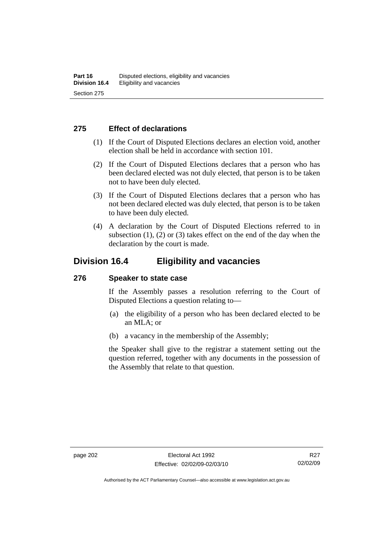### **275 Effect of declarations**

- (1) If the Court of Disputed Elections declares an election void, another election shall be held in accordance with section 101.
- (2) If the Court of Disputed Elections declares that a person who has been declared elected was not duly elected, that person is to be taken not to have been duly elected.
- (3) If the Court of Disputed Elections declares that a person who has not been declared elected was duly elected, that person is to be taken to have been duly elected.
- (4) A declaration by the Court of Disputed Elections referred to in subsection  $(1)$ ,  $(2)$  or  $(3)$  takes effect on the end of the day when the declaration by the court is made.

### **Division 16.4 Eligibility and vacancies**

#### **276 Speaker to state case**

If the Assembly passes a resolution referring to the Court of Disputed Elections a question relating to—

- (a) the eligibility of a person who has been declared elected to be an MLA; or
- (b) a vacancy in the membership of the Assembly;

the Speaker shall give to the registrar a statement setting out the question referred, together with any documents in the possession of the Assembly that relate to that question.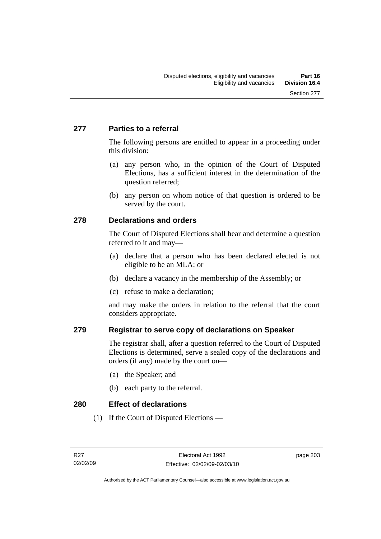### **277 Parties to a referral**

The following persons are entitled to appear in a proceeding under this division:

- (a) any person who, in the opinion of the Court of Disputed Elections, has a sufficient interest in the determination of the question referred;
- (b) any person on whom notice of that question is ordered to be served by the court.

### **278 Declarations and orders**

The Court of Disputed Elections shall hear and determine a question referred to it and may—

- (a) declare that a person who has been declared elected is not eligible to be an MLA; or
- (b) declare a vacancy in the membership of the Assembly; or
- (c) refuse to make a declaration;

and may make the orders in relation to the referral that the court considers appropriate.

### **279 Registrar to serve copy of declarations on Speaker**

The registrar shall, after a question referred to the Court of Disputed Elections is determined, serve a sealed copy of the declarations and orders (if any) made by the court on—

- (a) the Speaker; and
- (b) each party to the referral.

#### **280 Effect of declarations**

(1) If the Court of Disputed Elections —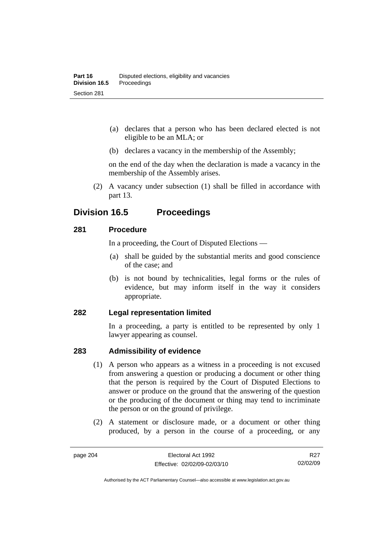- (a) declares that a person who has been declared elected is not eligible to be an MLA; or
- (b) declares a vacancy in the membership of the Assembly;

on the end of the day when the declaration is made a vacancy in the membership of the Assembly arises.

 (2) A vacancy under subsection (1) shall be filled in accordance with part 13.

## **Division 16.5 Proceedings**

### **281 Procedure**

In a proceeding, the Court of Disputed Elections —

- (a) shall be guided by the substantial merits and good conscience of the case; and
- (b) is not bound by technicalities, legal forms or the rules of evidence, but may inform itself in the way it considers appropriate.

### **282 Legal representation limited**

In a proceeding, a party is entitled to be represented by only 1 lawyer appearing as counsel.

### **283 Admissibility of evidence**

- (1) A person who appears as a witness in a proceeding is not excused from answering a question or producing a document or other thing that the person is required by the Court of Disputed Elections to answer or produce on the ground that the answering of the question or the producing of the document or thing may tend to incriminate the person or on the ground of privilege.
- (2) A statement or disclosure made, or a document or other thing produced, by a person in the course of a proceeding, or any

Authorised by the ACT Parliamentary Counsel—also accessible at www.legislation.act.gov.au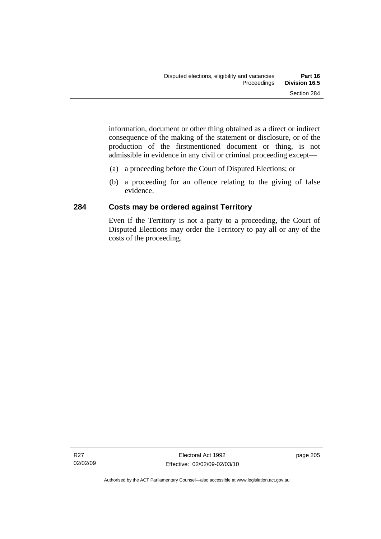information, document or other thing obtained as a direct or indirect consequence of the making of the statement or disclosure, or of the production of the firstmentioned document or thing, is not admissible in evidence in any civil or criminal proceeding except—

- (a) a proceeding before the Court of Disputed Elections; or
- (b) a proceeding for an offence relating to the giving of false evidence.

### **284 Costs may be ordered against Territory**

Even if the Territory is not a party to a proceeding, the Court of Disputed Elections may order the Territory to pay all or any of the costs of the proceeding.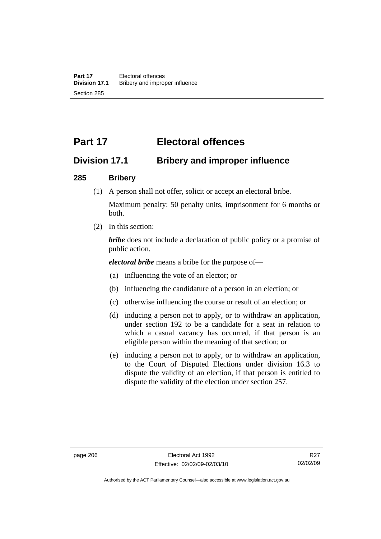# **Part 17 Electoral offences**

## **Division 17.1 Bribery and improper influence**

### **285 Bribery**

(1) A person shall not offer, solicit or accept an electoral bribe.

Maximum penalty: 50 penalty units, imprisonment for 6 months or both.

(2) In this section:

*bribe* does not include a declaration of public policy or a promise of public action.

*electoral bribe* means a bribe for the purpose of—

- (a) influencing the vote of an elector; or
- (b) influencing the candidature of a person in an election; or
- (c) otherwise influencing the course or result of an election; or
- (d) inducing a person not to apply, or to withdraw an application, under section 192 to be a candidate for a seat in relation to which a casual vacancy has occurred, if that person is an eligible person within the meaning of that section; or
- (e) inducing a person not to apply, or to withdraw an application, to the Court of Disputed Elections under division 16.3 to dispute the validity of an election, if that person is entitled to dispute the validity of the election under section 257.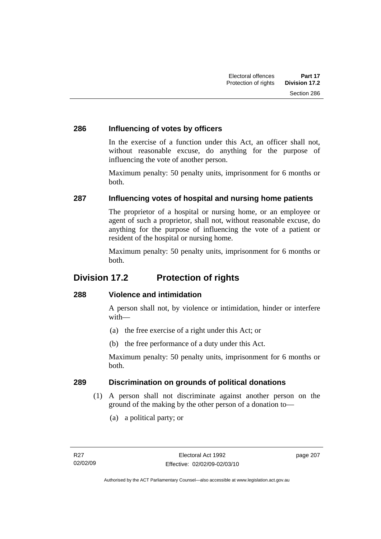### **286 Influencing of votes by officers**

In the exercise of a function under this Act, an officer shall not, without reasonable excuse, do anything for the purpose of influencing the vote of another person.

Maximum penalty: 50 penalty units, imprisonment for 6 months or both.

### **287 Influencing votes of hospital and nursing home patients**

The proprietor of a hospital or nursing home, or an employee or agent of such a proprietor, shall not, without reasonable excuse, do anything for the purpose of influencing the vote of a patient or resident of the hospital or nursing home.

Maximum penalty: 50 penalty units, imprisonment for 6 months or both.

## **Division 17.2 Protection of rights**

### **288 Violence and intimidation**

A person shall not, by violence or intimidation, hinder or interfere with—

- (a) the free exercise of a right under this Act; or
- (b) the free performance of a duty under this Act.

Maximum penalty: 50 penalty units, imprisonment for 6 months or both.

### **289 Discrimination on grounds of political donations**

- (1) A person shall not discriminate against another person on the ground of the making by the other person of a donation to—
	- (a) a political party; or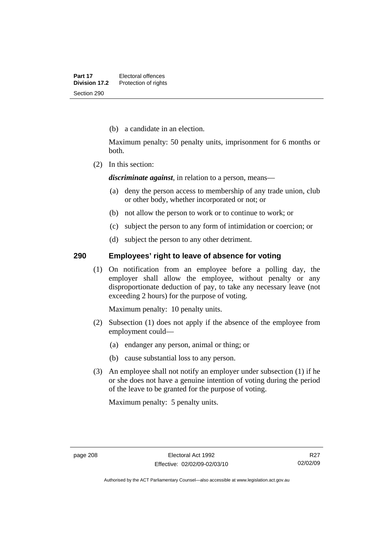(b) a candidate in an election.

Maximum penalty: 50 penalty units, imprisonment for 6 months or both.

(2) In this section:

*discriminate against*, in relation to a person, means—

- (a) deny the person access to membership of any trade union, club or other body, whether incorporated or not; or
- (b) not allow the person to work or to continue to work; or
- (c) subject the person to any form of intimidation or coercion; or
- (d) subject the person to any other detriment.

### **290 Employees' right to leave of absence for voting**

 (1) On notification from an employee before a polling day, the employer shall allow the employee, without penalty or any disproportionate deduction of pay, to take any necessary leave (not exceeding 2 hours) for the purpose of voting.

Maximum penalty: 10 penalty units.

- (2) Subsection (1) does not apply if the absence of the employee from employment could—
	- (a) endanger any person, animal or thing; or
	- (b) cause substantial loss to any person.
- (3) An employee shall not notify an employer under subsection (1) if he or she does not have a genuine intention of voting during the period of the leave to be granted for the purpose of voting.

Maximum penalty: 5 penalty units.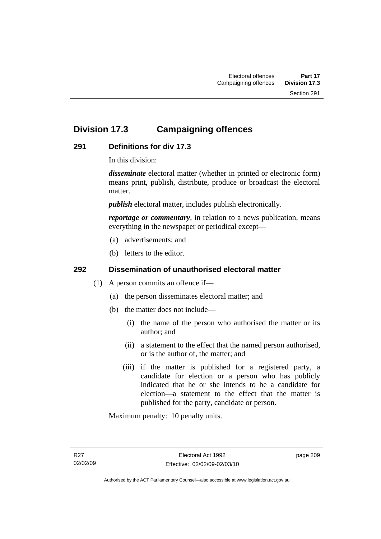# **Division 17.3 Campaigning offences**

### **291 Definitions for div 17.3**

In this division:

*disseminate* electoral matter (whether in printed or electronic form) means print, publish, distribute, produce or broadcast the electoral matter.

*publish* electoral matter, includes publish electronically.

*reportage or commentary*, in relation to a news publication, means everything in the newspaper or periodical except—

- (a) advertisements; and
- (b) letters to the editor.

### **292 Dissemination of unauthorised electoral matter**

- (1) A person commits an offence if—
	- (a) the person disseminates electoral matter; and
	- (b) the matter does not include—
		- (i) the name of the person who authorised the matter or its author; and
		- (ii) a statement to the effect that the named person authorised, or is the author of, the matter; and
		- (iii) if the matter is published for a registered party, a candidate for election or a person who has publicly indicated that he or she intends to be a candidate for election—a statement to the effect that the matter is published for the party, candidate or person.

Maximum penalty: 10 penalty units.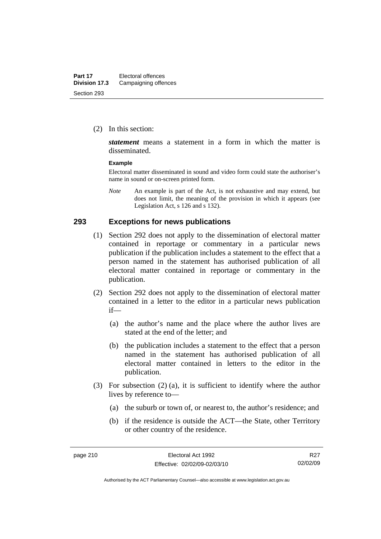(2) In this section:

*statement* means a statement in a form in which the matter is disseminated.

#### **Example**

Electoral matter disseminated in sound and video form could state the authoriser's name in sound or on-screen printed form.

*Note* An example is part of the Act, is not exhaustive and may extend, but does not limit, the meaning of the provision in which it appears (see Legislation Act, s 126 and s 132).

#### **293 Exceptions for news publications**

- (1) Section 292 does not apply to the dissemination of electoral matter contained in reportage or commentary in a particular news publication if the publication includes a statement to the effect that a person named in the statement has authorised publication of all electoral matter contained in reportage or commentary in the publication.
- (2) Section 292 does not apply to the dissemination of electoral matter contained in a letter to the editor in a particular news publication if—
	- (a) the author's name and the place where the author lives are stated at the end of the letter; and
	- (b) the publication includes a statement to the effect that a person named in the statement has authorised publication of all electoral matter contained in letters to the editor in the publication.
- (3) For subsection (2) (a), it is sufficient to identify where the author lives by reference to—
	- (a) the suburb or town of, or nearest to, the author's residence; and
	- (b) if the residence is outside the ACT—the State, other Territory or other country of the residence.

R27 02/02/09

Authorised by the ACT Parliamentary Counsel—also accessible at www.legislation.act.gov.au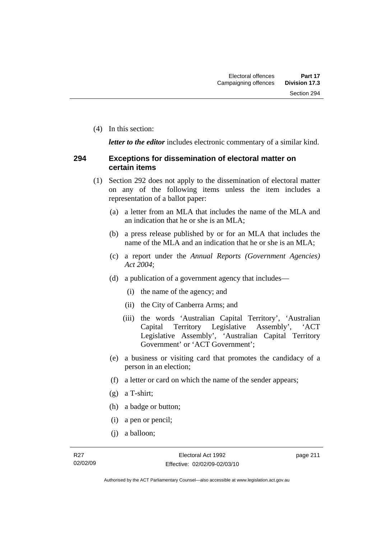(4) In this section:

*letter to the editor* includes electronic commentary of a similar kind.

#### **294 Exceptions for dissemination of electoral matter on certain items**

- (1) Section 292 does not apply to the dissemination of electoral matter on any of the following items unless the item includes a representation of a ballot paper:
	- (a) a letter from an MLA that includes the name of the MLA and an indication that he or she is an MLA;
	- (b) a press release published by or for an MLA that includes the name of the MLA and an indication that he or she is an MLA;
	- (c) a report under the *Annual Reports (Government Agencies) Act 2004*;
	- (d) a publication of a government agency that includes—
		- (i) the name of the agency; and
		- (ii) the City of Canberra Arms; and
		- (iii) the words 'Australian Capital Territory', 'Australian Capital Territory Legislative Assembly', 'ACT Legislative Assembly', 'Australian Capital Territory Government' or 'ACT Government';
	- (e) a business or visiting card that promotes the candidacy of a person in an election;
	- (f) a letter or card on which the name of the sender appears;
	- (g) a T-shirt;
	- (h) a badge or button;
	- (i) a pen or pencil;
	- (j) a balloon;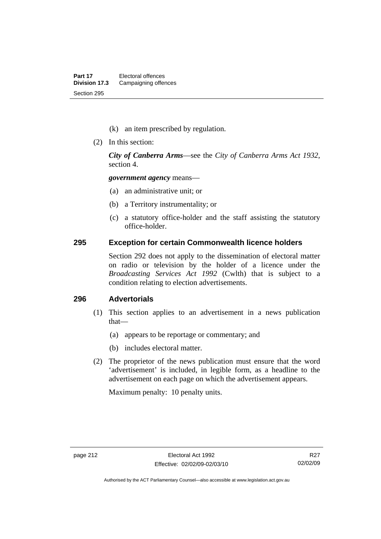- (k) an item prescribed by regulation.
- (2) In this section:

*City of Canberra Arms*—see the *City of Canberra Arms Act 1932*, section 4.

*government agency* means—

- (a) an administrative unit; or
- (b) a Territory instrumentality; or
- (c) a statutory office-holder and the staff assisting the statutory office-holder.

#### **295 Exception for certain Commonwealth licence holders**

Section 292 does not apply to the dissemination of electoral matter on radio or television by the holder of a licence under the *Broadcasting Services Act 1992* (Cwlth) that is subject to a condition relating to election advertisements.

### **296 Advertorials**

- (1) This section applies to an advertisement in a news publication that—
	- (a) appears to be reportage or commentary; and
	- (b) includes electoral matter.
- (2) The proprietor of the news publication must ensure that the word 'advertisement' is included, in legible form, as a headline to the advertisement on each page on which the advertisement appears.

Maximum penalty: 10 penalty units.

R<sub>27</sub> 02/02/09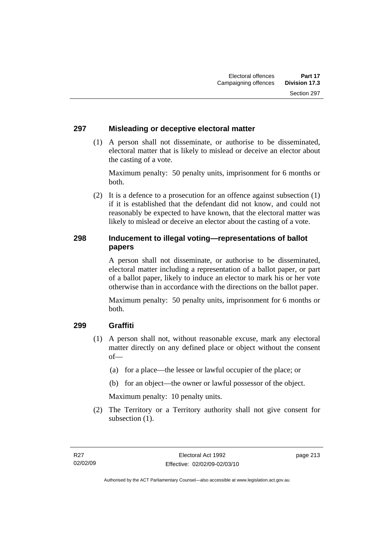### **297 Misleading or deceptive electoral matter**

 (1) A person shall not disseminate, or authorise to be disseminated, electoral matter that is likely to mislead or deceive an elector about the casting of a vote.

Maximum penalty: 50 penalty units, imprisonment for 6 months or both.

 (2) It is a defence to a prosecution for an offence against subsection (1) if it is established that the defendant did not know, and could not reasonably be expected to have known, that the electoral matter was likely to mislead or deceive an elector about the casting of a vote.

### **298 Inducement to illegal voting—representations of ballot papers**

A person shall not disseminate, or authorise to be disseminated, electoral matter including a representation of a ballot paper, or part of a ballot paper, likely to induce an elector to mark his or her vote otherwise than in accordance with the directions on the ballot paper.

Maximum penalty: 50 penalty units, imprisonment for 6 months or both.

### **299 Graffiti**

- (1) A person shall not, without reasonable excuse, mark any electoral matter directly on any defined place or object without the consent of—
	- (a) for a place—the lessee or lawful occupier of the place; or
	- (b) for an object—the owner or lawful possessor of the object.

Maximum penalty: 10 penalty units.

 (2) The Territory or a Territory authority shall not give consent for subsection  $(1)$ .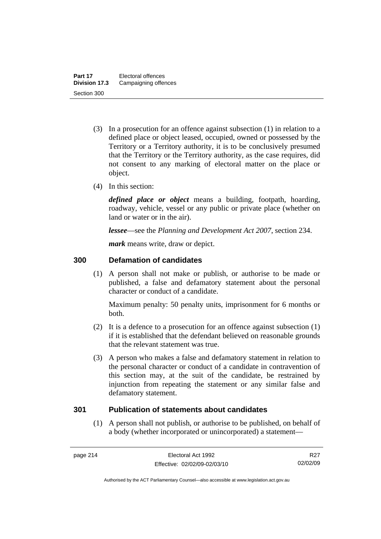- (3) In a prosecution for an offence against subsection (1) in relation to a defined place or object leased, occupied, owned or possessed by the Territory or a Territory authority, it is to be conclusively presumed that the Territory or the Territory authority, as the case requires, did not consent to any marking of electoral matter on the place or object.
- (4) In this section:

*defined place or object* means a building, footpath, hoarding, roadway, vehicle, vessel or any public or private place (whether on land or water or in the air).

*lessee*—see the *Planning and Development Act 2007*, section 234.

*mark* means write, draw or depict.

### **300 Defamation of candidates**

 (1) A person shall not make or publish, or authorise to be made or published, a false and defamatory statement about the personal character or conduct of a candidate.

Maximum penalty: 50 penalty units, imprisonment for 6 months or both.

- (2) It is a defence to a prosecution for an offence against subsection (1) if it is established that the defendant believed on reasonable grounds that the relevant statement was true.
- (3) A person who makes a false and defamatory statement in relation to the personal character or conduct of a candidate in contravention of this section may, at the suit of the candidate, be restrained by injunction from repeating the statement or any similar false and defamatory statement.

#### **301 Publication of statements about candidates**

 (1) A person shall not publish, or authorise to be published, on behalf of a body (whether incorporated or unincorporated) a statement—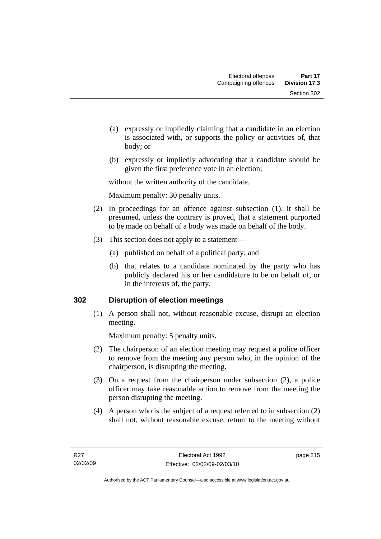- (a) expressly or impliedly claiming that a candidate in an election is associated with, or supports the policy or activities of, that body; or
- (b) expressly or impliedly advocating that a candidate should be given the first preference vote in an election;

without the written authority of the candidate.

Maximum penalty: 30 penalty units.

- (2) In proceedings for an offence against subsection (1), it shall be presumed, unless the contrary is proved, that a statement purported to be made on behalf of a body was made on behalf of the body.
- (3) This section does not apply to a statement—
	- (a) published on behalf of a political party; and
	- (b) that relates to a candidate nominated by the party who has publicly declared his or her candidature to be on behalf of, or in the interests of, the party.

### **302 Disruption of election meetings**

 (1) A person shall not, without reasonable excuse, disrupt an election meeting.

Maximum penalty: 5 penalty units.

- (2) The chairperson of an election meeting may request a police officer to remove from the meeting any person who, in the opinion of the chairperson, is disrupting the meeting.
- (3) On a request from the chairperson under subsection (2), a police officer may take reasonable action to remove from the meeting the person disrupting the meeting.
- (4) A person who is the subject of a request referred to in subsection (2) shall not, without reasonable excuse, return to the meeting without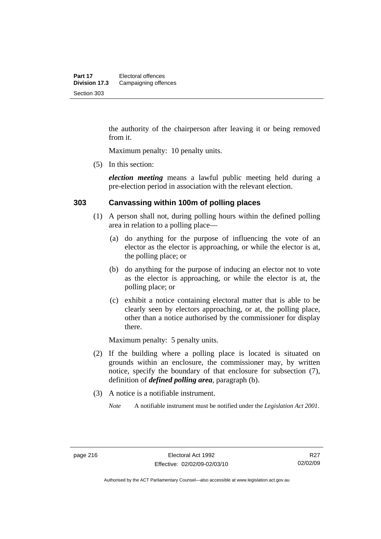the authority of the chairperson after leaving it or being removed from it.

Maximum penalty: 10 penalty units.

(5) In this section:

*election meeting* means a lawful public meeting held during a pre-election period in association with the relevant election.

#### **303 Canvassing within 100m of polling places**

- (1) A person shall not, during polling hours within the defined polling area in relation to a polling place—
	- (a) do anything for the purpose of influencing the vote of an elector as the elector is approaching, or while the elector is at, the polling place; or
	- (b) do anything for the purpose of inducing an elector not to vote as the elector is approaching, or while the elector is at, the polling place; or
	- (c) exhibit a notice containing electoral matter that is able to be clearly seen by electors approaching, or at, the polling place, other than a notice authorised by the commissioner for display there.

Maximum penalty: 5 penalty units.

- (2) If the building where a polling place is located is situated on grounds within an enclosure, the commissioner may, by written notice, specify the boundary of that enclosure for subsection (7), definition of *defined polling area*, paragraph (b).
- (3) A notice is a notifiable instrument.

*Note* A notifiable instrument must be notified under the *Legislation Act 2001*.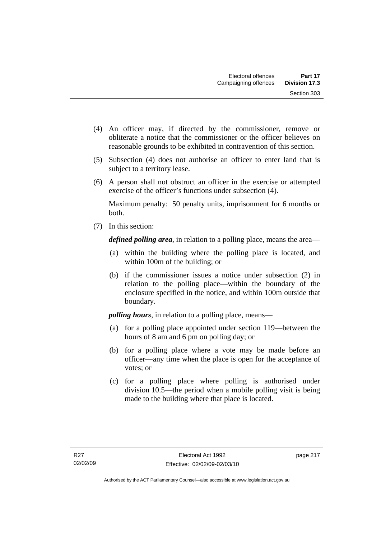- (4) An officer may, if directed by the commissioner, remove or obliterate a notice that the commissioner or the officer believes on reasonable grounds to be exhibited in contravention of this section.
- (5) Subsection (4) does not authorise an officer to enter land that is subject to a territory lease.
- (6) A person shall not obstruct an officer in the exercise or attempted exercise of the officer's functions under subsection (4).

Maximum penalty: 50 penalty units, imprisonment for 6 months or both.

(7) In this section:

*defined polling area*, in relation to a polling place, means the area—

- (a) within the building where the polling place is located, and within 100m of the building; or
- (b) if the commissioner issues a notice under subsection (2) in relation to the polling place—within the boundary of the enclosure specified in the notice, and within 100m outside that boundary.

*polling hours*, in relation to a polling place, means—

- (a) for a polling place appointed under section 119—between the hours of 8 am and 6 pm on polling day; or
- (b) for a polling place where a vote may be made before an officer—any time when the place is open for the acceptance of votes; or
- (c) for a polling place where polling is authorised under division 10.5—the period when a mobile polling visit is being made to the building where that place is located.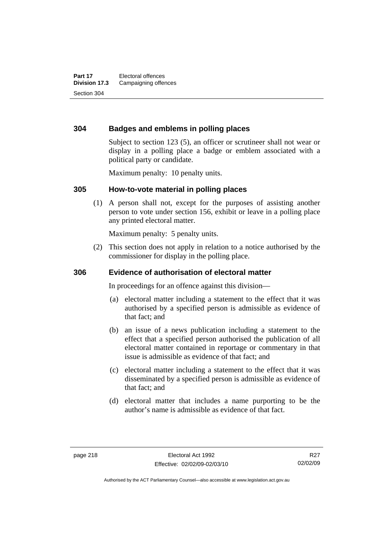### **304 Badges and emblems in polling places**

Subject to section 123 (5), an officer or scrutineer shall not wear or display in a polling place a badge or emblem associated with a political party or candidate.

Maximum penalty: 10 penalty units.

#### **305 How-to-vote material in polling places**

 (1) A person shall not, except for the purposes of assisting another person to vote under section 156, exhibit or leave in a polling place any printed electoral matter.

Maximum penalty: 5 penalty units.

 (2) This section does not apply in relation to a notice authorised by the commissioner for display in the polling place.

#### **306 Evidence of authorisation of electoral matter**

In proceedings for an offence against this division—

- (a) electoral matter including a statement to the effect that it was authorised by a specified person is admissible as evidence of that fact; and
- (b) an issue of a news publication including a statement to the effect that a specified person authorised the publication of all electoral matter contained in reportage or commentary in that issue is admissible as evidence of that fact; and
- (c) electoral matter including a statement to the effect that it was disseminated by a specified person is admissible as evidence of that fact; and
- (d) electoral matter that includes a name purporting to be the author's name is admissible as evidence of that fact.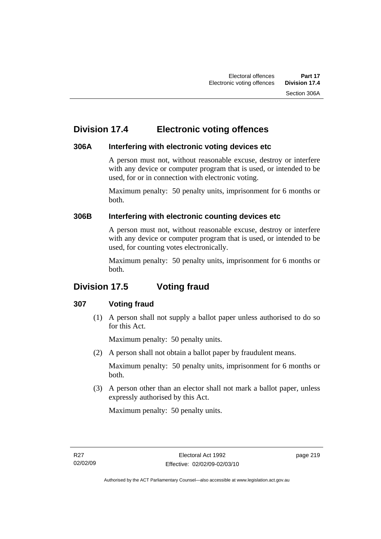# **Division 17.4 Electronic voting offences**

### **306A Interfering with electronic voting devices etc**

A person must not, without reasonable excuse, destroy or interfere with any device or computer program that is used, or intended to be used, for or in connection with electronic voting.

Maximum penalty: 50 penalty units, imprisonment for 6 months or both.

### **306B Interfering with electronic counting devices etc**

A person must not, without reasonable excuse, destroy or interfere with any device or computer program that is used, or intended to be used, for counting votes electronically.

Maximum penalty: 50 penalty units, imprisonment for 6 months or both.

# **Division 17.5 Voting fraud**

### **307 Voting fraud**

 (1) A person shall not supply a ballot paper unless authorised to do so for this Act.

Maximum penalty: 50 penalty units.

(2) A person shall not obtain a ballot paper by fraudulent means.

Maximum penalty: 50 penalty units, imprisonment for 6 months or both.

 (3) A person other than an elector shall not mark a ballot paper, unless expressly authorised by this Act.

Maximum penalty: 50 penalty units.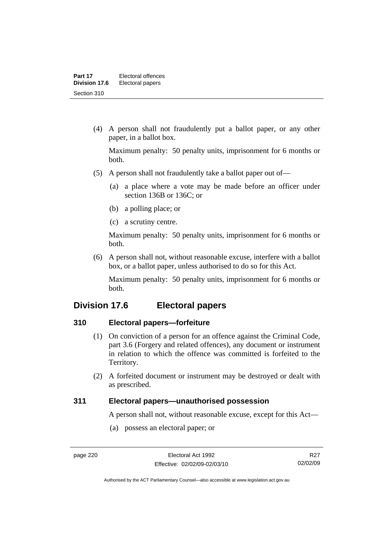(4) A person shall not fraudulently put a ballot paper, or any other paper, in a ballot box.

Maximum penalty: 50 penalty units, imprisonment for 6 months or both.

- (5) A person shall not fraudulently take a ballot paper out of—
	- (a) a place where a vote may be made before an officer under section 136B or 136C; or
	- (b) a polling place; or
	- (c) a scrutiny centre.

Maximum penalty: 50 penalty units, imprisonment for 6 months or both.

 (6) A person shall not, without reasonable excuse, interfere with a ballot box, or a ballot paper, unless authorised to do so for this Act.

Maximum penalty: 50 penalty units, imprisonment for 6 months or both.

## **Division 17.6 Electoral papers**

#### **310 Electoral papers—forfeiture**

- (1) On conviction of a person for an offence against the Criminal Code, part 3.6 (Forgery and related offences), any document or instrument in relation to which the offence was committed is forfeited to the Territory.
- (2) A forfeited document or instrument may be destroyed or dealt with as prescribed.

#### **311 Electoral papers—unauthorised possession**

A person shall not, without reasonable excuse, except for this Act—

(a) possess an electoral paper; or

R<sub>27</sub> 02/02/09

Authorised by the ACT Parliamentary Counsel—also accessible at www.legislation.act.gov.au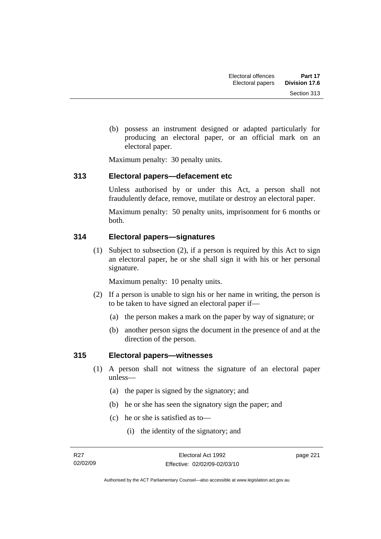(b) possess an instrument designed or adapted particularly for producing an electoral paper, or an official mark on an electoral paper.

Maximum penalty: 30 penalty units.

### **313 Electoral papers—defacement etc**

Unless authorised by or under this Act, a person shall not fraudulently deface, remove, mutilate or destroy an electoral paper.

Maximum penalty: 50 penalty units, imprisonment for 6 months or both.

### **314 Electoral papers—signatures**

 (1) Subject to subsection (2), if a person is required by this Act to sign an electoral paper, he or she shall sign it with his or her personal signature.

Maximum penalty: 10 penalty units.

- (2) If a person is unable to sign his or her name in writing, the person is to be taken to have signed an electoral paper if—
	- (a) the person makes a mark on the paper by way of signature; or
	- (b) another person signs the document in the presence of and at the direction of the person.

### **315 Electoral papers—witnesses**

- (1) A person shall not witness the signature of an electoral paper unless—
	- (a) the paper is signed by the signatory; and
	- (b) he or she has seen the signatory sign the paper; and
	- (c) he or she is satisfied as to—
		- (i) the identity of the signatory; and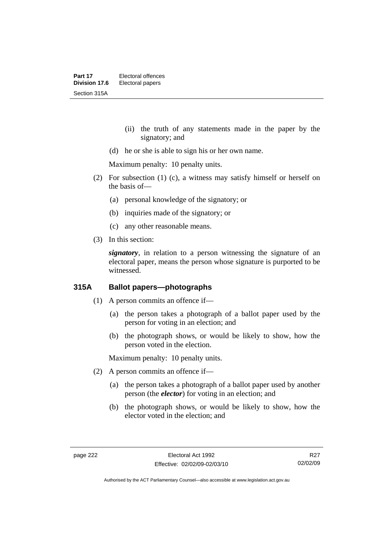- (ii) the truth of any statements made in the paper by the signatory; and
- (d) he or she is able to sign his or her own name.

Maximum penalty: 10 penalty units.

- (2) For subsection (1) (c), a witness may satisfy himself or herself on the basis of—
	- (a) personal knowledge of the signatory; or
	- (b) inquiries made of the signatory; or
	- (c) any other reasonable means.
- (3) In this section:

*signatory*, in relation to a person witnessing the signature of an electoral paper, means the person whose signature is purported to be witnessed.

### **315A Ballot papers—photographs**

- (1) A person commits an offence if—
	- (a) the person takes a photograph of a ballot paper used by the person for voting in an election; and
	- (b) the photograph shows, or would be likely to show, how the person voted in the election.

Maximum penalty: 10 penalty units.

- (2) A person commits an offence if—
	- (a) the person takes a photograph of a ballot paper used by another person (the *elector*) for voting in an election; and
	- (b) the photograph shows, or would be likely to show, how the elector voted in the election; and

R<sub>27</sub> 02/02/09

Authorised by the ACT Parliamentary Counsel—also accessible at www.legislation.act.gov.au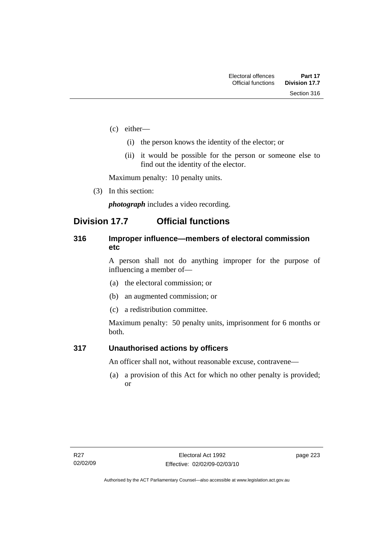- (c) either—
	- (i) the person knows the identity of the elector; or
	- (ii) it would be possible for the person or someone else to find out the identity of the elector.

Maximum penalty: 10 penalty units.

(3) In this section:

*photograph* includes a video recording.

## **Division 17.7 Official functions**

### **316 Improper influence—members of electoral commission etc**

A person shall not do anything improper for the purpose of influencing a member of—

- (a) the electoral commission; or
- (b) an augmented commission; or
- (c) a redistribution committee.

Maximum penalty: 50 penalty units, imprisonment for 6 months or both.

#### **317 Unauthorised actions by officers**

An officer shall not, without reasonable excuse, contravene—

 (a) a provision of this Act for which no other penalty is provided; or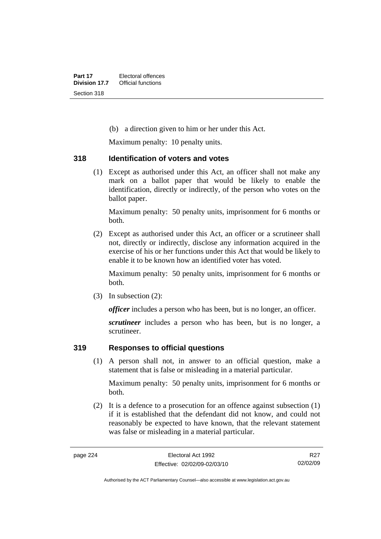(b) a direction given to him or her under this Act.

Maximum penalty: 10 penalty units.

#### **318 Identification of voters and votes**

 (1) Except as authorised under this Act, an officer shall not make any mark on a ballot paper that would be likely to enable the identification, directly or indirectly, of the person who votes on the ballot paper.

Maximum penalty: 50 penalty units, imprisonment for 6 months or both.

 (2) Except as authorised under this Act, an officer or a scrutineer shall not, directly or indirectly, disclose any information acquired in the exercise of his or her functions under this Act that would be likely to enable it to be known how an identified voter has voted.

Maximum penalty: 50 penalty units, imprisonment for 6 months or both.

(3) In subsection (2):

*officer* includes a person who has been, but is no longer, an officer.

*scrutineer* includes a person who has been, but is no longer, a scrutineer.

### **319 Responses to official questions**

 (1) A person shall not, in answer to an official question, make a statement that is false or misleading in a material particular.

Maximum penalty: 50 penalty units, imprisonment for 6 months or both.

 (2) It is a defence to a prosecution for an offence against subsection (1) if it is established that the defendant did not know, and could not reasonably be expected to have known, that the relevant statement was false or misleading in a material particular.

R<sub>27</sub> 02/02/09

Authorised by the ACT Parliamentary Counsel—also accessible at www.legislation.act.gov.au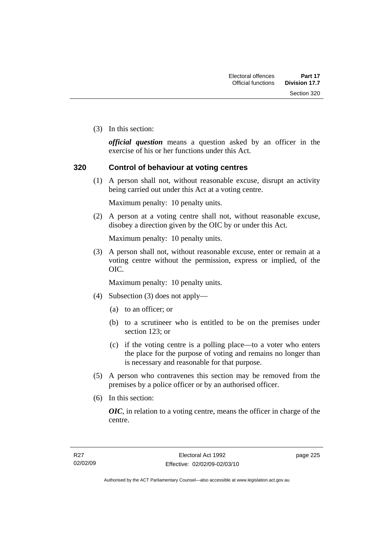Section 320

(3) In this section:

*official question* means a question asked by an officer in the exercise of his or her functions under this Act.

### **320 Control of behaviour at voting centres**

 (1) A person shall not, without reasonable excuse, disrupt an activity being carried out under this Act at a voting centre.

Maximum penalty: 10 penalty units.

 (2) A person at a voting centre shall not, without reasonable excuse, disobey a direction given by the OIC by or under this Act.

Maximum penalty: 10 penalty units.

 (3) A person shall not, without reasonable excuse, enter or remain at a voting centre without the permission, express or implied, of the OIC.

Maximum penalty: 10 penalty units.

- (4) Subsection (3) does not apply—
	- (a) to an officer; or
	- (b) to a scrutineer who is entitled to be on the premises under section 123; or
	- (c) if the voting centre is a polling place—to a voter who enters the place for the purpose of voting and remains no longer than is necessary and reasonable for that purpose.
- (5) A person who contravenes this section may be removed from the premises by a police officer or by an authorised officer.
- (6) In this section:

*OIC*, in relation to a voting centre, means the officer in charge of the centre.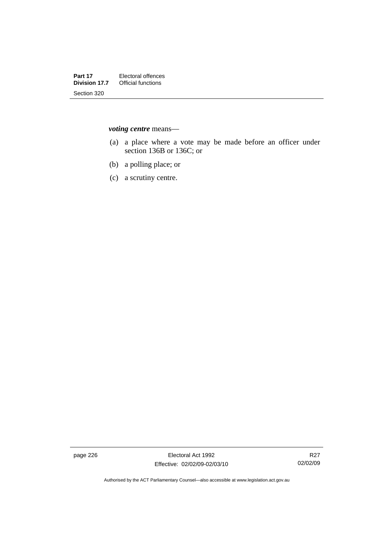*voting centre* means—

- (a) a place where a vote may be made before an officer under section 136B or 136C; or
- (b) a polling place; or
- (c) a scrutiny centre.

page 226 **Electoral Act 1992** Effective: 02/02/09-02/03/10

Authorised by the ACT Parliamentary Counsel—also accessible at www.legislation.act.gov.au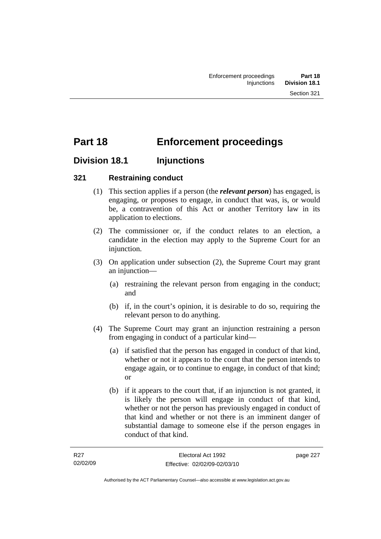# **Part 18 Enforcement proceedings**

## **Division 18.1 Injunctions**

### **321 Restraining conduct**

- (1) This section applies if a person (the *relevant person*) has engaged, is engaging, or proposes to engage, in conduct that was, is, or would be, a contravention of this Act or another Territory law in its application to elections.
- (2) The commissioner or, if the conduct relates to an election, a candidate in the election may apply to the Supreme Court for an injunction.
- (3) On application under subsection (2), the Supreme Court may grant an injunction—
	- (a) restraining the relevant person from engaging in the conduct; and
	- (b) if, in the court's opinion, it is desirable to do so, requiring the relevant person to do anything.
- (4) The Supreme Court may grant an injunction restraining a person from engaging in conduct of a particular kind—
	- (a) if satisfied that the person has engaged in conduct of that kind, whether or not it appears to the court that the person intends to engage again, or to continue to engage, in conduct of that kind; or
	- (b) if it appears to the court that, if an injunction is not granted, it is likely the person will engage in conduct of that kind, whether or not the person has previously engaged in conduct of that kind and whether or not there is an imminent danger of substantial damage to someone else if the person engages in conduct of that kind.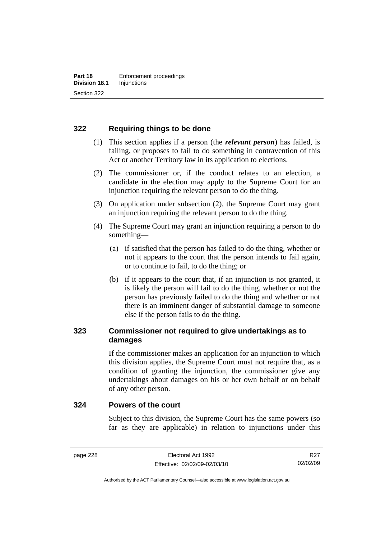### **322 Requiring things to be done**

- (1) This section applies if a person (the *relevant person*) has failed, is failing, or proposes to fail to do something in contravention of this Act or another Territory law in its application to elections.
- (2) The commissioner or, if the conduct relates to an election, a candidate in the election may apply to the Supreme Court for an injunction requiring the relevant person to do the thing.
- (3) On application under subsection (2), the Supreme Court may grant an injunction requiring the relevant person to do the thing.
- (4) The Supreme Court may grant an injunction requiring a person to do something—
	- (a) if satisfied that the person has failed to do the thing, whether or not it appears to the court that the person intends to fail again, or to continue to fail, to do the thing; or
	- (b) if it appears to the court that, if an injunction is not granted, it is likely the person will fail to do the thing, whether or not the person has previously failed to do the thing and whether or not there is an imminent danger of substantial damage to someone else if the person fails to do the thing.

### **323 Commissioner not required to give undertakings as to damages**

If the commissioner makes an application for an injunction to which this division applies, the Supreme Court must not require that, as a condition of granting the injunction, the commissioner give any undertakings about damages on his or her own behalf or on behalf of any other person.

#### **324 Powers of the court**

Subject to this division, the Supreme Court has the same powers (so far as they are applicable) in relation to injunctions under this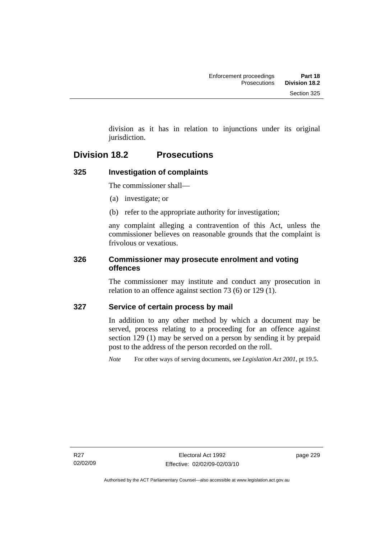division as it has in relation to injunctions under its original jurisdiction.

## **Division 18.2 Prosecutions**

## **325 Investigation of complaints**

The commissioner shall—

- (a) investigate; or
- (b) refer to the appropriate authority for investigation;

any complaint alleging a contravention of this Act, unless the commissioner believes on reasonable grounds that the complaint is frivolous or vexatious.

### **326 Commissioner may prosecute enrolment and voting offences**

The commissioner may institute and conduct any prosecution in relation to an offence against section 73 (6) or 129 (1).

### **327 Service of certain process by mail**

In addition to any other method by which a document may be served, process relating to a proceeding for an offence against section 129 (1) may be served on a person by sending it by prepaid post to the address of the person recorded on the roll.

*Note* For other ways of serving documents, see *Legislation Act 2001*, pt 19.5.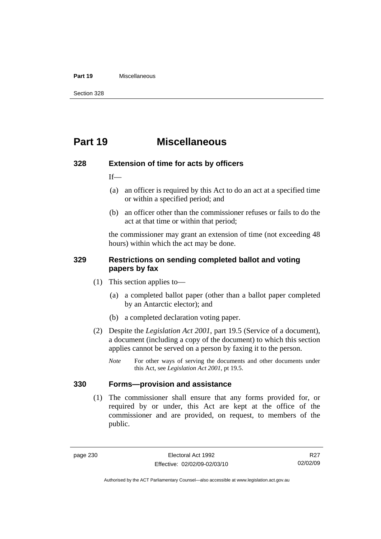#### **Part 19** Miscellaneous

Section 328

## **Part 19 Miscellaneous**

#### **328 Extension of time for acts by officers**

If—

- (a) an officer is required by this Act to do an act at a specified time or within a specified period; and
- (b) an officer other than the commissioner refuses or fails to do the act at that time or within that period;

the commissioner may grant an extension of time (not exceeding 48 hours) within which the act may be done.

#### **329 Restrictions on sending completed ballot and voting papers by fax**

- (1) This section applies to—
	- (a) a completed ballot paper (other than a ballot paper completed by an Antarctic elector); and
	- (b) a completed declaration voting paper.
- (2) Despite the *Legislation Act 2001*, part 19.5 (Service of a document), a document (including a copy of the document) to which this section applies cannot be served on a person by faxing it to the person.
	- *Note* For other ways of serving the documents and other documents under this Act, see *Legislation Act 2001*, pt 19.5.

### **330 Forms—provision and assistance**

 (1) The commissioner shall ensure that any forms provided for, or required by or under, this Act are kept at the office of the commissioner and are provided, on request, to members of the public.

Authorised by the ACT Parliamentary Counsel—also accessible at www.legislation.act.gov.au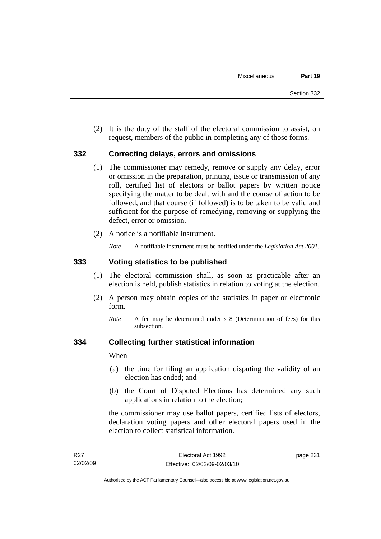(2) It is the duty of the staff of the electoral commission to assist, on request, members of the public in completing any of those forms.

#### **332 Correcting delays, errors and omissions**

- (1) The commissioner may remedy, remove or supply any delay, error or omission in the preparation, printing, issue or transmission of any roll, certified list of electors or ballot papers by written notice specifying the matter to be dealt with and the course of action to be followed, and that course (if followed) is to be taken to be valid and sufficient for the purpose of remedying, removing or supplying the defect, error or omission.
- (2) A notice is a notifiable instrument.

*Note* A notifiable instrument must be notified under the *Legislation Act 2001*.

### **333 Voting statistics to be published**

- (1) The electoral commission shall, as soon as practicable after an election is held, publish statistics in relation to voting at the election.
- (2) A person may obtain copies of the statistics in paper or electronic form.
	- *Note* A fee may be determined under s 8 (Determination of fees) for this subsection.

#### **334 Collecting further statistical information**

When—

- (a) the time for filing an application disputing the validity of an election has ended; and
- (b) the Court of Disputed Elections has determined any such applications in relation to the election;

the commissioner may use ballot papers, certified lists of electors, declaration voting papers and other electoral papers used in the election to collect statistical information.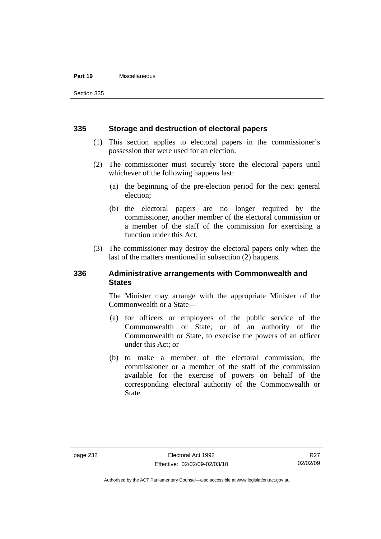#### **Part 19** Miscellaneous

Section 335

#### **335 Storage and destruction of electoral papers**

- (1) This section applies to electoral papers in the commissioner's possession that were used for an election.
- (2) The commissioner must securely store the electoral papers until whichever of the following happens last:
	- (a) the beginning of the pre-election period for the next general election;
	- (b) the electoral papers are no longer required by the commissioner, another member of the electoral commission or a member of the staff of the commission for exercising a function under this Act.
- (3) The commissioner may destroy the electoral papers only when the last of the matters mentioned in subsection (2) happens.

#### **336 Administrative arrangements with Commonwealth and States**

The Minister may arrange with the appropriate Minister of the Commonwealth or a State—

- (a) for officers or employees of the public service of the Commonwealth or State, or of an authority of the Commonwealth or State, to exercise the powers of an officer under this Act; or
- (b) to make a member of the electoral commission, the commissioner or a member of the staff of the commission available for the exercise of powers on behalf of the corresponding electoral authority of the Commonwealth or State.

R<sub>27</sub> 02/02/09

Authorised by the ACT Parliamentary Counsel—also accessible at www.legislation.act.gov.au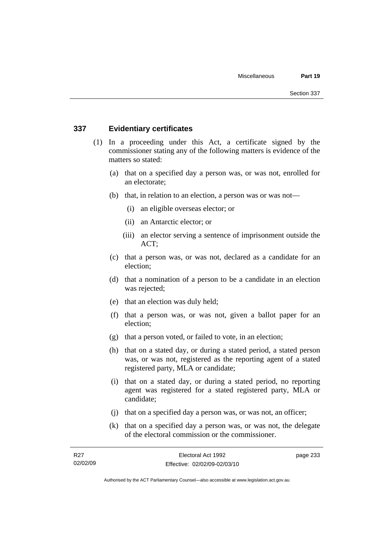#### **337 Evidentiary certificates**

- (1) In a proceeding under this Act, a certificate signed by the commissioner stating any of the following matters is evidence of the matters so stated:
	- (a) that on a specified day a person was, or was not, enrolled for an electorate;
	- (b) that, in relation to an election, a person was or was not—
		- (i) an eligible overseas elector; or
		- (ii) an Antarctic elector; or
		- (iii) an elector serving a sentence of imprisonment outside the ACT;
	- (c) that a person was, or was not, declared as a candidate for an election;
	- (d) that a nomination of a person to be a candidate in an election was rejected;
	- (e) that an election was duly held;
	- (f) that a person was, or was not, given a ballot paper for an election;
	- (g) that a person voted, or failed to vote, in an election;
	- (h) that on a stated day, or during a stated period, a stated person was, or was not, registered as the reporting agent of a stated registered party, MLA or candidate;
	- (i) that on a stated day, or during a stated period, no reporting agent was registered for a stated registered party, MLA or candidate;
	- (j) that on a specified day a person was, or was not, an officer;
	- (k) that on a specified day a person was, or was not, the delegate of the electoral commission or the commissioner.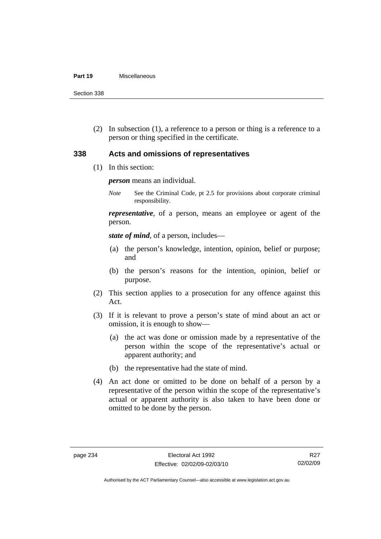#### **Part 19** Miscellaneous

Section 338

 (2) In subsection (1), a reference to a person or thing is a reference to a person or thing specified in the certificate.

### **338 Acts and omissions of representatives**

(1) In this section:

*person* means an individual.

*Note* See the Criminal Code, pt 2.5 for provisions about corporate criminal responsibility.

*representative*, of a person, means an employee or agent of the person.

*state of mind*, of a person, includes—

- (a) the person's knowledge, intention, opinion, belief or purpose; and
- (b) the person's reasons for the intention, opinion, belief or purpose.
- (2) This section applies to a prosecution for any offence against this Act.
- (3) If it is relevant to prove a person's state of mind about an act or omission, it is enough to show—
	- (a) the act was done or omission made by a representative of the person within the scope of the representative's actual or apparent authority; and
	- (b) the representative had the state of mind.
- (4) An act done or omitted to be done on behalf of a person by a representative of the person within the scope of the representative's actual or apparent authority is also taken to have been done or omitted to be done by the person.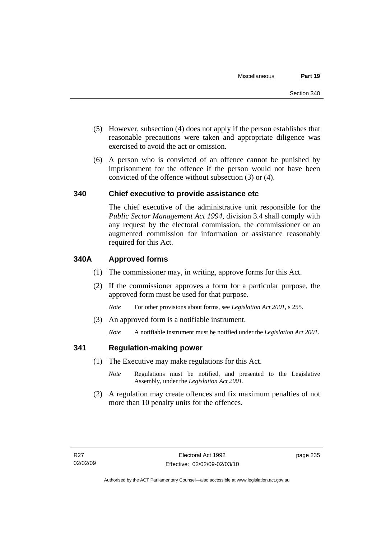- (5) However, subsection (4) does not apply if the person establishes that reasonable precautions were taken and appropriate diligence was exercised to avoid the act or omission.
- (6) A person who is convicted of an offence cannot be punished by imprisonment for the offence if the person would not have been convicted of the offence without subsection (3) or (4).

#### **340 Chief executive to provide assistance etc**

The chief executive of the administrative unit responsible for the *Public Sector Management Act 1994*, division 3.4 shall comply with any request by the electoral commission, the commissioner or an augmented commission for information or assistance reasonably required for this Act.

#### **340A Approved forms**

- (1) The commissioner may, in writing, approve forms for this Act.
- (2) If the commissioner approves a form for a particular purpose, the approved form must be used for that purpose.

*Note* For other provisions about forms, see *Legislation Act 2001*, s 255.

(3) An approved form is a notifiable instrument.

*Note* A notifiable instrument must be notified under the *Legislation Act 2001*.

#### **341 Regulation-making power**

- (1) The Executive may make regulations for this Act.
	- *Note* **Regulations** must be notified, and presented to the Legislative Assembly, under the *Legislation Act 2001*.
- (2) A regulation may create offences and fix maximum penalties of not more than 10 penalty units for the offences.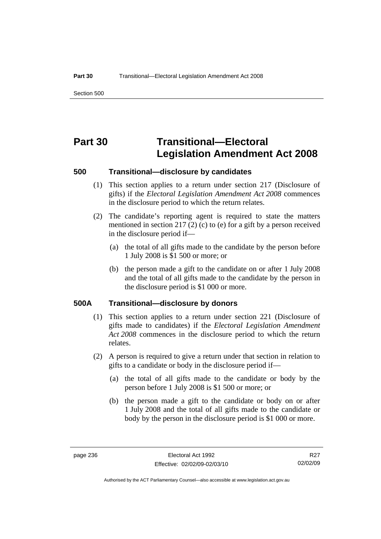Section 500

## **Part 30 Transitional—Electoral Legislation Amendment Act 2008**

#### **500 Transitional—disclosure by candidates**

- (1) This section applies to a return under section 217 (Disclosure of gifts) if the *Electoral Legislation Amendment Act 2008* commences in the disclosure period to which the return relates.
- (2) The candidate's reporting agent is required to state the matters mentioned in section 217 (2) (c) to (e) for a gift by a person received in the disclosure period if—
	- (a) the total of all gifts made to the candidate by the person before 1 July 2008 is \$1 500 or more; or
	- (b) the person made a gift to the candidate on or after 1 July 2008 and the total of all gifts made to the candidate by the person in the disclosure period is \$1 000 or more.

#### **500A Transitional—disclosure by donors**

- (1) This section applies to a return under section 221 (Disclosure of gifts made to candidates) if the *Electoral Legislation Amendment Act 2008* commences in the disclosure period to which the return relates.
- (2) A person is required to give a return under that section in relation to gifts to a candidate or body in the disclosure period if—
	- (a) the total of all gifts made to the candidate or body by the person before 1 July 2008 is \$1 500 or more; or
	- (b) the person made a gift to the candidate or body on or after 1 July 2008 and the total of all gifts made to the candidate or body by the person in the disclosure period is \$1 000 or more.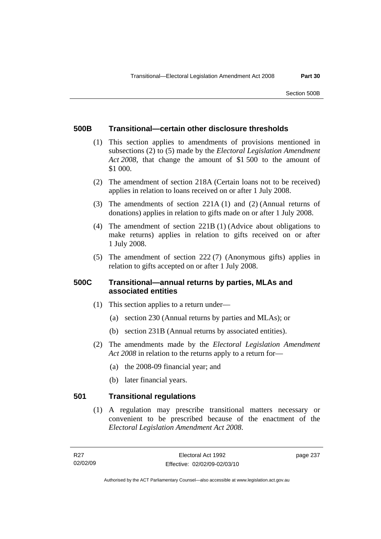#### **500B Transitional—certain other disclosure thresholds**

- (1) This section applies to amendments of provisions mentioned in subsections (2) to (5) made by the *Electoral Legislation Amendment Act 2008*, that change the amount of \$1 500 to the amount of \$1 000.
- (2) The amendment of section 218A (Certain loans not to be received) applies in relation to loans received on or after 1 July 2008.
- (3) The amendments of section 221A (1) and (2) (Annual returns of donations) applies in relation to gifts made on or after 1 July 2008.
- (4) The amendment of section 221B (1) (Advice about obligations to make returns) applies in relation to gifts received on or after 1 July 2008.
- (5) The amendment of section 222 (7) (Anonymous gifts) applies in relation to gifts accepted on or after 1 July 2008.

#### **500C Transitional—annual returns by parties, MLAs and associated entities**

- (1) This section applies to a return under—
	- (a) section 230 (Annual returns by parties and MLAs); or
	- (b) section 231B (Annual returns by associated entities).
- (2) The amendments made by the *Electoral Legislation Amendment Act 2008* in relation to the returns apply to a return for—
	- (a) the 2008-09 financial year; and
	- (b) later financial years.

#### **501 Transitional regulations**

 (1) A regulation may prescribe transitional matters necessary or convenient to be prescribed because of the enactment of the *Electoral Legislation Amendment Act 2008*.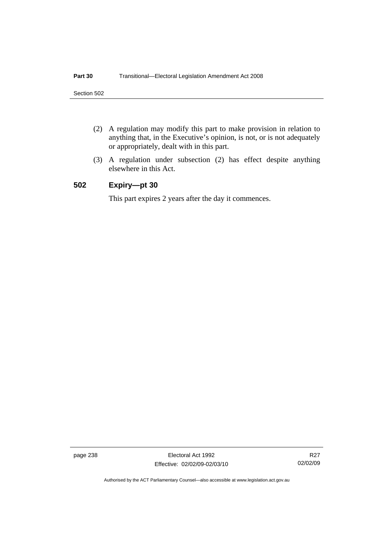- (2) A regulation may modify this part to make provision in relation to anything that, in the Executive's opinion, is not, or is not adequately or appropriately, dealt with in this part.
- (3) A regulation under subsection (2) has effect despite anything elsewhere in this Act.

#### **502 Expiry—pt 30**

This part expires 2 years after the day it commences.

page 238 Electoral Act 1992 Effective: 02/02/09-02/03/10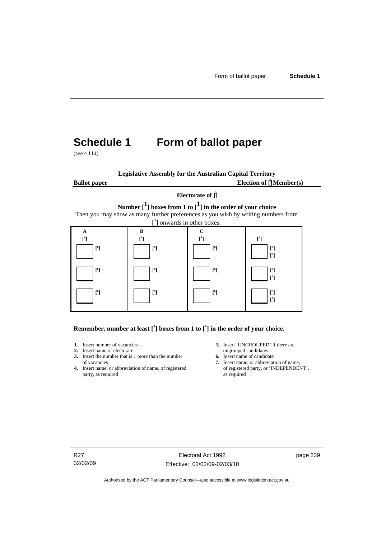# **Schedule 1 Form of ballot paper**

(see s 114)

**Legislative Assembly for the Australian Capital Territory Ballot paper** Election of  $\prod_{i=1}^{n} \text{Member}(s)$ 

#### **Electorate of [ 2 ]**

**Number [1] boxes from 1 to [1] in the order of your choice**  Then you may show as many further preferences as you wish by writing numbers from



**Remember, number at least**  $\begin{bmatrix} 1 \end{bmatrix}$  boxes from 1 to  $\begin{bmatrix} 1 \end{bmatrix}$  in the order of your choice.

- 
- 
- **2.** Insert name of electorate ungrouped candidates<br> **3.** Insert the number that is 1 more than the number **6.** Insert name of candidate **3.** Insert the number that is 1 more than the number
- **4.** Insert name, or abbreviation of name, of registered of registere party, as required as party, as required
- **1.** Insert number of vacancies **5.** Insert 'UNGROUPED' if there are **2.** Insert name of electorate **1.** Insert name of electorate
	-
	- of vacancies **7.** Insert name, or abbreviation of name, or abbreviation of name, or abbreviation of name, of registered **7.** Insert name, or 'INDEPENDENT',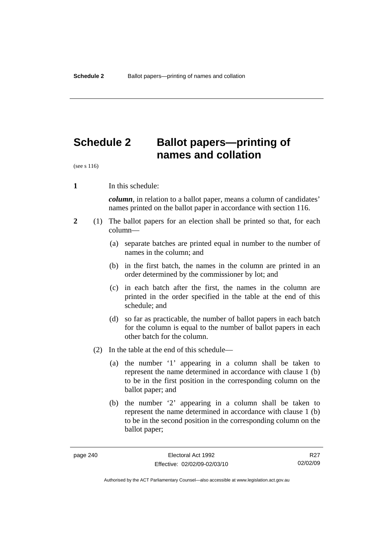# **Schedule 2 Ballot papers—printing of names and collation**

(see s 116)

**1** In this schedule:

*column*, in relation to a ballot paper, means a column of candidates' names printed on the ballot paper in accordance with section 116.

- **2** (1) The ballot papers for an election shall be printed so that, for each column—
	- (a) separate batches are printed equal in number to the number of names in the column; and
	- (b) in the first batch, the names in the column are printed in an order determined by the commissioner by lot; and
	- (c) in each batch after the first, the names in the column are printed in the order specified in the table at the end of this schedule; and
	- (d) so far as practicable, the number of ballot papers in each batch for the column is equal to the number of ballot papers in each other batch for the column.
	- (2) In the table at the end of this schedule—
		- (a) the number '1' appearing in a column shall be taken to represent the name determined in accordance with clause 1 (b) to be in the first position in the corresponding column on the ballot paper; and
		- (b) the number '2' appearing in a column shall be taken to represent the name determined in accordance with clause 1 (b) to be in the second position in the corresponding column on the ballot paper;

R<sub>27</sub> 02/02/09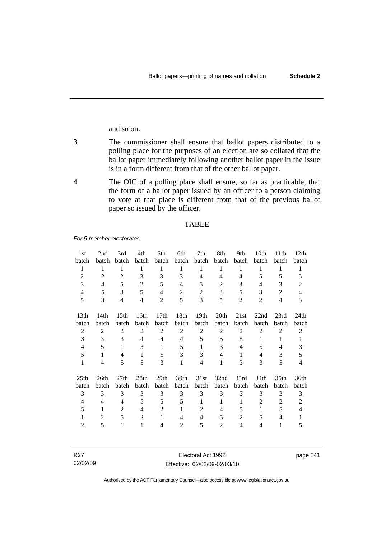and so on.

- **3** The commissioner shall ensure that ballot papers distributed to a polling place for the purposes of an election are so collated that the ballot paper immediately following another ballot paper in the issue is in a form different from that of the other ballot paper.
- **4** The OIC of a polling place shall ensure, so far as practicable, that the form of a ballot paper issued by an officer to a person claiming to vote at that place is different from that of the previous ballot paper so issued by the officer.

#### TABLE

*For 5-member electorates*

| 1st<br>batch     | 2nd<br>batch | 3rd<br>batch     | 4th<br>batch   | 5th<br>batch     | 6th<br>batch   | 7th<br>batch     | 8th<br>batch     | 9th<br>batch   | 10th<br><b>batch</b> | 11 <sup>th</sup><br>batch | 12 <sub>th</sub><br>batch |
|------------------|--------------|------------------|----------------|------------------|----------------|------------------|------------------|----------------|----------------------|---------------------------|---------------------------|
| 1                | 1            | 1                | 1              | 1                | 1              | 1                | 1                | 1              | 1                    | 1                         | 1                         |
| 2                | 2            | $\overline{2}$   | 3              | 3                | 3              | 4                | 4                | 4              | 5                    | 5                         | 5                         |
| 3                | 4            | 5                | $\overline{2}$ | 5                | 4              | 5                | 2                | 3              | 4                    | 3                         | 2                         |
| 4                | 5            | 3                | 5              | 4                | $\overline{2}$ | $\overline{2}$   | 3                | 5              | 3                    | 2                         | $\overline{4}$            |
| 5                | 3            | 4                | 4              | 2                | 5              | 3                | 5                | 2              | 2                    | $\overline{4}$            | 3                         |
| 13 <sub>th</sub> | 14th         | 15 <sub>th</sub> | 16th           | 17 <sub>th</sub> | 18th           | 19 <sub>th</sub> | 20 <sup>th</sup> | 21st           | 22nd                 | 23rd                      | 24th                      |
| batch            | batch        | batch            | batch          | batch            | batch          | batch            | batch            | batch          | batch                | batch                     | batch                     |
| $\overline{2}$   | 2            | 2                | $\overline{2}$ | 2                | 2              | 2                | 2                | $\overline{2}$ | 2                    | $\overline{2}$            | 2                         |
| 3                | 3            | 3                | 4              | 4                | 4              | 5                | 5                | 5              | 1                    | 1                         | 1                         |
| 4                | 5            | 1                | 3              | 1                | 5              | 1                | 3                | 4              | 5                    | $\overline{4}$            | 3                         |
| 5                | 1            | 4                | 1              | 5                | 3              | 3                | 4                | 1              | 4                    | 3                         | 5                         |
| 1                | 4            | 5                | 5              | 3                | 1              | 4                | 1                | 3              | 3                    | 5                         | 4                         |
| 25 <sup>th</sup> | 26th         | 27th             | 28th           | 29 <sub>th</sub> | 30th           | 31st             | 32nd             | 33rd           | 34th                 | 35th                      | 36th                      |
| batch            | batch        | batch            | batch          | batch            | batch          | batch            | batch            | batch          | batch                | batch                     | batch                     |
| 3                | 3            | 3                | 3              | 3                | 3              | 3                | 3                | 3              | 3                    | 3                         | 3                         |
| $\overline{4}$   | 4            | $\overline{4}$   | 5              | 5                | 5              | 1                | 1                | 1              | 2                    | 2                         | 2                         |
| 5                | 1            | 2                | 4              | 2                |                | 2                | 4                | 5              | 1                    | 5                         | 4                         |
|                  | 2            | 5                | 2              | 1                | 4              | 4                | 5                | 2              | 5                    | 4                         |                           |
| 2                | 5            |                  | 1              | 4                | $\overline{2}$ | 5                | $\overline{c}$   | $\overline{4}$ | $\overline{4}$       | 1                         | 5                         |

| R27      | Electoral Act 1992           | page 241 |
|----------|------------------------------|----------|
| 02/02/09 | Effective: 02/02/09-02/03/10 |          |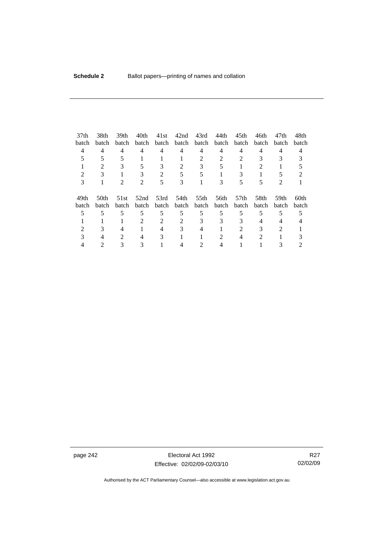| 37 <sub>th</sub> | 38th  | 39th  | 40th                        | 41st           | 42nd           | 43rd  | 44th  | 45th             | 46th  | 47th  | 48th             |
|------------------|-------|-------|-----------------------------|----------------|----------------|-------|-------|------------------|-------|-------|------------------|
| batch            | batch | batch | batch                       | batch          | batch          | batch | batch | batch            | batch | batch | batch            |
| 4                | 4     | 4     | 4                           | 4              | 4              | 4     | 4     | 4                | 4     | 4     | 4                |
|                  |       |       |                             |                |                | 2     |       |                  |       |       |                  |
|                  | 2     |       |                             | 3              | $\mathfrak{D}$ | 3     |       |                  | 2     |       |                  |
|                  |       |       |                             | 2              |                |       |       |                  |       |       |                  |
| 3                |       |       | $\mathcal{D}_{\mathcal{A}}$ | 5              | 3              |       |       |                  |       | 2     |                  |
|                  |       |       |                             |                |                |       |       |                  |       |       |                  |
| 49th             | 50th  | 51st  | 52nd                        | 53rd           | 54th           | 55th  | 56th  | 57 <sub>th</sub> | 58th  | 59th  | 60 <sub>th</sub> |
| batch            | batch | batch | batch                       | batch          | batch          | batch | batch | batch            | batch | batch | batch            |
|                  | 5     |       | 5                           | 5              | 5              | 5     | 5     |                  | 5     |       |                  |
|                  |       |       | $\mathfrak{D}$              | $\mathfrak{D}$ |                | 3     | 3     | 3                |       | 4     |                  |
|                  |       | 4     |                             | 4              | 3              |       |       | 2                |       |       |                  |
|                  |       | 2     | 4                           | 3              |                |       |       |                  | 2     |       |                  |
|                  |       |       |                             |                |                |       |       |                  |       |       |                  |

page 242 **Electoral Act 1992** Effective: 02/02/09-02/03/10

R27 02/02/09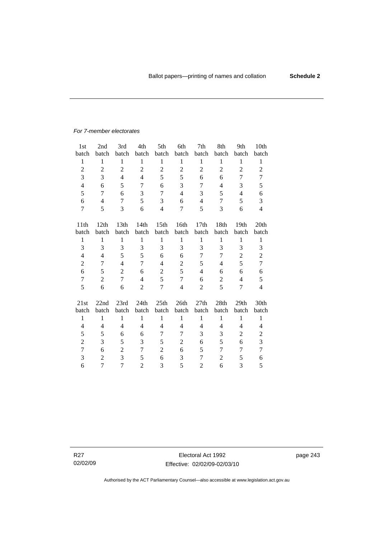#### *For 7-member electorates*

| 1st            | 2nd              | 3rd            | 4th            | 5th              | 6th            | 7th            | 8th            | 9th              | 10th           |
|----------------|------------------|----------------|----------------|------------------|----------------|----------------|----------------|------------------|----------------|
| batch          | batch            | batch          | batch          | batch            | batch          | batch          | batch          | batch            | batch          |
| $\mathbf{1}$   | 1                | $\mathbf{1}$   | $\mathbf{1}$   | $\mathbf{1}$     | $\mathbf{1}$   | $\mathbf{1}$   | $\mathbf{1}$   | $\mathbf{1}$     | 1              |
| $\overline{c}$ | $\overline{2}$   | $\overline{c}$ | $\overline{2}$ | $\overline{c}$   | $\overline{2}$ | $\overline{2}$ | $\overline{c}$ | $\overline{2}$   | $\overline{c}$ |
| 3              | 3                | $\overline{4}$ | $\overline{4}$ | 5                | 5              | 6              | 6              | 7                | 7              |
| $\overline{4}$ | 6                | 5              | 7              | 6                | 3              | 7              | 4              | 3                | 5              |
| 5              | $\overline{7}$   | 6              | 3              | 7                | $\overline{4}$ | 3              | 5              | $\overline{4}$   | 6              |
| 6              | $\overline{4}$   | 7              | 5              | 3                | 6              | $\overline{4}$ | 7              | 5                | 3              |
| 7              | 5                | 3              | 6              | $\overline{4}$   | 7              | 5              | 3              | 6                | $\overline{4}$ |
|                |                  |                |                |                  |                |                |                |                  |                |
| 11th           | 12th             | 13th           | 14th           | 15 <sup>th</sup> | 16th           | 17th           | 18th           | 19 <sub>th</sub> | 20th           |
| batch          | batch            | batch          | batch          | batch            | batch          | batch          | batch          | batch            | batch          |
| $\mathbf{1}$   | $\mathbf{1}$     | $\mathbf{1}$   | $\mathbf{1}$   | $\mathbf{1}$     | $\mathbf{1}$   | $\mathbf{1}$   | $\mathbf{1}$   | $\mathbf{1}$     | $\mathbf{1}$   |
| 3              | 3                | 3              | 3              | 3                | 3              | 3              | 3              | 3                | 3              |
| 4              | $\overline{4}$   | 5              | 5              | 6                | 6              | 7              | 7              | $\overline{2}$   | $\overline{2}$ |
| $\overline{2}$ | 7                | $\overline{4}$ | $\overline{7}$ | 4                | $\overline{c}$ | 5              | 4              | 5                | $\overline{7}$ |
| 6              | 5                | $\overline{2}$ | 6              | $\overline{c}$   | 5              | $\overline{4}$ | 6              | 6                | 6              |
| $\tau$         | $\boldsymbol{2}$ | $\tau$         | $\overline{4}$ | 5                | $\tau$         | 6              | $\overline{2}$ | $\overline{4}$   | 5              |
| 5              | 6                | 6              | $\overline{2}$ | $\overline{7}$   | $\overline{4}$ | $\overline{2}$ | 5              | 7                | $\overline{4}$ |
|                |                  |                |                |                  |                |                |                |                  |                |
| 21st           | 22nd             | 23rd           | 24th           | 25th             | 26th           | 27th           | 28th           | 29th             | 30th           |
| batch          | batch            | batch          | batch          | batch            | batch          | batch          | batch          | batch            | batch          |
| $\mathbf{1}$   | $\mathbf{1}$     | $\mathbf{1}$   | $\mathbf{1}$   | $\mathbf{1}$     | $\mathbf{1}$   | $\mathbf{1}$   | $\mathbf{1}$   | $\mathbf{1}$     | $\mathbf{1}$   |
| 4              | 4                | $\overline{4}$ | 4              | 4                | 4              | 4              | 4              | 4                | 4              |
| 5              | 5                | 6              | 6              | 7                | $\tau$         | 3              | 3              | $\overline{2}$   | $\overline{c}$ |
| $\overline{c}$ | 3                | 5              | 3              | 5                | $\overline{c}$ | 6              | 5              | 6                | 3              |
| $\overline{7}$ | 6                | $\overline{2}$ | 7              | $\overline{2}$   | 6              | 5              | 7              | 7                | $\overline{7}$ |
| 3              | $\overline{2}$   | 3              | 5              | 6                | 3              | 7              | $\overline{2}$ | 5                | 6              |
| 6              | 7                | 7              | $\overline{2}$ | 3                | 5              | $\overline{c}$ | 6              | 3                | 5              |

R27 02/02/09 page 243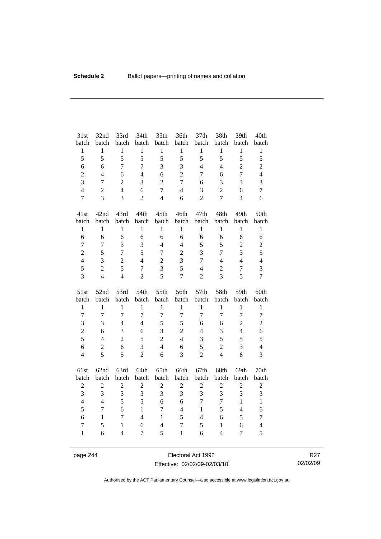| 31st<br>batch     | 32nd<br>batch    | 33rd<br>batch                  | 34th<br>batch       | 35th<br>batch       | 36th<br>batch     | 37th<br>batch    | 38th<br>batch                  | 39th<br>batch           | 40th<br>batch       |
|-------------------|------------------|--------------------------------|---------------------|---------------------|-------------------|------------------|--------------------------------|-------------------------|---------------------|
| $\,1$             | $\mathbf{1}$     | $\mathbf{1}$                   | $\mathbf{1}$        | $\mathbf{1}$        | $\mathbf{1}$      | $\mathbf{1}$     | $\mathbf{1}$                   | $\mathbf{1}$            | $\mathbf{1}$        |
| 5                 | 5                | 5                              | 5                   | 5                   | 5                 | 5                | 5                              | 5                       | 5                   |
| 6                 | 6                | $\overline{7}$                 | $\overline{7}$      | 3                   | 3                 | $\overline{4}$   | $\overline{4}$                 | $\overline{c}$          | $\overline{c}$      |
| $\overline{c}$    | $\overline{4}$   | 6                              | $\overline{4}$      | 6                   | $\overline{2}$    | $\overline{7}$   | 6                              | $\overline{7}$          | $\overline{4}$      |
| 3                 | $\overline{7}$   | $\overline{2}$                 | 3                   | $\overline{2}$      | $\overline{7}$    | 6                | 3                              | 3                       | 3                   |
| $\overline{4}$    | $\overline{2}$   | $\overline{4}$                 | 6                   | $\overline{7}$      | $\overline{4}$    | 3                | $\overline{2}$                 | 6                       | $\overline{7}$      |
| $\overline{7}$    | $\overline{3}$   | 3                              | $\overline{2}$      | $\overline{4}$      | 6                 | $\overline{2}$   | $\overline{7}$                 | $\overline{4}$          | 6                   |
| 41st              | 42nd             | 43rd                           | 44th                | 45th                | 46th              | 47th             | 48th                           | 49th                    | 50th                |
| batch             | batch            | batch                          | batch               | batch               | batch             | batch            | batch                          | batch                   | batch               |
| $\,1$             | $\mathbf{1}$     | $\mathbf{1}$                   | $\mathbf{1}$        | $\mathbf{1}$        | $\mathbf{1}$      | $\mathbf{1}$     | $\mathbf{1}$                   | $\mathbf{1}$            | $\mathbf{1}$        |
| 6                 | 6                | 6                              | 6                   | 6                   | 6                 | 6                | 6                              | 6                       | 6                   |
| $\overline{7}$    | $\overline{7}$   | 3                              | 3                   | $\overline{4}$      | $\overline{4}$    | 5                | 5                              | $\overline{c}$          | $\overline{c}$      |
| $\overline{c}$    | 5                | $\overline{7}$                 | 5                   | $\overline{7}$      | $\overline{c}$    | 3                | $\overline{7}$                 | $\overline{3}$          | 5                   |
| $\overline{4}$    | 3                | $\overline{2}$                 | $\overline{4}$      | $\sqrt{2}$          | 3                 | $\overline{7}$   | $\overline{4}$                 | $\overline{4}$          | $\overline{4}$      |
| 5                 | $\overline{2}$   | 5                              | $\overline{7}$      | 3                   | 5                 | $\overline{4}$   | $\mathfrak{2}$                 | $\tau$                  | 3                   |
| 3                 | $\overline{4}$   | $\overline{4}$                 | $\overline{2}$      | 5                   | $\overline{7}$    | $\overline{2}$   | 3                              | 5                       | $\overline{7}$      |
|                   |                  |                                |                     |                     |                   |                  |                                |                         |                     |
| 51st              | 52nd             | 53rd                           | 54th                | 55th                | 56th              | 57th             | 58th                           | 59th                    | 60th                |
| batch             | batch            | batch                          | batch               | batch               | batch             | batch            | batch                          | batch                   | batch               |
| $\mathbf{1}$      | $\mathbf{1}$     | $\mathbf{1}$                   | $\mathbf{1}$        | $\mathbf{1}$        | $\mathbf{1}$      | $\mathbf{1}$     | $\mathbf{1}$                   | $\mathbf{1}$            | $\mathbf{1}$        |
| $\overline{7}$    | $\overline{7}$   | $\overline{7}$                 | $\overline{7}$      | $\overline{7}$      | $\overline{7}$    | $\overline{7}$   | $\overline{7}$                 | $\overline{7}$          | $\overline{7}$      |
| 3                 | 3                | $\overline{4}$                 | $\overline{4}$      | 5                   | 5                 | 6                | 6                              | $\overline{c}$          | $\overline{c}$      |
| $\overline{c}$    | 6                | $\overline{3}$                 | 6                   | 3                   | $\overline{2}$    | $\overline{4}$   | 3                              | $\overline{\mathbf{4}}$ | 6                   |
| 5                 | $\overline{4}$   | $\overline{2}$                 | 5                   | $\overline{2}$      | $\overline{4}$    | 3                | 5                              | 5                       | 5                   |
| $\sqrt{6}$        | $\boldsymbol{2}$ | 6                              | 3                   | $\overline{4}$      | 6                 | 5                | $\overline{2}$                 | 3                       | $\overline{4}$      |
| $\overline{4}$    | 5                | 5                              | $\overline{2}$      | 6                   | $\overline{3}$    | $\overline{2}$   | $\overline{4}$                 | 6                       | 3                   |
| 61st              | 62nd             | 63rd                           | 64th                | 65th                | 66th              | 67th             | 68th                           | 69th                    | 70th                |
| batch             | batch            | batch                          | batch               | batch               | batch             | batch            | batch                          | batch                   | batch               |
| $\boldsymbol{2}$  | $\overline{c}$   | $\overline{c}$                 | $\overline{c}$      | $\boldsymbol{2}$    | $\sqrt{2}$        | $\boldsymbol{2}$ | $\sqrt{2}$                     | $\overline{2}$          | $\sqrt{2}$          |
| $\overline{3}$    | $\overline{3}$   | $\overline{3}$                 | $\overline{3}$      | 3                   | $\overline{3}$    | 3                | $\overline{3}$                 | $\overline{3}$          | 3                   |
| $\overline{4}$    | $\overline{4}$   | 5                              | 5                   | 6                   | 6                 | $\overline{7}$   | $\tau$                         | $\mathbf{1}$            | $\mathbf{1}$        |
| 5                 | $\boldsymbol{7}$ | 6                              | $\mathbf{1}$        | $\overline{7}$      | $\overline{4}$    | $\mathbf{1}$     | 5                              | $\overline{4}$          | 6                   |
| 6                 | $\mathbf{1}$     | $\overline{7}$                 | $\overline{4}$      | $\mathbf{1}$        | 5                 | $\overline{4}$   | 6                              | 5                       | $\tau$              |
| 7<br>$\mathbf{1}$ | 5<br>6           | $\mathbf{1}$<br>$\overline{4}$ | 6<br>$\overline{7}$ | $\overline{4}$<br>5 | 7<br>$\mathbf{1}$ | 5<br>6           | $\mathbf{1}$<br>$\overline{4}$ | 6<br>$\overline{7}$     | $\overline{4}$<br>5 |

page 244 Electoral Act 1992 Effective: 02/02/09-02/03/10

R27 02/02/09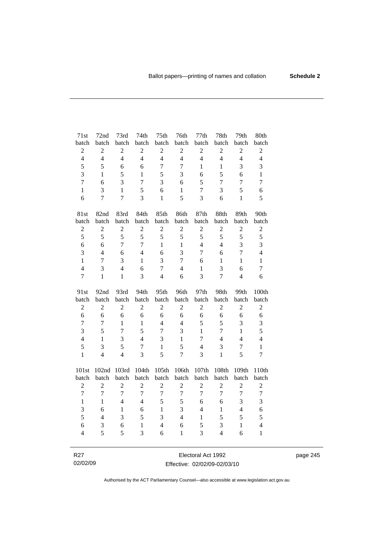| 71st                    | 72nd             | 73rd           | 74th           | 75 <sup>th</sup> | 76th             | 77th             | 78th           | 79th             | 80th             |
|-------------------------|------------------|----------------|----------------|------------------|------------------|------------------|----------------|------------------|------------------|
| batch                   | batch            | batch          | batch          | batch            | batch            | batch            | batch          | batch            | batch            |
| $\overline{c}$          | $\boldsymbol{2}$ | $\overline{2}$ | $\overline{2}$ | $\overline{2}$   | $\overline{c}$   | $\boldsymbol{2}$ | $\overline{c}$ | $\boldsymbol{2}$ | $\sqrt{2}$       |
| $\overline{4}$          | $\overline{4}$   | $\overline{4}$ | $\overline{4}$ | $\overline{4}$   | $\overline{4}$   | $\overline{4}$   | $\overline{4}$ | $\overline{4}$   | $\overline{4}$   |
| 5                       | 5                | 6              | 6              | $\overline{7}$   | $\overline{7}$   | $\mathbf{1}$     | $\mathbf{1}$   | 3                | 3                |
| 3                       | 1                | 5              | $\mathbf{1}$   | 5                | 3                | 6                | 5              | 6                | $\mathbf{1}$     |
| $\overline{7}$          | 6                | 3              | $\overline{7}$ | 3                | 6                | 5                | 7              | 7                | $\overline{7}$   |
| $\mathbf{1}$            | 3                | $\mathbf{1}$   | 5              | 6                | $\mathbf{1}$     | $\tau$           | 3              | 5                | 6                |
| 6                       | $\overline{7}$   | $\overline{7}$ | $\overline{3}$ | $\mathbf{1}$     | 5                | 3                | 6              | $\mathbf{1}$     | 5                |
| 81st                    | 82nd             | 83rd           | 84th           | 85th             | 86th             | 87th             | 88th           | 89th             | 90th             |
| batch                   | batch            | batch          | batch          | batch            | batch            | batch            | batch          | batch            | batch            |
| $\overline{2}$          | $\overline{2}$   | $\overline{2}$ | $\overline{c}$ | $\overline{c}$   | $\overline{2}$   | $\overline{2}$   | $\overline{c}$ | $\overline{2}$   | $\overline{2}$   |
| 5                       | 5                | 5              | 5              | 5                | 5                | 5                | 5              | 5                | 5                |
| 6                       | 6                | $\overline{7}$ | $\overline{7}$ | $\mathbf{1}$     | $\mathbf{1}$     | $\overline{4}$   | $\overline{4}$ | 3                | $\overline{3}$   |
| 3                       | $\overline{4}$   | 6              | $\overline{4}$ | 6                | $\overline{3}$   | 7                | 6              | $\overline{7}$   | $\overline{4}$   |
| $\mathbf{1}$            | $\overline{7}$   | 3              | $\mathbf{1}$   | $\overline{3}$   | $\overline{7}$   | 6                | $\mathbf{1}$   | $\mathbf{1}$     | $\mathbf{1}$     |
| $\overline{\mathbf{4}}$ | 3                | $\overline{4}$ | 6              | $\overline{7}$   | $\overline{4}$   | $\mathbf{1}$     | 3              | 6                | $\boldsymbol{7}$ |
| $\overline{7}$          | $\mathbf{1}$     | $\mathbf{1}$   | 3              | $\overline{4}$   | 6                | $\overline{3}$   | $\overline{7}$ | $\overline{4}$   | 6                |
|                         |                  |                |                |                  |                  |                  |                |                  |                  |
| 91st                    | 92nd             | 93rd           | 94th           | 95th             | 96th             | 97th             | 98th           | 99th             | 100th            |
| batch                   | batch            | batch          | batch          | batch            | batch            | batch            | batch          | batch            | batch            |
| $\boldsymbol{2}$        | $\overline{2}$   | $\overline{2}$ | $\overline{c}$ | $\overline{2}$   | $\overline{2}$   | $\mathfrak{2}$   | $\overline{c}$ | $\overline{2}$   | $\boldsymbol{2}$ |
| $\overline{6}$          | 6                | 6              | 6              | 6                | 6                | 6                | 6              | 6                | 6                |
| $\overline{7}$          | $\tau$           | $\mathbf{1}$   | $\mathbf{1}$   | $\overline{4}$   | $\overline{4}$   | 5                | 5              | 3                | 3                |
| $\overline{3}$          | 5                | $\overline{7}$ | 5              | $\overline{7}$   | 3                | $\mathbf{1}$     | $\overline{7}$ | $\mathbf{1}$     | 5                |
| $\overline{\mathbf{4}}$ | $\mathbf{1}$     | 3              | $\overline{4}$ | 3                | $\mathbf{1}$     | $\overline{7}$   | $\overline{4}$ | $\overline{4}$   | $\overline{4}$   |
| 5                       | 3                | 5              | $\overline{7}$ | $\mathbf{1}$     | 5                | $\overline{4}$   | 3              | $\tau$           | $\mathbf{1}$     |
| $\mathbf{1}$            | $\overline{4}$   | $\overline{4}$ | 3              | 5                | $\overline{7}$   | 3                | $\mathbf{1}$   | 5                | $\overline{7}$   |
| 101st                   | 102nd            | 103rd          | 104th          | 105th            | 106th            | 107th            | 108th          | 109th            | 110th            |
| batch                   | batch            | batch          | batch          | batch            | batch            | batch            | batch          | batch            | batch            |
| $\overline{c}$          | $\overline{2}$   | $\overline{2}$ | $\overline{2}$ | $\overline{2}$   | $\overline{2}$   | $\overline{c}$   | $\mathbf{2}$   | $\overline{2}$   | $\mathfrak{2}$   |
| $\overline{7}$          | $\overline{7}$   | $\overline{7}$ | $\overline{7}$ | $\overline{7}$   | $\boldsymbol{7}$ | $\overline{7}$   | $\overline{7}$ | $\overline{7}$   | $\boldsymbol{7}$ |
| $\mathbf{1}$            | $\mathbf{1}$     | $\overline{4}$ | $\overline{4}$ | 5                | 5                | 6                | 6              | 3                | 3                |
| 3                       | 6                | $\mathbf{1}$   | 6              | $\mathbf{1}$     | 3                | $\overline{4}$   | $\mathbf{1}$   | $\overline{4}$   | 6                |
| 5                       | $\overline{4}$   | 3              | 5              | 3                | $\overline{4}$   | $\mathbf{1}$     | 5              | 5                | 5                |
| 6                       | 3                | 6              | $\mathbf{1}$   | $\overline{4}$   | 6                | 5                | 3              | $\mathbf{1}$     | $\overline{4}$   |
| $\overline{4}$          | 5                | 5              | 3              | 6                | $\mathbf{1}$     | 3                | $\overline{4}$ | 6                | $\mathbf{1}$     |

R27 02/02/09

Electoral Act 1992 Effective: 02/02/09-02/03/10 page 245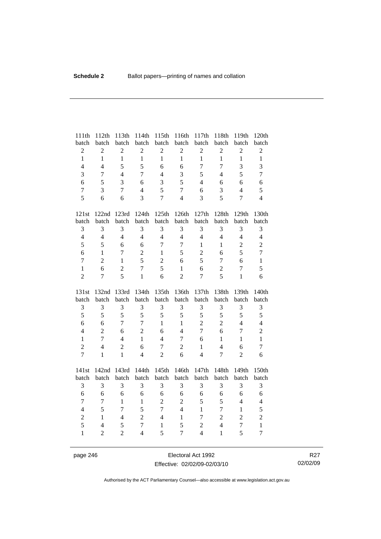| 111th             | 112th                            | 113th               | 114th                            | 115th             | 116th               | 117th                            | 118th                          | 119th               | 120th                          |
|-------------------|----------------------------------|---------------------|----------------------------------|-------------------|---------------------|----------------------------------|--------------------------------|---------------------|--------------------------------|
| batch             | batch                            | batch               | batch                            | batch             | batch               | batch                            | batch                          | batch               | batch                          |
| $\overline{c}$    | $\mathbf{2}$                     | $\sqrt{2}$          | $\boldsymbol{2}$                 | $\overline{2}$    | $\overline{c}$      | $\boldsymbol{2}$                 | $\sqrt{2}$                     | $\overline{c}$      | $\mathfrak{2}$                 |
| $\mathbf{1}$      | $\mathbf{1}$                     | $\mathbf{1}$        | $\mathbf{1}$                     | $\mathbf{1}$      | $\mathbf{1}$        | $\mathbf{1}$                     | $\mathbf{1}$                   | $\mathbf{1}$        | $\mathbf{1}$                   |
| $\overline{4}$    | $\overline{4}$                   | 5                   | 5                                | 6                 | 6                   | $\overline{7}$                   | $\overline{7}$                 | 3                   | $\overline{\mathbf{3}}$        |
| 3                 | $\tau$                           | $\overline{4}$      | 7                                | $\overline{4}$    | 3                   | 5                                | $\overline{4}$                 | 5                   | $\overline{7}$                 |
| 6                 | 5                                | 3                   | 6                                | 3                 | 5                   | $\overline{4}$                   | 6                              | 6                   | 6                              |
| $\sqrt{ }$        | 3                                | $\overline{7}$      | $\overline{\mathbf{4}}$          | 5                 | $\overline{7}$      | 6                                | 3                              | $\overline{4}$      | 5                              |
| 5                 | 6                                | 6                   | 3                                | $\overline{7}$    | $\overline{4}$      | 3                                | 5                              | $\overline{7}$      | $\overline{4}$                 |
| 121st             | 122nd                            | 123rd               | 124th                            | 125th             | 126th               | 127th                            | 128th                          | 129th               | 130th                          |
| batch             | batch                            | batch               | batch                            | batch             | batch               | batch                            | batch                          | batch               | batch                          |
| 3                 | 3                                | 3                   | 3                                | 3                 | 3                   | 3                                | 3                              | 3                   | 3                              |
| $\overline{4}$    | $\overline{4}$                   | $\overline{4}$      | $\overline{4}$                   | $\overline{4}$    | $\overline{4}$      | $\overline{4}$                   | $\overline{4}$                 | $\overline{4}$      | $\overline{4}$                 |
| 5                 | 5                                | 6                   | 6                                | $\overline{7}$    | $\overline{7}$      | $\mathbf{1}$                     | $\mathbf{1}$                   | $\sqrt{2}$          | $\overline{c}$                 |
| 6                 | $\mathbf{1}$                     | 7                   | $\overline{2}$                   | $\mathbf{1}$      | 5                   | $\overline{c}$                   | 6                              | 5                   | $\overline{7}$                 |
| $\overline{7}$    | $\overline{2}$                   | $\mathbf{1}$        | 5                                | $\overline{2}$    | 6                   | 5                                | $\boldsymbol{7}$               | 6                   | $\mathbf{1}$                   |
| $\mathbf{1}$      | 6                                | $\overline{c}$      | $\tau$                           | 5                 | $\mathbf{1}$        | 6                                | $\overline{c}$                 | $\overline{7}$      | 5                              |
| $\overline{2}$    | $\overline{7}$                   | 5                   | $\mathbf{1}$                     | 6                 | $\overline{2}$      | 7                                | 5                              | $\mathbf{1}$        | 6                              |
|                   |                                  |                     |                                  |                   |                     |                                  |                                |                     |                                |
| 131st             | 132nd                            | 133rd               | 134th                            | 135th             | 136th               | 137th                            | 138th                          | 139th               | 140th                          |
| batch             | batch                            | batch               | batch                            | batch             | batch               | batch                            | batch                          | batch               | batch                          |
| 3                 | 3                                | 3                   | 3                                | 3                 | 3                   | 3                                | 3                              | 3                   | 3                              |
| 5                 | 5                                | 5                   | 5                                | 5                 | 5                   | 5                                | 5                              | 5                   | 5                              |
| 6                 | 6                                | $\overline{7}$      | 7                                | $\mathbf{1}$      | $\mathbf{1}$        | $\overline{2}$                   | $\overline{2}$                 | $\overline{4}$      | $\overline{4}$                 |
| $\overline{4}$    | $\overline{2}$                   | 6                   | $\overline{2}$                   | 6                 | $\overline{4}$      | $\overline{7}$                   | 6                              | $\overline{7}$      | $\overline{c}$                 |
| $\mathbf{1}$      | $\overline{7}$                   | $\overline{4}$      | $\mathbf{1}$                     | $\overline{4}$    | $\overline{7}$      | 6                                | $\mathbf{1}$                   | $\mathbf{1}$        | $\mathbf{1}$                   |
| $\overline{2}$    | $\overline{4}$                   | $\overline{2}$      | 6                                | $\overline{7}$    | $\overline{2}$      | $\mathbf{1}$                     | $\overline{4}$                 | 6                   | $\overline{7}$                 |
| $\overline{7}$    | $\mathbf{1}$                     | $\mathbf{1}$        | $\overline{4}$                   | $\overline{2}$    | 6                   | $\overline{4}$                   | $\tau$                         | $\overline{2}$      | 6                              |
| 141st             | 142nd                            | 143rd               | 144th                            | 145th             | 146th               | 147th                            | 148th                          | 149th               | 150th                          |
| batch             | batch                            | batch               | batch                            | batch             | batch               | batch                            | batch                          | batch               | batch                          |
| $\mathfrak{Z}$    | 3                                | 3                   | 3                                | 3                 | 3                   | 3                                | 3                              | 3                   | 3                              |
| 6                 | 6                                | 6                   | 6                                | 6                 | 6                   | 6                                | 6                              | 6                   | 6                              |
| $\overline{7}$    | $\overline{7}$                   | $\mathbf{1}$        | $\mathbf{1}$                     | $\overline{2}$    | $\overline{c}$      | 5                                | 5                              | $\overline{4}$      | $\overline{4}$                 |
| $\overline{4}$    | 5                                | $\overline{7}$      | 5                                | $\overline{7}$    | $\overline{4}$      | $\mathbf{1}$                     | $\overline{7}$                 | $\mathbf{1}$        | 5                              |
| $\overline{c}$    | $\mathbf{1}$                     | $\overline{4}$      | $\overline{2}$                   | $\overline{4}$    | $\mathbf{1}$        | $\tau$                           | $\overline{c}$                 | $\overline{2}$      | $\overline{c}$                 |
| 5<br>$\mathbf{1}$ | $\overline{4}$<br>$\overline{2}$ | 5<br>$\overline{2}$ | $\overline{7}$<br>$\overline{4}$ | $\mathbf{1}$<br>5 | 5<br>$\overline{7}$ | $\overline{2}$<br>$\overline{4}$ | $\overline{4}$<br>$\mathbf{1}$ | $\overline{7}$<br>5 | $\mathbf{1}$<br>$\overline{7}$ |

page 246 Electoral Act 1992 Effective: 02/02/09-02/03/10

R27 02/02/09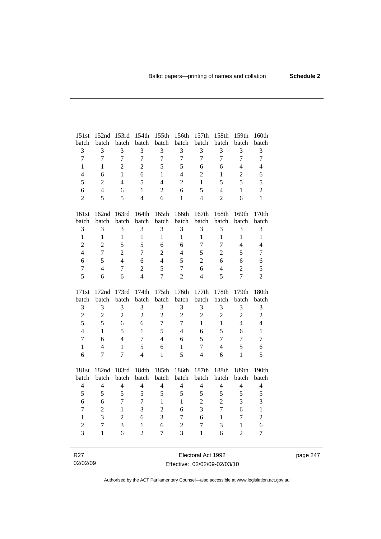| 151st          | 152nd          | 153rd          | 154th          | 155th          | 156th            | 157th                    | 158th          | 159th            | 160th          |
|----------------|----------------|----------------|----------------|----------------|------------------|--------------------------|----------------|------------------|----------------|
| batch          | batch          | batch          | batch          | batch          | batch            | batch                    | batch          | batch            | batch          |
| $\mathfrak{Z}$ | 3              | 3              | 3              | 3              | 3                | 3                        | 3              | 3                | 3              |
| $\overline{7}$ | $\overline{7}$ | $\overline{7}$ | $\overline{7}$ | $\overline{7}$ | $\overline{7}$   | $\overline{7}$           | $\overline{7}$ | $\overline{7}$   | $\overline{7}$ |
| $\mathbf{1}$   | 1              | $\overline{c}$ | $\overline{2}$ | 5              | 5                | 6                        | 6              | $\overline{4}$   | $\overline{4}$ |
| $\overline{4}$ | 6              | $\mathbf{1}$   | 6              | 1              | $\overline{4}$   | $\overline{2}$           | $\mathbf{1}$   | $\overline{2}$   | 6              |
| 5              | $\overline{2}$ | $\overline{4}$ | 5              | $\overline{4}$ | $\overline{2}$   | $\mathbf{1}$             | 5              | 5                | 5              |
| 6              | $\overline{4}$ | 6              | $\mathbf{1}$   | $\overline{2}$ | 6                | 5                        | $\overline{4}$ | $\mathbf{1}$     | $\overline{2}$ |
| $\overline{2}$ | 5              | 5              | $\overline{4}$ | 6              | $\mathbf{1}$     | $\overline{4}$           | $\overline{2}$ | 6                | $\mathbf{1}$   |
|                |                |                |                |                |                  |                          |                |                  |                |
| 161st          | 162nd          | 163rd          | 164th          | 165th          | 166th            | 167th                    | 168th          | 169th            | 170th          |
| batch          | batch          | batch          | batch          | batch          | batch            | batch                    | batch          | batch            | batch          |
| 3              | 3              | 3              | 3              | 3              | 3                | 3                        | 3              | 3                | 3              |
| $\mathbf{1}$   | $\mathbf{1}$   | $\mathbf{1}$   | $\mathbf{1}$   | $\mathbf{1}$   | $\mathbf{1}$     | $\mathbf{1}$             | $\mathbf{1}$   | $\mathbf{1}$     | $\mathbf{1}$   |
| $\overline{c}$ | $\overline{2}$ | 5              | 5              | 6              | 6                | $\tau$                   | $\tau$         | $\overline{4}$   | $\overline{4}$ |
| $\overline{4}$ | $\overline{7}$ | $\overline{2}$ | $\overline{7}$ | $\overline{2}$ | $\overline{4}$   | 5                        | $\overline{2}$ | 5                | $\overline{7}$ |
| $\sqrt{6}$     | 5              | $\overline{4}$ | 6              | $\overline{4}$ | 5                | $\overline{2}$           | 6              | 6                | 6              |
| $\overline{7}$ | $\overline{4}$ | $\overline{7}$ | $\overline{2}$ | 5              | $\overline{7}$   | 6                        | $\overline{4}$ | $\overline{c}$   | 5              |
| 5              | 6              | 6              | $\overline{4}$ | $\overline{7}$ | $\overline{c}$   | $\overline{\mathcal{L}}$ | 5              | $\overline{7}$   | $\overline{2}$ |
|                |                |                |                |                |                  |                          |                |                  |                |
|                |                |                |                |                |                  |                          |                |                  |                |
| 171st          | 172nd          | 173rd          | 174th          | 175th          | 176th            | 177th                    | 178th          | 179th            | 180th          |
| batch          | batch          | batch          | batch          | batch          | batch            | batch                    | batch          | batch            | batch          |
| $\mathfrak 3$  | 3              | 3              | 3              | 3              | 3                | 3                        | 3              | 3                | $\mathfrak{Z}$ |
| $\overline{2}$ | $\overline{2}$ | $\overline{2}$ | $\overline{2}$ | $\overline{2}$ | $\overline{c}$   | $\overline{2}$           | $\overline{2}$ | $\overline{2}$   | $\overline{c}$ |
| 5              | 5              | 6              | 6              | $\overline{7}$ | $\boldsymbol{7}$ | $\mathbf{1}$             | $\mathbf{1}$   | $\overline{4}$   | $\overline{4}$ |
| $\overline{4}$ | $\mathbf{1}$   | 5              | $\mathbf{1}$   | 5              | $\overline{4}$   | 6                        | 5              | 6                | $\mathbf{1}$   |
| $\overline{7}$ | 6              | $\overline{4}$ | $\overline{7}$ | $\overline{4}$ | 6                | 5                        | $\overline{7}$ | $\overline{7}$   | $\overline{7}$ |
| $\mathbf{1}$   | $\overline{4}$ | 1              | 5              | 6              | $\mathbf{1}$     | 7                        | $\overline{4}$ | 5                | 6              |
| 6              | 7              | $\overline{7}$ | $\overline{4}$ | $\mathbf{1}$   | 5                | $\overline{4}$           | 6              | $\mathbf{1}$     | 5              |
|                |                |                |                |                |                  |                          |                |                  |                |
| 181st          | 182nd          | 183rd          | 184th          | 185th          | 186th            | 187th                    | 188th          | 189th            | 190th          |
| batch          | batch          | batch          | batch          | batch          | batch            | batch                    | batch          | batch            | batch          |
| $\overline{4}$ | $\overline{4}$ | $\overline{4}$ | $\overline{4}$ | $\overline{4}$ | $\overline{4}$   | $\overline{4}$           | $\overline{4}$ | $\overline{4}$   | $\overline{4}$ |
| 5              | 5              | 5              | 5              | 5              | 5                | 5                        | 5              | 5                | 5              |
| 6              | 6              | 7              | 7              | $\mathbf{1}$   | $\mathbf{1}$     | $\overline{c}$           | $\overline{2}$ | 3                | 3              |
| $\tau$         | $\overline{2}$ | 1              | 3              | $\overline{c}$ | 6                | 3                        | $\overline{7}$ | 6                | $\mathbf{1}$   |
| $\mathbf{1}$   | 3              | $\overline{2}$ | 6              | 3              | $\tau$           | 6                        | $\mathbf{1}$   | $\boldsymbol{7}$ | $\overline{c}$ |
| $\overline{c}$ | $\overline{7}$ | 3              | $\mathbf{1}$   | 6              | $\overline{2}$   | $\tau$                   | 3              | $\mathbf{1}$     | 6              |
| $\overline{3}$ | $\mathbf{1}$   | 6              | $\overline{2}$ | 7              | 3                | $\mathbf{1}$             | 6              | $\overline{2}$   | $\overline{7}$ |

R27 02/02/09

Electoral Act 1992 Effective: 02/02/09-02/03/10 page 247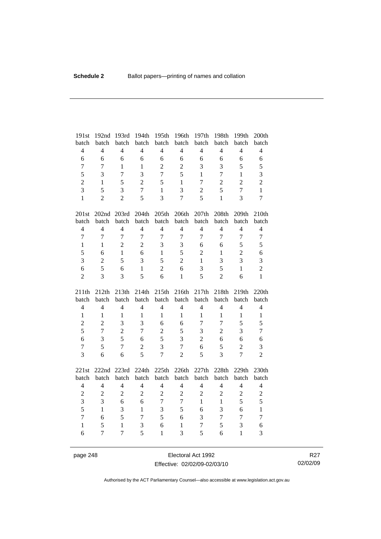| 191st          | 192nd          | 193rd          | 194th          | 195th          | 196th          | 197th          | 198th          | 199th          | 200th          |
|----------------|----------------|----------------|----------------|----------------|----------------|----------------|----------------|----------------|----------------|
| batch          | batch          | batch          | batch          | batch          | batch          | batch          | batch          | batch          | batch          |
| $\overline{4}$ | $\overline{4}$ | $\overline{4}$ | $\overline{4}$ | $\overline{4}$ | $\overline{4}$ | $\overline{4}$ | $\overline{4}$ | $\overline{4}$ | $\overline{4}$ |
| 6              | 6              | 6              | 6              | 6              | 6              | 6              | 6              | 6              | 6              |
| $\overline{7}$ | $\overline{7}$ | $\mathbf{1}$   | $\mathbf{1}$   | $\overline{2}$ | $\overline{2}$ | 3              | 3              | 5              | 5              |
| 5              | 3              | $\overline{7}$ | 3              | $\overline{7}$ | 5              | $\mathbf{1}$   | $\overline{7}$ | $\mathbf{1}$   | 3              |
| $\overline{2}$ | $\mathbf{1}$   | 5              | $\overline{2}$ | 5              | $\mathbf{1}$   | $\tau$         | $\overline{2}$ | $\overline{2}$ | $\overline{c}$ |
| 3              | 5              | 3              | $\overline{7}$ | $\mathbf{1}$   | 3              | $\overline{c}$ | 5              | $\overline{7}$ | $\mathbf{1}$   |
| $\mathbf{1}$   | $\overline{2}$ | $\overline{2}$ | 5              | 3              | $\overline{7}$ | 5              | $\mathbf{1}$   | 3              | $\overline{7}$ |
| 201st          | 202nd 203rd    |                | 204th          | 205th          | 206th          | 207th          | 208th          | 209th          | 210th          |
| batch          | batch          | batch          | batch          | batch          | batch          | batch          | batch          | batch          | batch          |
| $\overline{4}$ | $\overline{4}$ | $\overline{4}$ | $\overline{4}$ | $\overline{4}$ | $\overline{4}$ | $\overline{4}$ | $\overline{4}$ | $\overline{4}$ | $\overline{4}$ |
| $\overline{7}$ | $\overline{7}$ | $\overline{7}$ | $\overline{7}$ | $\overline{7}$ | $\overline{7}$ | $\overline{7}$ | $\overline{7}$ | $\overline{7}$ | $\tau$         |
| $\mathbf{1}$   | $\mathbf{1}$   | $\overline{2}$ | $\overline{2}$ | 3              | 3              | 6              | 6              | 5              | 5              |
| 5              | 6              | $\mathbf{1}$   | 6              | $\mathbf{1}$   | 5              | $\overline{2}$ | $\mathbf{1}$   | $\overline{2}$ | 6              |
| 3              | $\overline{2}$ | 5              | 3              | 5              | $\overline{c}$ | $\mathbf{1}$   | 3              | 3              | 3              |
| 6              | 5              | 6              | $\mathbf{1}$   | $\overline{2}$ | 6              | 3              | 5              | $\mathbf{1}$   | $\overline{2}$ |
| $\overline{2}$ | 3              | 3              | 5              | 6              | $\mathbf{1}$   | 5              | $\overline{2}$ | 6              | $\mathbf{1}$   |
|                |                |                |                |                |                |                |                |                |                |
| 211th          | 212th          | 213th          | 214th          | 215th          | 216th          | 217th          | 218th          | 219th          | 220th          |
| batch          | batch          | batch          | batch          | batch          | batch          | batch          | batch          | batch          | batch          |
| $\overline{4}$ | $\overline{4}$ | $\overline{4}$ | $\overline{4}$ | $\overline{4}$ | $\overline{4}$ | $\overline{4}$ | $\overline{4}$ | $\overline{4}$ | $\overline{4}$ |
| $\mathbf{1}$   | $\mathbf{1}$   | $\mathbf{1}$   | $\mathbf{1}$   | $\mathbf{1}$   | $\mathbf{1}$   | $\mathbf{1}$   | $\mathbf{1}$   | $\mathbf{1}$   | $\mathbf{1}$   |
| $\overline{c}$ | $\overline{c}$ | 3              | 3              | 6              | 6              | $\overline{7}$ | $\overline{7}$ | 5              | 5              |
| 5              | $\overline{7}$ | $\overline{2}$ | $\overline{7}$ | $\overline{2}$ | 5              | 3              | $\overline{2}$ | 3              | $\tau$         |
| 6              | 3              | 5              | 6              | 5              | 3              | $\overline{2}$ | 6              | 6              | 6              |
| $\overline{7}$ | 5              | $\overline{7}$ | $\overline{2}$ | 3              | $\overline{7}$ | 6              | 5              | $\overline{2}$ | 3              |
| $\overline{3}$ | 6              | 6              | 5              | $\overline{7}$ | $\overline{2}$ | 5              | $\overline{3}$ | $\overline{7}$ | $\overline{2}$ |
| 221st          | 222nd 223rd    |                | 224th          | 225th          | 226th          | 227th          | 228th          | 229th          | 230th          |
| batch          | batch          | batch          | batch          | batch          | batch          | batch          | batch          | batch          | batch          |
| $\overline{4}$ | $\overline{4}$ | $\overline{4}$ | $\overline{4}$ | $\overline{4}$ | $\overline{4}$ | $\overline{4}$ | $\overline{4}$ | $\overline{4}$ | $\overline{4}$ |
| $\overline{c}$ | $\overline{2}$ | $\overline{2}$ | $\overline{2}$ | $\overline{2}$ | $\overline{c}$ | $\overline{2}$ | $\overline{2}$ | $\overline{2}$ | $\overline{c}$ |
| 3              | 3              | 6              | 6              | $\tau$         | $\tau$         | $\mathbf{1}$   | $\mathbf{1}$   | 5              | 5              |
| 5              | $\mathbf{1}$   | 3              | $\mathbf{1}$   | 3              | 5              | 6              | $\overline{3}$ | 6              | $\mathbf{1}$   |
| $\overline{7}$ | 6              | 5              | $\tau$         | 5              | 6              | 3              | $\tau$         | $\overline{7}$ | $\tau$         |
| $\mathbf{1}$   | 5              | $\mathbf{1}$   | 3              | 6              | $\mathbf{1}$   | $\tau$         | 5              | 3              | 6              |

page 248 Electoral Act 1992 Effective: 02/02/09-02/03/10

R27 02/02/09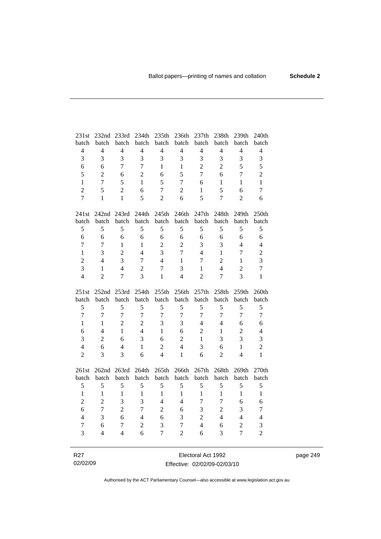| 231st                            | 232nd 233rd                   |                          | 234th               | 235th               | 236th               | 237th                    | 238th                          | 239th                            | 240th               |
|----------------------------------|-------------------------------|--------------------------|---------------------|---------------------|---------------------|--------------------------|--------------------------------|----------------------------------|---------------------|
| batch                            | batch                         | batch                    | batch               | batch               | batch               | batch                    | batch                          | batch                            | batch               |
| $\overline{4}$                   | $\overline{4}$                | $\overline{4}$           | $\overline{4}$      | $\overline{4}$      | $\overline{4}$      | $\overline{\mathcal{L}}$ | $\overline{4}$                 | $\overline{4}$                   | $\overline{4}$      |
| 3                                | 3                             | 3                        | 3                   | 3                   | $\overline{3}$      | 3                        | $\overline{3}$                 | 3                                | 3                   |
| $\epsilon$                       | 6                             | $\tau$                   | $\tau$              | $\mathbf{1}$        | $\mathbf{1}$        | $\overline{2}$           | $\overline{c}$                 | 5                                | 5                   |
| 5                                | $\overline{c}$                | 6                        | $\overline{2}$      | 6                   | 5                   | $\tau$                   | 6                              | $\overline{7}$                   | $\overline{c}$      |
| $\mathbf{1}$                     | $\overline{7}$                | 5                        | $\mathbf{1}$        | 5                   | $\overline{7}$      | 6                        | $\mathbf{1}$                   | $\mathbf{1}$                     | $\mathbf{1}$        |
| $\overline{2}$                   | 5                             | $\overline{2}$           | 6                   | $\overline{7}$      | $\overline{2}$      | $\mathbf{1}$             | 5                              | 6                                | $\overline{7}$      |
| $\overline{7}$                   | $\mathbf{1}$                  | $\mathbf{1}$             | 5                   | $\overline{2}$      | 6                   | 5                        | $\overline{7}$                 | $\overline{2}$                   | 6                   |
| 241st                            |                               | 242nd 243rd              | 244th               | 245th               | 246th               | 247th                    | 248th                          | 249th                            | 250th               |
| batch                            | batch                         | batch                    | batch               | batch               | batch               | batch                    | batch                          | batch                            | batch               |
| 5                                | 5                             | 5                        | 5                   | 5                   | 5                   | 5                        | 5                              | 5                                | 5                   |
| $\sqrt{6}$                       | 6                             | 6                        | 6                   | 6                   | $\sqrt{6}$          | 6                        | 6                              | 6                                | $\sqrt{6}$          |
| $\overline{7}$                   | $\tau$                        | $\mathbf{1}$             | $\mathbf{1}$        | $\overline{2}$      | $\overline{2}$      | 3                        | 3                              | $\overline{4}$                   | $\overline{4}$      |
| $\mathbf{1}$                     | 3                             | $\overline{c}$           | $\overline{4}$      | 3                   | $\overline{7}$      | $\overline{4}$           |                                | $\overline{7}$                   |                     |
| $\overline{c}$                   | $\overline{4}$                | 3                        | $\tau$              | $\overline{4}$      | $\mathbf{1}$        | $\overline{7}$           | $\mathbf{1}$<br>$\overline{2}$ | $\mathbf{1}$                     | $\overline{c}$<br>3 |
|                                  |                               |                          |                     |                     |                     |                          |                                |                                  |                     |
| $\overline{3}$<br>$\overline{4}$ | $\mathbf{1}$                  | $\overline{4}$           | $\overline{c}$      | $\overline{7}$      | 3                   | $\mathbf{1}$             | $\overline{4}$                 | $\overline{c}$<br>$\overline{3}$ | $\tau$              |
|                                  | $\overline{2}$                | $\overline{7}$           | 3                   | $\mathbf{1}$        | $\overline{4}$      | $\overline{2}$           | $\overline{7}$                 |                                  | $\mathbf{1}$        |
|                                  |                               |                          |                     |                     |                     |                          |                                |                                  |                     |
| 251st                            | 252nd 253rd                   |                          | 254th               | 255th               | 256th               | 257th                    | 258th                          | 259th                            | 260th               |
| batch                            | batch                         | batch                    | batch               | batch               | batch               | batch                    | batch                          | batch                            | batch               |
| 5                                | 5                             | 5                        | 5                   | 5                   | 5                   | 5                        | 5                              | 5                                | 5                   |
| $\overline{7}$                   | $\tau$                        | $\overline{7}$           | $\overline{7}$      | $\overline{7}$      | $\tau$              | $\tau$                   | $\tau$                         | $\overline{7}$                   | $\overline{7}$      |
| $\mathbf{1}$                     | $\mathbf{1}$                  | $\overline{2}$           | $\overline{2}$      | 3                   | 3                   | $\overline{4}$           | $\overline{4}$                 | 6                                | 6                   |
| 6                                | $\overline{4}$                | $\mathbf{1}$             | $\overline{4}$      | $\mathbf{1}$        | 6                   | $\overline{2}$           | $\mathbf{1}$                   | $\overline{c}$                   | $\overline{4}$      |
| $\overline{3}$                   | $\overline{2}$                | 6                        | $\overline{3}$      | 6                   | $\overline{2}$      | $\mathbf{1}$             | 3                              | 3                                | 3                   |
| $\overline{4}$                   | 6                             | $\overline{4}$           | $\mathbf{1}$        | $\overline{2}$      | $\overline{4}$      | 3                        | 6                              | $\mathbf{1}$                     | $\overline{2}$      |
| $\overline{2}$                   | 3                             | 3                        | 6                   | $\overline{4}$      | $\mathbf{1}$        | 6                        | $\overline{2}$                 | $\overline{4}$                   | $\mathbf{1}$        |
|                                  |                               |                          |                     |                     |                     |                          |                                |                                  |                     |
| 261st                            | 262nd                         | 263rd                    | 264th               | 265th               | 266th               | 267th                    | 268th                          | 269th                            | 270th               |
| batch                            | batch                         | batch                    | batch               | batch               | batch               | batch                    | batch                          | batch                            | batch               |
| 5                                | 5                             | 5                        | 5                   | 5                   | 5                   | 5                        | 5                              | 5                                | 5                   |
| $\mathbf{1}$                     | $\mathbf{1}$                  | $\mathbf{1}$             | $\mathbf{1}$        | $\mathbf{1}$        | $\mathbf{1}$        | $\mathbf{1}$             | $\mathbf{1}$                   | $\mathbf{1}$                     | $\mathbf{1}$        |
| $\overline{c}$                   | $\overline{2}$                | 3                        | 3                   | $\overline{4}$      | $\overline{4}$      | $\overline{7}$           | $\overline{7}$                 | 6                                | 6                   |
| 6                                | $\overline{7}$                | $\overline{2}$           | $\tau$              | $\overline{2}$      | 6                   | 3                        | $\overline{2}$                 | 3                                | $\tau$              |
| $\overline{4}$                   | 3                             | 6                        | $\overline{4}$      | 6                   | 3                   | $\overline{c}$           | $\overline{4}$                 | $\overline{4}$                   | $\overline{4}$      |
| $\tau$<br>$\overline{3}$         | 6<br>$\overline{\mathcal{L}}$ | $\tau$<br>$\overline{4}$ | $\overline{2}$<br>6 | 3<br>$\overline{7}$ | 7<br>$\overline{2}$ | $\overline{4}$<br>6      | 6<br>3                         | $\overline{c}$<br>$\overline{7}$ | 3<br>$\overline{2}$ |

R27 02/02/09 Electoral Act 1992 Effective: 02/02/09-02/03/10

page 249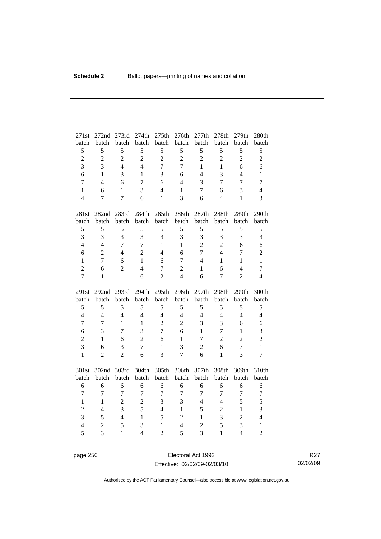| 271st               | 272nd                            | 273rd          | 274th          | 275th                          | 276th               | 277th               | 278th            | 279th          | 280th                          |
|---------------------|----------------------------------|----------------|----------------|--------------------------------|---------------------|---------------------|------------------|----------------|--------------------------------|
| batch               | batch                            | batch          | batch          | batch                          | batch               | batch               | batch            | batch          | batch                          |
| 5                   | 5                                | 5              | 5              | 5                              | 5                   | 5                   | 5                | 5              | 5                              |
| $\overline{c}$      | $\overline{c}$                   | $\overline{2}$ | $\overline{2}$ | $\overline{2}$                 | $\overline{2}$      | $\overline{2}$      | $\overline{2}$   | $\overline{2}$ | $\overline{2}$                 |
| $\overline{3}$      | $\overline{3}$                   | $\overline{4}$ | $\overline{4}$ | $\overline{7}$                 | $\overline{7}$      | $\mathbf{1}$        | $\mathbf{1}$     | 6              | 6                              |
| 6                   | $\mathbf{1}$                     | 3              | $\mathbf{1}$   | 3                              | 6                   | $\overline{4}$      | $\overline{3}$   | $\overline{4}$ | $\mathbf{1}$                   |
| $\overline{7}$      | $\overline{4}$                   | 6              | $\overline{7}$ | 6                              | $\overline{4}$      | 3                   | $\overline{7}$   | $\overline{7}$ | $\overline{7}$                 |
| $\mathbf{1}$        | 6                                | $\mathbf{1}$   | 3              | $\overline{4}$                 | $\mathbf{1}$        | $\tau$              | 6                | 3              | $\overline{4}$                 |
| $\overline{4}$      | 7                                | $\overline{7}$ | 6              | $\mathbf{1}$                   | 3                   | 6                   | $\overline{4}$   | $\mathbf{1}$   | $\overline{3}$                 |
| 281st               | 282nd                            | 283rd          | 284th          | 285th                          | 286th               | 287th               | 288th            | 289th          | 290th                          |
| batch               | batch                            | batch          | batch          | batch                          | batch               | batch               | batch            | batch          | batch                          |
| 5                   | 5                                | 5              | 5              | 5                              | 5                   | 5                   | 5                | 5              | 5                              |
| $\overline{3}$      | 3                                | $\overline{3}$ | $\overline{3}$ | 3                              | 3                   | 3                   | 3                | 3              | 3                              |
| $\overline{4}$      | $\overline{4}$                   | $\overline{7}$ | $\overline{7}$ | $\mathbf{1}$                   | $\mathbf{1}$        | $\overline{2}$      | $\overline{2}$   | 6              | 6                              |
| 6                   | $\overline{2}$                   | $\overline{4}$ | $\overline{2}$ | $\overline{4}$                 | 6                   | $\overline{7}$      | $\overline{4}$   | $\overline{7}$ | $\overline{2}$                 |
| $\mathbf{1}$        | $\overline{7}$                   | 6              | $\mathbf{1}$   | 6                              | $\overline{7}$      | $\overline{4}$      | $\mathbf{1}$     | $\mathbf{1}$   | $\mathbf{1}$                   |
| $\overline{2}$      | 6                                | $\overline{2}$ | $\overline{4}$ | $\overline{7}$                 | $\overline{2}$      | 1                   | 6                | $\overline{4}$ | $\tau$                         |
| $\overline{7}$      | $\mathbf{1}$                     | $\mathbf{1}$   | 6              | $\overline{2}$                 | $\overline{4}$      | 6                   | $\overline{7}$   | $\overline{2}$ | $\overline{4}$                 |
|                     |                                  |                |                |                                |                     |                     |                  |                |                                |
| 291st               | 292 <sub>nd</sub>                | 293rd          | 294th          | 295th                          | 296th               | 297th               | 298th            | 299th          | 300th                          |
| batch               | batch                            | batch          | batch          | batch                          | batch               | batch               | batch            | batch          | batch                          |
| 5                   | 5                                | 5              | 5              | 5                              | 5                   | 5                   | 5                | 5              | 5                              |
| $\overline{4}$      | $\overline{4}$                   | $\overline{4}$ | $\overline{4}$ | $\overline{4}$                 | $\overline{4}$      | $\overline{4}$      | $\overline{4}$   | $\overline{4}$ | $\overline{4}$                 |
| $\overline{7}$      | $\overline{7}$                   | $\mathbf{1}$   | $\mathbf{1}$   | $\overline{2}$                 | $\overline{2}$      | 3                   | $\overline{3}$   | 6              | 6                              |
| 6                   | 3                                | 7              | 3              | $\overline{7}$                 | 6                   | $\mathbf{1}$        | $\tau$           | $\mathbf{1}$   | 3                              |
| $\overline{2}$      | $\mathbf{1}$                     | 6              | $\overline{2}$ | 6                              | $\mathbf{1}$        | 7                   | $\overline{2}$   | $\overline{c}$ | $\overline{2}$                 |
| 3                   | 6                                | 3              | $\overline{7}$ | $\mathbf{1}$                   | 3                   | $\overline{2}$      | 6                | $\overline{7}$ | $\mathbf{1}$                   |
| $\mathbf{1}$        | $\overline{2}$                   | $\overline{2}$ | 6              | $\overline{3}$                 | $\overline{7}$      | 6                   | $\mathbf{1}$     | 3              | $\overline{7}$                 |
| 301st               | 302nd 303rd                      |                | 304th          | 305th                          | 306th               | 307th               | 308th            | 309th          | 310th                          |
| batch               | batch                            | batch          | batch          | batch                          | batch               | batch               | batch            | batch          | batch                          |
| 6                   | 6                                | 6              | 6              | 6                              | 6                   | 6                   | 6                | 6              | 6                              |
| $\overline{7}$      | $\boldsymbol{7}$                 | $\overline{7}$ | $\overline{7}$ | $\overline{7}$                 | $\boldsymbol{7}$    | 7                   | $\boldsymbol{7}$ | $\overline{7}$ | $\boldsymbol{7}$               |
| $\mathbf{1}$        | $\mathbf{1}$                     | $\overline{2}$ | $\overline{2}$ | 3                              | 3                   | $\overline{4}$      | $\overline{4}$   | 5              | 5                              |
| $\overline{c}$      | $\overline{4}$                   | $\overline{3}$ | 5              | $\overline{4}$                 | $\mathbf{1}$        | 5                   | $\overline{2}$   | $\mathbf{1}$   | 3                              |
| 3                   | 5                                | $\overline{4}$ | $\mathbf{1}$   | 5                              | $\overline{2}$      | $\mathbf{1}$        | 3                | $\overline{2}$ | $\overline{4}$                 |
| $\overline{4}$<br>5 | $\overline{2}$<br>$\overline{3}$ | 5              | 3              | $\mathbf{1}$<br>$\overline{2}$ | $\overline{4}$<br>5 | $\overline{2}$<br>3 | 5                | 3              | $\mathbf{1}$<br>$\overline{2}$ |

page 250 **Electoral Act 1992** Effective: 02/02/09-02/03/10

R27 02/02/09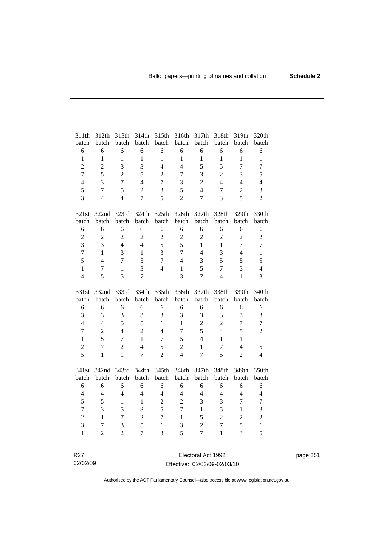| 311th            | 312th            | 313th          | 314th          | 315th          | 316th          | 317th          | 318th            | 319th          | 320th            |
|------------------|------------------|----------------|----------------|----------------|----------------|----------------|------------------|----------------|------------------|
| batch            | batch            | batch          | batch          | batch          | batch          | batch          | batch            | batch          | batch            |
| 6                | 6                | 6              | 6              | 6              | 6              | 6              | 6                | 6              | $\sqrt{6}$       |
| $\mathbf{1}$     | $\mathbf{1}$     | $\mathbf{1}$   | $\mathbf{1}$   | $\mathbf{1}$   | $\mathbf{1}$   | $\mathbf{1}$   | $\mathbf{1}$     | $\mathbf{1}$   | $\mathbf{1}$     |
| $\overline{c}$   | $\overline{c}$   | 3              | 3              | $\overline{4}$ | $\overline{4}$ | 5              | 5                | $\overline{7}$ | $\overline{7}$   |
| $\overline{7}$   | 5                | $\overline{2}$ | 5              | $\overline{2}$ | $\overline{7}$ | 3              | $\overline{2}$   | 3              | 5                |
| $\overline{4}$   | 3                | $\overline{7}$ | $\overline{4}$ | $\overline{7}$ | 3              | $\overline{2}$ | $\overline{4}$   | $\overline{4}$ | $\overline{4}$   |
| 5                | $\overline{7}$   | 5              | $\overline{2}$ | 3              | 5              | $\overline{4}$ | $\boldsymbol{7}$ | $\overline{2}$ | 3                |
| 3                | $\overline{4}$   | $\overline{4}$ | $\overline{7}$ | 5              | $\overline{2}$ | $\overline{7}$ | $\overline{3}$   | 5              | $\overline{2}$   |
| 321st            |                  | 322nd 323rd    | 324th          | 325th          | 326th          | 327th          | 328th            | 329th          | 330th            |
| batch            | batch            | batch          | batch          | batch          | batch          | batch          | batch            | batch          | batch            |
| 6                | 6                | 6              | 6              | 6              | 6              | 6              | 6                | 6              | 6                |
| $\overline{c}$   | $\overline{2}$   | $\overline{2}$ | $\overline{2}$ | $\overline{c}$ | $\mathbf{2}$   | $\overline{2}$ | $\overline{2}$   | $\overline{2}$ | $\overline{c}$   |
| $\overline{3}$   | 3                | $\overline{4}$ | $\overline{4}$ | 5              | 5              | $\mathbf{1}$   | $\mathbf{1}$     | $\overline{7}$ | $\overline{7}$   |
| $\overline{7}$   | $\mathbf{1}$     | $\overline{3}$ | $\mathbf{1}$   | 3              | $\overline{7}$ | $\overline{4}$ | 3                | $\overline{4}$ | $\mathbf{1}$     |
| 5                | $\overline{4}$   | $\overline{7}$ | 5              | $\overline{7}$ | $\overline{4}$ | 3              | 5                | 5              | 5                |
| $\mathbf{1}$     | $\boldsymbol{7}$ | $\mathbf{1}$   | $\overline{3}$ | $\overline{4}$ | $\mathbf{1}$   | 5              | $\overline{7}$   | 3              | $\overline{4}$   |
| $\overline{4}$   | 5                | 5              | $\overline{7}$ | $\mathbf{1}$   | 3              | $\overline{7}$ | $\overline{4}$   | $\mathbf{1}$   | $\overline{3}$   |
|                  |                  |                |                |                |                |                |                  |                |                  |
| 331st            | 332nd 333rd      |                | 334th          | 335th          | 336th          | 337th          | 338th            | 339th          | 340th            |
| batch            | batch            | batch          | batch          | batch          | batch          | batch          | batch            | batch          | batch            |
| 6                | 6                | 6              | 6              | 6              | 6              | 6              | 6                | 6              | 6                |
| 3                | 3                | 3              | 3              | 3              | 3              | $\mathfrak{Z}$ | 3                | 3              | 3                |
| $\overline{4}$   | $\overline{4}$   | 5              | 5              | $\mathbf{1}$   | $\mathbf{1}$   | $\overline{2}$ | $\overline{2}$   | $\overline{7}$ | $\overline{7}$   |
| $\boldsymbol{7}$ | $\overline{2}$   | $\overline{4}$ | $\overline{2}$ | $\overline{4}$ | $\tau$         | 5              | $\overline{4}$   | 5              | $\overline{2}$   |
| $\mathbf{1}$     | 5                | $\overline{7}$ | $\mathbf{1}$   | $\overline{7}$ | 5              | $\overline{4}$ | $\mathbf{1}$     | $\mathbf{1}$   | $\mathbf{1}$     |
| $\overline{c}$   | $\overline{7}$   | $\overline{2}$ | $\overline{4}$ | 5              | $\overline{2}$ | $\mathbf{1}$   | $\tau$           | $\overline{4}$ | 5                |
| 5                | $\mathbf{1}$     | $\mathbf{1}$   | $\overline{7}$ | $\overline{2}$ | $\overline{4}$ | $\overline{7}$ | 5                | $\overline{2}$ | $\overline{4}$   |
| 341st            | 342nd            | 343rd          | 344th          | 345th          | 346th          | 347th          | 348th            | 349th          | 350th            |
| batch            | batch            | batch          | batch          | batch          | batch          | batch          | batch            | batch          | batch            |
| 6                | 6                | 6              | 6              | 6              | 6              | 6              | 6                | 6              | 6                |
| $\overline{4}$   | $\overline{4}$   | $\overline{4}$ | $\overline{4}$ | $\overline{4}$ | $\overline{4}$ | $\overline{4}$ | $\overline{4}$   | $\overline{4}$ | $\overline{4}$   |
| 5                | 5                | $\mathbf{1}$   | $\mathbf{1}$   | $\overline{2}$ | $\overline{2}$ | 3              | 3                | $\overline{7}$ | $\boldsymbol{7}$ |
| $\overline{7}$   | 3                | 5              | 3              | 5              | $\overline{7}$ | $\mathbf{1}$   | 5                | $\mathbf{1}$   | 3                |
| $\overline{c}$   | $\mathbf{1}$     | $\tau$         | $\overline{c}$ | $\overline{7}$ | $\mathbf{1}$   | 5              | $\overline{c}$   | $\overline{c}$ | $\overline{c}$   |
| 3                | 7                | 3              | 5              | $\mathbf{1}$   | 3              | $\overline{2}$ | $\overline{7}$   | 5              | $\mathbf{1}$     |
| $\mathbf{1}$     | 2                | $\overline{2}$ | $\overline{7}$ | 3              | 5              | $\overline{7}$ | $\mathbf{1}$     | $\overline{3}$ | 5                |

R27 02/02/09 Electoral Act 1992 Effective: 02/02/09-02/03/10 page 251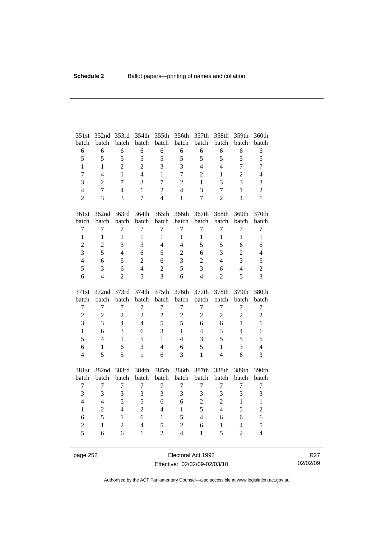| 351st          | 352nd          | 353rd          | 354th          | 355th          | 356th          | 357th          | 358th            | 359th          | 360th            |
|----------------|----------------|----------------|----------------|----------------|----------------|----------------|------------------|----------------|------------------|
| batch          | batch          | batch          | batch          | batch          | batch          | batch          | batch            | batch          | batch            |
| 6              | 6              | 6              | 6              | 6              | 6              | 6              | 6                | 6              | 6                |
| 5              | 5              | 5              | 5              | 5              | 5              | 5              | 5                | 5              | 5                |
| $\mathbf{1}$   | $\mathbf{1}$   | $\overline{2}$ | $\overline{2}$ | $\overline{3}$ | 3              | $\overline{4}$ | $\overline{4}$   | $\overline{7}$ | $\overline{7}$   |
| $\overline{7}$ | $\overline{4}$ | $\mathbf{1}$   | $\overline{4}$ | $\mathbf{1}$   | $\overline{7}$ | $\overline{2}$ | $\mathbf{1}$     | $\overline{2}$ | $\overline{4}$   |
| 3              | $\overline{2}$ | $\overline{7}$ | 3              | $\overline{7}$ | $\overline{c}$ | $\mathbf{1}$   | 3                | 3              | 3                |
| $\overline{4}$ | $\overline{7}$ | $\overline{4}$ | 1              | $\overline{2}$ | $\overline{4}$ | 3              | 7                | $\mathbf{1}$   | $\overline{2}$   |
| $\overline{2}$ | 3              | 3              | $\overline{7}$ | $\overline{4}$ | $\mathbf{1}$   | $\overline{7}$ | $\overline{2}$   | $\overline{4}$ | $\mathbf{1}$     |
| 361st          | 362nd          | 363rd          | 364th          | 365th          | 366th          | 367th          | 368th            | 369th          | 370th            |
| batch          | batch          | batch          | batch          | batch          | batch          | batch          | batch            | batch          | batch            |
| $\tau$         | $\overline{7}$ | $\tau$         | $\tau$         | $\overline{7}$ | $\tau$         | $\tau$         | $\tau$           | $\tau$         | $\boldsymbol{7}$ |
| $\mathbf{1}$   | $\mathbf{1}$   | $\mathbf{1}$   | $\mathbf{1}$   | $\mathbf{1}$   | $\mathbf{1}$   | $\mathbf{1}$   | $\mathbf{1}$     | $\mathbf{1}$   | $\mathbf{1}$     |
| $\overline{c}$ | $\overline{c}$ | 3              | 3              | $\overline{4}$ | $\overline{4}$ | 5              | 5                | 6              | 6                |
| $\overline{3}$ | 5              | $\overline{4}$ | 6              | 5              | $\overline{2}$ | 6              | 3                | $\overline{c}$ | $\overline{4}$   |
| $\overline{4}$ | 6              | 5              | $\overline{2}$ | 6              | 3              | $\overline{2}$ | $\overline{4}$   | 3              | 5                |
| 5              | 3              | 6              | $\overline{4}$ | $\overline{2}$ | 5              | 3              | 6                | $\overline{4}$ | $\overline{2}$   |
| 6              | $\overline{4}$ | $\overline{2}$ | 5              | 3              | 6              | $\overline{4}$ | $\overline{2}$   | 5              | $\overline{3}$   |
|                |                |                |                |                |                |                |                  |                |                  |
| 371st          | 372nd          | 373rd          | 374th          | 375th          | 376th          | 377th          | 378th            | 379th          | 380th            |
| batch          | batch          | batch          | batch          | batch          | batch          | batch          | batch            | batch          | batch            |
| $\tau$         | $\overline{7}$ | $\tau$         | $\tau$         | $\tau$         | $\tau$         | $\tau$         | $\boldsymbol{7}$ | $\overline{7}$ | $\boldsymbol{7}$ |
| $\overline{2}$ | $\overline{2}$ | $\overline{2}$ | $\overline{2}$ | $\overline{2}$ | $\overline{2}$ | $\overline{2}$ | $\overline{2}$   | $\overline{2}$ | $\overline{c}$   |
| 3              | 3              | $\overline{4}$ | $\overline{4}$ | 5              | 5              | 6              | 6                | $\mathbf{1}$   | $\mathbf{1}$     |
| $\mathbf{1}$   | 6              | 3              | 6              | 3              | $\mathbf{1}$   | $\overline{4}$ | 3                | $\overline{4}$ | 6                |
| 5              | $\overline{4}$ | $\mathbf{1}$   | 5              | $\mathbf{1}$   | $\overline{4}$ | 3              | 5                | 5              | 5                |
| 6              | $\mathbf{1}$   | 6              | 3              | $\overline{4}$ | 6              | 5              | $\mathbf{1}$     | 3              | $\overline{4}$   |
| $\overline{4}$ | 5              | 5              | $\mathbf{1}$   | 6              | 3              | $\mathbf{1}$   | $\overline{4}$   | 6              | 3                |
| 381st          | 382nd          | 383rd          | 384th          | 385th          | 386th          | 387th          | 388th            | 389th          | 390th            |
| batch          | batch          | batch          | batch          | batch          | batch          | batch          | batch            | batch          | batch            |
| $\tau$         | $\overline{7}$ | $\tau$         | $\tau$         | $\overline{7}$ | $\tau$         | $\tau$         | $\tau$           | $\overline{7}$ | $\boldsymbol{7}$ |
| $\overline{3}$ | 3              | 3              | 3              | 3              | 3              | 3              | 3                | 3              | 3                |
| $\overline{4}$ | $\overline{4}$ | 5              | 5              | 6              | 6              | $\overline{2}$ | $\overline{2}$   | $\mathbf{1}$   | $\,1\,$          |
| $\mathbf{1}$   | $\overline{2}$ | $\overline{4}$ | $\overline{2}$ | $\overline{4}$ | $\mathbf{1}$   | 5              | $\overline{4}$   | 5              | $\overline{c}$   |
| 6              | 5              | $\mathbf{1}$   | 6              | $\mathbf{1}$   | 5              | $\overline{4}$ | 6                | 6              | 6                |
| $\overline{2}$ | $\mathbf{1}$   | $\overline{2}$ | $\overline{4}$ | 5              | $\overline{c}$ | 6              | $\mathbf{1}$     | $\overline{4}$ | 5                |

page 252 **Electoral Act 1992** Effective: 02/02/09-02/03/10

R27 02/02/09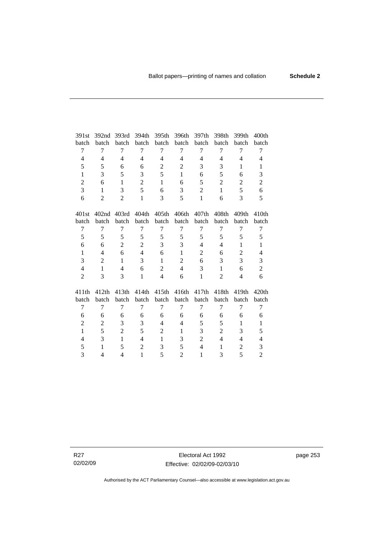| 391st                    | 392nd                    | 393rd          | 394th          | 395th          | 396th          | 397th                    | 398th          | 399th          | 400 <sub>th</sub> |
|--------------------------|--------------------------|----------------|----------------|----------------|----------------|--------------------------|----------------|----------------|-------------------|
| batch                    | batch                    | batch          | batch          | batch          | batch          | batch                    | batch          | batch          | batch             |
| 7                        | 7                        | 7              | 7              | 7              | 7              | 7                        | 7              | 7              | 7                 |
| $\overline{\mathcal{L}}$ | $\overline{\mathcal{L}}$ | 4              | 4              | $\overline{4}$ | 4              | $\overline{\mathcal{L}}$ | 4              | 4              | 4                 |
| 5                        | 5                        | 6              | 6              | $\mathbf{2}$   | $\mathbf{2}$   | 3                        | 3              | 1              | $\mathbf{1}$      |
| $\mathbf{1}$             | 3                        | 5              | 3              | 5              | $\mathbf{1}$   | 6                        | 5              | 6              | 3                 |
| $\overline{2}$           | 6                        | $\mathbf{1}$   | $\overline{2}$ | $\mathbf{1}$   | 6              | 5                        | $\overline{c}$ | 2              | $\overline{c}$    |
| 3                        | $\mathbf{1}$             | 3              | 5              | 6              | 3              | $\overline{c}$           | $\mathbf{1}$   | 5              | $\sqrt{6}$        |
| 6                        | $\overline{2}$           | $\overline{2}$ | $\mathbf{1}$   | 3              | 5              | $\mathbf{1}$             | 6              | 3              | 5                 |
| 401st                    | 402 <sub>nd</sub>        | 403rd          | 404th          | 405th          | 406th          | 407th                    | 408th          | 409th          | 410th             |
| batch                    | batch                    | batch          | batch          | batch          | batch          | batch                    | batch          | batch          | batch             |
| 7                        | 7                        | 7              | 7              | 7              | 7              | 7                        | 7              | 7              | 7                 |
| 5                        | 5                        | 5              | 5              | 5              | 5              | 5                        | 5              | 5              | 5                 |
| 6                        | 6                        | $\overline{2}$ | $\overline{2}$ | 3              | 3              | 4                        | $\overline{4}$ | 1              | $\mathbf{1}$      |
| $\mathbf{1}$             | $\overline{4}$           | 6              | $\overline{4}$ | 6              | $\mathbf{1}$   | $\overline{2}$           | 6              | 2              | $\overline{4}$    |
| 3                        | $\overline{2}$           | $\mathbf{1}$   | 3              | $\mathbf{1}$   | $\overline{2}$ | 6                        | 3              | 3              | 3                 |
| $\overline{4}$           | $\mathbf{1}$             | 4              | 6              | $\overline{2}$ | $\overline{4}$ | 3                        | 1              | 6              | $\overline{c}$    |
| $\overline{2}$           | 3                        | 3              | $\mathbf{1}$   | $\overline{4}$ | 6              | $\mathbf{1}$             | $\overline{2}$ | 4              | 6                 |
| 411th                    | 412th                    | 413th          | 414th          | 415th          | 416th          | 417th                    | 418th          | 419th          | 420th             |
| batch                    | batch                    | batch          | batch          | batch          | batch          | batch                    | batch          | batch          | batch             |
| 7                        | 7                        | 7              | 7              | 7              | 7              | 7                        | 7              | 7              | 7                 |
| 6                        | 6                        | 6              | 6              | 6              | 6              | 6                        | 6              | 6              | 6                 |
| $\overline{2}$           | $\overline{c}$           | 3              | 3              | $\overline{4}$ | 4              | 5                        | 5              | 1              | 1                 |
| $\mathbf{1}$             | 5                        | $\mathbf{2}$   | 5              | $\overline{2}$ | $\mathbf{1}$   | 3                        | $\overline{c}$ | 3              | 5                 |
| $\overline{\mathcal{L}}$ | 3                        | $\mathbf{1}$   | $\overline{4}$ | $\mathbf{1}$   | 3              | $\overline{c}$           | $\overline{4}$ | 4              | $\overline{4}$    |
| 5                        | $\mathbf{1}$             | 5              | $\overline{c}$ | 3              | 5              | $\overline{4}$           | 1              | $\overline{c}$ | 3                 |
| 3                        | 4                        | 4              | $\mathbf{1}$   | 5              | $\overline{c}$ | 1                        | 3              | 5              | $\overline{2}$    |
|                          |                          |                |                |                |                |                          |                |                |                   |

R27 02/02/09

Electoral Act 1992 Effective: 02/02/09-02/03/10 page 253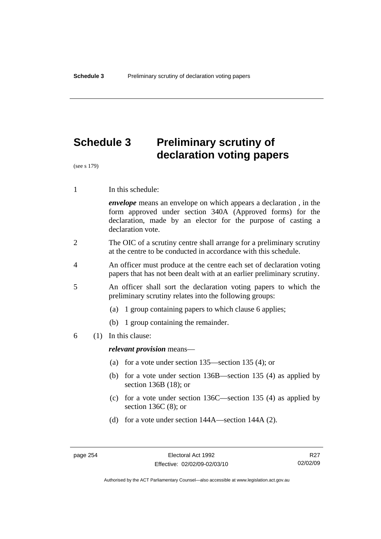# **Schedule 3 Preliminary scrutiny of declaration voting papers**

(see s 179)

1 In this schedule:

*envelope* means an envelope on which appears a declaration , in the form approved under section 340A (Approved forms) for the declaration, made by an elector for the purpose of casting a declaration vote.

- 2 The OIC of a scrutiny centre shall arrange for a preliminary scrutiny at the centre to be conducted in accordance with this schedule.
- 4 An officer must produce at the centre each set of declaration voting papers that has not been dealt with at an earlier preliminary scrutiny.
- 5 An officer shall sort the declaration voting papers to which the preliminary scrutiny relates into the following groups:
	- (a) 1 group containing papers to which clause 6 applies;
	- (b) 1 group containing the remainder.
- 6 (1) In this clause:

*relevant provision* means—

- (a) for a vote under section 135—section 135 (4); or
- (b) for a vote under section 136B—section 135 (4) as applied by section 136B (18); or
- (c) for a vote under section 136C—section 135 (4) as applied by section 136C (8); or
- (d) for a vote under section 144A—section 144A (2).

R<sub>27</sub> 02/02/09

Authorised by the ACT Parliamentary Counsel—also accessible at www.legislation.act.gov.au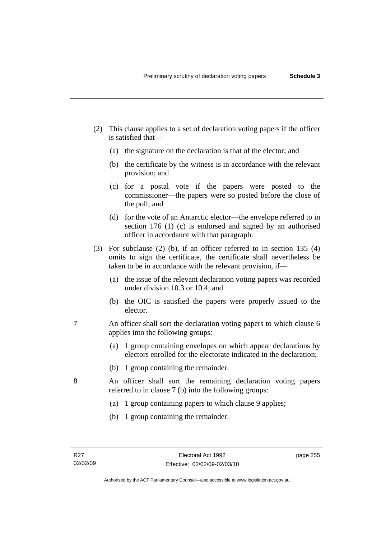- (2) This clause applies to a set of declaration voting papers if the officer is satisfied that—
	- (a) the signature on the declaration is that of the elector; and
	- (b) the certificate by the witness is in accordance with the relevant provision; and
	- (c) for a postal vote if the papers were posted to the commissioner—the papers were so posted before the close of the poll; and
	- (d) for the vote of an Antarctic elector—the envelope referred to in section 176 (1) (c) is endorsed and signed by an authorised officer in accordance with that paragraph.
- (3) For subclause (2) (b), if an officer referred to in section 135 (4) omits to sign the certificate, the certificate shall nevertheless be taken to be in accordance with the relevant provision, if—
	- (a) the issue of the relevant declaration voting papers was recorded under division 10.3 or 10.4; and
	- (b) the OIC is satisfied the papers were properly issued to the elector.
- 7 An officer shall sort the declaration voting papers to which clause 6 applies into the following groups:
	- (a) 1 group containing envelopes on which appear declarations by electors enrolled for the electorate indicated in the declaration;
	- (b) 1 group containing the remainder.
- 8 An officer shall sort the remaining declaration voting papers referred to in clause 7 (b) into the following groups:
	- (a) 1 group containing papers to which clause 9 applies;
	- (b) 1 group containing the remainder.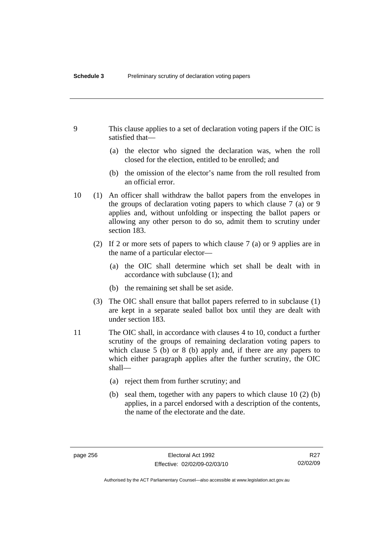- 9 This clause applies to a set of declaration voting papers if the OIC is satisfied that—
	- (a) the elector who signed the declaration was, when the roll closed for the election, entitled to be enrolled; and
	- (b) the omission of the elector's name from the roll resulted from an official error.
- 10 (1) An officer shall withdraw the ballot papers from the envelopes in the groups of declaration voting papers to which clause 7 (a) or 9 applies and, without unfolding or inspecting the ballot papers or allowing any other person to do so, admit them to scrutiny under section 183.
	- (2) If 2 or more sets of papers to which clause 7 (a) or 9 applies are in the name of a particular elector—
		- (a) the OIC shall determine which set shall be dealt with in accordance with subclause (1); and
		- (b) the remaining set shall be set aside.
	- (3) The OIC shall ensure that ballot papers referred to in subclause (1) are kept in a separate sealed ballot box until they are dealt with under section 183.
- 11 The OIC shall, in accordance with clauses 4 to 10, conduct a further scrutiny of the groups of remaining declaration voting papers to which clause 5 (b) or 8 (b) apply and, if there are any papers to which either paragraph applies after the further scrutiny, the OIC shall—
	- (a) reject them from further scrutiny; and
	- (b) seal them, together with any papers to which clause 10 (2) (b) applies, in a parcel endorsed with a description of the contents, the name of the electorate and the date.

Authorised by the ACT Parliamentary Counsel—also accessible at www.legislation.act.gov.au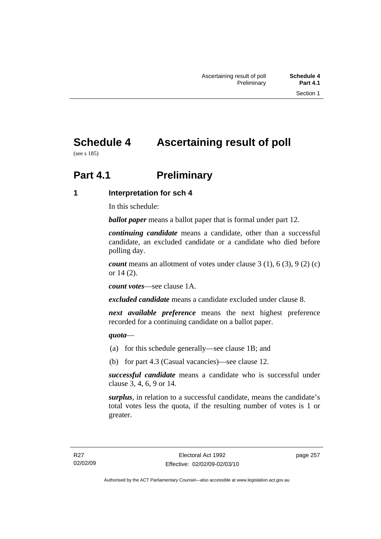# **Schedule 4 Ascertaining result of poll**

(see s 185)

# **Part 4.1** Preliminary

**1 Interpretation for sch 4** 

In this schedule:

*ballot paper* means a ballot paper that is formal under part 12.

*continuing candidate* means a candidate, other than a successful candidate, an excluded candidate or a candidate who died before polling day.

*count* means an allotment of votes under clause 3 (1), 6 (3), 9 (2) (c) or 14 (2).

*count votes*—see clause 1A.

*excluded candidate* means a candidate excluded under clause 8.

*next available preference* means the next highest preference recorded for a continuing candidate on a ballot paper.

*quota*—

- (a) for this schedule generally—see clause 1B; and
- (b) for part 4.3 (Casual vacancies)—see clause 12.

*successful candidate* means a candidate who is successful under clause 3, 4, 6, 9 or 14.

*surplus*, in relation to a successful candidate, means the candidate's total votes less the quota, if the resulting number of votes is 1 or greater.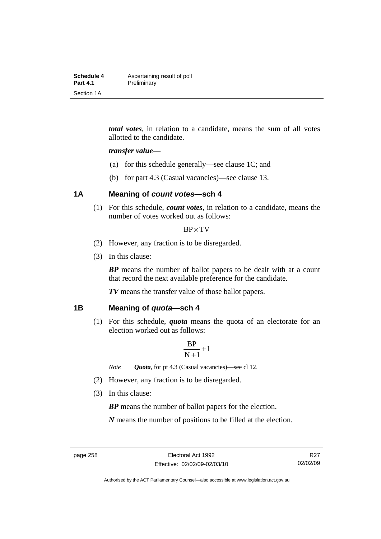| Schedule 4      | Ascertaining result of poll |
|-----------------|-----------------------------|
| <b>Part 4.1</b> | Preliminary                 |
| Section 1A      |                             |

*total votes*, in relation to a candidate, means the sum of all votes allotted to the candidate.

#### *transfer value*—

- (a) for this schedule generally—see clause 1C; and
- (b) for part 4.3 (Casual vacancies)—see clause 13.

#### **1A Meaning of** *count votes***—sch 4**

 (1) For this schedule, *count votes*, in relation to a candidate, means the number of votes worked out as follows:

#### BP×TV

- (2) However, any fraction is to be disregarded.
- (3) In this clause:

*BP* means the number of ballot papers to be dealt with at a count that record the next available preference for the candidate.

*TV* means the transfer value of those ballot papers.

#### **1B Meaning of** *quota***—sch 4**

 (1) For this schedule, *quota* means the quota of an electorate for an election worked out as follows:

$$
\frac{BP}{N+1}\!+\!1
$$

*Note Quota*, for pt 4.3 (Casual vacancies)—see cl 12.

- (2) However, any fraction is to be disregarded.
- (3) In this clause:

*BP* means the number of ballot papers for the election.

*N* means the number of positions to be filled at the election.

R<sub>27</sub> 02/02/09

Authorised by the ACT Parliamentary Counsel—also accessible at www.legislation.act.gov.au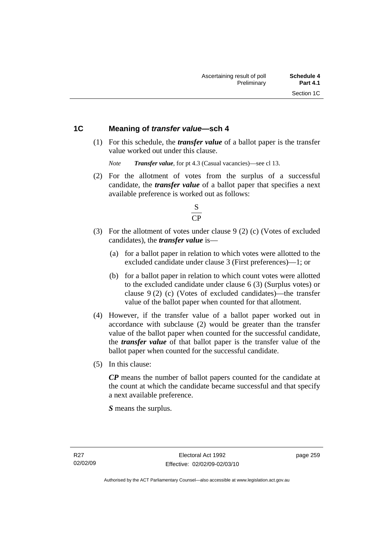#### **1C Meaning of** *transfer value***—sch 4**

 (1) For this schedule, the *transfer value* of a ballot paper is the transfer value worked out under this clause.

*Note Transfer value*, for pt 4.3 (Casual vacancies)—see cl 13.

 (2) For the allotment of votes from the surplus of a successful candidate, the *transfer value* of a ballot paper that specifies a next available preference is worked out as follows:



- (3) For the allotment of votes under clause 9 (2) (c) (Votes of excluded candidates), the *transfer value* is—
	- (a) for a ballot paper in relation to which votes were allotted to the excluded candidate under clause 3 (First preferences)—1; or
	- (b) for a ballot paper in relation to which count votes were allotted to the excluded candidate under clause 6 (3) (Surplus votes) or clause 9 (2) (c) (Votes of excluded candidates)—the transfer value of the ballot paper when counted for that allotment.
- (4) However, if the transfer value of a ballot paper worked out in accordance with subclause (2) would be greater than the transfer value of the ballot paper when counted for the successful candidate, the *transfer value* of that ballot paper is the transfer value of the ballot paper when counted for the successful candidate.
- (5) In this clause:

*CP* means the number of ballot papers counted for the candidate at the count at which the candidate became successful and that specify a next available preference.

*S* means the surplus.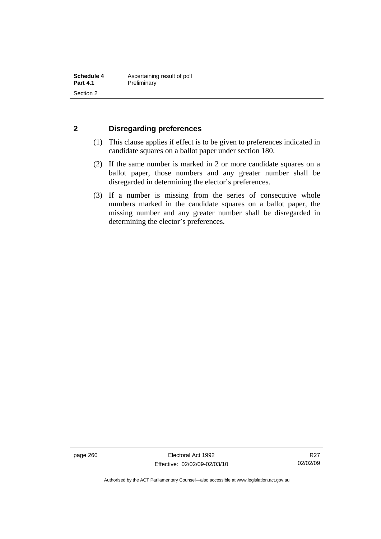#### **2 Disregarding preferences**

- (1) This clause applies if effect is to be given to preferences indicated in candidate squares on a ballot paper under section 180.
- (2) If the same number is marked in 2 or more candidate squares on a ballot paper, those numbers and any greater number shall be disregarded in determining the elector's preferences.
- (3) If a number is missing from the series of consecutive whole numbers marked in the candidate squares on a ballot paper, the missing number and any greater number shall be disregarded in determining the elector's preferences.

page 260 Electoral Act 1992 Effective: 02/02/09-02/03/10

R27 02/02/09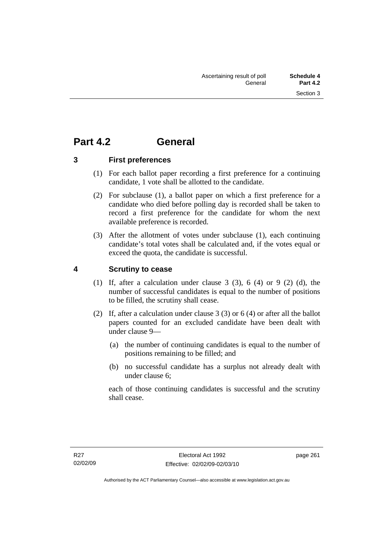## **Part 4.2 General**

**3 First preferences** 

- (1) For each ballot paper recording a first preference for a continuing candidate, 1 vote shall be allotted to the candidate.
- (2) For subclause (1), a ballot paper on which a first preference for a candidate who died before polling day is recorded shall be taken to record a first preference for the candidate for whom the next available preference is recorded.
- (3) After the allotment of votes under subclause (1), each continuing candidate's total votes shall be calculated and, if the votes equal or exceed the quota, the candidate is successful.

## **4 Scrutiny to cease**

- (1) If, after a calculation under clause  $3$  (3),  $6$  (4) or  $9$  (2) (d), the number of successful candidates is equal to the number of positions to be filled, the scrutiny shall cease.
- (2) If, after a calculation under clause 3 (3) or 6 (4) or after all the ballot papers counted for an excluded candidate have been dealt with under clause 9—
	- (a) the number of continuing candidates is equal to the number of positions remaining to be filled; and
	- (b) no successful candidate has a surplus not already dealt with under clause 6;

each of those continuing candidates is successful and the scrutiny shall cease.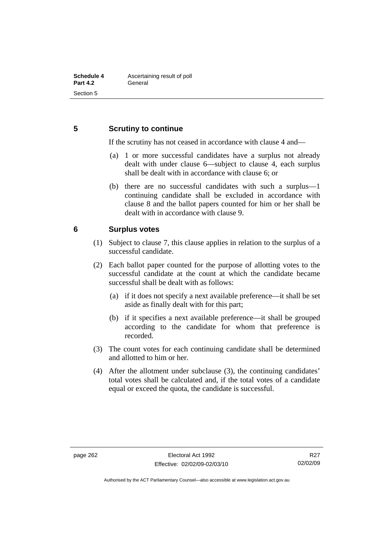### **5 Scrutiny to continue**

If the scrutiny has not ceased in accordance with clause 4 and—

- (a) 1 or more successful candidates have a surplus not already dealt with under clause 6—subject to clause 4, each surplus shall be dealt with in accordance with clause 6; or
- (b) there are no successful candidates with such a surplus—1 continuing candidate shall be excluded in accordance with clause 8 and the ballot papers counted for him or her shall be dealt with in accordance with clause 9.

#### **6 Surplus votes**

- (1) Subject to clause 7, this clause applies in relation to the surplus of a successful candidate.
- (2) Each ballot paper counted for the purpose of allotting votes to the successful candidate at the count at which the candidate became successful shall be dealt with as follows:
	- (a) if it does not specify a next available preference—it shall be set aside as finally dealt with for this part;
	- (b) if it specifies a next available preference—it shall be grouped according to the candidate for whom that preference is recorded.
- (3) The count votes for each continuing candidate shall be determined and allotted to him or her.
- (4) After the allotment under subclause (3), the continuing candidates' total votes shall be calculated and, if the total votes of a candidate equal or exceed the quota, the candidate is successful.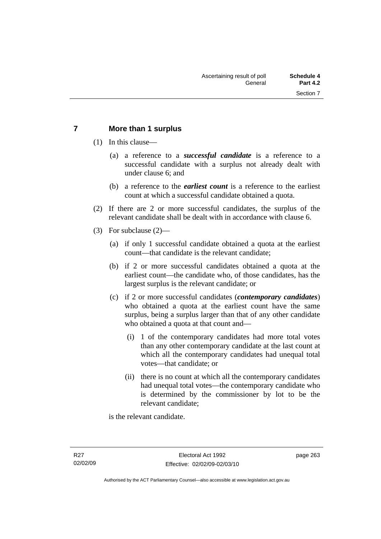### **7 More than 1 surplus**

(1) In this clause—

- (a) a reference to a *successful candidate* is a reference to a successful candidate with a surplus not already dealt with under clause 6; and
- (b) a reference to the *earliest count* is a reference to the earliest count at which a successful candidate obtained a quota.
- (2) If there are 2 or more successful candidates, the surplus of the relevant candidate shall be dealt with in accordance with clause 6.
- (3) For subclause (2)—
	- (a) if only 1 successful candidate obtained a quota at the earliest count—that candidate is the relevant candidate;
	- (b) if 2 or more successful candidates obtained a quota at the earliest count—the candidate who, of those candidates, has the largest surplus is the relevant candidate; or
	- (c) if 2 or more successful candidates (*contemporary candidates*) who obtained a quota at the earliest count have the same surplus, being a surplus larger than that of any other candidate who obtained a quota at that count and—
		- (i) 1 of the contemporary candidates had more total votes than any other contemporary candidate at the last count at which all the contemporary candidates had unequal total votes—that candidate; or
		- (ii) there is no count at which all the contemporary candidates had unequal total votes—the contemporary candidate who is determined by the commissioner by lot to be the relevant candidate;

is the relevant candidate.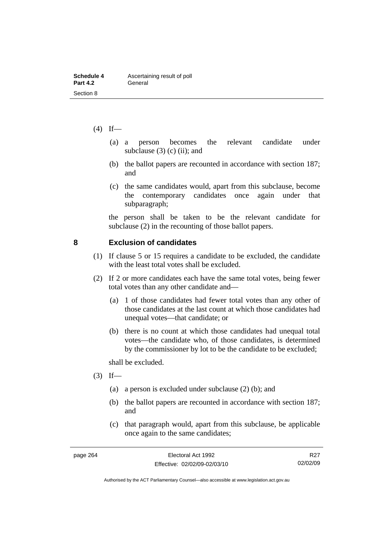| Schedule 4      | Ascertaining result of poll |
|-----------------|-----------------------------|
| <b>Part 4.2</b> | General                     |
| Section 8       |                             |

- $(4)$  If—
	- (a) a person becomes the relevant candidate under subclause  $(3)$  (c) (ii); and
	- (b) the ballot papers are recounted in accordance with section 187; and
	- (c) the same candidates would, apart from this subclause, become the contemporary candidates once again under that subparagraph;

the person shall be taken to be the relevant candidate for subclause (2) in the recounting of those ballot papers.

#### **8 Exclusion of candidates**

- (1) If clause 5 or 15 requires a candidate to be excluded, the candidate with the least total votes shall be excluded.
- (2) If 2 or more candidates each have the same total votes, being fewer total votes than any other candidate and—
	- (a) 1 of those candidates had fewer total votes than any other of those candidates at the last count at which those candidates had unequal votes—that candidate; or
	- (b) there is no count at which those candidates had unequal total votes—the candidate who, of those candidates, is determined by the commissioner by lot to be the candidate to be excluded;

shall be excluded.

- $(3)$  If—
	- (a) a person is excluded under subclause (2) (b); and
	- (b) the ballot papers are recounted in accordance with section 187; and
	- (c) that paragraph would, apart from this subclause, be applicable once again to the same candidates;

R<sub>27</sub> 02/02/09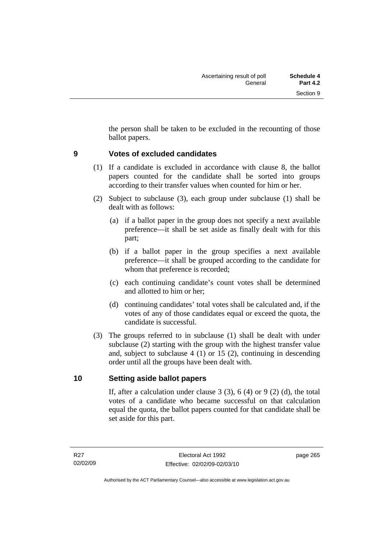the person shall be taken to be excluded in the recounting of those ballot papers.

### **9 Votes of excluded candidates**

- (1) If a candidate is excluded in accordance with clause 8, the ballot papers counted for the candidate shall be sorted into groups according to their transfer values when counted for him or her.
- (2) Subject to subclause (3), each group under subclause (1) shall be dealt with as follows:
	- (a) if a ballot paper in the group does not specify a next available preference—it shall be set aside as finally dealt with for this part;
	- (b) if a ballot paper in the group specifies a next available preference—it shall be grouped according to the candidate for whom that preference is recorded;
	- (c) each continuing candidate's count votes shall be determined and allotted to him or her;
	- (d) continuing candidates' total votes shall be calculated and, if the votes of any of those candidates equal or exceed the quota, the candidate is successful.
- (3) The groups referred to in subclause (1) shall be dealt with under subclause (2) starting with the group with the highest transfer value and, subject to subclause 4 (1) or 15 (2), continuing in descending order until all the groups have been dealt with.

#### **10 Setting aside ballot papers**

If, after a calculation under clause 3  $(3)$ , 6  $(4)$  or 9  $(2)$   $(d)$ , the total votes of a candidate who became successful on that calculation equal the quota, the ballot papers counted for that candidate shall be set aside for this part.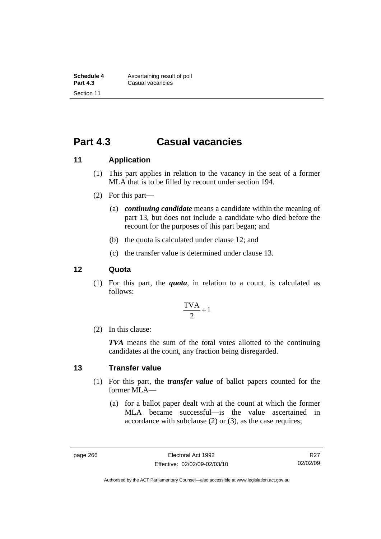## **Part 4.3 Casual vacancies**

### **11 Application**

- (1) This part applies in relation to the vacancy in the seat of a former MLA that is to be filled by recount under section 194.
- (2) For this part—
	- (a) *continuing candidate* means a candidate within the meaning of part 13, but does not include a candidate who died before the recount for the purposes of this part began; and
	- (b) the quota is calculated under clause 12; and
	- (c) the transfer value is determined under clause 13.

#### **12 Quota**

 (1) For this part, the *quota*, in relation to a count, is calculated as follows:

$$
\frac{\text{TVA}}{2} + 1
$$

(2) In this clause:

*TVA* means the sum of the total votes allotted to the continuing candidates at the count, any fraction being disregarded.

#### **13 Transfer value**

- (1) For this part, the *transfer value* of ballot papers counted for the former MLA—
	- (a) for a ballot paper dealt with at the count at which the former MLA became successful—is the value ascertained in accordance with subclause (2) or (3), as the case requires;

R<sub>27</sub> 02/02/09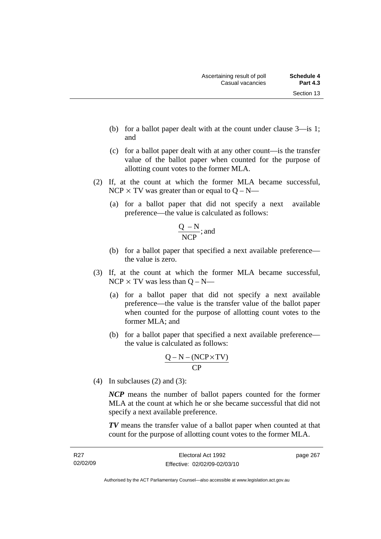- (b) for a ballot paper dealt with at the count under clause 3—is 1; and
- (c) for a ballot paper dealt with at any other count—is the transfer value of the ballot paper when counted for the purpose of allotting count votes to the former MLA.
- (2) If, at the count at which the former MLA became successful, NCP  $\times$  TV was greater than or equal to Q – N—
	- (a) for a ballot paper that did not specify a next available preference—the value is calculated as follows:

$$
\frac{Q-N}{NCP}
$$
; and

- (b) for a ballot paper that specified a next available preference the value is zero.
- (3) If, at the count at which the former MLA became successful,  $NCP \times TV$  was less than  $Q - N$ —
	- (a) for a ballot paper that did not specify a next available preference—the value is the transfer value of the ballot paper when counted for the purpose of allotting count votes to the former MLA; and
	- (b) for a ballot paper that specified a next available preference the value is calculated as follows:

$$
\frac{Q-N-(NCP \times TV)}{CP}
$$

(4) In subclauses (2) and (3):

*NCP* means the number of ballot papers counted for the former MLA at the count at which he or she became successful that did not specify a next available preference.

*TV* means the transfer value of a ballot paper when counted at that count for the purpose of allotting count votes to the former MLA.

Authorised by the ACT Parliamentary Counsel—also accessible at www.legislation.act.gov.au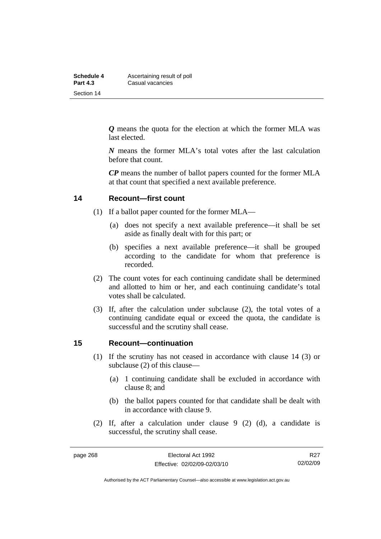| Schedule 4      | Ascertaining result of poll |
|-----------------|-----------------------------|
| <b>Part 4.3</b> | Casual vacancies            |
| Section 14      |                             |

*Q* means the quota for the election at which the former MLA was last elected.

*N* means the former MLA's total votes after the last calculation before that count.

*CP* means the number of ballot papers counted for the former MLA at that count that specified a next available preference.

#### **14 Recount—first count**

- (1) If a ballot paper counted for the former MLA—
	- (a) does not specify a next available preference—it shall be set aside as finally dealt with for this part; or
	- (b) specifies a next available preference—it shall be grouped according to the candidate for whom that preference is recorded.
- (2) The count votes for each continuing candidate shall be determined and allotted to him or her, and each continuing candidate's total votes shall be calculated.
- (3) If, after the calculation under subclause (2), the total votes of a continuing candidate equal or exceed the quota, the candidate is successful and the scrutiny shall cease.

#### **15 Recount—continuation**

- (1) If the scrutiny has not ceased in accordance with clause 14 (3) or subclause (2) of this clause—
	- (a) 1 continuing candidate shall be excluded in accordance with clause 8; and
	- (b) the ballot papers counted for that candidate shall be dealt with in accordance with clause 9.
- (2) If, after a calculation under clause 9 (2) (d), a candidate is successful, the scrutiny shall cease.

R<sub>27</sub> 02/02/09

Authorised by the ACT Parliamentary Counsel—also accessible at www.legislation.act.gov.au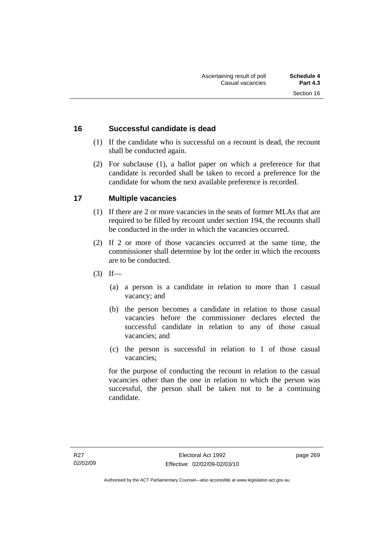### **16 Successful candidate is dead**

- (1) If the candidate who is successful on a recount is dead, the recount shall be conducted again.
- (2) For subclause (1), a ballot paper on which a preference for that candidate is recorded shall be taken to record a preference for the candidate for whom the next available preference is recorded.

### **17 Multiple vacancies**

- (1) If there are 2 or more vacancies in the seats of former MLAs that are required to be filled by recount under section 194, the recounts shall be conducted in the order in which the vacancies occurred.
- (2) If 2 or more of those vacancies occurred at the same time, the commissioner shall determine by lot the order in which the recounts are to be conducted.
- $(3)$  If—
	- (a) a person is a candidate in relation to more than 1 casual vacancy; and
	- (b) the person becomes a candidate in relation to those casual vacancies before the commissioner declares elected the successful candidate in relation to any of those casual vacancies; and
	- (c) the person is successful in relation to 1 of those casual vacancies;

for the purpose of conducting the recount in relation to the casual vacancies other than the one in relation to which the person was successful, the person shall be taken not to be a continuing candidate.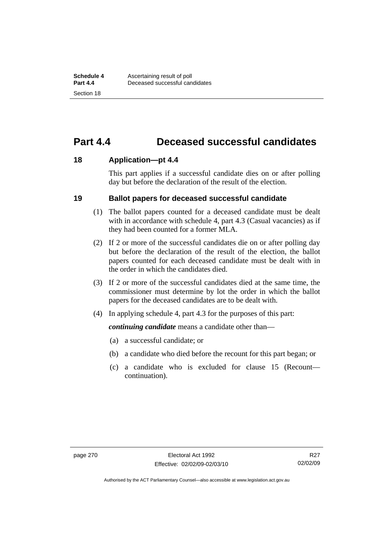## **Part 4.4 Deceased successful candidates**

#### **18 Application—pt 4.4**

This part applies if a successful candidate dies on or after polling day but before the declaration of the result of the election.

#### **19 Ballot papers for deceased successful candidate**

- (1) The ballot papers counted for a deceased candidate must be dealt with in accordance with schedule 4, part 4.3 (Casual vacancies) as if they had been counted for a former MLA.
- (2) If 2 or more of the successful candidates die on or after polling day but before the declaration of the result of the election, the ballot papers counted for each deceased candidate must be dealt with in the order in which the candidates died.
- (3) If 2 or more of the successful candidates died at the same time, the commissioner must determine by lot the order in which the ballot papers for the deceased candidates are to be dealt with.
- (4) In applying schedule 4, part 4.3 for the purposes of this part:

*continuing candidate* means a candidate other than—

- (a) a successful candidate; or
- (b) a candidate who died before the recount for this part began; or
- (c) a candidate who is excluded for clause 15 (Recount continuation).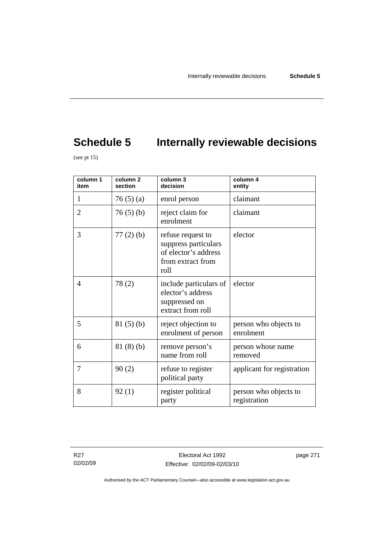# **Schedule 5** Internally reviewable decisions

(see pt  $15$ )

| column 1<br>item | column <sub>2</sub><br>section | column 3<br>decision                                                                           | column 4<br>entity                    |
|------------------|--------------------------------|------------------------------------------------------------------------------------------------|---------------------------------------|
| 1                | 76(5)(a)                       | enrol person                                                                                   | claimant                              |
| $\overline{2}$   | 76(5)(b)                       | reject claim for<br>enrolment                                                                  | claimant                              |
| 3                | $77(2)$ (b)                    | refuse request to<br>suppress particulars<br>of elector's address<br>from extract from<br>roll | elector                               |
| $\overline{4}$   | 78(2)                          | include particulars of<br>elector's address<br>suppressed on<br>extract from roll              | elector                               |
| 5                | 81(5)(b)                       | reject objection to<br>enrolment of person                                                     | person who objects to<br>enrolment    |
| 6                | 81(8)(b)                       | remove person's<br>name from roll                                                              | person whose name<br>removed          |
| 7                | 90(2)                          | refuse to register<br>political party                                                          | applicant for registration            |
| 8                | 92(1)                          | register political<br>party                                                                    | person who objects to<br>registration |

R27 02/02/09 page 271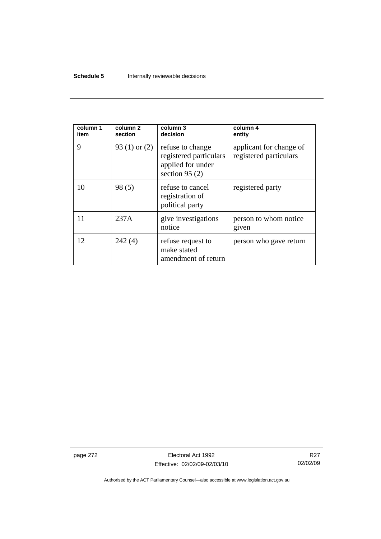# **Schedule 5 Internally reviewable decisions**

| column 1<br>item | column 2<br>section | column 3<br>decision                                                                | column 4<br>entity                                |
|------------------|---------------------|-------------------------------------------------------------------------------------|---------------------------------------------------|
| 9                | 93 $(1)$ or $(2)$   | refuse to change<br>registered particulars<br>applied for under<br>section 95 $(2)$ | applicant for change of<br>registered particulars |
| 10               | 98(5)               | refuse to cancel<br>registration of<br>political party                              | registered party                                  |
| 11               | 237A                | give investigations<br>notice                                                       | person to whom notice<br>given                    |
| 12               | 242(4)              | refuse request to<br>make stated<br>amendment of return                             | person who gave return                            |

page 272 **Electoral Act 1992** Effective: 02/02/09-02/03/10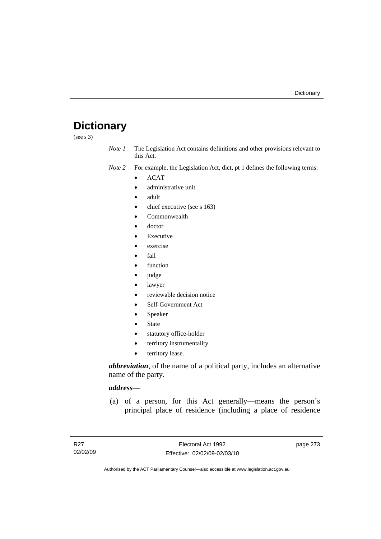# **Dictionary**

(see s 3)

*Note 1* The Legislation Act contains definitions and other provisions relevant to this Act.

*Note 2* For example, the Legislation Act, dict, pt 1 defines the following terms:

- ACAT
	- administrative unit
	- adult
	- chief executive (see s 163)
	- Commonwealth
	- doctor
	- **Executive**
	- exercise
	- fail
	- function
	- judge
	- lawyer
	- reviewable decision notice
	- Self-Government Act
	- **Speaker**
	- **State**
	- statutory office-holder
	- territory instrumentality
	- territory lease.

*abbreviation*, of the name of a political party, includes an alternative name of the party.

# *address*—

 (a) of a person, for this Act generally—means the person's principal place of residence (including a place of residence

page 273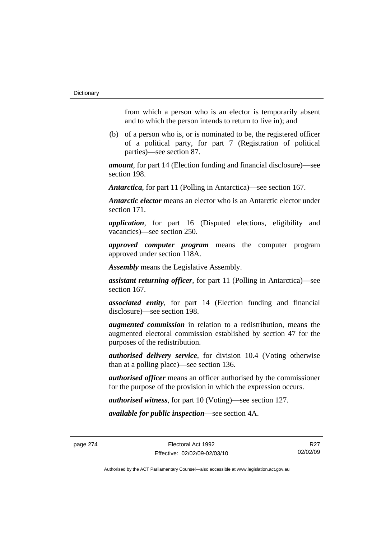from which a person who is an elector is temporarily absent and to which the person intends to return to live in); and

 (b) of a person who is, or is nominated to be, the registered officer of a political party, for part 7 (Registration of political parties)—see section 87.

*amount*, for part 14 (Election funding and financial disclosure)—see section 198.

*Antarctica*, for part 11 (Polling in Antarctica)—see section 167.

*Antarctic elector* means an elector who is an Antarctic elector under section 171.

*application*, for part 16 (Disputed elections, eligibility and vacancies)—see section 250.

*approved computer program* means the computer program approved under section 118A.

*Assembly* means the Legislative Assembly.

*assistant returning officer*, for part 11 (Polling in Antarctica)—see section 167.

*associated entity*, for part 14 (Election funding and financial disclosure)—see section 198.

*augmented commission* in relation to a redistribution, means the augmented electoral commission established by section 47 for the purposes of the redistribution.

*authorised delivery service*, for division 10.4 (Voting otherwise than at a polling place)—see section 136.

*authorised officer* means an officer authorised by the commissioner for the purpose of the provision in which the expression occurs.

*authorised witness*, for part 10 (Voting)—see section 127.

*available for public inspection*—see section 4A.

page 274 Electoral Act 1992 Effective: 02/02/09-02/03/10

R27 02/02/09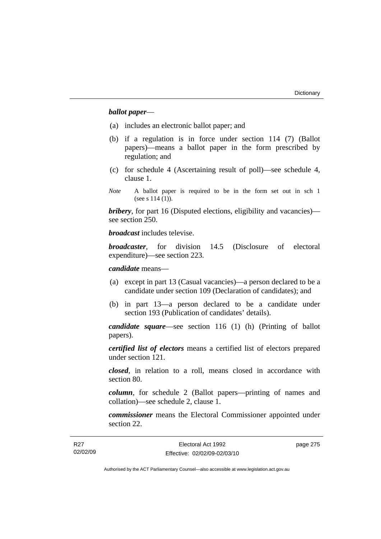# *ballot paper*—

- (a) includes an electronic ballot paper; and
- (b) if a regulation is in force under section 114 (7) (Ballot papers)—means a ballot paper in the form prescribed by regulation; and
- (c) for schedule 4 (Ascertaining result of poll)—see schedule 4, clause 1.
- *Note* A ballot paper is required to be in the form set out in sch 1 (see s 114 (1)).

*bribery*, for part 16 (Disputed elections, eligibility and vacancies) see section 250.

*broadcast* includes televise.

*broadcaster*, for division 14.5 (Disclosure of electoral expenditure)—see section 223.

*candidate* means—

- (a) except in part 13 (Casual vacancies)—a person declared to be a candidate under section 109 (Declaration of candidates); and
- (b) in part 13—a person declared to be a candidate under section 193 (Publication of candidates' details).

*candidate square*—see section 116 (1) (h) (Printing of ballot papers).

*certified list of electors* means a certified list of electors prepared under section 121.

*closed*, in relation to a roll, means closed in accordance with section 80.

*column*, for schedule 2 (Ballot papers—printing of names and collation)—see schedule 2, clause 1.

*commissioner* means the Electoral Commissioner appointed under section 22.

| - R27    | Electoral Act 1992           | page 275 |
|----------|------------------------------|----------|
| 02/02/09 | Effective: 02/02/09-02/03/10 |          |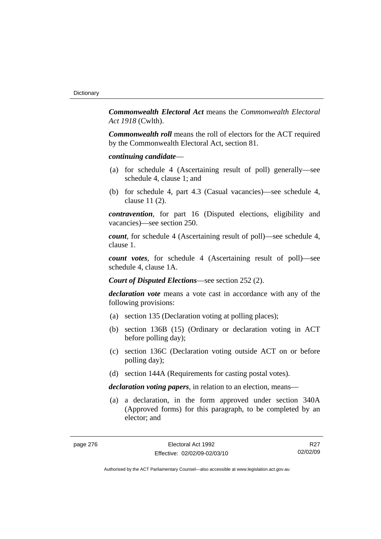*Commonwealth Electoral Act* means the *Commonwealth Electoral Act 1918* (Cwlth).

*Commonwealth roll* means the roll of electors for the ACT required by the Commonwealth Electoral Act, section 81.

#### *continuing candidate*—

- (a) for schedule 4 (Ascertaining result of poll) generally—see schedule 4, clause 1; and
- (b) for schedule 4, part 4.3 (Casual vacancies)—see schedule 4, clause 11 (2).

*contravention*, for part 16 (Disputed elections, eligibility and vacancies)—see section 250.

*count*, for schedule 4 (Ascertaining result of poll)—see schedule 4, clause 1.

*count votes*, for schedule 4 (Ascertaining result of poll)—see schedule 4, clause 1A.

*Court of Disputed Elections*—see section 252 (2).

*declaration vote* means a vote cast in accordance with any of the following provisions:

- (a) section 135 (Declaration voting at polling places);
- (b) section 136B (15) (Ordinary or declaration voting in ACT before polling day);
- (c) section 136C (Declaration voting outside ACT on or before polling day);
- (d) section 144A (Requirements for casting postal votes).

*declaration voting papers*, in relation to an election, means—

 (a) a declaration, in the form approved under section 340A (Approved forms) for this paragraph, to be completed by an elector; and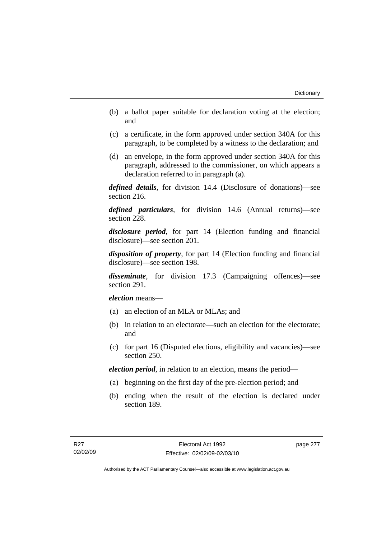- (b) a ballot paper suitable for declaration voting at the election; and
- (c) a certificate, in the form approved under section 340A for this paragraph, to be completed by a witness to the declaration; and
- (d) an envelope, in the form approved under section 340A for this paragraph, addressed to the commissioner, on which appears a declaration referred to in paragraph (a).

*defined details*, for division 14.4 (Disclosure of donations)—see section 216.

*defined particulars*, for division 14.6 (Annual returns)—see section 228.

*disclosure period*, for part 14 (Election funding and financial disclosure)—see section 201.

*disposition of property*, for part 14 (Election funding and financial disclosure)—see section 198.

*disseminate*, for division 17.3 (Campaigning offences)—see section 291.

*election* means—

- (a) an election of an MLA or MLAs; and
- (b) in relation to an electorate—such an election for the electorate; and
- (c) for part 16 (Disputed elections, eligibility and vacancies)—see section 250.

*election period*, in relation to an election, means the period—

- (a) beginning on the first day of the pre-election period; and
- (b) ending when the result of the election is declared under section 189.

page 277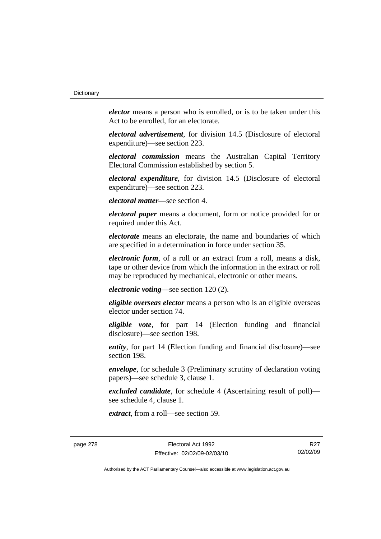*elector* means a person who is enrolled, or is to be taken under this Act to be enrolled, for an electorate.

*electoral advertisement*, for division 14.5 (Disclosure of electoral expenditure)—see section 223.

*electoral commission* means the Australian Capital Territory Electoral Commission established by section 5.

*electoral expenditure*, for division 14.5 (Disclosure of electoral expenditure)—see section 223.

*electoral matter*—see section 4.

*electoral paper* means a document, form or notice provided for or required under this Act.

*electorate* means an electorate, the name and boundaries of which are specified in a determination in force under section 35.

*electronic form*, of a roll or an extract from a roll, means a disk, tape or other device from which the information in the extract or roll may be reproduced by mechanical, electronic or other means.

*electronic voting*—see section 120 (2).

*eligible overseas elector* means a person who is an eligible overseas elector under section 74.

*eligible vote*, for part 14 (Election funding and financial disclosure)—see section 198.

*entity*, for part 14 (Election funding and financial disclosure)—see section 198.

*envelope*, for schedule 3 (Preliminary scrutiny of declaration voting papers)—see schedule 3, clause 1.

*excluded candidate*, for schedule 4 (Ascertaining result of poll) see schedule 4, clause 1.

*extract*, from a roll—see section 59.

page 278 Electoral Act 1992 Effective: 02/02/09-02/03/10

R27 02/02/09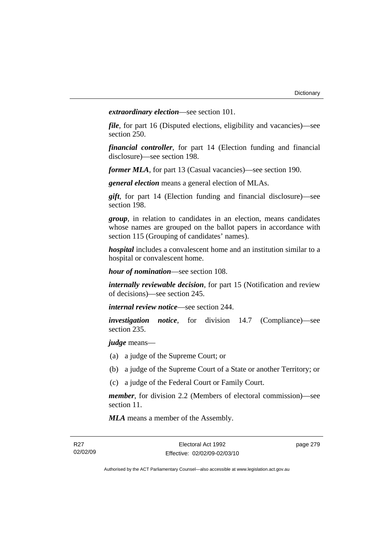*extraordinary election*—see section 101.

*file*, for part 16 (Disputed elections, eligibility and vacancies)—see section 250.

*financial controller*, for part 14 (Election funding and financial disclosure)—see section 198.

*former MLA*, for part 13 (Casual vacancies)—see section 190.

*general election* means a general election of MLAs.

*gift*, for part 14 (Election funding and financial disclosure)—see section 198.

*group*, in relation to candidates in an election, means candidates whose names are grouped on the ballot papers in accordance with section 115 (Grouping of candidates' names).

*hospital* includes a convalescent home and an institution similar to a hospital or convalescent home.

*hour of nomination*—see section 108.

*internally reviewable decision*, for part 15 (Notification and review of decisions)—see section 245.

*internal review notice*—see section 244.

*investigation notice*, for division 14.7 (Compliance)—see section 235.

*judge* means—

- (a) a judge of the Supreme Court; or
- (b) a judge of the Supreme Court of a State or another Territory; or
- (c) a judge of the Federal Court or Family Court.

*member*, for division 2.2 (Members of electoral commission)—see section 11.

*MLA* means a member of the Assembly.

page 279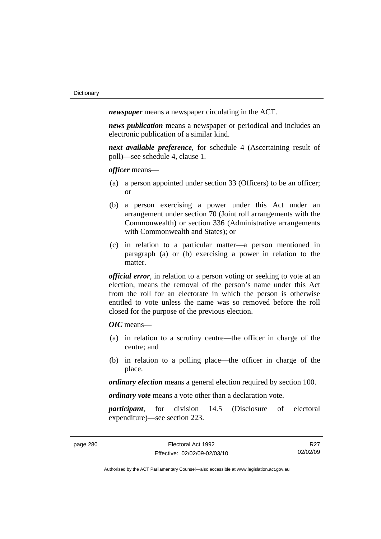*newspaper* means a newspaper circulating in the ACT.

*news publication* means a newspaper or periodical and includes an electronic publication of a similar kind.

*next available preference*, for schedule 4 (Ascertaining result of poll)—see schedule 4, clause 1.

*officer* means—

- (a) a person appointed under section 33 (Officers) to be an officer; or
- (b) a person exercising a power under this Act under an arrangement under section 70 (Joint roll arrangements with the Commonwealth) or section 336 (Administrative arrangements with Commonwealth and States); or
- (c) in relation to a particular matter—a person mentioned in paragraph (a) or (b) exercising a power in relation to the matter.

*official error*, in relation to a person voting or seeking to vote at an election, means the removal of the person's name under this Act from the roll for an electorate in which the person is otherwise entitled to vote unless the name was so removed before the roll closed for the purpose of the previous election.

*OIC* means—

- (a) in relation to a scrutiny centre—the officer in charge of the centre; and
- (b) in relation to a polling place—the officer in charge of the place.

*ordinary election* means a general election required by section 100.

*ordinary vote* means a vote other than a declaration vote.

*participant*, for division 14.5 (Disclosure of electoral expenditure)—see section 223.

R27 02/02/09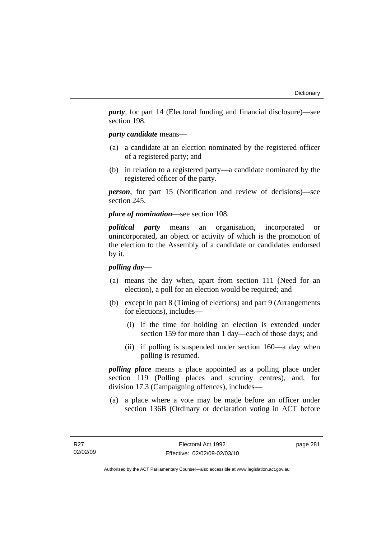*party*, for part 14 (Electoral funding and financial disclosure)—see section 198.

## *party candidate* means—

- (a) a candidate at an election nominated by the registered officer of a registered party; and
- (b) in relation to a registered party—a candidate nominated by the registered officer of the party.

*person*, for part 15 (Notification and review of decisions)—see section 245.

## *place of nomination*—see section 108.

*political party* means an organisation, incorporated or unincorporated, an object or activity of which is the promotion of the election to the Assembly of a candidate or candidates endorsed by it.

# *polling day*—

- (a) means the day when, apart from section 111 (Need for an election), a poll for an election would be required; and
- (b) except in part 8 (Timing of elections) and part 9 (Arrangements for elections), includes—
	- (i) if the time for holding an election is extended under section 159 for more than 1 day—each of those days; and
	- (ii) if polling is suspended under section 160—a day when polling is resumed.

*polling place* means a place appointed as a polling place under section 119 (Polling places and scrutiny centres), and, for division 17.3 (Campaigning offences), includes—

 (a) a place where a vote may be made before an officer under section 136B (Ordinary or declaration voting in ACT before

page 281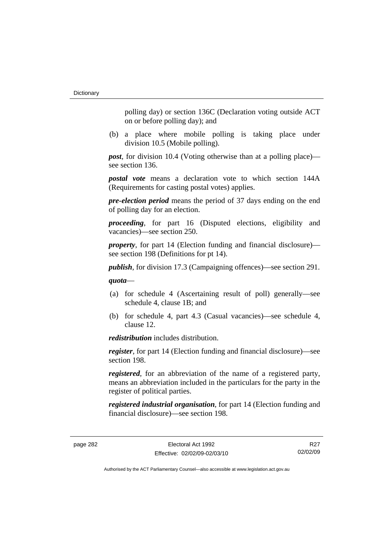polling day) or section 136C (Declaration voting outside ACT on or before polling day); and

 (b) a place where mobile polling is taking place under division 10.5 (Mobile polling).

*post*, for division 10.4 (Voting otherwise than at a polling place) see section 136.

*postal vote* means a declaration vote to which section 144A (Requirements for casting postal votes) applies.

*pre-election period* means the period of 37 days ending on the end of polling day for an election.

*proceeding*, for part 16 (Disputed elections, eligibility and vacancies)—see section 250.

*property*, for part 14 (Election funding and financial disclosure) see section 198 (Definitions for pt 14).

*publish*, for division 17.3 (Campaigning offences)—see section 291.

*quota*—

- (a) for schedule 4 (Ascertaining result of poll) generally—see schedule 4, clause 1B; and
- (b) for schedule 4, part 4.3 (Casual vacancies)—see schedule 4, clause 12.

*redistribution* includes distribution.

*register*, for part 14 (Election funding and financial disclosure)—see section 198.

*registered*, for an abbreviation of the name of a registered party, means an abbreviation included in the particulars for the party in the register of political parties.

*registered industrial organisation*, for part 14 (Election funding and financial disclosure)—see section 198.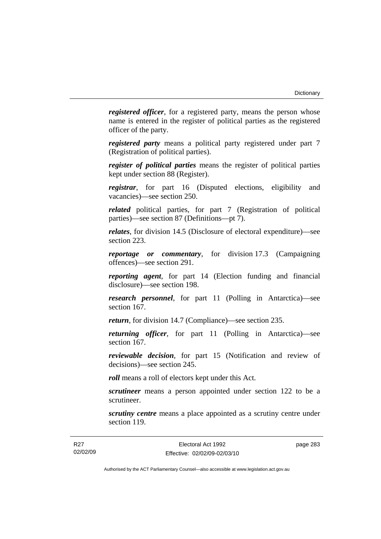*registered officer*, for a registered party, means the person whose name is entered in the register of political parties as the registered officer of the party.

*registered party* means a political party registered under part 7 (Registration of political parties).

*register of political parties* means the register of political parties kept under section 88 (Register).

*registrar*, for part 16 (Disputed elections, eligibility and vacancies)—see section 250.

*related* political parties, for part 7 (Registration of political parties)—see section 87 (Definitions—pt 7).

*relates*, for division 14.5 (Disclosure of electoral expenditure)—see section 223.

*reportage or commentary*, for division 17.3 (Campaigning offences)—see section 291.

*reporting agent*, for part 14 (Election funding and financial disclosure)—see section 198.

*research personnel*, for part 11 (Polling in Antarctica)—see section 167.

*return*, for division 14.7 (Compliance)—see section 235.

*returning officer*, for part 11 (Polling in Antarctica)—see section 167.

*reviewable decision*, for part 15 (Notification and review of decisions)—see section 245.

*roll* means a roll of electors kept under this Act.

*scrutineer* means a person appointed under section 122 to be a scrutineer.

*scrutiny centre* means a place appointed as a scrutiny centre under section 119.

page 283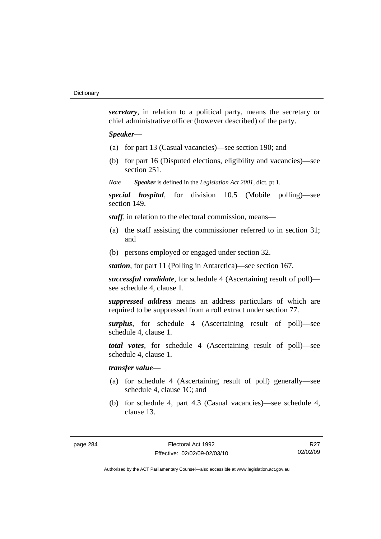*secretary*, in relation to a political party, means the secretary or chief administrative officer (however described) of the party.

#### *Speaker*—

- (a) for part 13 (Casual vacancies)—see section 190; and
- (b) for part 16 (Disputed elections, eligibility and vacancies)—see section 251.

*Note Speaker* is defined in the *Legislation Act 2001*, dict. pt 1.

*special hospital*, for division 10.5 (Mobile polling)—see section 149.

*staff*, in relation to the electoral commission, means—

- (a) the staff assisting the commissioner referred to in section 31; and
- (b) persons employed or engaged under section 32.

*station*, for part 11 (Polling in Antarctica)—see section 167.

*successful candidate*, for schedule 4 (Ascertaining result of poll) see schedule 4, clause 1.

*suppressed address* means an address particulars of which are required to be suppressed from a roll extract under section 77.

*surplus*, for schedule 4 (Ascertaining result of poll)—see schedule 4, clause 1.

*total votes*, for schedule 4 (Ascertaining result of poll)—see schedule 4, clause 1.

# *transfer value*—

- (a) for schedule 4 (Ascertaining result of poll) generally—see schedule 4, clause 1C; and
- (b) for schedule 4, part 4.3 (Casual vacancies)—see schedule 4, clause 13.

R27 02/02/09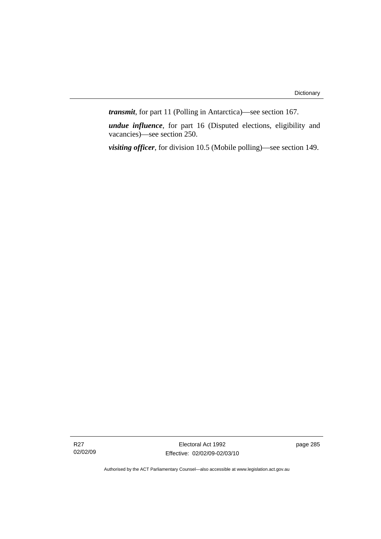*transmit*, for part 11 (Polling in Antarctica)—see section 167.

*undue influence*, for part 16 (Disputed elections, eligibility and vacancies)—see section 250.

*visiting officer*, for division 10.5 (Mobile polling)—see section 149.

Electoral Act 1992 Effective: 02/02/09-02/03/10 page 285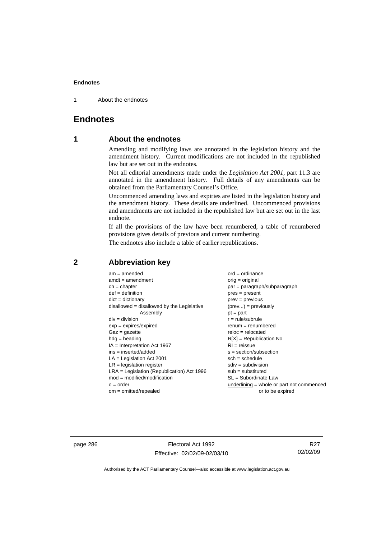1 About the endnotes

# **Endnotes**

# **1 About the endnotes**

Amending and modifying laws are annotated in the legislation history and the amendment history. Current modifications are not included in the republished law but are set out in the endnotes.

Not all editorial amendments made under the *Legislation Act 2001*, part 11.3 are annotated in the amendment history. Full details of any amendments can be obtained from the Parliamentary Counsel's Office.

Uncommenced amending laws and expiries are listed in the legislation history and the amendment history. These details are underlined. Uncommenced provisions and amendments are not included in the republished law but are set out in the last endnote.

If all the provisions of the law have been renumbered, a table of renumbered provisions gives details of previous and current numbering.

The endnotes also include a table of earlier republications.

| $am = amended$                               | $ord = ordinance$                         |
|----------------------------------------------|-------------------------------------------|
| $amdt = amendment$                           | $orig = original$                         |
| $ch = chapter$                               | $par = paragraph/subparagraph$            |
| $def = definition$                           | $pres = present$                          |
| $dict = dictionary$                          | $prev = previous$                         |
| disallowed = disallowed by the Legislative   | $(\text{prev}) = \text{previously}$       |
| Assembly                                     | $pt = part$                               |
| $div = division$                             | $r = rule/subrule$                        |
| $exp = expires/expired$                      | $renum = renumbered$                      |
| $Gaz = gazette$                              | $reloc = relocated$                       |
| $hdg =$ heading                              | $R[X]$ = Republication No                 |
| $IA = Interpretation Act 1967$               | $RI = reissue$                            |
| $ins = inserted/added$                       | $s = section/subsection$                  |
| $LA =$ Legislation Act 2001                  | $sch = schedule$                          |
| $LR =$ legislation register                  | $sdiv = subdivision$                      |
| $LRA =$ Legislation (Republication) Act 1996 | $sub = substituted$                       |
| $mod = modified/modification$                | SL = Subordinate Law                      |
| $o = order$                                  | underlining = whole or part not commenced |
| om = omitted/repealed                        | or to be expired                          |
|                                              |                                           |

# **2 Abbreviation key**

page 286 **Electoral Act 1992** Effective: 02/02/09-02/03/10

R27 02/02/09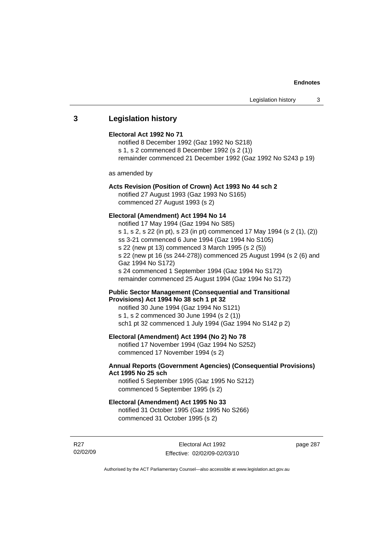# **3 Legislation history**

#### **Electoral Act 1992 No 71**

notified 8 December 1992 (Gaz 1992 No S218) s 1, s 2 commenced 8 December 1992 (s 2 (1)) remainder commenced 21 December 1992 (Gaz 1992 No S243 p 19)

as amended by

## **Acts Revision (Position of Crown) Act 1993 No 44 sch 2**

notified 27 August 1993 (Gaz 1993 No S165) commenced 27 August 1993 (s 2)

## **Electoral (Amendment) Act 1994 No 14**

notified 17 May 1994 (Gaz 1994 No S85) s 1, s 2, s 22 (in pt), s 23 (in pt) commenced 17 May 1994 (s 2 (1), (2)) ss 3-21 commenced 6 June 1994 (Gaz 1994 No S105) s 22 (new pt 13) commenced 3 March 1995 (s 2 (5)) s 22 (new pt 16 (ss 244-278)) commenced 25 August 1994 (s 2 (6) and Gaz 1994 No S172) s 24 commenced 1 September 1994 (Gaz 1994 No S172) remainder commenced 25 August 1994 (Gaz 1994 No S172)

## **Public Sector Management (Consequential and Transitional Provisions) Act 1994 No 38 sch 1 pt 32**

notified 30 June 1994 (Gaz 1994 No S121) s 1, s 2 commenced 30 June 1994 (s 2 (1)) sch1 pt 32 commenced 1 July 1994 (Gaz 1994 No S142 p 2)

# **Electoral (Amendment) Act 1994 (No 2) No 78**

notified 17 November 1994 (Gaz 1994 No S252) commenced 17 November 1994 (s 2)

## **Annual Reports (Government Agencies) (Consequential Provisions) Act 1995 No 25 sch**

notified 5 September 1995 (Gaz 1995 No S212) commenced 5 September 1995 (s 2)

#### **Electoral (Amendment) Act 1995 No 33**

notified 31 October 1995 (Gaz 1995 No S266) commenced 31 October 1995 (s 2)

R27 02/02/09 page 287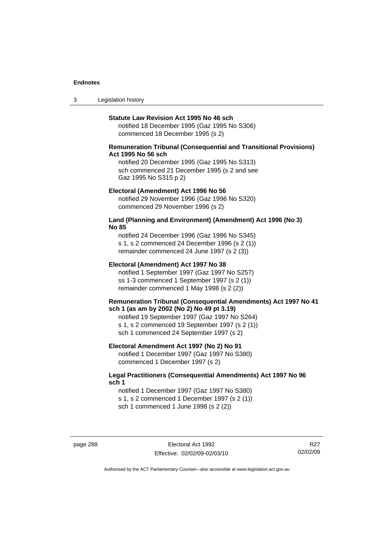3 Legislation history

#### **Statute Law Revision Act 1995 No 46 sch**

notified 18 December 1995 (Gaz 1995 No S306) commenced 18 December 1995 (s 2)

### **Remuneration Tribunal (Consequential and Transitional Provisions) Act 1995 No 56 sch**

notified 20 December 1995 (Gaz 1995 No S313) sch commenced 21 December 1995 (s 2 and see Gaz 1995 No S315 p 2)

#### **Electoral (Amendment) Act 1996 No 56**

notified 29 November 1996 (Gaz 1996 No S320) commenced 29 November 1996 (s 2)

### **Land (Planning and Environment) (Amendment) Act 1996 (No 3) No 85**

notified 24 December 1996 (Gaz 1996 No S345) s 1, s 2 commenced 24 December 1996 (s 2 (1)) remainder commenced 24 June 1997 (s 2 (3))

#### **Electoral (Amendment) Act 1997 No 38**

notified 1 September 1997 (Gaz 1997 No S257) ss 1-3 commenced 1 September 1997 (s 2 (1)) remainder commenced 1 May 1998 (s 2 (2))

#### **Remuneration Tribunal (Consequential Amendments) Act 1997 No 41 sch 1 (as am by 2002 (No 2) No 49 pt 3.19)**

notified 19 September 1997 (Gaz 1997 No S264) s 1, s 2 commenced 19 September 1997 (s 2 (1)) sch 1 commenced 24 September 1997 (s 2)

#### **Electoral Amendment Act 1997 (No 2) No 91**

notified 1 December 1997 (Gaz 1997 No S380) commenced 1 December 1997 (s 2)

### **Legal Practitioners (Consequential Amendments) Act 1997 No 96 sch 1**

notified 1 December 1997 (Gaz 1997 No S380) s 1, s 2 commenced 1 December 1997 (s 2 (1)) sch 1 commenced 1 June 1998 (s 2 (2))

page 288 Electoral Act 1992 Effective: 02/02/09-02/03/10

R27 02/02/09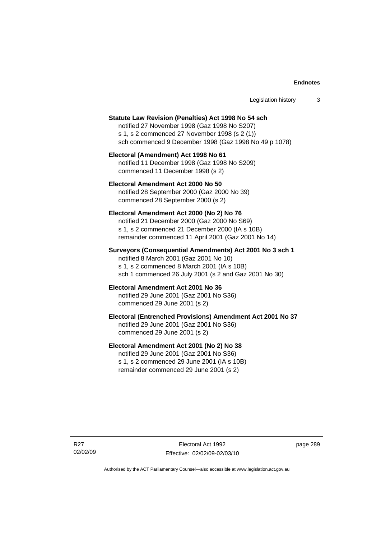| Legislation history |  |
|---------------------|--|
|---------------------|--|

#### **Statute Law Revision (Penalties) Act 1998 No 54 sch**

notified 27 November 1998 (Gaz 1998 No S207) s 1, s 2 commenced 27 November 1998 (s 2 (1)) sch commenced 9 December 1998 (Gaz 1998 No 49 p 1078)

## **Electoral (Amendment) Act 1998 No 61**  notified 11 December 1998 (Gaz 1998 No S209) commenced 11 December 1998 (s 2)

## **Electoral Amendment Act 2000 No 50**  notified 28 September 2000 (Gaz 2000 No 39) commenced 28 September 2000 (s 2)

#### **Electoral Amendment Act 2000 (No 2) No 76**

notified 21 December 2000 (Gaz 2000 No S69) s 1, s 2 commenced 21 December 2000 (IA s 10B) remainder commenced 11 April 2001 (Gaz 2001 No 14)

## **Surveyors (Consequential Amendments) Act 2001 No 3 sch 1**

notified 8 March 2001 (Gaz 2001 No 10) s 1, s 2 commenced 8 March 2001 (IA s 10B) sch 1 commenced 26 July 2001 (s 2 and Gaz 2001 No 30)

# **Electoral Amendment Act 2001 No 36**

notified 29 June 2001 (Gaz 2001 No S36) commenced 29 June 2001 (s 2)

## **Electoral (Entrenched Provisions) Amendment Act 2001 No 37**

notified 29 June 2001 (Gaz 2001 No S36) commenced 29 June 2001 (s 2)

## **Electoral Amendment Act 2001 (No 2) No 38**

notified 29 June 2001 (Gaz 2001 No S36) s 1, s 2 commenced 29 June 2001 (IA s 10B) remainder commenced 29 June 2001 (s 2)

page 289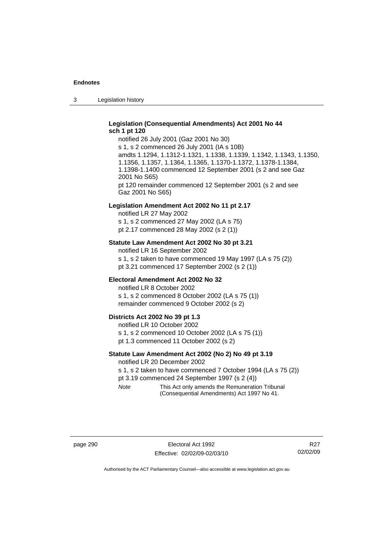3 Legislation history

## **Legislation (Consequential Amendments) Act 2001 No 44 sch 1 pt 120**

notified 26 July 2001 (Gaz 2001 No 30) s 1, s 2 commenced 26 July 2001 (IA s 10B) amdts 1.1294, 1.1312-1.1321, 1.1338, 1.1339, 1.1342, 1.1343, 1.1350, 1.1356, 1.1357, 1.1364, 1.1365, 1.1370-1.1372, 1.1378-1.1384, 1.1398-1.1400 commenced 12 September 2001 (s 2 and see Gaz 2001 No S65) pt 120 remainder commenced 12 September 2001 (s 2 and see Gaz 2001 No S65)

#### **Legislation Amendment Act 2002 No 11 pt 2.17**

notified LR 27 May 2002 s 1, s 2 commenced 27 May 2002 (LA s 75) pt 2.17 commenced 28 May 2002 (s 2 (1))

#### **Statute Law Amendment Act 2002 No 30 pt 3.21**

notified LR 16 September 2002 s 1, s 2 taken to have commenced 19 May 1997 (LA s 75 (2)) pt 3.21 commenced 17 September 2002 (s 2 (1))

#### **Electoral Amendment Act 2002 No 32**

notified LR 8 October 2002 s 1, s 2 commenced 8 October 2002 (LA s 75 (1)) remainder commenced 9 October 2002 (s 2)

#### **Districts Act 2002 No 39 pt 1.3**

notified LR 10 October 2002 s 1, s 2 commenced 10 October 2002 (LA s 75 (1)) pt 1.3 commenced 11 October 2002 (s 2)

#### **Statute Law Amendment Act 2002 (No 2) No 49 pt 3.19**

notified LR 20 December 2002

s 1, s 2 taken to have commenced 7 October 1994 (LA s 75 (2)) pt 3.19 commenced 24 September 1997 (s 2 (4))

*Note* This Act only amends the Remuneration Tribunal (Consequential Amendments) Act 1997 No 41.

page 290 **Electoral Act 1992** Effective: 02/02/09-02/03/10

R27 02/02/09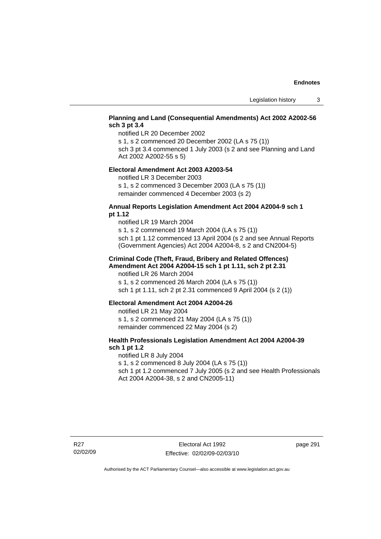# **Planning and Land (Consequential Amendments) Act 2002 A2002-56 sch 3 pt 3.4**

notified LR 20 December 2002

s 1, s 2 commenced 20 December 2002 (LA s 75 (1))

sch 3 pt 3.4 commenced 1 July 2003 (s 2 and see Planning and Land Act 2002 A2002-55 s 5)

### **Electoral Amendment Act 2003 A2003-54**

notified LR 3 December 2003

s 1, s 2 commenced 3 December 2003 (LA s 75 (1)) remainder commenced 4 December 2003 (s 2)

#### **Annual Reports Legislation Amendment Act 2004 A2004-9 sch 1 pt 1.12**

notified LR 19 March 2004 s 1, s 2 commenced 19 March 2004 (LA s 75 (1)) sch 1 pt 1.12 commenced 13 April 2004 (s 2 and see Annual Reports (Government Agencies) Act 2004 A2004-8, s 2 and CN2004-5)

#### **Criminal Code (Theft, Fraud, Bribery and Related Offences) Amendment Act 2004 A2004-15 sch 1 pt 1.11, sch 2 pt 2.31**

notified LR 26 March 2004 s 1, s 2 commenced 26 March 2004 (LA s 75 (1)) sch 1 pt 1.11, sch 2 pt 2.31 commenced 9 April 2004 (s 2 (1))

### **Electoral Amendment Act 2004 A2004-26**

notified LR 21 May 2004 s 1, s 2 commenced 21 May 2004 (LA s 75 (1)) remainder commenced 22 May 2004 (s 2)

# **Health Professionals Legislation Amendment Act 2004 A2004-39 sch 1 pt 1.2**

notified LR 8 July 2004 s 1, s 2 commenced 8 July 2004 (LA s 75 (1)) sch 1 pt 1.2 commenced 7 July 2005 (s 2 and see Health Professionals Act 2004 A2004-38, s 2 and CN2005-11)

page 291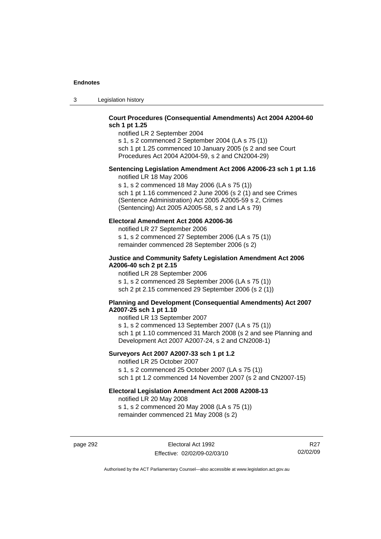3 Legislation history

# **Court Procedures (Consequential Amendments) Act 2004 A2004-60 sch 1 pt 1.25**

notified LR 2 September 2004 s 1, s 2 commenced 2 September 2004 (LA s 75 (1)) sch 1 pt 1.25 commenced 10 January 2005 (s 2 and see Court

Procedures Act 2004 A2004-59, s 2 and CN2004-29)

# **Sentencing Legislation Amendment Act 2006 A2006-23 sch 1 pt 1.16**

notified LR 18 May 2006

s 1, s 2 commenced 18 May 2006 (LA s 75 (1)) sch 1 pt 1.16 commenced 2 June 2006 (s 2 (1) and see Crimes (Sentence Administration) Act 2005 A2005-59 s 2, Crimes (Sentencing) Act 2005 A2005-58, s 2 and LA s 79)

## **Electoral Amendment Act 2006 A2006-36**

notified LR 27 September 2006 s 1, s 2 commenced 27 September 2006 (LA s 75 (1)) remainder commenced 28 September 2006 (s 2)

## **Justice and Community Safety Legislation Amendment Act 2006 A2006-40 sch 2 pt 2.15**

notified LR 28 September 2006 s 1, s 2 commenced 28 September 2006 (LA s 75 (1)) sch 2 pt 2.15 commenced 29 September 2006 (s 2 (1))

## **Planning and Development (Consequential Amendments) Act 2007 A2007-25 sch 1 pt 1.10**

notified LR 13 September 2007 s 1, s 2 commenced 13 September 2007 (LA s 75 (1)) sch 1 pt 1.10 commenced 31 March 2008 (s 2 and see Planning and Development Act 2007 A2007-24, s 2 and CN2008-1)

## **Surveyors Act 2007 A2007-33 sch 1 pt 1.2**

notified LR 25 October 2007 s 1, s 2 commenced 25 October 2007 (LA s 75 (1)) sch 1 pt 1.2 commenced 14 November 2007 (s 2 and CN2007-15)

### **Electoral Legislation Amendment Act 2008 A2008-13**

notified LR 20 May 2008 s 1, s 2 commenced 20 May 2008 (LA s 75 (1)) remainder commenced 21 May 2008 (s 2)

page 292 **Electoral Act 1992** Effective: 02/02/09-02/03/10

R27 02/02/09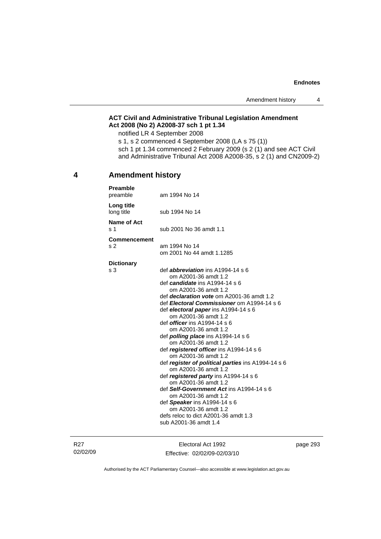# **ACT Civil and Administrative Tribunal Legislation Amendment Act 2008 (No 2) A2008-37 sch 1 pt 1.34**

notified LR 4 September 2008

s 1, s 2 commenced 4 September 2008 (LA s 75 (1)) sch 1 pt 1.34 commenced 2 February 2009 (s 2 (1) and see ACT Civil and Administrative Tribunal Act 2008 A2008-35, s 2 (1) and CN2009-2)

# **4 Amendment history**

| <b>Preamble</b><br>preamble           | am 1994 No 14                                                                                                                                                                                                                                                                                                                                                                                                                                                                                                                                                                                                                                                                                                                                                                                                                                          |
|---------------------------------------|--------------------------------------------------------------------------------------------------------------------------------------------------------------------------------------------------------------------------------------------------------------------------------------------------------------------------------------------------------------------------------------------------------------------------------------------------------------------------------------------------------------------------------------------------------------------------------------------------------------------------------------------------------------------------------------------------------------------------------------------------------------------------------------------------------------------------------------------------------|
| Long title<br>long title              | sub 1994 No 14                                                                                                                                                                                                                                                                                                                                                                                                                                                                                                                                                                                                                                                                                                                                                                                                                                         |
| Name of Act<br>s 1                    | sub 2001 No 36 amdt 1.1                                                                                                                                                                                                                                                                                                                                                                                                                                                                                                                                                                                                                                                                                                                                                                                                                                |
| <b>Commencement</b><br>s <sub>2</sub> | am 1994 No 14<br>om 2001 No 44 amdt 1.1285                                                                                                                                                                                                                                                                                                                                                                                                                                                                                                                                                                                                                                                                                                                                                                                                             |
| <b>Dictionary</b><br>s 3              | def <i>abbreviation</i> ins A1994-14 s 6<br>om A2001-36 amdt 1.2<br>def candidate ins A1994-14 s 6<br>om A2001-36 amdt 1.2<br>def <i>declaration vote</i> om A2001-36 amdt 1.2<br>def Electoral Commissioner om A1994-14 s 6<br>def electoral paper ins A1994-14 s 6<br>om A2001-36 amdt 1.2<br>def <i>officer</i> ins A1994-14 s 6<br>om A2001-36 amdt 1.2<br>def <i>polling place</i> ins A1994-14 s 6<br>om A2001-36 amdt 1.2<br>def registered officer ins A1994-14 s 6<br>om A2001-36 amdt 1.2<br>def register of political parties ins A1994-14 s 6<br>om A2001-36 amdt 1.2<br>def registered party ins A1994-14 s 6<br>om A2001-36 amdt 1.2<br>def Self-Government Act ins A1994-14 s 6<br>om A2001-36 amdt 1.2<br>def <b>Speaker</b> ins A1994-14 s 6<br>om A2001-36 amdt 1.2<br>defs reloc to dict A2001-36 amdt 1.3<br>sub A2001-36 amdt 1.4 |

R27 02/02/09

Electoral Act 1992 Effective: 02/02/09-02/03/10 page 293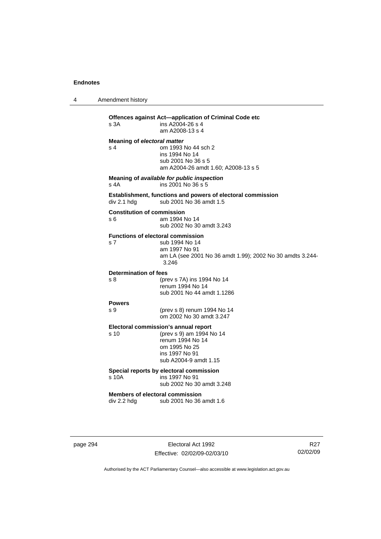4 Amendment history

| Offences against Act-application of Criminal Code etc<br>s 3A<br>ins A2004-26 s 4<br>am A2008-13 s 4 |                                                                                                                                                   |  |
|------------------------------------------------------------------------------------------------------|---------------------------------------------------------------------------------------------------------------------------------------------------|--|
| <b>Meaning of electoral matter</b><br>s 4                                                            | om 1993 No 44 sch 2<br>ins 1994 No 14<br>sub 2001 No 36 s 5<br>am A2004-26 amdt 1.60; A2008-13 s 5                                                |  |
| s 4A                                                                                                 | Meaning of available for public inspection<br>ins 2001 No 36 s 5                                                                                  |  |
| div 2.1 hdg                                                                                          | Establishment, functions and powers of electoral commission<br>sub 2001 No 36 amdt 1.5                                                            |  |
| <b>Constitution of commission</b><br>s 6                                                             | am 1994 No 14<br>sub 2002 No 30 amdt 3.243                                                                                                        |  |
| s <sub>7</sub>                                                                                       | <b>Functions of electoral commission</b><br>sub 1994 No 14<br>am 1997 No 91<br>am LA (see 2001 No 36 amdt 1.99); 2002 No 30 amdts 3.244-<br>3.246 |  |
| <b>Determination of fees</b><br>s 8                                                                  | (prev s 7A) ins 1994 No 14<br>renum 1994 No 14<br>sub 2001 No 44 amdt 1.1286                                                                      |  |
| <b>Powers</b><br>s 9                                                                                 | (prev s 8) renum 1994 No 14<br>om 2002 No 30 amdt 3.247                                                                                           |  |
| s 10                                                                                                 | Electoral commission's annual report<br>(prev s 9) am 1994 No 14<br>renum 1994 No 14<br>om 1995 No 25<br>ins 1997 No 91<br>sub A2004-9 amdt 1.15  |  |
| s 10A                                                                                                | Special reports by electoral commission<br>ins 1997 No 91<br>sub 2002 No 30 amdt 3.248                                                            |  |
| div 2.2 hdg                                                                                          | <b>Members of electoral commission</b><br>sub 2001 No 36 amdt 1.6                                                                                 |  |

page 294 Electoral Act 1992 Effective: 02/02/09-02/03/10

R27 02/02/09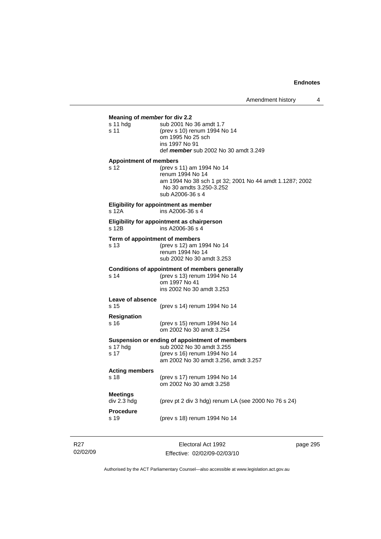# **Meaning of** *member* **for div 2.2**  s 11 hdg sub 2001 No 36 amdt 1.7 s 11 (prev s 10) renum 1994 No 14 om 1995 No 25 sch ins 1997 No 91 def *member* sub 2002 No 30 amdt 3.249 **Appointment of members**  s 12 (prev s 11) am 1994 No 14 renum 1994 No 14 am 1994 No 38 sch 1 pt 32; 2001 No 44 amdt 1.1287; 2002 No 30 amdts 3.250-3.252 sub A2006-36 s 4 **Eligibility for appointment as member**  s 12A ins A2006-36 s 4 **Eligibility for appointment as chairperson**   $ins$  A2006-36 s 4 **Term of appointment of members**  s 13 (prev s 12) am 1994 No 14 renum 1994 No 14 sub 2002 No 30 amdt 3.253 **Conditions of appointment of members generally**  s 14 (prev s 13) renum 1994 No 14 om 1997 No 41 ins 2002 No 30 amdt 3.253 **Leave of absence**  (prev s 14) renum 1994 No 14 **Resignation**  s 16 (prev s 15) renum 1994 No 14 om 2002 No 30 amdt 3.254 **Suspension or ending of appointment of members**  sub 2002 No 30 amdt 3.255 s 17 (prev s 16) renum 1994 No 14 am 2002 No 30 amdt 3.256, amdt 3.257 **Acting members**  s 18 (prev s 17) renum 1994 No 14 om 2002 No 30 amdt 3.258 **Meetings**  div 2.3 hdg (prev pt 2 div 3 hdg) renum LA (see 2000 No 76 s 24) **Procedure**  s 19 (prev s 18) renum 1994 No 14

R27 02/02/09

Electoral Act 1992 Effective: 02/02/09-02/03/10 page 295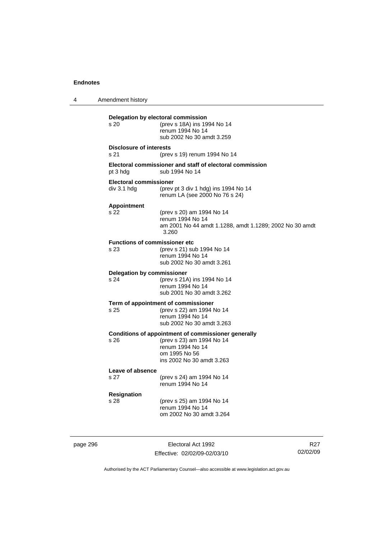4 Amendment history **Delegation by electoral commission**  s 20 (prev s 18A) ins 1994 No 14 renum 1994 No 14 sub 2002 No 30 amdt 3.259 **Disclosure of interests**  s 21 (prev s 19) renum 1994 No 14 **Electoral commissioner and staff of electoral commission**  pt 3 hdg sub 1994 No 14 **Electoral commissioner**  div 3.1 hdg (prev pt 3 div 1 hdg) ins 1994 No 14 renum LA (see 2000 No 76 s 24) **Appointment**  s 22 (prev s 20) am 1994 No 14 renum 1994 No 14 am 2001 No 44 amdt 1.1288, amdt 1.1289; 2002 No 30 amdt 3.260 **Functions of commissioner etc**  s 23 (prev s 21) sub 1994 No 14 renum 1994 No 14 sub 2002 No 30 amdt 3.261 **Delegation by commissioner**  s 24 (prev s 21A) ins 1994 No 14 renum 1994 No 14 sub 2001 No 30 amdt 3.262 **Term of appointment of commissioner**  s 25 (prev s 22) am 1994 No 14 renum 1994 No 14 sub 2002 No 30 amdt 3.263 **Conditions of appointment of commissioner generally**<br>
s 26 (prev s 23) am 1994 No 14 s 26 (prev s 23) am 1994 No 14 renum 1994 No 14 om 1995 No 56 ins 2002 No 30 amdt 3.263 **Leave of absence**  s 27 (prev s 24) am 1994 No 14 renum 1994 No 14 **Resignation**  s 28 (prev s 25) am 1994 No 14 renum 1994 No 14 om 2002 No 30 amdt 3.264

page 296 **Electoral Act 1992** Effective: 02/02/09-02/03/10

R27 02/02/09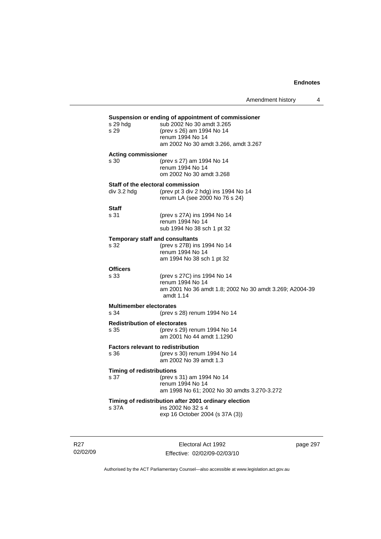Amendment history 4

# **Suspension or ending of appointment of commissioner**  sub 2002 No 30 amdt 3.265 s 29 (prev s 26) am 1994 No 14 renum 1994 No 14 am 2002 No 30 amdt 3.266, amdt 3.267 **Acting commissioner**  s 30 (prev s 27) am 1994 No 14 renum 1994 No 14 om 2002 No 30 amdt 3.268 **Staff of the electoral commission**  div 3.2 hdg (prev pt 3 div 2 hdg) ins 1994 No 14 renum LA (see 2000 No 76 s 24) **Staff**  s 31 (prev s 27A) ins 1994 No 14 renum 1994 No 14 sub 1994 No 38 sch 1 pt 32 **Temporary staff and consultants**  s 32 (prev s 27B) ins 1994 No 14 renum 1994 No 14 am 1994 No 38 sch 1 pt 32 **Officers**  s 33 (prev s 27C) ins 1994 No 14 renum 1994 No 14 am 2001 No 36 amdt 1.8; 2002 No 30 amdt 3.269; A2004-39 amdt 1.14 **Multimember electorates**<br>s 34 (prev s (prev s 28) renum 1994 No 14 **Redistribution of electorates**  s 35 (prev s 29) renum 1994 No 14 am 2001 No 44 amdt 1.1290 **Factors relevant to redistribution**  s 36 (prev s 30) renum 1994 No 14 am 2002 No 39 amdt 1.3 **Timing of redistributions**  s 37 (prev s 31) am 1994 No 14 renum 1994 No 14 am 1998 No 61; 2002 No 30 amdts 3.270-3.272 **Timing of redistribution after 2001 ordinary election**  s 37A ins 2002 No 32 s 4 exp 16 October 2004 (s 37A (3))

R27 02/02/09

Electoral Act 1992 Effective: 02/02/09-02/03/10 page 297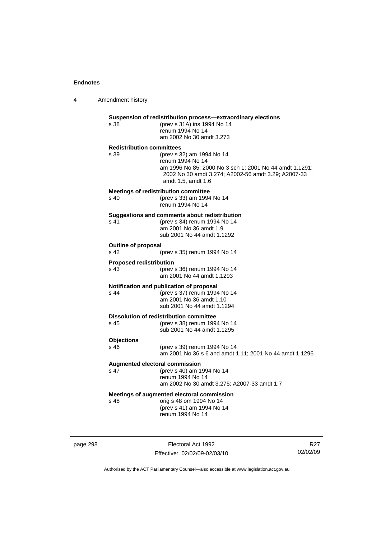4 Amendment history **Suspension of redistribution process—extraordinary elections**  s 38 (prev s 31A) ins 1994 No 14 renum 1994 No 14 am 2002 No 30 amdt 3.273 **Redistribution committees**  s 39 (prev s 32) am 1994 No 14 renum 1994 No 14 am 1996 No 85; 2000 No 3 sch 1; 2001 No 44 amdt 1.1291; 2002 No 30 amdt 3.274; A2002-56 amdt 3.29; A2007-33 amdt 1.5, amdt 1.6 **Meetings of redistribution committee**  s 40 (prev s 33) am 1994 No 14 renum 1994 No 14 **Suggestions and comments about redistribution**<br>s 41 (orev s 34) renum 1994 No 14 (prev s 34) renum 1994 No 14 am 2001 No 36 amdt 1.9 sub 2001 No 44 amdt 1.1292 **Outline of proposal**  s 42 (prev s 35) renum 1994 No 14 **Proposed redistribution**  s 43 (prev s 36) renum 1994 No 14 am 2001 No 44 amdt 1.1293 **Notification and publication of proposal**  s 44 (prev s 37) renum 1994 No 14 am 2001 No 36 amdt 1.10 sub 2001 No 44 amdt 1.1294 **Dissolution of redistribution committee**  s 45 (prev s 38) renum 1994 No 14 sub 2001 No 44 amdt 1.1295 **Objections**  (prev s 39) renum 1994 No 14 am 2001 No 36 s 6 and amdt 1.11; 2001 No 44 amdt 1.1296 **Augmented electoral commission**  s 47 (prev s 40) am 1994 No 14 renum 1994 No 14 am 2002 No 30 amdt 3.275; A2007-33 amdt 1.7 **Meetings of augmented electoral commission**  s 48 orig s 48 om 1994 No 14 (prev s 41) am 1994 No 14 renum 1994 No 14

page 298 Electoral Act 1992 Effective: 02/02/09-02/03/10

R27 02/02/09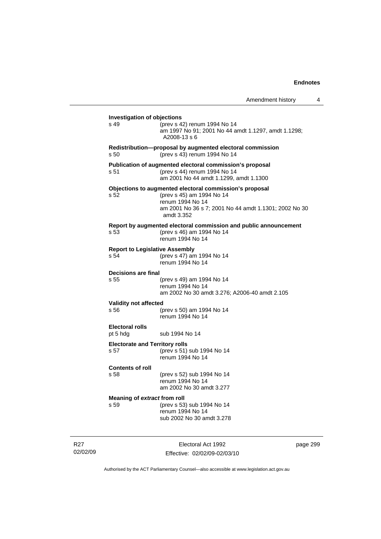| Amendment history |  |
|-------------------|--|
|-------------------|--|

| <b>Investigation of objections</b>            |                                                                                                                                                                                 |
|-----------------------------------------------|---------------------------------------------------------------------------------------------------------------------------------------------------------------------------------|
| s 49                                          | (prev s 42) renum 1994 No 14<br>am 1997 No 91; 2001 No 44 amdt 1.1297, amdt 1.1298;<br>A2008-13 s 6                                                                             |
| s 50                                          | Redistribution-proposal by augmented electoral commission<br>(prev s 43) renum 1994 No 14                                                                                       |
| s 51                                          | Publication of augmented electoral commission's proposal<br>(prev s 44) renum 1994 No 14<br>am 2001 No 44 amdt 1.1299, amdt 1.1300                                              |
| s <sub>52</sub>                               | Objections to augmented electoral commission's proposal<br>(prev s 45) am 1994 No 14<br>renum 1994 No 14<br>am 2001 No 36 s 7; 2001 No 44 amdt 1.1301; 2002 No 30<br>amdt 3.352 |
| s <sub>53</sub>                               | Report by augmented electoral commission and public announcement<br>(prev s 46) am 1994 No 14<br>renum 1994 No 14                                                               |
|                                               | <b>Report to Legislative Assembly</b>                                                                                                                                           |
| s 54                                          | (prev s 47) am 1994 No 14<br>renum 1994 No 14                                                                                                                                   |
| Decisions are final                           |                                                                                                                                                                                 |
| s <sub>55</sub>                               | (prev s 49) am 1994 No 14<br>renum 1994 No 14<br>am 2002 No 30 amdt 3.276; A2006-40 amdt 2.105                                                                                  |
| <b>Validity not affected</b>                  |                                                                                                                                                                                 |
| s 56                                          | (prev s 50) am 1994 No 14<br>renum 1994 No 14                                                                                                                                   |
| <b>Electoral rolls</b><br>pt 5 hdg            | sub 1994 No 14                                                                                                                                                                  |
| <b>Electorate and Territory rolls</b><br>s 57 | (prev s 51) sub 1994 No 14<br>renum 1994 No 14                                                                                                                                  |
| <b>Contents of roll</b><br>s 58               | (prev s 52) sub 1994 No 14<br>renum 1994 No 14<br>am 2002 No 30 amdt 3.277                                                                                                      |
| Meaning of extract from roll<br>s 59          | (prev s 53) sub 1994 No 14                                                                                                                                                      |
|                                               | renum 1994 No 14<br>sub 2002 No 30 amdt 3.278                                                                                                                                   |
|                                               |                                                                                                                                                                                 |

R27 02/02/09

Electoral Act 1992 Effective: 02/02/09-02/03/10 page 299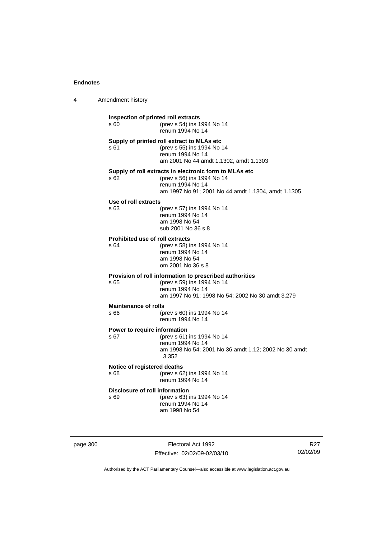| 4 | Amendment history |
|---|-------------------|
|---|-------------------|

| Inspection of printed roll extracts<br>(prev s 54) ins 1994 No 14<br>s60<br>renum 1994 No 14 |                                                                                                                                                                |  |
|----------------------------------------------------------------------------------------------|----------------------------------------------------------------------------------------------------------------------------------------------------------------|--|
| s 61                                                                                         | Supply of printed roll extract to MLAs etc<br>(prev s 55) ins 1994 No 14<br>renum 1994 No 14<br>am 2001 No 44 amdt 1.1302, amdt 1.1303                         |  |
| s 62                                                                                         | Supply of roll extracts in electronic form to MLAs etc<br>(prev s 56) ins 1994 No 14<br>renum 1994 No 14<br>am 1997 No 91; 2001 No 44 amdt 1.1304, amdt 1.1305 |  |
| Use of roll extracts                                                                         |                                                                                                                                                                |  |
| s 63                                                                                         | (prev s 57) ins 1994 No 14<br>renum 1994 No 14<br>am 1998 No 54<br>sub 2001 No 36 s 8                                                                          |  |
| <b>Prohibited use of roll extracts</b>                                                       |                                                                                                                                                                |  |
| s 64                                                                                         | (prev s 58) ins 1994 No 14<br>renum 1994 No 14<br>am 1998 No 54<br>om 2001 No 36 s 8                                                                           |  |
| s 65                                                                                         | Provision of roll information to prescribed authorities<br>(prev s 59) ins 1994 No 14<br>renum 1994 No 14<br>am 1997 No 91; 1998 No 54; 2002 No 30 amdt 3.279  |  |
| <b>Maintenance of rolls</b>                                                                  |                                                                                                                                                                |  |
| s 66                                                                                         | (prev s 60) ins 1994 No 14<br>renum 1994 No 14                                                                                                                 |  |
| Power to require information                                                                 |                                                                                                                                                                |  |
| s 67                                                                                         | (prev s 61) ins 1994 No 14<br>renum 1994 No 14<br>am 1998 No 54; 2001 No 36 amdt 1.12; 2002 No 30 amdt<br>3.352                                                |  |
| Notice of registered deaths                                                                  |                                                                                                                                                                |  |
| s 68                                                                                         | (prev s 62) ins 1994 No 14<br>renum 1994 No 14                                                                                                                 |  |
| Disclosure of roll information<br>s 69                                                       | (prev s 63) ins 1994 No 14<br>renum 1994 No 14<br>am 1998 No 54                                                                                                |  |
|                                                                                              |                                                                                                                                                                |  |

page 300 Electoral Act 1992 Effective: 02/02/09-02/03/10

R27 02/02/09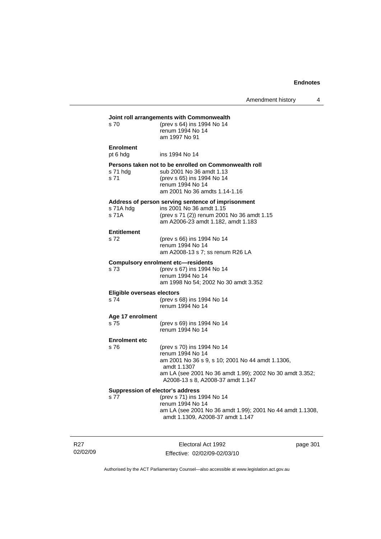Amendment history 4

| s 70                              | Joint roll arrangements with Commonwealth<br>(prev s 64) ins 1994 No 14                                                                                              |
|-----------------------------------|----------------------------------------------------------------------------------------------------------------------------------------------------------------------|
|                                   | renum 1994 No 14<br>am 1997 No 91                                                                                                                                    |
| <b>Enrolment</b><br>pt 6 hdg      | ins 1994 No 14                                                                                                                                                       |
| s 71 hdg<br>s 71                  | Persons taken not to be enrolled on Commonwealth roll<br>sub 2001 No 36 amdt 1.13<br>(prev s 65) ins 1994 No 14<br>renum 1994 No 14<br>am 2001 No 36 amdts 1.14-1.16 |
|                                   | Address of person serving sentence of imprisonment                                                                                                                   |
| s 71A hdg<br>s 71A                | ins 2001 No 36 amdt 1.15<br>(prev s 71 (2)) renum 2001 No 36 amdt 1.15<br>am A2006-23 amdt 1.182, amdt 1.183                                                         |
| <b>Entitlement</b>                |                                                                                                                                                                      |
| s 72                              | (prev s 66) ins 1994 No 14<br>renum 1994 No 14<br>am A2008-13 s 7; ss renum R26 LA                                                                                   |
|                                   | <b>Compulsory enrolment etc-residents</b>                                                                                                                            |
| s 73                              | (prev s 67) ins 1994 No 14<br>renum 1994 No 14<br>am 1998 No 54; 2002 No 30 amdt 3.352                                                                               |
| <b>Eligible overseas electors</b> |                                                                                                                                                                      |
| s 74                              | (prev s 68) ins 1994 No 14<br>renum 1994 No 14                                                                                                                       |
| Age 17 enrolment                  |                                                                                                                                                                      |
| s 75                              | (prev s 69) ins 1994 No 14<br>renum 1994 No 14                                                                                                                       |
| <b>Enrolment etc</b>              |                                                                                                                                                                      |
| s 76                              | (prev s 70) ins 1994 No 14<br>renum 1994 No 14<br>am 2001 No 36 s 9, s 10; 2001 No 44 amdt 1.1306,<br>amdt 1.1307                                                    |
|                                   | am LA (see 2001 No 36 amdt 1.99); 2002 No 30 amdt 3.352;<br>A2008-13 s 8, A2008-37 amdt 1.147                                                                        |
|                                   | Suppression of elector's address                                                                                                                                     |
| s 77                              | (prev s 71) ins 1994 No 14<br>renum 1994 No 14                                                                                                                       |
|                                   | am LA (see 2001 No 36 amdt 1.99); 2001 No 44 amdt 1.1308,<br>amdt 1.1309, A2008-37 amdt 1.147                                                                        |
|                                   |                                                                                                                                                                      |

R27 02/02/09

Electoral Act 1992 Effective: 02/02/09-02/03/10 page 301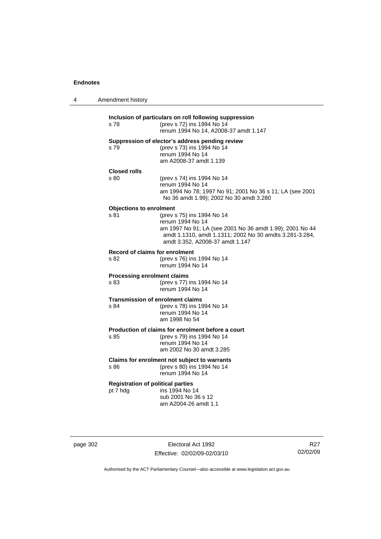| 4 | Amendment history                                    |                                                                                                                                                                                                          |
|---|------------------------------------------------------|----------------------------------------------------------------------------------------------------------------------------------------------------------------------------------------------------------|
|   | s 78                                                 | Inclusion of particulars on roll following suppression<br>(prev s 72) ins 1994 No 14<br>renum 1994 No 14, A2008-37 amdt 1.147                                                                            |
|   | s 79                                                 | Suppression of elector's address pending review<br>(prev s 73) ins 1994 No 14<br>renum 1994 No 14<br>am A2008-37 amdt 1.139                                                                              |
|   | <b>Closed rolls</b><br>s 80                          | (prev s 74) ins 1994 No 14<br>renum 1994 No 14<br>am 1994 No 78; 1997 No 91; 2001 No 36 s 11; LA (see 2001<br>No 36 amdt 1.99); 2002 No 30 amdt 3.280                                                    |
|   | <b>Objections to enrolment</b><br>s 81               | (prev s 75) ins 1994 No 14<br>renum 1994 No 14<br>am 1997 No 91; LA (see 2001 No 36 amdt 1.99); 2001 No 44<br>amdt 1.1310, amdt 1.1311; 2002 No 30 amdts 3.281-3.284,<br>amdt 3.352, A2008-37 amdt 1.147 |
|   | Record of claims for enrolment<br>s 82               | (prev s 76) ins 1994 No 14<br>renum 1994 No 14                                                                                                                                                           |
|   | <b>Processing enrolment claims</b><br>s 83           | (prev s 77) ins 1994 No 14<br>renum 1994 No 14                                                                                                                                                           |
|   | <b>Transmission of enrolment claims</b><br>s 84      | (prev s 78) ins 1994 No 14<br>renum 1994 No 14<br>am 1998 No 54                                                                                                                                          |
|   | s 85                                                 | Production of claims for enrolment before a court<br>(prev s 79) ins 1994 No 14<br>renum 1994 No 14<br>am 2002 No 30 amdt 3.285                                                                          |
|   | s 86                                                 | Claims for enrolment not subject to warrants<br>(prev s 80) ins 1994 No 14<br>renum 1994 No 14                                                                                                           |
|   | <b>Registration of political parties</b><br>pt 7 hdg | ins 1994 No 14<br>sub 2001 No 36 s 12<br>am A2004-26 amdt 1.1                                                                                                                                            |

page 302 Electoral Act 1992 Effective: 02/02/09-02/03/10

R27 02/02/09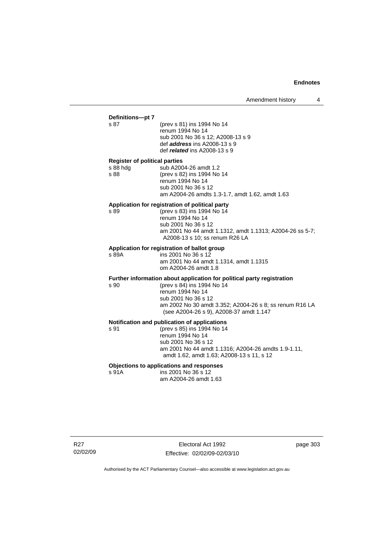# **Definitions—pt 7**

(prev s 81) ins 1994 No 14 renum 1994 No 14 sub 2001 No 36 s 12; A2008-13 s 9 def *address* ins A2008-13 s 9 def *related* ins A2008-13 s 9

#### **Register of political parties**

| s 88 hda | sub A2004-26 amdt 1.2                           |
|----------|-------------------------------------------------|
| s 88     | (prev s 82) ins 1994 No 14                      |
|          | renum 1994 No 14                                |
|          | sub 2001 No 36 s 12                             |
|          | am A2004-26 amdts 1.3-1.7, amdt 1.62, amdt 1.63 |
|          |                                                 |

#### **Application for registration of political party**

s 89 (prev s 83) ins 1994 No 14 renum 1994 No 14 sub 2001 No 36 s 12 am 2001 No 44 amdt 1.1312, amdt 1.1313; A2004-26 ss 5-7; A2008-13 s 10; ss renum R26 LA

## **Application for registration of ballot group**

s 89A ins 2001 No 36 s 12 am 2001 No 44 amdt 1.1314, amdt 1.1315

om A2004-26 amdt 1.8

### **Further information about application for political party registration**

s 90 (prev s 84) ins 1994 No 14 renum 1994 No 14 sub 2001 No 36 s 12

 am 2002 No 30 amdt 3.352; A2004-26 s 8; ss renum R16 LA (see A2004-26 s 9), A2008-37 amdt 1.147

# **Notification and publication of applications**

s 91 (prev s 85) ins 1994 No 14 renum 1994 No 14 sub 2001 No 36 s 12 am 2001 No 44 amdt 1.1316; A2004-26 amdts 1.9-1.11, amdt 1.62, amdt 1.63; A2008-13 s 11, s 12

# **Objections to applications and responses**

ins 2001 No 36 s 12 am A2004-26 amdt 1.63

R27 02/02/09

Electoral Act 1992 Effective: 02/02/09-02/03/10 page 303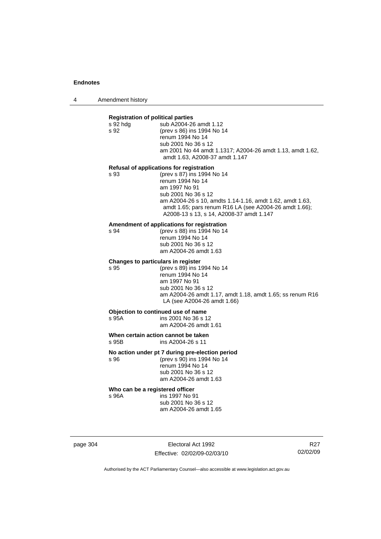4 Amendment history

| <b>Registration of political parties</b><br>s 92 hdg<br>s 92 | sub A2004-26 amdt 1.12<br>(prev s 86) ins 1994 No 14<br>renum 1994 No 14<br>sub 2001 No 36 s 12<br>am 2001 No 44 amdt 1.1317; A2004-26 amdt 1.13, amdt 1.62,<br>amdt 1.63, A2008-37 amdt 1.147                                                           |
|--------------------------------------------------------------|----------------------------------------------------------------------------------------------------------------------------------------------------------------------------------------------------------------------------------------------------------|
|                                                              | Refusal of applications for registration                                                                                                                                                                                                                 |
| s 93                                                         | (prev s 87) ins 1994 No 14<br>renum 1994 No 14<br>am 1997 No 91<br>sub 2001 No 36 s 12<br>am A2004-26 s 10, amdts 1.14-1.16, amdt 1.62, amdt 1.63,<br>amdt 1.65; pars renum R16 LA (see A2004-26 amdt 1.66);<br>A2008-13 s 13, s 14, A2008-37 amdt 1.147 |
|                                                              | Amendment of applications for registration                                                                                                                                                                                                               |
| s 94                                                         | (prev s 88) ins 1994 No 14<br>renum 1994 No 14<br>sub 2001 No 36 s 12<br>am A2004-26 amdt 1.63                                                                                                                                                           |
| Changes to particulars in register                           |                                                                                                                                                                                                                                                          |
| s 95                                                         | (prev s 89) ins 1994 No 14<br>renum 1994 No 14<br>am 1997 No 91<br>sub 2001 No 36 s 12<br>am A2004-26 amdt 1.17, amdt 1.18, amdt 1.65; ss renum R16<br>LA (see A2004-26 amdt 1.66)                                                                       |
| s 95A                                                        | Objection to continued use of name<br>ins 2001 No 36 s 12<br>am A2004-26 amdt 1.61                                                                                                                                                                       |
| s 95B                                                        | When certain action cannot be taken<br>ins A2004-26 s 11                                                                                                                                                                                                 |
| s 96                                                         | No action under pt 7 during pre-election period<br>(prev s 90) ins 1994 No 14<br>renum 1994 No 14<br>sub 2001 No 36 s 12<br>am A2004-26 amdt 1.63                                                                                                        |
|                                                              |                                                                                                                                                                                                                                                          |

**Who can be a registered officer** 

s 96A ins 1997 No 91 sub 2001 No 36 s 12 am A2004-26 amdt 1.65

page 304 Electoral Act 1992 Effective: 02/02/09-02/03/10

R27 02/02/09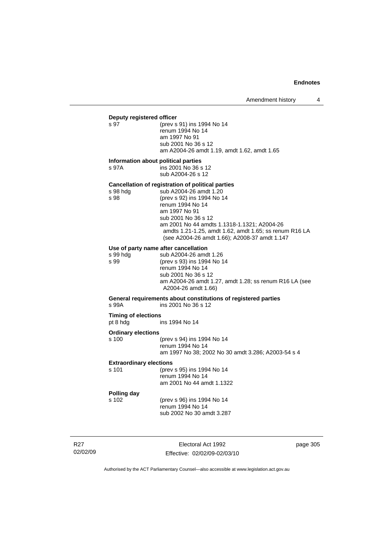# **Deputy registered officer**<br>s 97 (prev s

(prev s 91) ins 1994 No 14 renum 1994 No 14 am 1997 No 91 sub 2001 No 36 s 12 am A2004-26 amdt 1.19, amdt 1.62, amdt 1.65

#### **Information about political parties**

s 97A ins 2001 No 36 s 12 sub A2004-26 s 12

#### **Cancellation of registration of political parties**

| s 98 hdg | sub A2004-26 amdt 1.20                                 |
|----------|--------------------------------------------------------|
| s 98     | (prev s 92) ins 1994 No 14                             |
|          | renum 1994 No 14                                       |
|          | am 1997 No 91                                          |
|          | sub 2001 No 36 s 12                                    |
|          | am 2001 No 44 amdts 1.1318-1.1321; A2004-26            |
|          | amdts 1.21-1.25, amdt 1.62, amdt 1.65; ss renum R16 LA |
|          | (see A2004-26 amdt 1.66); A2008-37 amdt 1.147          |
|          |                                                        |

# **Use of party name after cancellation**

| Use of party name after cancellation                   |
|--------------------------------------------------------|
| sub A2004-26 amdt 1.26                                 |
| (prev s 93) ins 1994 No 14                             |
| renum 1994 No 14                                       |
| sub 2001 No 36 s 12                                    |
| am A2004-26 amdt 1.27, amdt 1.28; ss renum R16 LA (see |
| A2004-26 amdt 1.66)                                    |
|                                                        |

# **General requirements about constitutions of registered parties**

ins 2001 No 36 s 12

#### **Timing of elections**<br>
pt 8 hdg<br>
i ins 1994 No 14

#### **Ordinary elections**

s 99<br>s 99

| s 100 | (prev s 94) ins 1994 No 14                         |
|-------|----------------------------------------------------|
|       | renum 1994 No 14                                   |
|       | am 1997 No 38: 2002 No 30 amdt 3.286: A2003-54 s 4 |

#### **Extraordinary elections**

| s 101 | (prev s 95) ins 1994 No 14 |
|-------|----------------------------|
|       | renum 1994 No 14           |
|       | am 2001 No 44 amdt 1.1322  |

# **Polling day**

s 102 (prev s 96) ins 1994 No 14 renum 1994 No 14 sub 2002 No 30 amdt 3.287

R27 02/02/09

Electoral Act 1992 Effective: 02/02/09-02/03/10 page 305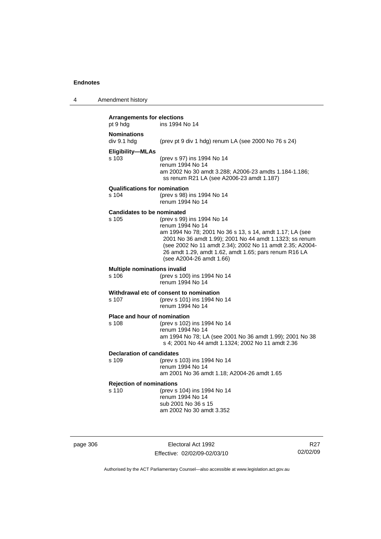4 Amendment history

| <b>Arrangements for elections</b><br>pt 9 hdg | ins 1994 No 14                                                                                                                                                                                                                                                                                                         |
|-----------------------------------------------|------------------------------------------------------------------------------------------------------------------------------------------------------------------------------------------------------------------------------------------------------------------------------------------------------------------------|
| <b>Nominations</b><br>div 9.1 hdg             | (prev pt 9 div 1 hdg) renum LA (see 2000 No 76 s 24)                                                                                                                                                                                                                                                                   |
| <b>Eligibility-MLAs</b><br>s 103              | (prev s 97) ins 1994 No 14<br>renum 1994 No 14<br>am 2002 No 30 amdt 3.288; A2006-23 amdts 1.184-1.186;<br>ss renum R21 LA (see A2006-23 amdt 1.187)                                                                                                                                                                   |
| <b>Qualifications for nomination</b><br>s 104 | (prev s 98) ins 1994 No 14<br>renum 1994 No 14                                                                                                                                                                                                                                                                         |
| <b>Candidates to be nominated</b><br>s 105    | (prev s 99) ins 1994 No 14<br>renum 1994 No 14<br>am 1994 No 78; 2001 No 36 s 13, s 14, amdt 1.17; LA (see<br>2001 No 36 amdt 1.99); 2001 No 44 amdt 1.1323; ss renum<br>(see 2002 No 11 amdt 2.34); 2002 No 11 amdt 2.35; A2004-<br>26 amdt 1.29, amdt 1.62, amdt 1.65; pars renum R16 LA<br>(see A2004-26 amdt 1.66) |
| <b>Multiple nominations invalid</b><br>s 106  | (prev s 100) ins 1994 No 14<br>renum 1994 No 14                                                                                                                                                                                                                                                                        |
| s 107                                         | Withdrawal etc of consent to nomination<br>(prev s 101) ins 1994 No 14<br>renum 1994 No 14                                                                                                                                                                                                                             |
| <b>Place and hour of nomination</b><br>s 108  | (prev s 102) ins 1994 No 14<br>renum 1994 No 14<br>am 1994 No 78; LA (see 2001 No 36 amdt 1.99); 2001 No 38<br>s 4; 2001 No 44 amdt 1.1324; 2002 No 11 amdt 2.36                                                                                                                                                       |
| <b>Declaration of candidates</b><br>s 109     | (prev s 103) ins 1994 No 14<br>renum 1994 No 14<br>am 2001 No 36 amdt 1.18; A2004-26 amdt 1.65                                                                                                                                                                                                                         |
| <b>Rejection of nominations</b><br>s 110      | (prev s 104) ins 1994 No 14<br>renum 1994 No 14<br>sub 2001 No 36 s 15<br>am 2002 No 30 amdt 3.352                                                                                                                                                                                                                     |

page 306 Electoral Act 1992 Effective: 02/02/09-02/03/10

R27 02/02/09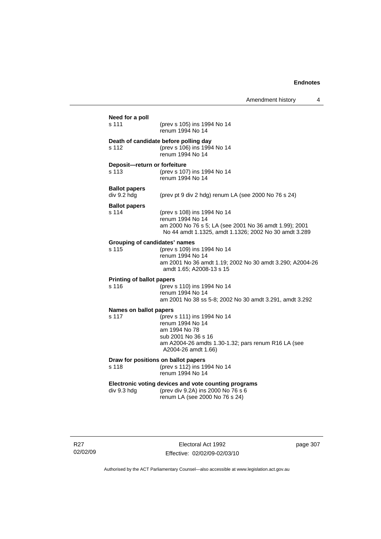| Need for a poll<br>s 111                      | (prev s 105) ins 1994 No 14<br>renum 1994 No 14                                                                                                                       |
|-----------------------------------------------|-----------------------------------------------------------------------------------------------------------------------------------------------------------------------|
| s 112                                         | Death of candidate before polling day<br>(prev s 106) ins 1994 No 14<br>renum 1994 No 14                                                                              |
| Deposit-return or forfeiture<br>s 113         | (prev s 107) ins 1994 No 14<br>renum 1994 No 14                                                                                                                       |
| <b>Ballot papers</b><br>div 9.2 hdg           | (prev pt 9 div 2 hdg) renum LA (see 2000 No 76 s 24)                                                                                                                  |
| <b>Ballot papers</b><br>s 114                 | (prev s 108) ins 1994 No 14<br>renum 1994 No 14<br>am 2000 No 76 s 5; LA (see 2001 No 36 amdt 1.99); 2001<br>No 44 amdt 1.1325, amdt 1.1326; 2002 No 30 amdt 3.289    |
| <b>Grouping of candidates' names</b><br>s 115 | (prev s 109) ins 1994 No 14<br>renum 1994 No 14<br>am 2001 No 36 amdt 1.19; 2002 No 30 amdt 3.290; A2004-26<br>amdt 1.65; A2008-13 s 15                               |
| <b>Printing of ballot papers</b><br>s 116     | (prev s 110) ins 1994 No 14<br>renum 1994 No 14<br>am 2001 No 38 ss 5-8; 2002 No 30 amdt 3.291, amdt 3.292                                                            |
| Names on ballot papers<br>s 117               | (prev s 111) ins 1994 No 14<br>renum 1994 No 14<br>am 1994 No 78<br>sub 2001 No 36 s 16<br>am A2004-26 amdts 1.30-1.32; pars renum R16 LA (see<br>A2004-26 amdt 1.66) |
| s 118                                         | Draw for positions on ballot papers<br>(prev s 112) ins 1994 No 14<br>renum 1994 No 14                                                                                |
| div 9.3 hdg                                   | Electronic voting devices and vote counting programs<br>(prev div 9.2A) ins 2000 No 76 s 6<br>renum LA (see 2000 No 76 s 24)                                          |
|                                               |                                                                                                                                                                       |

R27 02/02/09

Electoral Act 1992 Effective: 02/02/09-02/03/10 page 307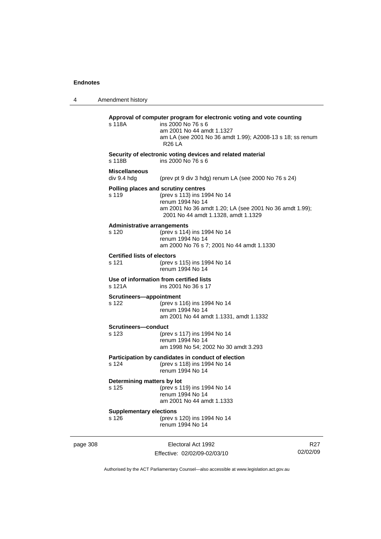4 Amendment history page 308 Electoral Act 1992 R27 **Approval of computer program for electronic voting and vote counting** s 118A ins 2000 No 76 s 6 am 2001 No 44 amdt 1.1327 am LA (see 2001 No 36 amdt 1.99); A2008-13 s 18; ss renum R26 LA **Security of electronic voting devices and related material**  s 118B ins 2000 No 76 s 6 **Miscellaneous**  (prev pt 9 div 3 hdg) renum LA (see 2000 No 76 s  $24$ ) **Polling places and scrutiny centres**  s 119 (prev s 113) ins 1994 No 14 renum 1994 No 14 am 2001 No 36 amdt 1.20; LA (see 2001 No 36 amdt 1.99); 2001 No 44 amdt 1.1328, amdt 1.1329 **Administrative arrangements** s 120 (prev s 114) ins 1994 No 14 renum 1994 No 14 am 2000 No 76 s 7; 2001 No 44 amdt 1.1330 **Certified lists of electors**<br>s 121 (prev s (prev s 115) ins 1994 No 14 renum 1994 No 14 **Use of information from certified lists** s 121A ins 2001 No 36 s 17 **Scrutineers—appointment** s 122 (prev s 116) ins 1994 No 14 renum 1994 No 14 am 2001 No 44 amdt 1.1331, amdt 1.1332 **Scrutineers—conduct** s 123 (prev s 117) ins 1994 No 14 renum 1994 No 14 am 1998 No 54; 2002 No 30 amdt 3.293 **Participation by candidates in conduct of election** s 124 (prev s 118) ins 1994 No 14 renum 1994 No 14 **Determining matters by lot** s 125 (prev s 119) ins 1994 No 14 renum 1994 No 14 am 2001 No 44 amdt 1.1333 **Supplementary elections** s 126 (prev s 120) ins 1994 No 14 renum 1994 No 14

Effective: 02/02/09-02/03/10

02/02/09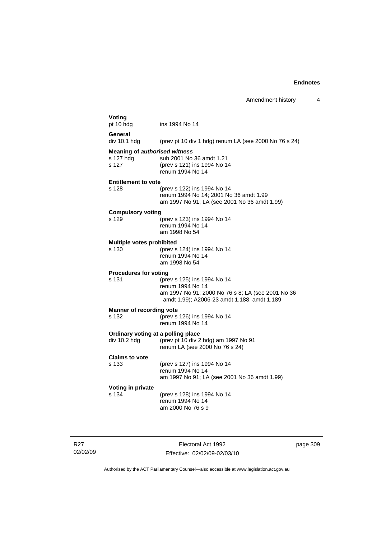| Voting<br>pt 10 hdg                  | ins 1994 No 14                                        |
|--------------------------------------|-------------------------------------------------------|
|                                      |                                                       |
| General<br>div 10.1 hdg              | (prev pt 10 div 1 hdg) renum LA (see 2000 No 76 s 24) |
| <b>Meaning of authorised witness</b> |                                                       |
| s 127 hdg                            | sub 2001 No 36 amdt 1.21                              |
| s 127                                | (prev s 121) ins 1994 No 14<br>renum 1994 No 14       |
| <b>Entitlement to vote</b>           |                                                       |
| s 128                                | (prev s 122) ins 1994 No 14                           |
|                                      | renum 1994 No 14; 2001 No 36 amdt 1.99                |
|                                      | am 1997 No 91; LA (see 2001 No 36 amdt 1.99)          |
| <b>Compulsory voting</b>             |                                                       |
| s 129                                | (prev s 123) ins 1994 No 14                           |
|                                      | renum 1994 No 14                                      |
|                                      | am 1998 No 54                                         |
| Multiple votes prohibited            |                                                       |
| s 130                                | (prev s 124) ins 1994 No 14                           |
|                                      | renum 1994 No 14                                      |
|                                      | am 1998 No 54                                         |
| <b>Procedures for voting</b>         |                                                       |
| s 131                                | (prev s 125) ins 1994 No 14                           |
|                                      | renum 1994 No 14                                      |
|                                      | am 1997 No 91; 2000 No 76 s 8; LA (see 2001 No 36     |
|                                      | amdt 1.99); A2006-23 amdt 1.188, amdt 1.189           |
| Manner of recording vote             |                                                       |
| s 132                                | (prev s 126) ins 1994 No 14                           |
|                                      | renum 1994 No 14                                      |
| Ordinary voting at a polling place   |                                                       |
| div 10.2 hdg                         | (prev pt 10 div 2 hdg) am 1997 No 91                  |
|                                      | renum LA (see 2000 No 76 s 24)                        |
| <b>Claims to vote</b>                |                                                       |
| s 133                                | (prev s 127) ins 1994 No 14                           |
|                                      | renum 1994 No 14                                      |
|                                      | am 1997 No 91; LA (see 2001 No 36 amdt 1.99)          |
| Voting in private                    |                                                       |
| s 134                                | (prev s 128) ins 1994 No 14                           |
|                                      | renum 1994 No 14                                      |
|                                      | am 2000 No 76 s 9                                     |
|                                      |                                                       |
|                                      |                                                       |

R27 02/02/09

Electoral Act 1992 Effective: 02/02/09-02/03/10 page 309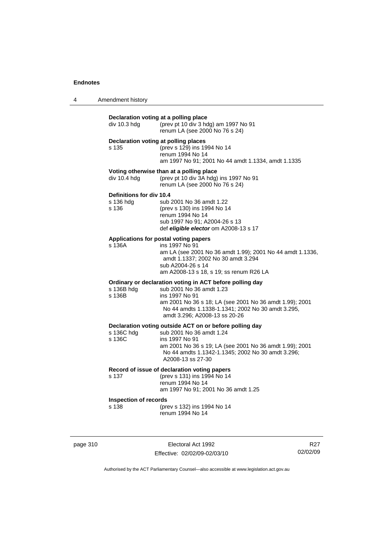| 4 | Amendment history |  |
|---|-------------------|--|
|---|-------------------|--|

| div 10.3 hdg                                   | Declaration voting at a polling place<br>(prev pt 10 div 3 hdg) am 1997 No 91<br>renum LA (see 2000 No 76 s 24)                                                                                                                                         |
|------------------------------------------------|---------------------------------------------------------------------------------------------------------------------------------------------------------------------------------------------------------------------------------------------------------|
| Declaration voting at polling places<br>s 135  | (prev s 129) ins 1994 No 14<br>renum 1994 No 14<br>am 1997 No 91; 2001 No 44 amdt 1.1334, amdt 1.1335                                                                                                                                                   |
| div 10.4 hdg                                   | Voting otherwise than at a polling place<br>(prev pt 10 div 3A hdg) ins 1997 No 91<br>renum LA (see 2000 No 76 s 24)                                                                                                                                    |
| Definitions for div 10.4<br>s 136 hdg<br>s 136 | sub 2001 No 36 amdt 1.22<br>(prev s 130) ins 1994 No 14<br>renum 1994 No 14<br>sub 1997 No 91: A2004-26 s 13<br>def <i>eligible elector</i> om A2008-13 s 17                                                                                            |
| s 136A                                         | Applications for postal voting papers<br>ins 1997 No 91<br>am LA (see 2001 No 36 amdt 1.99); 2001 No 44 amdt 1.1336,<br>amdt 1.1337; 2002 No 30 amdt 3.294<br>sub A2004-26 s 14<br>am A2008-13 s 18, s 19; ss renum R26 LA                              |
| s 136B hdg<br>s 136B                           | Ordinary or declaration voting in ACT before polling day<br>sub 2001 No 36 amdt 1.23<br>ins 1997 No 91<br>am 2001 No 36 s 18; LA (see 2001 No 36 amdt 1.99); 2001<br>No 44 amdts 1.1338-1.1341; 2002 No 30 amdt 3.295,<br>amdt 3.296; A2008-13 ss 20-26 |
| s 136C hdg<br>s 136C                           | Declaration voting outside ACT on or before polling day<br>sub 2001 No 36 amdt 1.24<br>ins 1997 No 91<br>am 2001 No 36 s 19; LA (see 2001 No 36 amdt 1.99); 2001<br>No 44 amdts 1.1342-1.1345; 2002 No 30 amdt 3.296;<br>A2008-13 ss 27-30              |
| s 137                                          | Record of issue of declaration voting papers<br>(prev s 131) ins 1994 No 14<br>renum 1994 No 14<br>am 1997 No 91; 2001 No 36 amdt 1.25                                                                                                                  |
| <b>Inspection of records</b><br>s 138          | (prev s 132) ins 1994 No 14<br>renum 1994 No 14                                                                                                                                                                                                         |

page 310 **Electoral Act 1992** Effective: 02/02/09-02/03/10

R27 02/02/09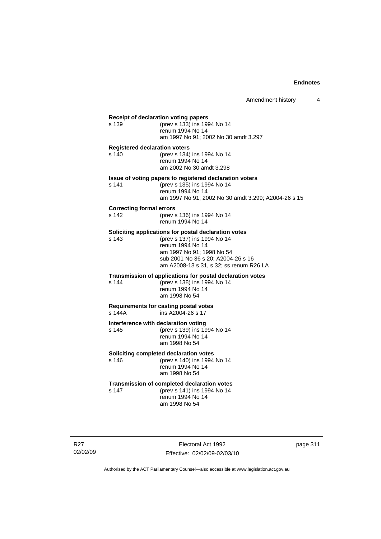# **Receipt of declaration voting papers** s 139 (prev s 133) ins 1994 No 14 renum 1994 No 14 am 1997 No 91; 2002 No 30 amdt 3.297 **Registered declaration voters** s 140 (prev s 134) ins 1994 No 14 renum 1994 No 14 am 2002 No 30 amdt 3.298 **Issue of voting papers to registered declaration voters** s 141 (prev s 135) ins 1994 No 14 renum 1994 No 14 am 1997 No 91; 2002 No 30 amdt 3.299; A2004-26 s 15 **Correcting formal errors** s 142 (prev s 136) ins 1994 No 14 renum 1994 No 14 **Soliciting applications for postal declaration votes** s 143 (prev s 137) ins 1994 No 14 renum 1994 No 14 am 1997 No 91; 1998 No 54 sub 2001 No 36 s 20; A2004-26 s 16 am A2008-13 s 31, s 32; ss renum R26 LA **Transmission of applications for postal declaration votes** s 144 (prev s 138) ins 1994 No 14 renum 1994 No 14 am 1998 No 54 **Requirements for casting postal votes**   $ins A2004-26 s 17$ **Interference with declaration voting** s 145 (prev s 139) ins 1994 No 14 renum 1994 No 14 am 1998 No 54 **Soliciting completed declaration votes**<br>s 146 (prev s 140) ins 1994 (prev s 140) ins 1994 No 14 renum 1994 No 14 am 1998 No 54 **Transmission of completed declaration votes** s 147 (prev s 141) ins 1994 No 14 renum 1994 No 14 am 1998 No 54

Electoral Act 1992 Effective: 02/02/09-02/03/10 page 311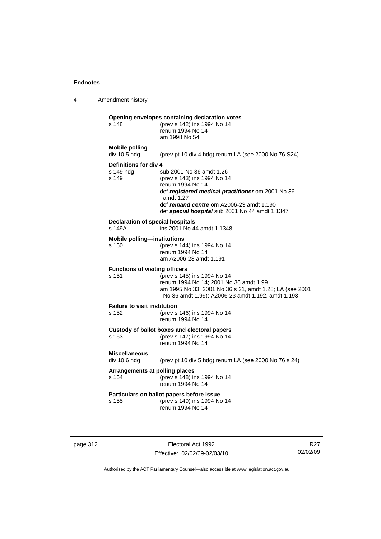4 Amendment history

| s 148                                      | Opening envelopes containing declaration votes<br>(prev s 142) ins 1994 No 14      |
|--------------------------------------------|------------------------------------------------------------------------------------|
|                                            | renum 1994 No 14                                                                   |
|                                            | am 1998 No 54                                                                      |
| <b>Mobile polling</b>                      |                                                                                    |
| div 10.5 hdg                               | (prev pt 10 div 4 hdg) renum LA (see 2000 No 76 S24)                               |
| Definitions for div 4                      |                                                                                    |
| s 149 hdg                                  | sub 2001 No 36 amdt 1.26                                                           |
| s 149                                      | (prev s 143) ins 1994 No 14                                                        |
|                                            | renum 1994 No 14<br>def registered medical practitioner om 2001 No 36<br>amdt 1.27 |
|                                            | def remand centre om A2006-23 amdt 1.190                                           |
|                                            | def special hospital sub 2001 No 44 amdt 1.1347                                    |
| Declaration of special hospitals<br>s 149A | ins 2001 No 44 amdt 1.1348                                                         |
| <b>Mobile polling-institutions</b>         |                                                                                    |
| s 150                                      | (prev s 144) ins 1994 No 14                                                        |
|                                            | renum 1994 No 14                                                                   |
|                                            | am A2006-23 amdt 1.191                                                             |
| <b>Functions of visiting officers</b>      |                                                                                    |
| $s$ 151                                    | (prev s 145) ins 1994 No 14<br>renum 1994 No 14; 2001 No 36 amdt 1.99              |
|                                            | am 1995 No 33; 2001 No 36 s 21, amdt 1.28; LA (see 2001                            |
|                                            | No 36 amdt 1.99); A2006-23 amdt 1.192, amdt 1.193                                  |
| <b>Failure to visit institution</b>        |                                                                                    |
| s 152                                      | (prev s 146) ins 1994 No 14                                                        |
|                                            | renum 1994 No 14                                                                   |
|                                            | Custody of ballot boxes and electoral papers                                       |
| $s$ 153                                    | (prev s 147) ins 1994 No 14<br>renum 1994 No 14                                    |
|                                            |                                                                                    |
| <b>Miscellaneous</b><br>div 10.6 hdg       | (prev pt 10 div 5 hdg) renum LA (see 2000 No 76 s 24)                              |
| Arrangements at polling places             |                                                                                    |
| s 154                                      | (prev s 148) ins 1994 No 14                                                        |
|                                            | renum 1994 No 14                                                                   |
|                                            | Particulars on ballot papers before issue                                          |
| s 155                                      | (prev s 149) ins 1994 No 14                                                        |
|                                            | renum 1994 No 14                                                                   |
|                                            |                                                                                    |

page 312 **Electoral Act 1992** Effective: 02/02/09-02/03/10

R27 02/02/09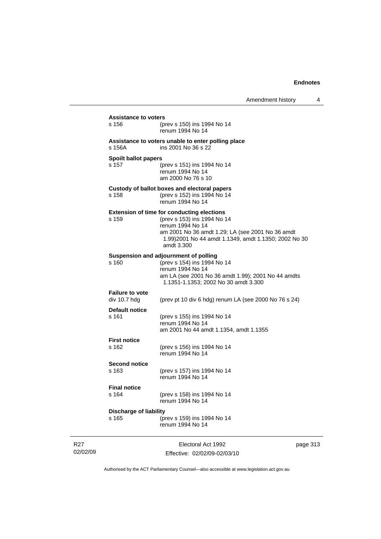| <b>Assistance to voters</b><br>s 156   | (prev s 150) ins 1994 No 14<br>renum 1994 No 14                                                                                                                                                                                 |      |
|----------------------------------------|---------------------------------------------------------------------------------------------------------------------------------------------------------------------------------------------------------------------------------|------|
| s 156A                                 | Assistance to voters unable to enter polling place<br>ins 2001 No 36 s 22                                                                                                                                                       |      |
| <b>Spoilt ballot papers</b><br>s 157   | (prev s 151) ins 1994 No 14<br>renum 1994 No 14<br>am 2000 No 76 s 10                                                                                                                                                           |      |
| s 158                                  | Custody of ballot boxes and electoral papers<br>(prev s 152) ins 1994 No 14<br>renum 1994 No 14                                                                                                                                 |      |
| s 159                                  | <b>Extension of time for conducting elections</b><br>(prev s 153) ins 1994 No 14<br>renum 1994 No 14<br>am 2001 No 36 amdt 1.29; LA (see 2001 No 36 amdt<br>1.99) 2001 No 44 amdt 1.1349, amdt 1.1350; 2002 No 30<br>amdt 3.300 |      |
| s 160                                  | Suspension and adjournment of polling<br>(prev s 154) ins 1994 No 14<br>renum 1994 No 14<br>am LA (see 2001 No 36 amdt 1.99); 2001 No 44 amdts<br>1.1351-1.1353; 2002 No 30 amdt 3.300                                          |      |
| <b>Failure to vote</b><br>div 10.7 hdg | (prev pt 10 div 6 hdg) renum LA (see 2000 No 76 s 24)                                                                                                                                                                           |      |
| <b>Default notice</b><br>s 161         | (prev s 155) ins 1994 No 14<br>renum 1994 No 14<br>am 2001 No 44 amdt 1.1354, amdt 1.1355                                                                                                                                       |      |
| <b>First notice</b><br>s 162           | (prev s 156) ins 1994 No 14<br>renum 1994 No 14                                                                                                                                                                                 |      |
| <b>Second notice</b><br>s 163          | (prev s 157) ins 1994 No 14<br>renum 1994 No 14                                                                                                                                                                                 |      |
| <b>Final notice</b><br>s 164           | (prev s 158) ins 1994 No 14                                                                                                                                                                                                     |      |
| <b>Discharge of liability</b>          | renum 1994 No 14                                                                                                                                                                                                                |      |
| s 165                                  | (prev s 159) ins 1994 No 14<br>renum 1994 No 14                                                                                                                                                                                 |      |
|                                        | Flectoral Act 1992                                                                                                                                                                                                              | nane |

R27 02/02/09

Electoral Act 1992 Effective: 02/02/09-02/03/10 page 313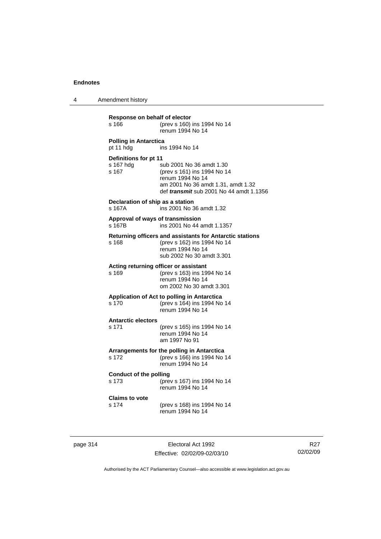4 Amendment history

| Response on behalf of elector<br>s 166         | (prev s 160) ins 1994 No 14<br>renum 1994 No 14                                                                                                                     |
|------------------------------------------------|---------------------------------------------------------------------------------------------------------------------------------------------------------------------|
| <b>Polling in Antarctica</b><br>pt 11 hdg      | ins 1994 No 14                                                                                                                                                      |
| Definitions for pt 11<br>s 167 hdg<br>s 167    | sub 2001 No 36 amdt 1.30<br>(prev s 161) ins 1994 No 14<br>renum 1994 No 14<br>am 2001 No 36 amdt 1.31, amdt 1.32<br>def <i>transmit</i> sub 2001 No 44 amdt 1.1356 |
| Declaration of ship as a station<br>s 167A     | ins 2001 No 36 amdt 1.32                                                                                                                                            |
| Approval of ways of transmission<br>s 167B     | ins 2001 No 44 amdt 1.1357                                                                                                                                          |
| s 168                                          | Returning officers and assistants for Antarctic stations<br>(prev s 162) ins 1994 No 14<br>renum 1994 No 14<br>sub 2002 No 30 amdt 3.301                            |
| Acting returning officer or assistant<br>s 169 | (prev s 163) ins 1994 No 14<br>renum 1994 No 14<br>om 2002 No 30 amdt 3.301                                                                                         |
| s 170                                          | Application of Act to polling in Antarctica<br>(prev s 164) ins 1994 No 14<br>renum 1994 No 14                                                                      |
| <b>Antarctic electors</b><br>s 171             | (prev s 165) ins 1994 No 14<br>renum 1994 No 14<br>am 1997 No 91                                                                                                    |
| s 172                                          | Arrangements for the polling in Antarctica<br>(prev s 166) ins 1994 No 14<br>renum 1994 No 14                                                                       |
| <b>Conduct of the polling</b><br>s 173         | (prev s 167) ins 1994 No 14<br>renum 1994 No 14                                                                                                                     |
| <b>Claims to vote</b><br>s 174                 | (prev s 168) ins 1994 No 14<br>renum 1994 No 14                                                                                                                     |
|                                                |                                                                                                                                                                     |

page 314 Electoral Act 1992 Effective: 02/02/09-02/03/10

R27 02/02/09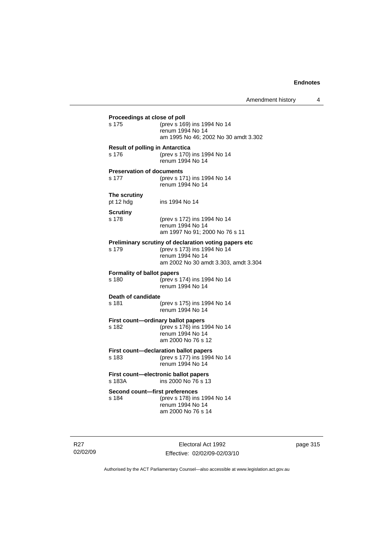| Proceedings at close of poll                    |                                                                      |  |
|-------------------------------------------------|----------------------------------------------------------------------|--|
| s 175                                           | (prev s 169) ins 1994 No 14                                          |  |
|                                                 | renum 1994 No 14<br>am 1995 No 46; 2002 No 30 amdt 3.302             |  |
|                                                 |                                                                      |  |
| <b>Result of polling in Antarctica</b><br>s 176 | (prev s 170) ins 1994 No 14                                          |  |
|                                                 | renum 1994 No 14                                                     |  |
|                                                 |                                                                      |  |
| <b>Preservation of documents</b><br>s 177       | (prev s 171) ins 1994 No 14                                          |  |
|                                                 | renum 1994 No 14                                                     |  |
| The scrutiny                                    |                                                                      |  |
| pt 12 hdg                                       | ins 1994 No 14                                                       |  |
| <b>Scrutiny</b>                                 |                                                                      |  |
| s 178                                           | (prev s 172) ins 1994 No 14                                          |  |
|                                                 | renum 1994 No 14                                                     |  |
|                                                 | am 1997 No 91; 2000 No 76 s 11                                       |  |
|                                                 | Preliminary scrutiny of declaration voting papers etc                |  |
| s 179                                           | (prev s 173) ins 1994 No 14<br>renum 1994 No 14                      |  |
|                                                 | am 2002 No 30 amdt 3.303, amdt 3.304                                 |  |
| <b>Formality of ballot papers</b>               |                                                                      |  |
| s 180                                           | (prev s 174) ins 1994 No 14                                          |  |
|                                                 | renum 1994 No 14                                                     |  |
| Death of candidate                              |                                                                      |  |
| s 181                                           | (prev s 175) ins 1994 No 14                                          |  |
|                                                 | renum 1994 No 14                                                     |  |
|                                                 | First count-ordinary ballot papers                                   |  |
| s 182                                           | (prev s 176) ins 1994 No 14                                          |  |
|                                                 | renum 1994 No 14<br>am 2000 No 76 s 12                               |  |
|                                                 |                                                                      |  |
| s 183                                           | First count-declaration ballot papers<br>(prev s 177) ins 1994 No 14 |  |
|                                                 | renum 1994 No 14                                                     |  |
|                                                 | First count-electronic ballot papers                                 |  |
| s 183A                                          | ins 2000 No 76 s 13                                                  |  |
| Second count-first preferences                  |                                                                      |  |
| s 184                                           | (prev s 178) ins 1994 No 14                                          |  |
|                                                 | renum 1994 No 14                                                     |  |
|                                                 | am 2000 No 76 s 14                                                   |  |
|                                                 |                                                                      |  |

R27 02/02/09

Electoral Act 1992 Effective: 02/02/09-02/03/10 page 315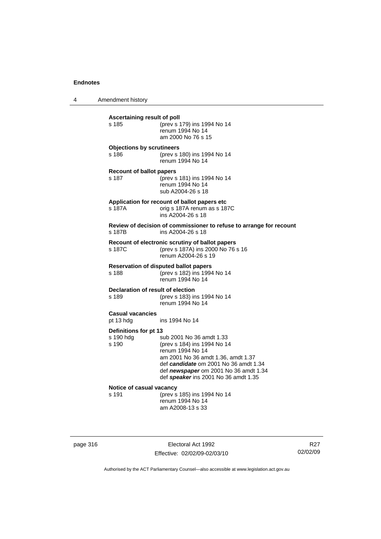4 Amendment history

| Ascertaining result of poll<br>s 185        | (prev s 179) ins 1994 No 14<br>renum 1994 No 14<br>am 2000 No 76 s 15                                                                                                                                                                       |
|---------------------------------------------|---------------------------------------------------------------------------------------------------------------------------------------------------------------------------------------------------------------------------------------------|
| <b>Objections by scrutineers</b><br>s 186   | (prev s 180) ins 1994 No 14<br>renum 1994 No 14                                                                                                                                                                                             |
| <b>Recount of ballot papers</b><br>s 187    | (prev s 181) ins 1994 No 14<br>renum 1994 No 14<br>sub A2004-26 s 18                                                                                                                                                                        |
| s 187A                                      | Application for recount of ballot papers etc<br>orig s 187A renum as s 187C<br>ins A2004-26 s 18                                                                                                                                            |
| s 187B                                      | Review of decision of commissioner to refuse to arrange for recount<br>ins A2004-26 s 18                                                                                                                                                    |
| s 187C                                      | Recount of electronic scrutiny of ballot papers<br>(prev s 187A) ins 2000 No 76 s 16<br>renum A2004-26 s 19                                                                                                                                 |
| s 188                                       | <b>Reservation of disputed ballot papers</b><br>(prev s 182) ins 1994 No 14<br>renum 1994 No 14                                                                                                                                             |
| Declaration of result of election<br>s 189  | (prev s 183) ins 1994 No 14<br>renum 1994 No 14                                                                                                                                                                                             |
| <b>Casual vacancies</b><br>pt 13 hdg        | ins 1994 No 14                                                                                                                                                                                                                              |
| Definitions for pt 13<br>s 190 hdg<br>s.190 | sub 2001 No 36 amdt 1.33<br>(prev s 184) ins 1994 No 14<br>renum 1994 No 14<br>am 2001 No 36 amdt 1.36, amdt 1.37<br>def candidate om 2001 No 36 amdt 1.34<br>def newspaper om 2001 No 36 amdt 1.34<br>def speaker ins 2001 No 36 amdt 1.35 |
| Notice of casual vacancy<br>s 191           | (prev s 185) ins 1994 No 14<br>renum 1994 No 14<br>am A2008-13 s 33                                                                                                                                                                         |

page 316 Electoral Act 1992 Effective: 02/02/09-02/03/10

R27 02/02/09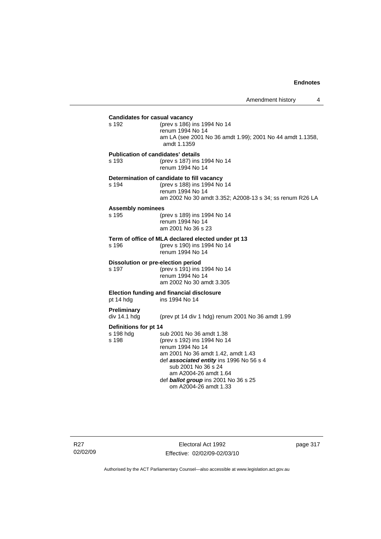# **Candidates for casual vacancy**<br>s 192 (prev s 186) i (prev s 186) ins 1994 No 14 renum 1994 No 14 am LA (see 2001 No 36 amdt 1.99); 2001 No 44 amdt 1.1358, amdt 1.1359 **Publication of candidates' details** s 193 (prev s 187) ins 1994 No 14 renum 1994 No 14 **Determination of candidate to fill vacancy** s 194 (prev s 188) ins 1994 No 14 renum 1994 No 14 am 2002 No 30 amdt 3.352; A2008-13 s 34; ss renum R26 LA **Assembly nominees** s 195 (prev s 189) ins 1994 No 14 renum 1994 No 14 am 2001 No 36 s 23 **Term of office of MLA declared elected under pt 13** s 196 (prev s 190) ins 1994 No 14 renum 1994 No 14 **Dissolution or pre-election period** s 197 (prev s 191) ins 1994 No 14 renum 1994 No 14 am 2002 No 30 amdt 3.305 **Election funding and financial disclosure** pt 14 hdg ins 1994 No 14 **Preliminary**  (prev pt 14 div 1 hdg) renum 2001 No 36 amdt 1.99 **Definitions for pt 14**<br>s 198 hda s s 198 hdg sub 2001 No 36 amdt 1.38<br>s 198 (prev s 192) ins 1994 No 14 (prev s 192) ins 1994 No 14 renum 1994 No 14 am 2001 No 36 amdt 1.42, amdt 1.43 def *associated entity* ins 1996 No 56 s 4 sub 2001 No 36 s 24 am A2004-26 amdt 1.64 def *ballot group* ins 2001 No 36 s 25 om A2004-26 amdt 1.33

R27 02/02/09

Electoral Act 1992 Effective: 02/02/09-02/03/10 page 317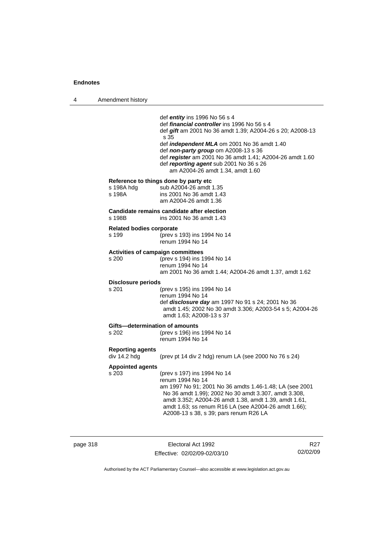4 Amendment history def *entity* ins 1996 No 56 s 4 def *financial controller* ins 1996 No 56 s 4 def *gift* am 2001 No 36 amdt 1.39; A2004-26 s 20; A2008-13 s 35 def *independent MLA* om 2001 No 36 amdt 1.40 def *non-party group* om A2008-13 s 36 def *register* am 2001 No 36 amdt 1.41; A2004-26 amdt 1.60 def *reporting agent* sub 2001 No 36 s 26 am A2004-26 amdt 1.34, amdt 1.60 **Reference to things done by party etc**<br>s 198A hdq sub A2004-26 amdt s 198A hdg sub A2004-26 amdt 1.35<br>s 198A ins 2001 No 36 amdt 1.43 ins 2001 No 36 amdt 1.43 am A2004-26 amdt 1.36 **Candidate remains candidate after election** s 198B ins 2001 No 36 amdt 1.43 **Related bodies corporate** s 199 (prev s 193) ins 1994 No 14 renum 1994 No 14 **Activities of campaign committees** s 200 (prev s 194) ins 1994 No 14 renum 1994 No 14 am 2001 No 36 amdt 1.44; A2004-26 amdt 1.37, amdt 1.62 **Disclosure periods** s 201 (prev s 195) ins 1994 No 14 renum 1994 No 14 def *disclosure day* am 1997 No 91 s 24; 2001 No 36 amdt 1.45; 2002 No 30 amdt 3.306; A2003-54 s 5; A2004-26 amdt 1.63; A2008-13 s 37 **Gifts—determination of amounts**<br>s 202 (prev s 196) ins (prev s 196) ins 1994 No 14 renum 1994 No 14 **Reporting agents**  (prev pt 14 div 2 hdg) renum LA (see 2000 No 76 s 24) **Appointed agents** s 203 (prev s 197) ins 1994 No 14 renum 1994 No 14 am 1997 No 91; 2001 No 36 amdts 1.46-1.48; LA (see 2001 No 36 amdt 1.99); 2002 No 30 amdt 3.307, amdt 3.308, amdt 3.352; A2004-26 amdt 1.38, amdt 1.39, amdt 1.61, amdt 1.63; ss renum R16 LA (see A2004-26 amdt 1.66); A2008-13 s 38, s 39; pars renum R26 LA

page 318 **Electoral Act 1992** Effective: 02/02/09-02/03/10

R27 02/02/09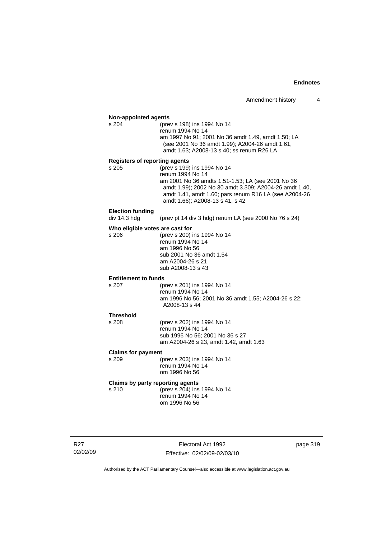| <b>Non-appointed agents</b><br>s 204 |                                                        |  |  |  |
|--------------------------------------|--------------------------------------------------------|--|--|--|
|                                      | (prev s 198) ins 1994 No 14<br>renum 1994 No 14        |  |  |  |
|                                      | am 1997 No 91; 2001 No 36 amdt 1.49, amdt 1.50; LA     |  |  |  |
|                                      | (see 2001 No 36 amdt 1.99); A2004-26 amdt 1.61,        |  |  |  |
|                                      | amdt 1.63; A2008-13 s 40; ss renum R26 LA              |  |  |  |
|                                      |                                                        |  |  |  |
| <b>Registers of reporting agents</b> |                                                        |  |  |  |
| s 205                                | (prev s 199) ins 1994 No 14                            |  |  |  |
|                                      | renum 1994 No 14                                       |  |  |  |
|                                      | am 2001 No 36 amdts 1.51-1.53; LA (see 2001 No 36      |  |  |  |
|                                      | amdt 1.99); 2002 No 30 amdt 3.309; A2004-26 amdt 1.40, |  |  |  |
|                                      | amdt 1.41, amdt 1.60; pars renum R16 LA (see A2004-26  |  |  |  |
|                                      | amdt 1.66); A2008-13 s 41, s 42                        |  |  |  |
| <b>Election funding</b>              |                                                        |  |  |  |
| div 14.3 hdg                         | (prev pt 14 div 3 hdg) renum LA (see 2000 No 76 s 24)  |  |  |  |
| Who eligible votes are cast for      |                                                        |  |  |  |
| s 206                                | (prev s 200) ins 1994 No 14                            |  |  |  |
|                                      | renum 1994 No 14                                       |  |  |  |
|                                      | am 1996 No 56                                          |  |  |  |
|                                      | sub 2001 No 36 amdt 1.54                               |  |  |  |
|                                      | am A2004-26 s 21                                       |  |  |  |
|                                      | sub A2008-13 s 43                                      |  |  |  |
| <b>Entitlement to funds</b>          |                                                        |  |  |  |
| s 207                                | (prev s 201) ins 1994 No 14                            |  |  |  |
|                                      | renum 1994 No 14                                       |  |  |  |
|                                      | am 1996 No 56; 2001 No 36 amdt 1.55; A2004-26 s 22;    |  |  |  |
|                                      | A2008-13 s 44                                          |  |  |  |
| <b>Threshold</b>                     |                                                        |  |  |  |
| s 208                                | (prev s 202) ins 1994 No 14                            |  |  |  |
|                                      | renum 1994 No 14                                       |  |  |  |
|                                      | sub 1996 No 56; 2001 No 36 s 27                        |  |  |  |
|                                      | am A2004-26 s 23, amdt 1.42, amdt 1.63                 |  |  |  |
| <b>Claims for payment</b>            |                                                        |  |  |  |
| s 209                                | (prev s 203) ins 1994 No 14                            |  |  |  |
|                                      | renum 1994 No 14                                       |  |  |  |
|                                      | om 1996 No 56                                          |  |  |  |
| Claims by party reporting agents     |                                                        |  |  |  |
| s 210                                | (prev s 204) ins 1994 No 14                            |  |  |  |
|                                      | renum 1994 No 14                                       |  |  |  |
|                                      | om 1996 No 56                                          |  |  |  |
|                                      |                                                        |  |  |  |

R27 02/02/09

Electoral Act 1992 Effective: 02/02/09-02/03/10 page 319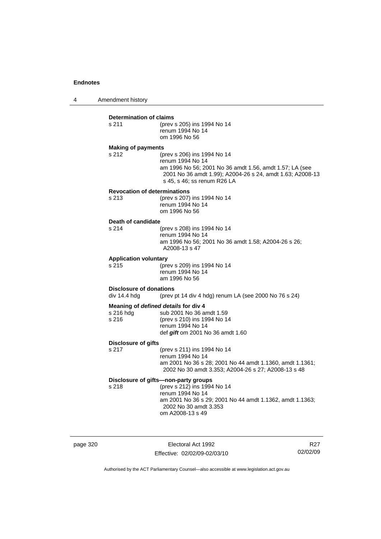4 Amendment history

#### **Determination of claims**

| s 211 | (prev s 205) ins 1994 No 14 |
|-------|-----------------------------|
|       | renum 1994 No 14            |
|       | om 1996 No 56               |
|       |                             |

### **Making of payments**

s 212 (prev s 206) ins 1994 No 14 renum 1994 No 14 am 1996 No 56; 2001 No 36 amdt 1.56, amdt 1.57; LA (see 2001 No 36 amdt 1.99); A2004-26 s 24, amdt 1.63; A2008-13 s 45, s 46; ss renum R26 LA

#### **Revocation of determinations**

| s 213 | (prev s 207) ins 1994 No 14 |
|-------|-----------------------------|
|       | renum 1994 No 14            |
|       | om 1996 No 56               |

# **Death of candidate**

(prev s 208) ins 1994 No 14 renum 1994 No 14 am 1996 No 56; 2001 No 36 amdt 1.58; A2004-26 s 26; A2008-13 s 47

#### **Application voluntary**

s 215 (prev s 209) ins 1994 No 14 renum 1994 No 14 am 1996 No 56

# **Disclosure of donations**<br>div 14.4 hdg (prev)

(prev pt 14 div 4 hdg) renum LA (see 2000 No 76 s 24)

### **Meaning of** *defined details* **for div 4**

| s 216 hda | sub 2001 No 36 amdt 1.59            |
|-----------|-------------------------------------|
| s 216     | (prev s 210) ins 1994 No 14         |
|           | renum 1994 No 14                    |
|           | def $g$ ift om 2001 No 36 amdt 1.60 |

#### **Disclosure of gifts**

s 217 (prev s 211) ins 1994 No 14 renum 1994 No 14 am 2001 No 36 s 28; 2001 No 44 amdt 1.1360, amdt 1.1361; 2002 No 30 amdt 3.353; A2004-26 s 27; A2008-13 s 48

## **Disclosure of gifts—non-party groups**

s 218 (prev s 212) ins 1994 No 14 renum 1994 No 14 am 2001 No 36 s 29; 2001 No 44 amdt 1.1362, amdt 1.1363; 2002 No 30 amdt 3.353 om A2008-13 s 49

page 320 **Electoral Act 1992** Effective: 02/02/09-02/03/10

R27 02/02/09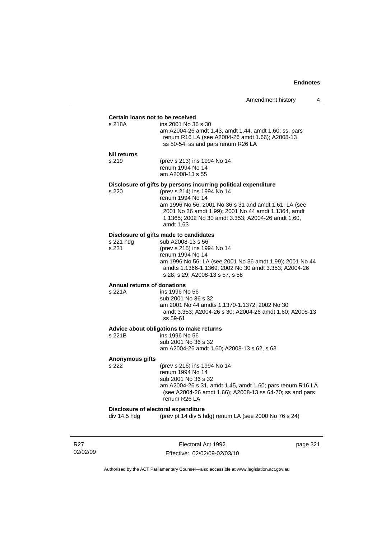#### **Certain loans not to be received**

| s 218A | ins 2001 No 36 s 30                                   |
|--------|-------------------------------------------------------|
|        | am A2004-26 amdt 1.43, amdt 1.44, amdt 1.60; ss, pars |
|        | renum R16 LA (see A2004-26 amdt 1.66); A2008-13       |
|        | ss 50-54; ss and pars renum R26 LA                    |
|        |                                                       |

#### **Nil returns**

s 219 (prev s 213) ins 1994 No 14 renum 1994 No 14 am A2008-13 s 55

#### **Disclosure of gifts by persons incurring political expenditure**

s 220 (prev s 214) ins 1994 No 14 renum 1994 No 14 am 1996 No 56; 2001 No 36 s 31 and amdt 1.61; LA (see 2001 No 36 amdt 1.99); 2001 No 44 amdt 1.1364, amdt 1.1365; 2002 No 30 amdt 3.353; A2004-26 amdt 1.60, amdt 1.63

### **Disclosure of gifts made to candidates**

| s 221 hda | sub A2008-13 s 56                                        |
|-----------|----------------------------------------------------------|
| s 221     | (prev s 215) ins 1994 No 14                              |
|           | renum 1994 No 14                                         |
|           | am 1996 No 56; LA (see 2001 No 36 amdt 1.99); 2001 No 44 |
|           | amdts 1.1366-1.1369; 2002 No 30 amdt 3.353; A2004-26     |
|           | s 28, s 29: A2008-13 s 57, s 58                          |
|           |                                                          |

# **Annual returns of donations**

ins 1996 No 56 sub 2001 No 36 s 32 am 2001 No 44 amdts 1.1370-1.1372; 2002 No 30 amdt 3.353; A2004-26 s 30; A2004-26 amdt 1.60; A2008-13 ss 59-61

### **Advice about obligations to make returns**

| s 221B | ins 1996 No 56                             |
|--------|--------------------------------------------|
|        | sub 2001 No 36 s 32                        |
|        | am A2004-26 amdt 1.60: A2008-13 s 62, s 63 |
|        |                                            |

#### **Anonymous gifts**

s 222 (prev s 216) ins 1994 No 14 renum 1994 No 14 sub 2001 No 36 s 32 am A2004-26 s 31, amdt 1.45, amdt 1.60; pars renum R16 LA (see A2004-26 amdt 1.66); A2008-13 ss 64-70; ss and pars renum R26 LA

#### **Disclosure of electoral expenditure**

div 14.5 hdg (prev pt 14 div 5 hdg) renum LA (see 2000 No 76 s 24)

R27 02/02/09

Electoral Act 1992 Effective: 02/02/09-02/03/10 page 321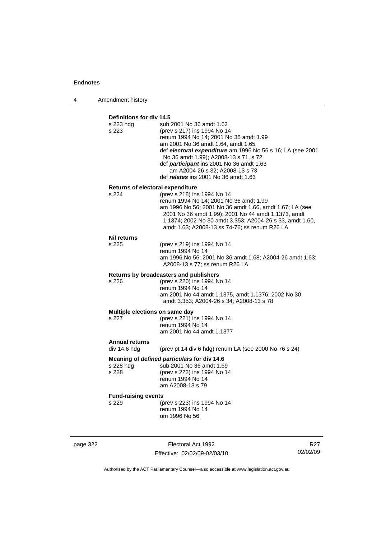4 Amendment history

# **Definitions for div 14.5**

| s 223 hdg<br>s 223               | sub 2001 No 36 amdt 1.62<br>(prev s 217) ins 1994 No 14<br>renum 1994 No 14; 2001 No 36 amdt 1.99<br>am 2001 No 36 amdt 1.64, amdt 1.65<br>def electoral expenditure am 1996 No 56 s 16; LA (see 2001<br>No 36 amdt 1.99); A2008-13 s 71, s 72<br>def participant ins 2001 No 36 amdt 1.63<br>am A2004-26 s 32; A2008-13 s 73<br>def relates ins 2001 No 36 amdt 1.63 |
|----------------------------------|-----------------------------------------------------------------------------------------------------------------------------------------------------------------------------------------------------------------------------------------------------------------------------------------------------------------------------------------------------------------------|
| Returns of electoral expenditure |                                                                                                                                                                                                                                                                                                                                                                       |
| s 224                            | (prev s 218) ins 1994 No 14<br>renum 1994 No 14; 2001 No 36 amdt 1.99<br>am 1996 No 56; 2001 No 36 amdt 1.66, amdt 1.67; LA (see<br>2001 No 36 amdt 1.99); 2001 No 44 amdt 1.1373, amdt<br>1.1374; 2002 No 30 amdt 3.353; A2004-26 s 33, amdt 1.60,<br>amdt 1.63; A2008-13 ss 74-76; ss renum R26 LA                                                                  |
| <b>Nil returns</b>               |                                                                                                                                                                                                                                                                                                                                                                       |
| s 225                            | (prev s 219) ins 1994 No 14<br>renum 1994 No 14                                                                                                                                                                                                                                                                                                                       |
|                                  | am 1996 No 56; 2001 No 36 amdt 1.68; A2004-26 amdt 1.63;<br>A2008-13 s 77; ss renum R26 LA                                                                                                                                                                                                                                                                            |
|                                  | Returns by broadcasters and publishers                                                                                                                                                                                                                                                                                                                                |
| s 226                            | (prev s 220) ins 1994 No 14<br>renum 1994 No 14                                                                                                                                                                                                                                                                                                                       |
|                                  | am 2001 No 44 amdt 1.1375, amdt 1.1376; 2002 No 30<br>amdt 3.353; A2004-26 s 34; A2008-13 s 78                                                                                                                                                                                                                                                                        |
| Multiple elections on same day   |                                                                                                                                                                                                                                                                                                                                                                       |
| s 227                            | (prev s 221) ins 1994 No 14<br>renum 1994 No 14                                                                                                                                                                                                                                                                                                                       |
|                                  | am 2001 No 44 amdt 1.1377                                                                                                                                                                                                                                                                                                                                             |
| <b>Annual returns</b>            |                                                                                                                                                                                                                                                                                                                                                                       |
| div 14.6 hdg                     | (prev pt 14 div 6 hdg) renum LA (see 2000 No 76 s 24)                                                                                                                                                                                                                                                                                                                 |
|                                  | Meaning of defined particulars for div 14.6                                                                                                                                                                                                                                                                                                                           |
| s 228 hdg<br>s 228               | sub 2001 No 36 amdt 1.69<br>(prev s 222) ins 1994 No 14                                                                                                                                                                                                                                                                                                               |
|                                  | renum 1994 No 14                                                                                                                                                                                                                                                                                                                                                      |
|                                  | am A2008-13 s 79                                                                                                                                                                                                                                                                                                                                                      |
| <b>Fund-raising events</b>       |                                                                                                                                                                                                                                                                                                                                                                       |
| s 229                            | (prev s 223) ins 1994 No 14<br>renum 1994 No 14                                                                                                                                                                                                                                                                                                                       |
|                                  | om 1996 No 56                                                                                                                                                                                                                                                                                                                                                         |
|                                  |                                                                                                                                                                                                                                                                                                                                                                       |
|                                  |                                                                                                                                                                                                                                                                                                                                                                       |

page 322 Electoral Act 1992 Effective: 02/02/09-02/03/10

R27 02/02/09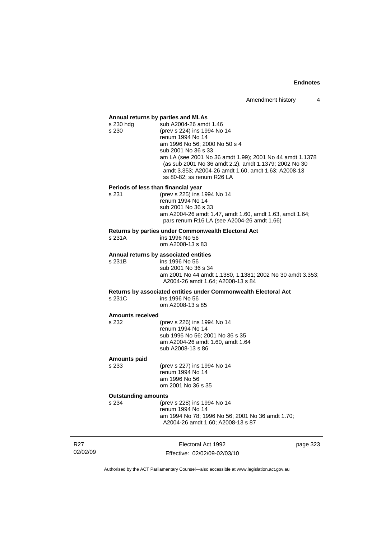# **Annual returns by parties and MLAs**

| Annual returns by parties and MLAS                                                                                                                                                         |                                                                                                                                                                                                                                                                                                                                            |  |  |
|--------------------------------------------------------------------------------------------------------------------------------------------------------------------------------------------|--------------------------------------------------------------------------------------------------------------------------------------------------------------------------------------------------------------------------------------------------------------------------------------------------------------------------------------------|--|--|
| s 230 hdg<br>s 230                                                                                                                                                                         | sub A2004-26 amdt 1.46<br>(prev s 224) ins 1994 No 14<br>renum 1994 No 14<br>am 1996 No 56; 2000 No 50 s 4<br>sub 2001 No 36 s 33<br>am LA (see 2001 No 36 amdt 1.99); 2001 No 44 amdt 1.1378<br>(as sub 2001 No 36 amdt 2.2), amdt 1.1379; 2002 No 30<br>amdt 3.353; A2004-26 amdt 1.60, amdt 1.63; A2008-13<br>ss 80-82; ss renum R26 LA |  |  |
| Periods of less than financial year                                                                                                                                                        |                                                                                                                                                                                                                                                                                                                                            |  |  |
| s 231<br>(prev s 225) ins 1994 No 14<br>renum 1994 No 14<br>sub 2001 No 36 s 33<br>am A2004-26 amdt 1.47, amdt 1.60, amdt 1.63, amdt 1.64;<br>pars renum R16 LA (see A2004-26 amdt 1.66)   |                                                                                                                                                                                                                                                                                                                                            |  |  |
|                                                                                                                                                                                            | <b>Returns by parties under Commonwealth Electoral Act</b>                                                                                                                                                                                                                                                                                 |  |  |
| s 231A                                                                                                                                                                                     | ins 1996 No 56<br>om A2008-13 s 83                                                                                                                                                                                                                                                                                                         |  |  |
| Annual returns by associated entities<br>s 231B<br>ins 1996 No 56<br>sub 2001 No 36 s 34<br>am 2001 No 44 amdt 1.1380, 1.1381; 2002 No 30 amdt 3.353;<br>A2004-26 amdt 1.64; A2008-13 s 84 |                                                                                                                                                                                                                                                                                                                                            |  |  |
|                                                                                                                                                                                            |                                                                                                                                                                                                                                                                                                                                            |  |  |
| Returns by associated entities under Commonwealth Electoral Act<br>s 231C<br>ins 1996 No 56<br>om A2008-13 s 85                                                                            |                                                                                                                                                                                                                                                                                                                                            |  |  |
| <b>Amounts received</b>                                                                                                                                                                    |                                                                                                                                                                                                                                                                                                                                            |  |  |
| s 232                                                                                                                                                                                      | (prev s 226) ins 1994 No 14<br>renum 1994 No 14<br>sub 1996 No 56; 2001 No 36 s 35<br>am A2004-26 amdt 1.60, amdt 1.64<br>sub A2008-13 s 86                                                                                                                                                                                                |  |  |
| <b>Amounts paid</b>                                                                                                                                                                        |                                                                                                                                                                                                                                                                                                                                            |  |  |
| s 233                                                                                                                                                                                      | (prev s 227) ins 1994 No 14<br>renum 1994 No 14<br>am 1996 No 56<br>om 2001 No 36 s 35                                                                                                                                                                                                                                                     |  |  |
| <b>Outstanding amounts</b>                                                                                                                                                                 |                                                                                                                                                                                                                                                                                                                                            |  |  |
| s 234                                                                                                                                                                                      | (prev s 228) ins 1994 No 14<br>renum 1994 No 14<br>am 1994 No 78; 1996 No 56; 2001 No 36 amdt 1.70;<br>A2004-26 amdt 1.60; A2008-13 s 87                                                                                                                                                                                                   |  |  |

R27 02/02/09

Electoral Act 1992 Effective: 02/02/09-02/03/10 page 323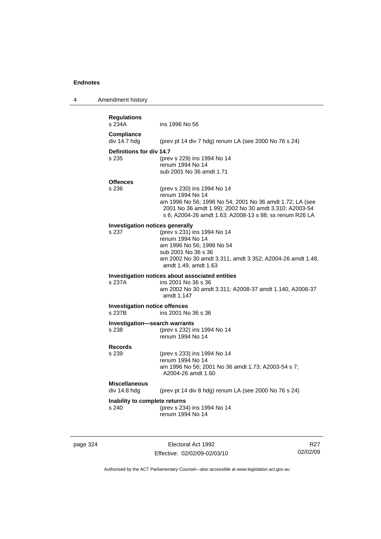| 4 | Amendment history                                                                                                                                                                                                                                            |  |
|---|--------------------------------------------------------------------------------------------------------------------------------------------------------------------------------------------------------------------------------------------------------------|--|
|   | <b>Regulations</b><br>s 234A<br>ins 1996 No 56                                                                                                                                                                                                               |  |
|   | <b>Compliance</b><br>div 14.7 hdg<br>(prev pt 14 div 7 hdg) renum LA (see 2000 No 76 s 24)                                                                                                                                                                   |  |
|   | Definitions for div 14.7<br>s 235<br>(prev s 229) ins 1994 No 14<br>renum 1994 No 14<br>sub 2001 No 36 amdt 1.71                                                                                                                                             |  |
|   | <b>Offences</b><br>(prev s 230) ins 1994 No 14<br>s 236<br>renum 1994 No 14<br>am 1996 No 56; 1998 No 54; 2001 No 36 amdt 1.72; LA (see<br>2001 No 36 amdt 1.99); 2002 No 30 amdt 3.310; A2003-54<br>s 6; A2004-26 amdt 1.63; A2008-13 s 88; ss renum R26 LA |  |
|   | Investigation notices generally<br>s 237<br>(prev s 231) ins 1994 No 14<br>renum 1994 No 14<br>am 1996 No 56; 1998 No 54<br>sub 2001 No 36 s 36<br>am 2002 No 30 amdt 3.311, amdt 3.352; A2004-26 amdt 1.48,<br>amdt 1.49, amdt 1.63                         |  |
|   | Investigation notices about associated entities<br>s 237A<br>ins 2001 No 36 s 36<br>am 2002 No 30 amdt 3.311; A2008-37 amdt 1.140, A2008-37<br>amdt 1.147                                                                                                    |  |
|   | <b>Investigation notice offences</b><br>s 237B<br>ins 2001 No 36 s 36                                                                                                                                                                                        |  |
|   | Investigation-search warrants<br>(prev s 232) ins 1994 No 14<br>s 238<br>renum 1994 No 14                                                                                                                                                                    |  |
|   | <b>Records</b><br>s 239<br>(prev s 233) ins 1994 No 14<br>renum 1994 No 14<br>am 1996 No 56; 2001 No 36 amdt 1.73; A2003-54 s 7;<br>A2004-26 amdt 1.60                                                                                                       |  |
|   | <b>Miscellaneous</b><br>(prev pt 14 div 8 hdg) renum LA (see 2000 No 76 s 24)<br>div 14.8 hdg                                                                                                                                                                |  |
|   | Inability to complete returns<br>(prev s 234) ins 1994 No 14<br>s 240<br>renum 1994 No 14                                                                                                                                                                    |  |
|   |                                                                                                                                                                                                                                                              |  |

page 324 Electoral Act 1992 Effective: 02/02/09-02/03/10

R27 02/02/09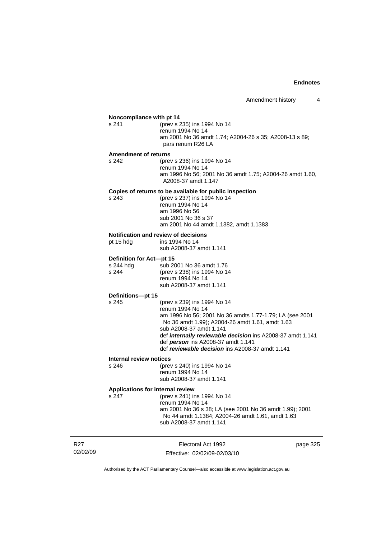# **Noncompliance with pt 14**<br>s 241 (prev s 2

(prev s 235) ins 1994 No 14 renum 1994 No 14 am 2001 No 36 amdt 1.74; A2004-26 s 35; A2008-13 s 89; pars renum R26 LA

#### **Amendment of returns**

s 242 (prev s 236) ins 1994 No 14 renum 1994 No 14 am 1996 No 56; 2001 No 36 amdt 1.75; A2004-26 amdt 1.60, A2008-37 amdt 1.147

## **Copies of returns to be available for public inspection**

s 243 (prev s 237) ins 1994 No 14 renum 1994 No 14 am 1996 No 56 sub 2001 No 36 s 37 am 2001 No 44 amdt 1.1382, amdt 1.1383

#### **Notification and review of decisions**

pt 15 hdg ins 1994 No 14

sub A2008-37 amdt 1.141

#### **Definition for Act—pt 15**

s 244 hdg sub 2001 No 36 amdt 1.76<br>s 244 (prev s 238) ins 1994 No 1 (prev s 238) ins 1994 No 14 renum 1994 No 14 sub A2008-37 amdt 1.141

## **Definitions—pt 15**

s 245 (prev s 239) ins 1994 No 14 renum 1994 No 14 am 1996 No 56; 2001 No 36 amdts 1.77-1.79; LA (see 2001 No 36 amdt 1.99); A2004-26 amdt 1.61, amdt 1.63 sub A2008-37 amdt 1.141 def *internally reviewable decision* ins A2008-37 amdt 1.141 def *person* ins A2008-37 amdt 1.141 def *reviewable decision* ins A2008-37 amdt 1.141

#### **Internal review notices**

s 246 (prev s 240) ins 1994 No 14 renum 1994 No 14 sub A2008-37 amdt 1.141

#### **Applications for internal review**

s 247 (prev s 241) ins 1994 No 14 renum 1994 No 14 am 2001 No 36 s 38; LA (see 2001 No 36 amdt 1.99); 2001 No 44 amdt 1.1384; A2004-26 amdt 1.61, amdt 1.63 sub A2008-37 amdt 1.141

R27 02/02/09

Electoral Act 1992 Effective: 02/02/09-02/03/10 page 325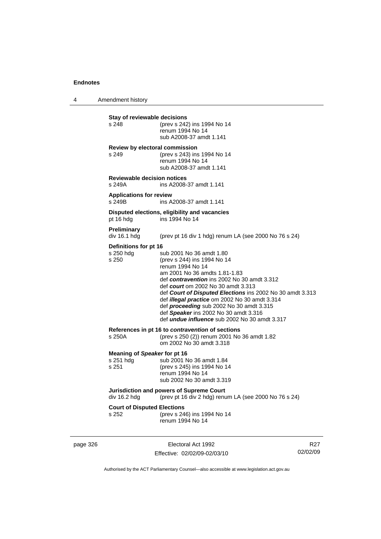4 Amendment history

**Stay of reviewable decisions**<br>s 248 (prev s 242) (prev s 242) ins 1994 No 14 renum 1994 No 14 sub A2008-37 amdt 1.141 **Review by electoral commission** s 249 (prev s 243) ins 1994 No 14 renum 1994 No 14 sub A2008-37 amdt 1.141 **Reviewable decision notices**  s 249A ins A2008-37 amdt 1.141 **Applications for review**  s 249B ins A2008-37 amdt 1.141 **Disputed elections, eligibility and vacancies** pt 16 hdg ins 1994 No 14 **Preliminary**  (prev pt 16 div 1 hdg) renum LA (see 2000 No 76 s 24) **Definitions for pt 16** s 250 hdg sub 2001 No 36 amdt 1.80 s 250 (prev s 244) ins 1994 No 14 renum 1994 No 14 am 2001 No 36 amdts 1.81-1.83 def *contravention* ins 2002 No 30 amdt 3.312 def *court* om 2002 No 30 amdt 3.313 def *Court of Disputed Elections* ins 2002 No 30 amdt 3.313 def *illegal practice* om 2002 No 30 amdt 3.314 def *proceeding* sub 2002 No 30 amdt 3.315 def *Speaker* ins 2002 No 30 amdt 3.316 def *undue influence* sub 2002 No 30 amdt 3.317 **References in pt 16 to** *contravention* **of sections** s 250A (prev s 250 (2)) renum 2001 No 36 amdt 1.82 om 2002 No 30 amdt 3.318 **Meaning of Speaker for pt 16**<br>s 251 hdg sub 2001 N sub 2001 No 36 amdt 1.84 s 251 (prev s 245) ins 1994 No 14 renum 1994 No 14 sub 2002 No 30 amdt 3.319 **Jurisdiction and powers of Supreme Court**  div 16.2 hdg (prev pt 16 div 2 hdg) renum LA (see 2000 No 76 s 24) **Court of Disputed Elections** s 252 (prev s 246) ins 1994 No 14 renum 1994 No 14

page 326 **Electoral Act 1992** Effective: 02/02/09-02/03/10

R27 02/02/09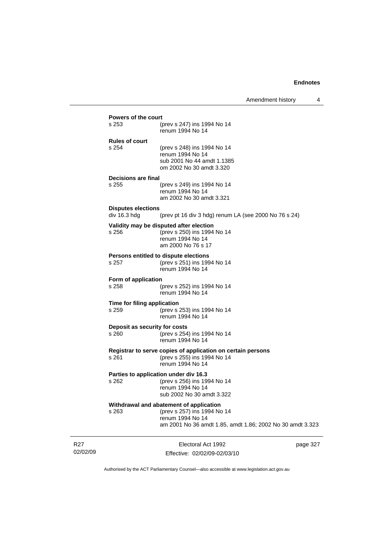# **Powers of the court**<br>s 253 (**r** (prev s 247) ins 1994 No 14 renum 1994 No 14 **Rules of court** (prev s 248) ins 1994 No 14 renum 1994 No 14 sub 2001 No 44 amdt 1.1385 om 2002 No 30 amdt 3.320 **Decisions are final** s 255 (prev s 249) ins 1994 No 14 renum 1994 No 14 am 2002 No 30 amdt 3.321 **Disputes elections**  div 16.3 hdg (prev pt 16 div 3 hdg) renum LA (see 2000 No 76 s 24) **Validity may be disputed after election** s 256 (prev s 250) ins 1994 No 14 renum 1994 No 14 am 2000 No 76 s 17 **Persons entitled to dispute elections**<br>s 257 (prev s 251) ins 199 s 257 (prev s 251) ins 1994 No 14 renum 1994 No 14 **Form of application** s 258 (prev s 252) ins 1994 No 14 renum 1994 No 14 **Time for filing application** s 259 (prev s 253) ins 1994 No 14 renum 1994 No 14 **Deposit as security for costs** s 260 (prev s 254) ins 1994 No 14 renum 1994 No 14 **Registrar to serve copies of application on certain persons** s 261 (prev s 255) ins 1994 No 14 renum 1994 No 14 **Parties to application under div 16.3**<br>s 262 (prev s 256) ins 19 (prev s 256) ins 1994 No 14 renum 1994 No 14 sub 2002 No 30 amdt 3.322 **Withdrawal and abatement of application** s 263 (prev s 257) ins 1994 No 14 renum 1994 No 14 am 2001 No 36 amdt 1.85, amdt 1.86; 2002 No 30 amdt 3.323

R27 02/02/09

Electoral Act 1992 Effective: 02/02/09-02/03/10 page 327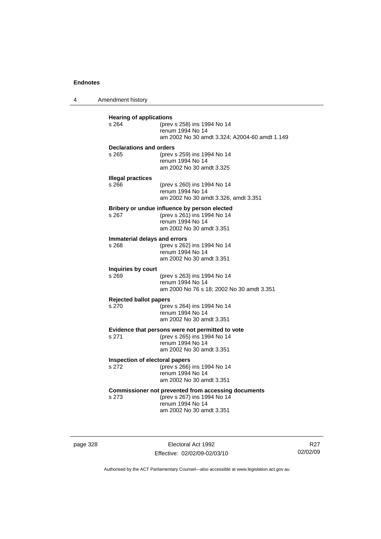4 Amendment history

| <b>Hearing of applications</b>          |                                                                                 |  |
|-----------------------------------------|---------------------------------------------------------------------------------|--|
| s 264                                   | (prev s 258) ins 1994 No 14                                                     |  |
|                                         | renum 1994 No 14                                                                |  |
|                                         | am 2002 No 30 amdt 3.324; A2004-60 amdt 1.149                                   |  |
| Declarations and orders                 |                                                                                 |  |
| $s$ 265                                 | (prev s 259) ins 1994 No 14<br>renum 1994 No 14                                 |  |
|                                         | am 2002 No 30 amdt 3.325                                                        |  |
| <b>Illegal practices</b>                |                                                                                 |  |
| s 266                                   | (prev s 260) ins 1994 No 14                                                     |  |
|                                         | renum 1994 No 14                                                                |  |
|                                         | am 2002 No 30 amdt 3.326, amdt 3.351                                            |  |
|                                         | Bribery or undue influence by person elected                                    |  |
| s 267                                   | (prev s 261) ins 1994 No 14                                                     |  |
|                                         | renum 1994 No 14<br>am 2002 No 30 amdt 3.351                                    |  |
|                                         |                                                                                 |  |
| Immaterial delays and errors<br>$s$ 268 | (prev s 262) ins 1994 No 14                                                     |  |
|                                         | renum 1994 No 14                                                                |  |
|                                         | am 2002 No 30 amdt 3.351                                                        |  |
| Inquiries by court                      |                                                                                 |  |
| s 269                                   | (prev s 263) ins 1994 No 14                                                     |  |
|                                         | renum 1994 No 14                                                                |  |
|                                         | am 2000 No 76 s 18; 2002 No 30 amdt 3.351                                       |  |
| <b>Rejected ballot papers</b>           |                                                                                 |  |
| s.270                                   | (prev s 264) ins 1994 No 14<br>renum 1994 No 14                                 |  |
|                                         | am 2002 No 30 amdt 3.351                                                        |  |
|                                         |                                                                                 |  |
| s 271                                   | Evidence that persons were not permitted to vote<br>(prev s 265) ins 1994 No 14 |  |
|                                         | renum 1994 No 14                                                                |  |
|                                         | am 2002 No 30 amdt 3.351                                                        |  |
| Inspection of electoral papers          |                                                                                 |  |
| s 272                                   | (prev s 266) ins 1994 No 14                                                     |  |
|                                         | renum 1994 No 14<br>am 2002 No 30 amdt 3.351                                    |  |
|                                         |                                                                                 |  |
|                                         | Commissioner not prevented from accessing documents                             |  |
| s 273                                   | (prev s 267) ins 1994 No 14<br>renum 1994 No 14                                 |  |
|                                         | am 2002 No 30 amdt 3.351                                                        |  |
|                                         |                                                                                 |  |
|                                         |                                                                                 |  |

page 328 Electoral Act 1992 Effective: 02/02/09-02/03/10

R27 02/02/09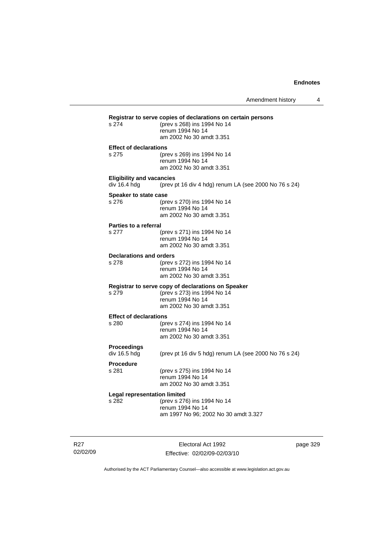| Registrar to serve copies of declarations on certain persons |                                                                                   |  |
|--------------------------------------------------------------|-----------------------------------------------------------------------------------|--|
| s 274                                                        | (prev s 268) ins 1994 No 14<br>renum 1994 No 14                                   |  |
|                                                              | am 2002 No 30 amdt 3.351                                                          |  |
| <b>Effect of declarations</b>                                |                                                                                   |  |
| s 275                                                        | (prev s 269) ins 1994 No 14                                                       |  |
|                                                              | renum 1994 No 14                                                                  |  |
|                                                              | am 2002 No 30 amdt 3.351                                                          |  |
| <b>Eligibility and vacancies</b>                             |                                                                                   |  |
| div 16.4 hdg                                                 | (prev pt 16 div 4 hdg) renum LA (see 2000 No 76 s 24)                             |  |
| Speaker to state case                                        |                                                                                   |  |
| s 276                                                        | (prev s 270) ins 1994 No 14                                                       |  |
|                                                              | renum 1994 No 14<br>am 2002 No 30 amdt 3.351                                      |  |
|                                                              |                                                                                   |  |
| <b>Parties to a referral</b><br>s 277                        | (prev s 271) ins 1994 No 14                                                       |  |
|                                                              | renum 1994 No 14                                                                  |  |
|                                                              | am 2002 No 30 amdt 3.351                                                          |  |
| <b>Declarations and orders</b>                               |                                                                                   |  |
| s 278                                                        | (prev s 272) ins 1994 No 14                                                       |  |
|                                                              | renum 1994 No 14<br>am 2002 No 30 amdt 3.351                                      |  |
|                                                              |                                                                                   |  |
| s 279                                                        | Registrar to serve copy of declarations on Speaker<br>(prev s 273) ins 1994 No 14 |  |
|                                                              | renum 1994 No 14                                                                  |  |
|                                                              | am 2002 No 30 amdt 3.351                                                          |  |
| <b>Effect of declarations</b>                                |                                                                                   |  |
| s 280                                                        | (prev s 274) ins 1994 No 14                                                       |  |
|                                                              | renum 1994 No 14                                                                  |  |
|                                                              | am 2002 No 30 amdt 3.351                                                          |  |
| Proceedings                                                  |                                                                                   |  |
| div 16.5 hdg                                                 | (prev pt 16 div 5 hdg) renum LA (see 2000 No 76 s 24)                             |  |
| Procedure                                                    |                                                                                   |  |
| s 281                                                        | (prev s 275) ins 1994 No 14<br>renum 1994 No 14                                   |  |
|                                                              | am 2002 No 30 amdt 3.351                                                          |  |
| Legal representation limited                                 |                                                                                   |  |
| s 282                                                        | (prev s 276) ins 1994 No 14                                                       |  |
|                                                              | renum 1994 No 14                                                                  |  |
|                                                              | am 1997 No 96; 2002 No 30 amdt 3.327                                              |  |
|                                                              |                                                                                   |  |

R27 02/02/09

Electoral Act 1992 Effective: 02/02/09-02/03/10 page 329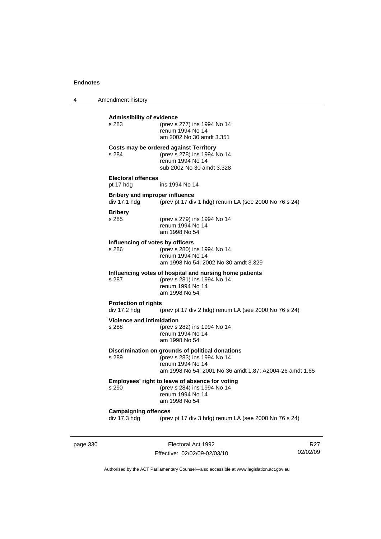4 Amendment history

| page 330 |                                                       | Electoral Act 1992                                                                                                                                             | R2 |
|----------|-------------------------------------------------------|----------------------------------------------------------------------------------------------------------------------------------------------------------------|----|
|          | <b>Campaigning offences</b><br>div 17.3 hdg           | (prev pt 17 div 3 hdg) renum LA (see 2000 No 76 s 24)                                                                                                          |    |
|          | s 290                                                 | Employees' right to leave of absence for voting<br>(prev s 284) ins 1994 No 14<br>renum 1994 No 14<br>am 1998 No 54                                            |    |
|          | s 289                                                 | Discrimination on grounds of political donations<br>(prev s 283) ins 1994 No 14<br>renum 1994 No 14<br>am 1998 No 54; 2001 No 36 amdt 1.87; A2004-26 amdt 1.65 |    |
|          | <b>Violence and intimidation</b><br>s 288             | (prev s 282) ins 1994 No 14<br>renum 1994 No 14<br>am 1998 No 54                                                                                               |    |
|          | <b>Protection of rights</b><br>div 17.2 hdg           | (prev pt 17 div 2 hdg) renum LA (see 2000 No 76 s 24)                                                                                                          |    |
|          | s 287                                                 | Influencing votes of hospital and nursing home patients<br>(prev s 281) ins 1994 No 14<br>renum 1994 No 14<br>am 1998 No 54                                    |    |
|          | Influencing of votes by officers<br>s 286             | (prev s 280) ins 1994 No 14<br>renum 1994 No 14<br>am 1998 No 54; 2002 No 30 amdt 3.329                                                                        |    |
|          | <b>Bribery</b><br>s 285                               | (prev s 279) ins 1994 No 14<br>renum 1994 No 14<br>am 1998 No 54                                                                                               |    |
|          | <b>Bribery and improper influence</b><br>div 17.1 hdg | (prev pt 17 div 1 hdg) renum LA (see 2000 No 76 s 24)                                                                                                          |    |
|          | <b>Electoral offences</b><br>pt 17 hdg                | ins 1994 No 14                                                                                                                                                 |    |
|          | s 284                                                 | Costs may be ordered against Territory<br>(prev s 278) ins 1994 No 14<br>renum 1994 No 14<br>sub 2002 No 30 amdt 3.328                                         |    |
|          | s 283                                                 | (prev s 277) ins 1994 No 14<br>renum 1994 No 14<br>am 2002 No 30 amdt 3.351                                                                                    |    |
|          | <b>Admissibility of evidence</b>                      |                                                                                                                                                                |    |

Effective: 02/02/09-02/03/10

R27 02/02/09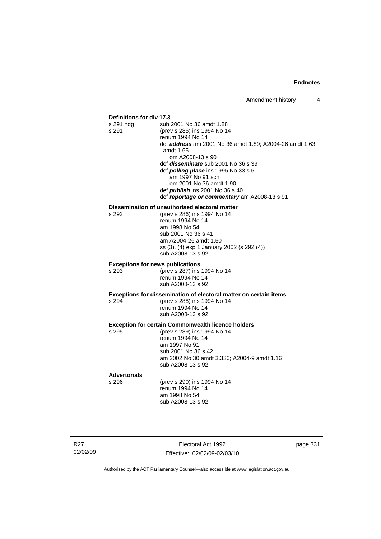# **Definitions for div 17.3**

| <b>Definitions for GIV 17.3</b>         |                                                                   |
|-----------------------------------------|-------------------------------------------------------------------|
| s 291 hda                               | sub 2001 No 36 amdt 1.88                                          |
| s 291                                   | (prev s 285) ins 1994 No 14                                       |
|                                         | renum 1994 No 14                                                  |
|                                         | def address am 2001 No 36 amdt 1.89; A2004-26 amdt 1.63,          |
|                                         | amdt 1.65                                                         |
|                                         | om A2008-13 s 90                                                  |
|                                         | def <i>disseminate</i> sub 2001 No 36 s 39                        |
|                                         | def <i>polling place</i> ins 1995 No 33 s 5                       |
|                                         | am 1997 No 91 sch                                                 |
|                                         | om 2001 No 36 amdt 1.90                                           |
|                                         | def <i>publish</i> ins 2001 No 36 s 40                            |
|                                         | def reportage or commentary am A2008-13 s 91                      |
|                                         |                                                                   |
|                                         | Dissemination of unauthorised electoral matter                    |
| s 292                                   | (prev s 286) ins 1994 No 14                                       |
|                                         | renum 1994 No 14                                                  |
|                                         | am 1998 No 54                                                     |
|                                         | sub 2001 No 36 s 41                                               |
|                                         | am A2004-26 amdt 1.50                                             |
|                                         | ss (3), (4) exp 1 January 2002 (s 292 (4))                        |
|                                         | sub A2008-13 s 92                                                 |
| <b>Exceptions for news publications</b> |                                                                   |
| s 293                                   | (prev s 287) ins 1994 No 14                                       |
|                                         | renum 1994 No 14                                                  |
|                                         | sub A2008-13 s 92                                                 |
|                                         |                                                                   |
|                                         | Exceptions for dissemination of electoral matter on certain items |
| s 294                                   | (prev s 288) ins 1994 No 14                                       |
|                                         | renum 1994 No 14                                                  |
|                                         | sub A2008-13 s 92                                                 |
|                                         | <b>Exception for certain Commonwealth licence holders</b>         |
| s 295                                   | (prev s 289) ins 1994 No 14                                       |
|                                         | renum 1994 No 14                                                  |
|                                         | am 1997 No 91                                                     |
|                                         | sub 2001 No 36 s 42                                               |
|                                         | am 2002 No 30 amdt 3.330; A2004-9 amdt 1.16                       |
|                                         | sub A2008-13 s 92                                                 |
|                                         |                                                                   |
| <b>Advertorials</b>                     |                                                                   |
| s 296                                   | (prev s 290) ins 1994 No 14                                       |
|                                         | renum 1994 No 14                                                  |
|                                         | am 1998 No 54                                                     |
|                                         | sub A2008-13 s 92                                                 |
|                                         |                                                                   |
|                                         |                                                                   |

R27 02/02/09

Electoral Act 1992 Effective: 02/02/09-02/03/10 page 331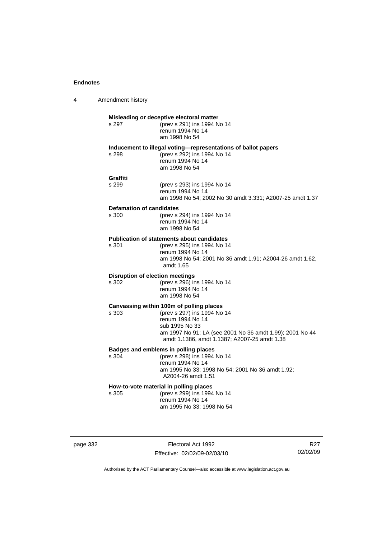| 4     | Amendment history                                                                                            |                                                                                                                                                                                                                           |
|-------|--------------------------------------------------------------------------------------------------------------|---------------------------------------------------------------------------------------------------------------------------------------------------------------------------------------------------------------------------|
|       | s 297                                                                                                        | Misleading or deceptive electoral matter<br>(prev s 291) ins 1994 No 14<br>renum 1994 No 14<br>am 1998 No 54                                                                                                              |
|       | s 298                                                                                                        | Inducement to illegal voting-representations of ballot papers<br>(prev s 292) ins 1994 No 14<br>renum 1994 No 14<br>am 1998 No 54                                                                                         |
|       | <b>Graffiti</b><br>s 299                                                                                     | (prev s 293) ins 1994 No 14<br>renum 1994 No 14<br>am 1998 No 54; 2002 No 30 amdt 3.331; A2007-25 amdt 1.37                                                                                                               |
|       | <b>Defamation of candidates</b><br>s 300                                                                     | (prev s 294) ins 1994 No 14<br>renum 1994 No 14<br>am 1998 No 54                                                                                                                                                          |
| s 301 |                                                                                                              | <b>Publication of statements about candidates</b><br>(prev s 295) ins 1994 No 14<br>renum 1994 No 14<br>am 1998 No 54; 2001 No 36 amdt 1.91; A2004-26 amdt 1.62,<br>amdt 1.65                                             |
|       | Disruption of election meetings<br>(prev s 296) ins 1994 No 14<br>s 302<br>renum 1994 No 14<br>am 1998 No 54 |                                                                                                                                                                                                                           |
|       | s 303                                                                                                        | Canvassing within 100m of polling places<br>(prev s 297) ins 1994 No 14<br>renum 1994 No 14<br>sub 1995 No 33<br>am 1997 No 91; LA (see 2001 No 36 amdt 1.99); 2001 No 44<br>amdt 1.1386, amdt 1.1387; A2007-25 amdt 1.38 |
|       | s 304                                                                                                        | Badges and emblems in polling places<br>(prev s 298) ins 1994 No 14<br>renum 1994 No 14<br>am 1995 No 33; 1998 No 54; 2001 No 36 amdt 1.92;<br>A2004-26 amdt 1.51                                                         |
|       | s 305                                                                                                        | How-to-vote material in polling places<br>(prev s 299) ins 1994 No 14<br>renum 1994 No 14<br>am 1995 No 33; 1998 No 54                                                                                                    |

page 332 Electoral Act 1992 Effective: 02/02/09-02/03/10

R27 02/02/09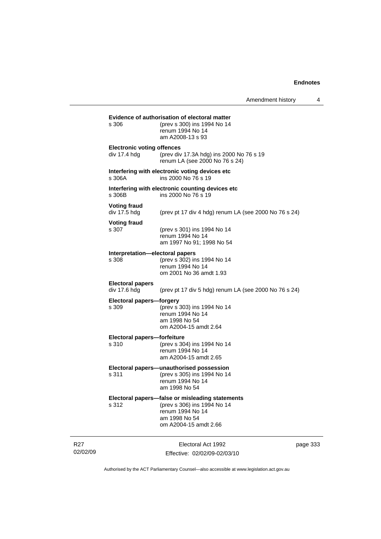|                 | s 306                                             | Evidence of authorisation of electoral matter<br>(prev s 300) ins 1994 No 14<br>renum 1994 No 14<br>am A2008-13 s 93                         |          |  |
|-----------------|---------------------------------------------------|----------------------------------------------------------------------------------------------------------------------------------------------|----------|--|
|                 | <b>Electronic voting offences</b><br>div 17.4 hdg | (prev div 17.3A hdg) ins 2000 No 76 s 19<br>renum LA (see 2000 No 76 s 24)                                                                   |          |  |
|                 | s.306A                                            | Interfering with electronic voting devices etc<br>ins 2000 No 76 s 19                                                                        |          |  |
|                 | s 306B                                            | Interfering with electronic counting devices etc.<br>ins 2000 No 76 s 19                                                                     |          |  |
|                 | <b>Voting fraud</b><br>div 17.5 hdg               | (prev pt 17 div 4 hdg) renum LA (see 2000 No $76$ s $24$ )                                                                                   |          |  |
|                 | <b>Voting fraud</b><br>s 307                      | (prev s 301) ins 1994 No 14<br>renum 1994 No 14<br>am 1997 No 91; 1998 No 54                                                                 |          |  |
|                 | Interpretation—electoral papers<br>s 308          | (prev s 302) ins 1994 No 14<br>renum 1994 No 14<br>om 2001 No 36 amdt 1.93                                                                   |          |  |
|                 | <b>Electoral papers</b><br>div 17.6 hdg           | (prev pt 17 div 5 hdg) renum LA (see 2000 No 76 s 24)                                                                                        |          |  |
|                 | Electoral papers-forgery<br>s 309                 | (prev s 303) ins 1994 No 14<br>renum 1994 No 14<br>am 1998 No 54<br>om A2004-15 amdt 2.64                                                    |          |  |
|                 | Electoral papers-forfeiture<br>s 310              | (prev s 304) ins 1994 No 14<br>renum 1994 No 14<br>am A2004-15 amdt 2.65                                                                     |          |  |
|                 | s 311                                             | Electoral papers-unauthorised possession<br>(prev s 305) ins 1994 No 14<br>renum 1994 No 14<br>am 1998 No 54                                 |          |  |
|                 | s 312                                             | Electoral papers-false or misleading statements<br>(prev s 306) ins 1994 No 14<br>renum 1994 No 14<br>am 1998 No 54<br>om A2004-15 amdt 2.66 |          |  |
| R27<br>02/02/09 |                                                   | Electoral Act 1992<br>Effective: 02/02/09-02/03/10                                                                                           | page 333 |  |

Authorised by the ACT Parliamentary Counsel—also accessible at www.legislation.act.gov.au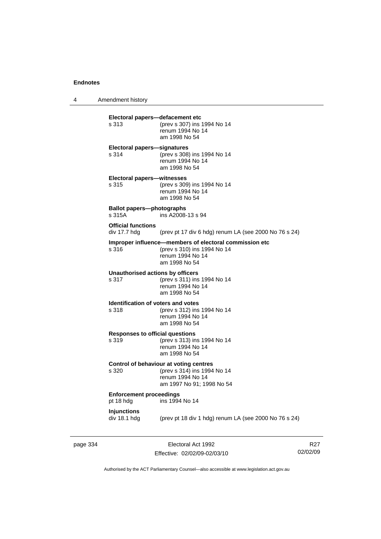4 Amendment history **Electoral papers—defacement etc** s 313 (prev s 307) ins 1994 No 14 renum 1994 No 14 am 1998 No 54 **Electoral papers—signatures** s 314 (prev s 308) ins 1994 No 14 renum 1994 No 14 am 1998 No 54 **Electoral papers—witnesses** s 315 (prev s 309) ins 1994 No 14 renum 1994 No 14 am 1998 No 54 **Ballot papers—photographs**  s 315A ins A2008-13 s 94 **Official functions**  div 17.7 hdg (prev pt 17 div 6 hdg) renum LA (see 2000 No 76 s 24) **Improper influence—members of electoral commission etc** s 316 (prev s 310) ins 1994 No 14 renum 1994 No 14 am 1998 No 54 **Unauthorised actions by officers** s 317 (prev s 311) ins 1994 No 14 renum 1994 No 14 am 1998 No 54 **Identification of voters and votes** s 318 (prev s 312) ins 1994 No 14 renum 1994 No 14 am 1998 No 54 **Responses to official questions**<br>s 319 (prev s 313) in s 319 (prev s 313) ins 1994 No 14 renum 1994 No 14 am 1998 No 54 **Control of behaviour at voting centres** s 320 (prev s 314) ins 1994 No 14 renum 1994 No 14 am 1997 No 91; 1998 No 54 **Enforcement proceedings** pt 18 hdg ins 1994 No 14 **Injunctions**  div 18.1 hdg (prev pt 18 div 1 hdg) renum LA (see 2000 No 76 s 24)

page 334 Electoral Act 1992 Effective: 02/02/09-02/03/10

R27 02/02/09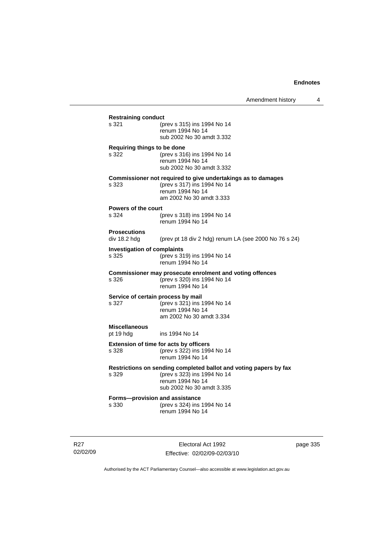| <b>Restraining conduct</b>         |                                                                                                                                             |
|------------------------------------|---------------------------------------------------------------------------------------------------------------------------------------------|
| s 321                              | (prev s 315) ins 1994 No 14<br>renum 1994 No 14<br>sub 2002 No 30 amdt 3.332                                                                |
| Requiring things to be done        |                                                                                                                                             |
| s 322                              | (prev s 316) ins 1994 No 14<br>renum 1994 No 14<br>sub 2002 No 30 amdt 3.332                                                                |
| s 323                              | Commissioner not required to give undertakings as to damages<br>(prev s 317) ins 1994 No 14<br>renum 1994 No 14<br>am 2002 No 30 amdt 3.333 |
| <b>Powers of the court</b>         |                                                                                                                                             |
| s 324                              | (prev s 318) ins 1994 No 14<br>renum 1994 No 14                                                                                             |
| <b>Prosecutions</b>                |                                                                                                                                             |
| div 18.2 hdg                       | (prev pt 18 div 2 hdg) renum LA (see 2000 No 76 s 24)                                                                                       |
| <b>Investigation of complaints</b> |                                                                                                                                             |
| s 325                              | (prev s 319) ins 1994 No 14<br>renum 1994 No 14                                                                                             |
|                                    | Commissioner may prosecute enrolment and voting offences                                                                                    |
| s 326                              | (prev s 320) ins 1994 No 14<br>renum 1994 No 14                                                                                             |
| Service of certain process by mail |                                                                                                                                             |
| s 327                              | (prev s 321) ins 1994 No 14                                                                                                                 |
|                                    | renum 1994 No 14<br>am 2002 No 30 amdt 3.334                                                                                                |
| <b>Miscellaneous</b>               |                                                                                                                                             |
| pt 19 hdg                          | ins 1994 No 14                                                                                                                              |
| s 328                              | Extension of time for acts by officers<br>(prev s 322) ins 1994 No 14<br>renum 1994 No 14                                                   |
|                                    | Restrictions on sending completed ballot and voting papers by fax                                                                           |
| s 329                              | (prev s 323) ins 1994 No 14<br>renum 1994 No 14<br>sub 2002 No 30 amdt 3.335                                                                |
| Forms-provision and assistance     |                                                                                                                                             |
| s 330                              | (prev s 324) ins 1994 No 14<br>renum 1994 No 14                                                                                             |
|                                    |                                                                                                                                             |

R27 02/02/09

Electoral Act 1992 Effective: 02/02/09-02/03/10 page 335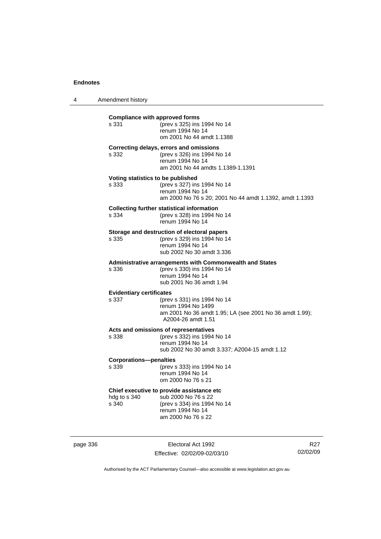4 Amendment history

|                               | <b>Compliance with approved forms</b><br>s 331 | (prev s 325) ins 1994 No 14<br>renum 1994 No 14<br>om 2001 No 44 amdt 1.1388                                                              |  |
|-------------------------------|------------------------------------------------|-------------------------------------------------------------------------------------------------------------------------------------------|--|
|                               | s 332                                          | Correcting delays, errors and omissions<br>(prev s 326) ins 1994 No 14<br>renum 1994 No 14<br>am 2001 No 44 amdts 1.1389-1.1391           |  |
|                               | Voting statistics to be published<br>s 333     | (prev s 327) ins 1994 No 14<br>renum 1994 No 14<br>am 2000 No 76 s 20; 2001 No 44 amdt 1.1392, amdt 1.1393                                |  |
|                               | s 334                                          | <b>Collecting further statistical information</b><br>(prev s 328) ins 1994 No 14<br>renum 1994 No 14                                      |  |
|                               | s 335                                          | Storage and destruction of electoral papers<br>(prev s 329) ins 1994 No 14<br>renum 1994 No 14<br>sub 2002 No 30 amdt 3.336               |  |
|                               | s 336                                          | Administrative arrangements with Commonwealth and States<br>(prev s 330) ins 1994 No 14<br>renum 1994 No 14<br>sub 2001 No 36 amdt 1.94   |  |
|                               | <b>Evidentiary certificates</b>                |                                                                                                                                           |  |
|                               | s 337                                          | (prev s 331) ins 1994 No 14<br>renum 1994 No 1499<br>am 2001 No 36 amdt 1.95; LA (see 2001 No 36 amdt 1.99);<br>A2004-26 amdt 1.51        |  |
|                               | s 338                                          | Acts and omissions of representatives<br>(prev s 332) ins 1994 No 14<br>renum 1994 No 14<br>sub 2002 No 30 amdt 3.337; A2004-15 amdt 1.12 |  |
| <b>Corporations-penalties</b> |                                                |                                                                                                                                           |  |
|                               | s 339                                          | (prev s 333) ins 1994 No 14<br>renum 1994 No 14<br>om 2000 No 76 s 21                                                                     |  |
|                               | hdg to s 340<br>s 340                          | Chief executive to provide assistance etc<br>sub 2000 No 76 s 22<br>(prev s 334) ins 1994 No 14<br>renum 1994 No 14<br>am 2000 No 76 s 22 |  |
|                               |                                                |                                                                                                                                           |  |

page 336 Electoral Act 1992 Effective: 02/02/09-02/03/10

R27 02/02/09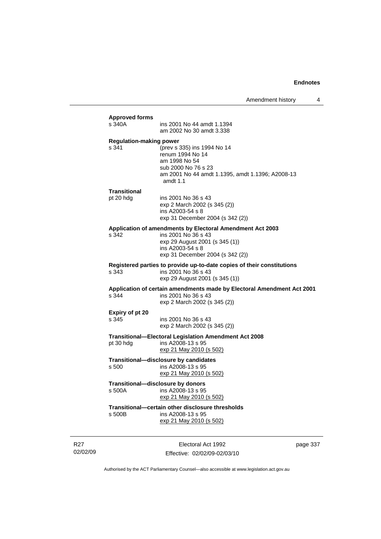| <b>Approved forms</b><br>s 340A | ins 2001 No 44 amdt 1.1394                                                                    |
|---------------------------------|-----------------------------------------------------------------------------------------------|
|                                 | am 2002 No 30 amdt 3.338                                                                      |
| <b>Regulation-making power</b>  |                                                                                               |
| s 341                           | (prev s 335) ins 1994 No 14<br>renum 1994 No 14                                               |
|                                 | am 1998 No 54                                                                                 |
|                                 | sub 2000 No 76 s 23<br>am 2001 No 44 amdt 1.1395, amdt 1.1396; A2008-13                       |
|                                 | amdt $1.1$                                                                                    |
| Transitional                    |                                                                                               |
| pt 20 hdg                       | ins 2001 No 36 s 43<br>exp 2 March 2002 (s 345 (2))                                           |
|                                 | ins A2003-54 s 8                                                                              |
|                                 | exp 31 December 2004 (s 342 (2))                                                              |
| s 342                           | Application of amendments by Electoral Amendment Act 2003<br>ins 2001 No 36 s 43              |
|                                 | exp 29 August 2001 (s 345 (1))                                                                |
|                                 | ins A2003-54 s 8                                                                              |
|                                 | exp 31 December 2004 (s 342 (2))                                                              |
| s 343                           | Registered parties to provide up-to-date copies of their constitutions<br>ins 2001 No 36 s 43 |
|                                 | exp 29 August 2001 (s 345 (1))                                                                |
|                                 | Application of certain amendments made by Electoral Amendment Act 2001                        |
| s 344                           | ins 2001 No 36 s 43<br>exp 2 March 2002 (s 345 (2))                                           |
| Expiry of pt 20                 |                                                                                               |
| s 345                           | ins 2001 No 36 s 43                                                                           |
|                                 | exp 2 March 2002 (s 345 (2))                                                                  |
|                                 | <b>Transitional-Electoral Legislation Amendment Act 2008</b>                                  |
| pt 30 hdg                       | ins A2008-13 s 95<br>exp 21 May 2010 (s 502)                                                  |
|                                 | Transitional-disclosure by candidates                                                         |
| s 500                           | ins A2008-13 s 95                                                                             |
|                                 | exp 21 May 2010 (s 502)                                                                       |
| s 500A                          | Transitional-disclosure by donors<br>ins A2008-13 s 95                                        |
|                                 | exp 21 May 2010 (s 502)                                                                       |
|                                 | Transitional-certain other disclosure thresholds                                              |
|                                 | ins A2008-13 s 95                                                                             |
| s 500B                          | <u>exp 21 May 2010 (s 502)</u>                                                                |

R27 02/02/09

Electoral Act 1992 Effective: 02/02/09-02/03/10 page 337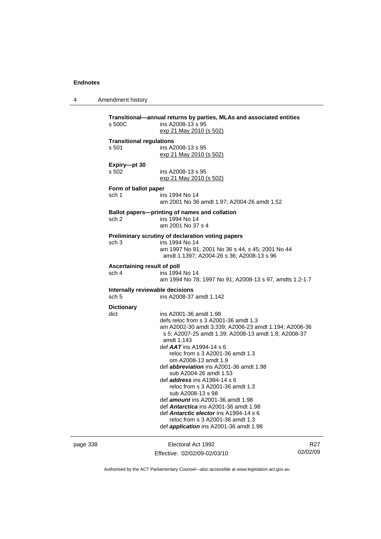4 Amendment history

| s 500C                                              | Transitional-annual returns by parties, MLAs and associated entities<br>ins A2008-13 s 95<br>exp 21 May 2010 (s 502)                                                                                                                                                                                                                                                                                                                                                                                                                                                                                              |
|-----------------------------------------------------|-------------------------------------------------------------------------------------------------------------------------------------------------------------------------------------------------------------------------------------------------------------------------------------------------------------------------------------------------------------------------------------------------------------------------------------------------------------------------------------------------------------------------------------------------------------------------------------------------------------------|
| <b>Transitional regulations</b><br>s 501            | ins A2008-13 s 95<br>exp 21 May 2010 (s 502)                                                                                                                                                                                                                                                                                                                                                                                                                                                                                                                                                                      |
| Expiry-pt 30<br>s 502                               | ins A2008-13 s 95<br>exp 21 May 2010 (s 502)                                                                                                                                                                                                                                                                                                                                                                                                                                                                                                                                                                      |
| Form of ballot paper<br>sch 1                       | ins 1994 No 14<br>am 2001 No 36 amdt 1.97; A2004-26 amdt 1.52                                                                                                                                                                                                                                                                                                                                                                                                                                                                                                                                                     |
| sch <sub>2</sub>                                    | Ballot papers—printing of names and collation<br>ins 1994 No 14<br>am 2001 No 37 s 4                                                                                                                                                                                                                                                                                                                                                                                                                                                                                                                              |
| sch <sub>3</sub>                                    | Preliminary scrutiny of declaration voting papers<br>ins 1994 No 14<br>am 1997 No 91; 2001 No 36 s 44, s 45; 2001 No 44<br>amdt 1.1397; A2004-26 s 36; A2008-13 s 96                                                                                                                                                                                                                                                                                                                                                                                                                                              |
| Ascertaining result of poll<br>sch 4                | ins 1994 No 14<br>am 1994 No 78; 1997 No 91; A2008-13 s 97, amdts 1.2-1.7                                                                                                                                                                                                                                                                                                                                                                                                                                                                                                                                         |
| Internally reviewable decisions<br>sch <sub>5</sub> | ins A2008-37 amdt 1.142                                                                                                                                                                                                                                                                                                                                                                                                                                                                                                                                                                                           |
| <b>Dictionary</b><br>dict                           | ins A2001-36 amdt 1.98<br>defs reloc from s 3 A2001-36 amdt 1.3<br>am A2002-30 amdt 3.339; A2006-23 amdt 1.194; A2006-36<br>s 5; A2007-25 amdt 1.39; A2008-13 amdt 1.8; A2008-37<br>amdt 1.143<br>def $AAT$ ins A1994-14 s 6<br>reloc from s 3 A2001-36 amdt 1.3<br>om A2008-13 amdt 1.9<br>def <i>abbreviation</i> ins A2001-36 amdt 1.98<br>sub A2004-26 amdt 1.53<br>def <i>address</i> ins A1994-14 s 6<br>reloc from s 3 A2001-36 amdt 1.3<br>sub A2008-13 s 98<br>def <i>amount</i> ins A2001-36 amdt 1.98<br>def <b>Antarctica</b> ins A2001-36 amdt 1.98<br>def <b>Antarctic elector</b> ins A1994-14 s 6 |

page 338 Electoral Act 1992 Effective: 02/02/09-02/03/10

R27 02/02/09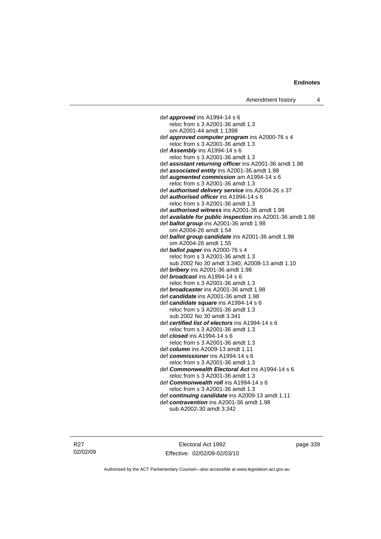def *approved* ins A1994-14 s 6 reloc from s 3 A2001-36 amdt 1.3 om A2001-44 amdt 1.1398 def *approved computer program* ins A2000-76 s 4 reloc from s 3 A2001-36 amdt 1.3 def *Assembly* ins A1994-14 s 6 reloc from s 3 A2001-36 amdt 1.3 def *assistant returning officer* ins A2001-36 amdt 1.98 def *associated entity* ins A2001-36 amdt 1.98 def *augmented commission* am A1994-14 s 6 reloc from s 3 A2001-36 amdt 1.3 def *authorised delivery service* ins A2004-26 s 37 def *authorised officer* ins A1994-14 s 6 reloc from s 3 A2001-36 amdt 1.3 def *authorised witness* ins A2001-36 amdt 1.98 def *available for public inspection* ins A2001-36 amdt 1.98 def *ballot group* ins A2001-36 amdt 1.98 om A2004-26 amdt 1.54 def *ballot group candidate* ins A2001-36 amdt 1.98 om A2004-26 amdt 1.55 def *ballot paper* ins A2000-76 s 4 reloc from s 3 A2001-36 amdt 1.3 sub 2002 No 30 amdt 3.340; A2008-13 amdt 1.10 def *bribery* ins A2001-36 amdt 1.98 def *broadcast* ins A1994-14 s 6 reloc from s 3 A2001-36 amdt 1.3 def *broadcaster* ins A2001-36 amdt 1.98 def *candidate* ins A2001-36 amdt 1.98 def *candidate square* ins A1994-14 s 6 reloc from s 3 A2001-36 amdt 1.3 sub 2002 No 30 amdt 3.341 def *certified list of electors* ins A1994-14 s 6 reloc from s 3 A2001-36 amdt 1.3 def *closed* ins A1994-14 s 6 reloc from s 3 A2001-36 amdt 1.3 def *column* ins A2009-13 amdt 1.11 def *commissioner* ins A1994-14 s 6 reloc from s 3 A2001-36 amdt 1.3 def *Commonwealth Electoral Act* ins A1994-14 s 6 reloc from s 3 A2001-36 amdt 1.3 def *Commonwealth roll* ins A1994-14 s 6 reloc from s 3 A2001-36 amdt 1.3 def *continuing candidate* ins A2009-13 amdt 1.11 def *contravention* ins A2001-36 amdt 1.98 sub A2002-30 amdt 3.342

Electoral Act 1992 Effective: 02/02/09-02/03/10 page 339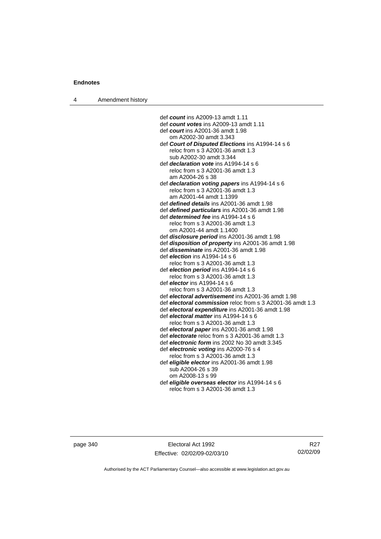| Amendment history<br>4 |  |
|------------------------|--|
|------------------------|--|

def *count* ins A2009-13 amdt 1.11 def *count votes* ins A2009-13 amdt 1.11 def *court* ins A2001-36 amdt 1.98 om A2002-30 amdt 3.343 def *Court of Disputed Elections* ins A1994-14 s 6 reloc from s 3 A2001-36 amdt 1.3 sub A2002-30 amdt 3.344 def *declaration vote* ins A1994-14 s 6 reloc from s 3 A2001-36 amdt 1.3 am A2004-26 s 38 def *declaration voting papers* ins A1994-14 s 6 reloc from s 3 A2001-36 amdt 1.3 am A2001-44 amdt 1.1399 def *defined details* ins A2001-36 amdt 1.98 def *defined particulars* ins A2001-36 amdt 1.98 def *determined fee* ins A1994-14 s 6 reloc from s 3 A2001-36 amdt 1.3 om A2001-44 amdt 1.1400 def *disclosure period* ins A2001-36 amdt 1.98 def *disposition of property* ins A2001-36 amdt 1.98 def *disseminate* ins A2001-36 amdt 1.98 def *election* ins A1994-14 s 6 reloc from s 3 A2001-36 amdt 1.3 def *election period* ins A1994-14 s 6 reloc from s 3 A2001-36 amdt 1.3 def *elector* ins A1994-14 s 6 reloc from s 3 A2001-36 amdt 1.3 def *electoral advertisement* ins A2001-36 amdt 1.98 def *electoral commission* reloc from s 3 A2001-36 amdt 1.3 def *electoral expenditure* ins A2001-36 amdt 1.98 def *electoral matter* ins A1994-14 s 6 reloc from s 3 A2001-36 amdt 1.3 def *electoral paper* ins A2001-36 amdt 1.98 def *electorate* reloc from s 3 A2001-36 amdt 1.3 def *electronic form* ins 2002 No 30 amdt 3.345 def *electronic voting* ins A2000-76 s 4 reloc from s 3 A2001-36 amdt 1.3 def *eligible elector* ins A2001-36 amdt 1.98 sub A2004-26 s 39 om A2008-13 s 99 def *eligible overseas elector* ins A1994-14 s 6 reloc from s 3 A2001-36 amdt 1.3

page 340 Electoral Act 1992 Effective: 02/02/09-02/03/10

R27 02/02/09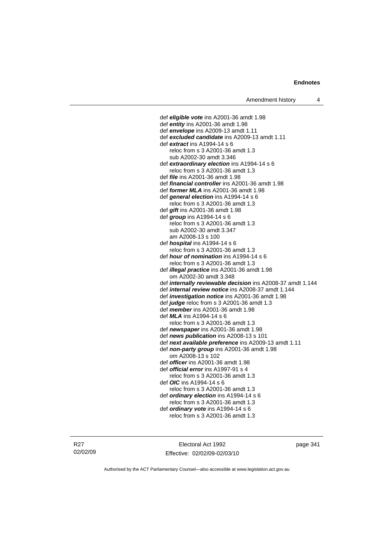def *eligible vote* ins A2001-36 amdt 1.98 def *entity* ins A2001-36 amdt 1.98 def *envelope* ins A2009-13 amdt 1.11 def *excluded candidate* ins A2009-13 amdt 1.11 def *extract* ins A1994-14 s 6 reloc from s 3 A2001-36 amdt 1.3 sub A2002-30 amdt 3.346 def *extraordinary election* ins A1994-14 s 6 reloc from s 3 A2001-36 amdt 1.3 def *file* ins A2001-36 amdt 1.98 def *financial controller* ins A2001-36 amdt 1.98 def *former MLA* ins A2001-36 amdt 1.98 def *general election* ins A1994-14 s 6 reloc from s 3 A2001-36 amdt 1.3 def *gift* ins A2001-36 amdt 1.98 def *group* ins A1994-14 s 6 reloc from s 3 A2001-36 amdt 1.3 sub A2002-30 amdt 3.347 am A2008-13 s 100 def *hospital* ins A1994-14 s 6 reloc from s 3 A2001-36 amdt 1.3 def *hour of nomination* ins A1994-14 s 6 reloc from s 3 A2001-36 amdt 1.3 def *illegal practice* ins A2001-36 amdt 1.98 om A2002-30 amdt 3.348 def *internally reviewable decision* ins A2008-37 amdt 1.144 def *internal review notice* ins A2008-37 amdt 1.144 def *investigation notice* ins A2001-36 amdt 1.98 def *judge* reloc from s 3 A2001-36 amdt 1.3 def *member* ins A2001-36 amdt 1.98 def *MLA* ins A1994-14 s 6 reloc from s 3 A2001-36 amdt 1.3 def *newspaper* ins A2001-36 amdt 1.98 def *news publication* ins A2008-13 s 101 def *next available preference* ins A2009-13 amdt 1.11 def *non-party group* ins A2001-36 amdt 1.98 om A2008-13 s 102 def *officer* ins A2001-36 amdt 1.98 def *official error* ins A1997-91 s 4 reloc from s 3 A2001-36 amdt 1.3 def *OIC* ins A1994-14 s 6 reloc from s 3 A2001-36 amdt 1.3 def *ordinary election* ins A1994-14 s 6 reloc from s 3 A2001-36 amdt 1.3 def *ordinary vote* ins A1994-14 s 6 reloc from s 3 A2001-36 amdt 1.3

R27 02/02/09

Electoral Act 1992 Effective: 02/02/09-02/03/10 page 341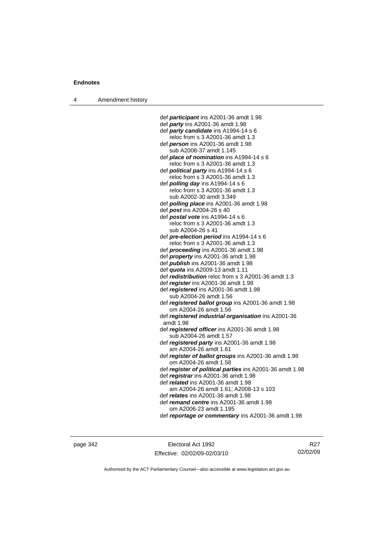4 Amendment history

 def *participant* ins A2001-36 amdt 1.98 def *party* ins A2001-36 amdt 1.98 def *party candidate* ins A1994-14 s 6 reloc from s 3 A2001-36 amdt 1.3 def *person* ins A2001-36 amdt 1.98 sub A2008-37 amdt 1.145 def *place of nomination* ins A1994-14 s 6 reloc from s 3 A2001-36 amdt 1.3 def *political party* ins A1994-14 s 6 reloc from s 3 A2001-36 amdt 1.3 def *polling day* ins A1994-14 s 6 reloc from s 3 A2001-36 amdt 1.3 sub A2002-30 amdt 3.349 def *polling place* ins A2001-36 amdt 1.98 def *post* ins A2004-26 s 40 def *postal vote* ins A1994-14 s 6 reloc from s 3 A2001-36 amdt 1.3 sub A2004-26 s 41 def *pre-election period* ins A1994-14 s 6 reloc from s 3 A2001-36 amdt 1.3 def *proceeding* ins A2001-36 amdt 1.98 def *property* ins A2001-36 amdt 1.98 def *publish* ins A2001-36 amdt 1.98 def *quota* ins A2009-13 amdt 1.11 def *redistribution* reloc from s 3 A2001-36 amdt 1.3 def *register* ins A2001-36 amdt 1.98 def *registered* ins A2001-36 amdt 1.98 sub A2004-26 amdt 1.56 def *registered ballot group* ins A2001-36 amdt 1.98 om A2004-26 amdt 1.56 def *registered industrial organisation* ins A2001-36 amdt 1.98 def *registered officer* ins A2001-36 amdt 1.98 sub A2004-26 amdt 1.57 def *registered party* ins A2001-36 amdt 1.98 am A2004-26 amdt 1.61 def *register of ballot groups* ins A2001-36 amdt 1.98 om A2004-26 amdt 1.58 def *register of political parties* ins A2001-36 amdt 1.98 def *registrar* ins A2001-36 amdt 1.98 def *related* ins A2001-36 amdt 1.98 am A2004-26 amdt 1.61; A2008-13 s 103 def *relates* ins A2001-36 amdt 1.98 def *remand centre* ins A2001-36 amdt 1.98 om A2006-23 amdt 1.195

def *reportage or commentary* ins A2001-36 amdt 1.98

page 342 Electoral Act 1992 Effective: 02/02/09-02/03/10

R27 02/02/09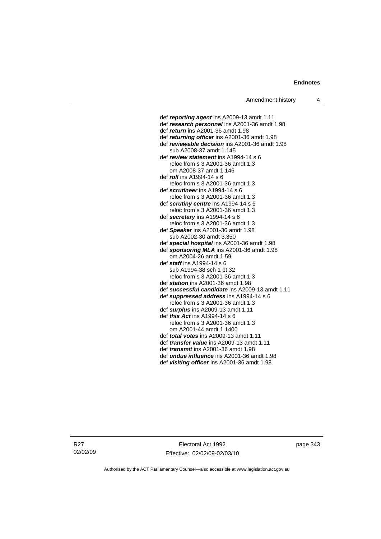#### **Endnotes**

def *reporting agent* ins A2009-13 amdt 1.11 def *research personnel* ins A2001-36 amdt 1.98 def *return* ins A2001-36 amdt 1.98 def *returning officer* ins A2001-36 amdt 1.98 def *reviewable decision* ins A2001-36 amdt 1.98 sub A2008-37 amdt 1.145 def *review statement* ins A1994-14 s 6 reloc from s 3 A2001-36 amdt 1.3 om A2008-37 amdt 1.146 def *roll* ins A1994-14 s 6 reloc from s 3 A2001-36 amdt 1.3 def *scrutineer* ins A1994-14 s 6 reloc from s 3 A2001-36 amdt 1.3 def *scrutiny centre* ins A1994-14 s 6 reloc from s 3 A2001-36 amdt 1.3 def *secretary* ins A1994-14 s 6 reloc from s 3 A2001-36 amdt 1.3 def *Speaker* ins A2001-36 amdt 1.98 sub A2002-30 amdt 3.350 def *special hospital* ins A2001-36 amdt 1.98 def *sponsoring MLA* ins A2001-36 amdt 1.98 om A2004-26 amdt 1.59 def *staff* ins A1994-14 s 6 sub A1994-38 sch 1 pt 32 reloc from s 3 A2001-36 amdt 1.3 def *station* ins A2001-36 amdt 1.98 def *successful candidate* ins A2009-13 amdt 1.11 def *suppressed address* ins A1994-14 s 6 reloc from s 3 A2001-36 amdt 1.3 def *surplus* ins A2009-13 amdt 1.11 def *this Act* ins A1994-14 s 6 reloc from s 3 A2001-36 amdt 1.3 om A2001-44 amdt 1.1400 def *total votes* ins A2009-13 amdt 1.11 def *transfer value* ins A2009-13 amdt 1.11 def *transmit* ins A2001-36 amdt 1.98 def *undue influence* ins A2001-36 amdt 1.98 def *visiting officer* ins A2001-36 amdt 1.98

R27 02/02/09

Electoral Act 1992 Effective: 02/02/09-02/03/10 page 343

Authorised by the ACT Parliamentary Counsel—also accessible at www.legislation.act.gov.au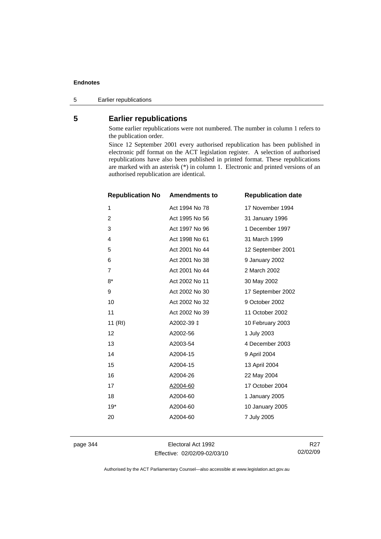## **Endnotes**

5 Earlier republications

## **5 Earlier republications**

Some earlier republications were not numbered. The number in column 1 refers to the publication order.

Since 12 September 2001 every authorised republication has been published in electronic pdf format on the ACT legislation register. A selection of authorised republications have also been published in printed format. These republications are marked with an asterisk (\*) in column 1. Electronic and printed versions of an authorised republication are identical.

| <b>Republication No</b> | <b>Amendments to</b> | <b>Republication date</b> |
|-------------------------|----------------------|---------------------------|
| 1                       | Act 1994 No 78       | 17 November 1994          |
| $\overline{2}$          | Act 1995 No 56       | 31 January 1996           |
| 3                       | Act 1997 No 96       | 1 December 1997           |
| 4                       | Act 1998 No 61       | 31 March 1999             |
| 5                       | Act 2001 No 44       | 12 September 2001         |
| 6                       | Act 2001 No 38       | 9 January 2002            |
| $\overline{7}$          | Act 2001 No 44       | 2 March 2002              |
| $8*$                    | Act 2002 No 11       | 30 May 2002               |
| 9                       | Act 2002 No 30       | 17 September 2002         |
| 10                      | Act 2002 No 32       | 9 October 2002            |
| 11                      | Act 2002 No 39       | 11 October 2002           |
| 11(RI)                  | A2002-39 ‡           | 10 February 2003          |
| 12                      | A2002-56             | 1 July 2003               |
| 13                      | A2003-54             | 4 December 2003           |
| 14                      | A2004-15             | 9 April 2004              |
| 15                      | A2004-15             | 13 April 2004             |
| 16                      | A2004-26             | 22 May 2004               |
| 17                      | A2004-60             | 17 October 2004           |
| 18                      | A2004-60             | 1 January 2005            |
| $19*$                   | A2004-60             | 10 January 2005           |
| 20                      | A2004-60             | 7 July 2005               |
|                         |                      |                           |

page 344 Electoral Act 1992 Effective: 02/02/09-02/03/10

R27 02/02/09

Authorised by the ACT Parliamentary Counsel—also accessible at www.legislation.act.gov.au